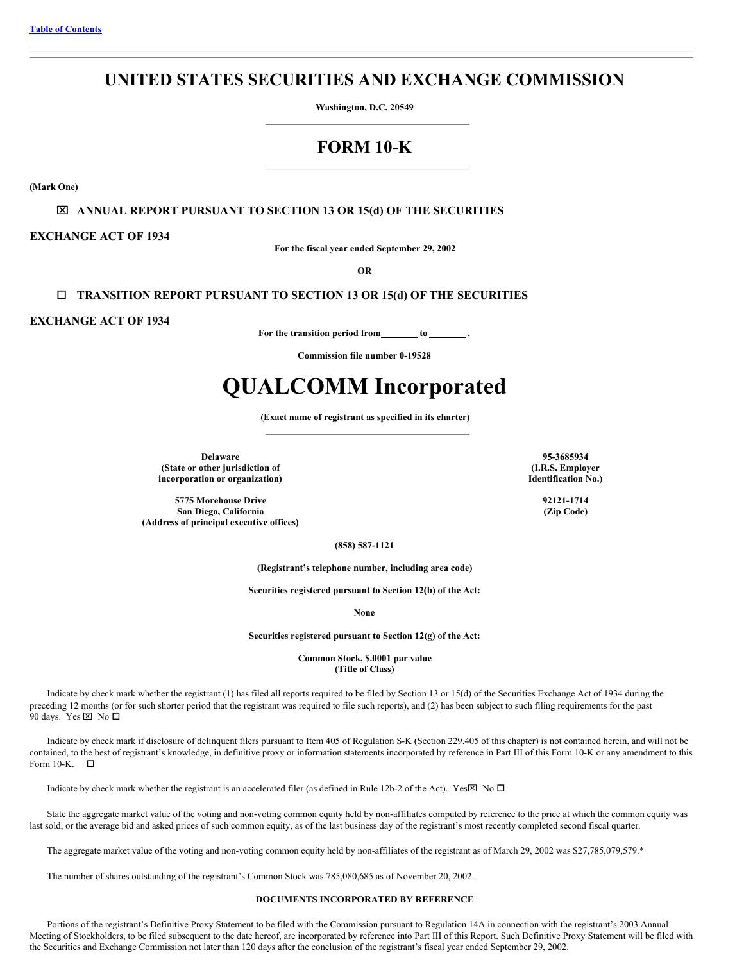# <span id="page-0-0"></span>**UNITED STATES SECURITIES AND EXCHANGE COMMISSION**

**Washington, D.C. 20549**

## **FORM 10-K**

**(Mark One)**

### x **ANNUAL REPORT PURSUANT TO SECTION 13 OR 15(d) OF THE SECURITIES**

**EXCHANGE ACT OF 1934**

**For the fiscal year ended September 29, 2002**

**OR**

### o **TRANSITION REPORT PURSUANT TO SECTION 13 OR 15(d) OF THE SECURITIES**

**EXCHANGE ACT OF 1934**

**For the transition period from to .**

**Commission file number 0-19528**

# **QUALCOMM Incorporated**

**(Exact name of registrant as specified in its charter)**

**Delaware (State or other jurisdiction of incorporation or organization)**

**5775 Morehouse Drive San Diego, California (Address of principal executive offices)**

**(858) 587-1121**

**(Registrant's telephone number, including area code)**

**Securities registered pursuant to Section 12(b) of the Act:**

**None**

**Securities registered pursuant to Section 12(g) of the Act:**

**Common Stock, \$.0001 par value (Title of Class)**

Indicate by check mark whether the registrant (1) has filed all reports required to be filed by Section 13 or 15(d) of the Securities Exchange Act of 1934 during the preceding 12 months (or for such shorter period that the registrant was required to file such reports), and (2) has been subject to such filing requirements for the past 90 days. Yes  $\times$  No  $\Box$ 

Indicate by check mark if disclosure of delinquent filers pursuant to Item 405 of Regulation S-K (Section 229.405 of this chapter) is not contained herein, and will not be contained, to the best of registrant's knowledge, in definitive proxy or information statements incorporated by reference in Part III of this Form 10-K or any amendment to this Form 10-K.  $\square$ 

Indicate by check mark whether the registrant is an accelerated filer (as defined in Rule 12b-2 of the Act). Yes $\boxtimes$  No  $\Box$ 

State the aggregate market value of the voting and non-voting common equity held by non-affiliates computed by reference to the price at which the common equity was last sold, or the average bid and asked prices of such common equity, as of the last business day of the registrant's most recently completed second fiscal quarter.

The aggregate market value of the voting and non-voting common equity held by non-affiliates of the registrant as of March 29, 2002 was \$27,785,079,579.\*

The number of shares outstanding of the registrant's Common Stock was 785,080,685 as of November 20, 2002.

#### **DOCUMENTS INCORPORATED BY REFERENCE**

Portions of the registrant's Definitive Proxy Statement to be filed with the Commission pursuant to Regulation 14A in connection with the registrant's 2003 Annual Meeting of Stockholders, to be filed subsequent to the date hereof, are incorporated by reference into Part III of this Report. Such Definitive Proxy Statement will be filed with the Securities and Exchange Commission not later than 120 days after the conclusion of the registrant's fiscal year ended September 29, 2002.

**95-3685934 (I.R.S. Employer Identification No.)**

> **92121-1714 (Zip Code)**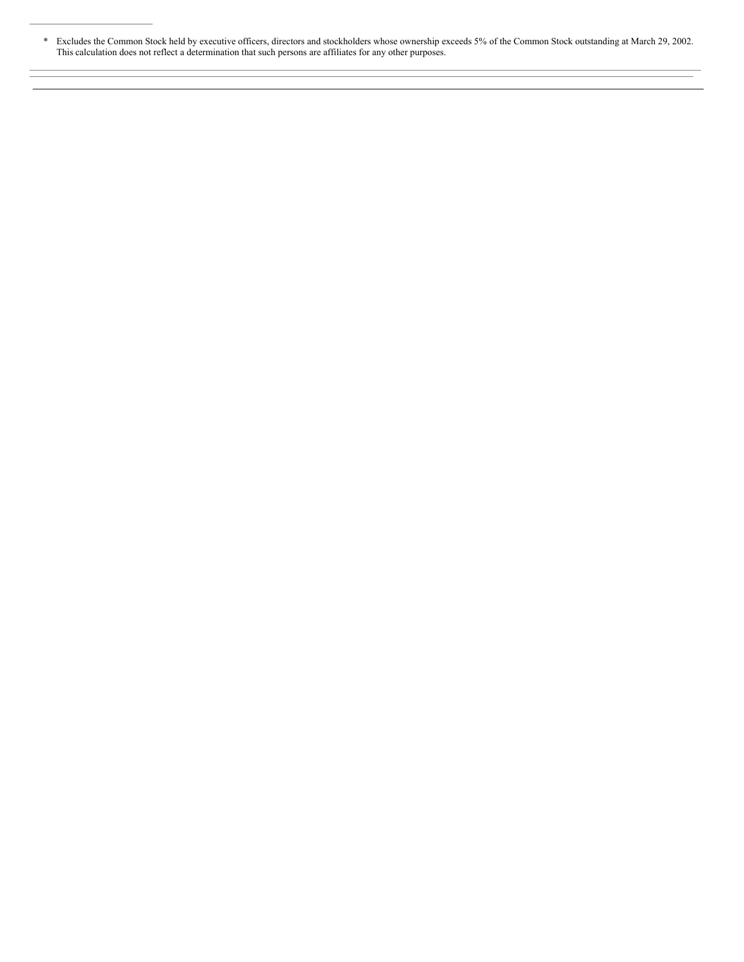\* Excludes the Common Stock held by executive officers, directors and stockholders whose ownership exceeds 5% of the Common Stock outstanding at March 29, 2002. This calculation does not reflect a determination that such persons are affiliates for any other purposes.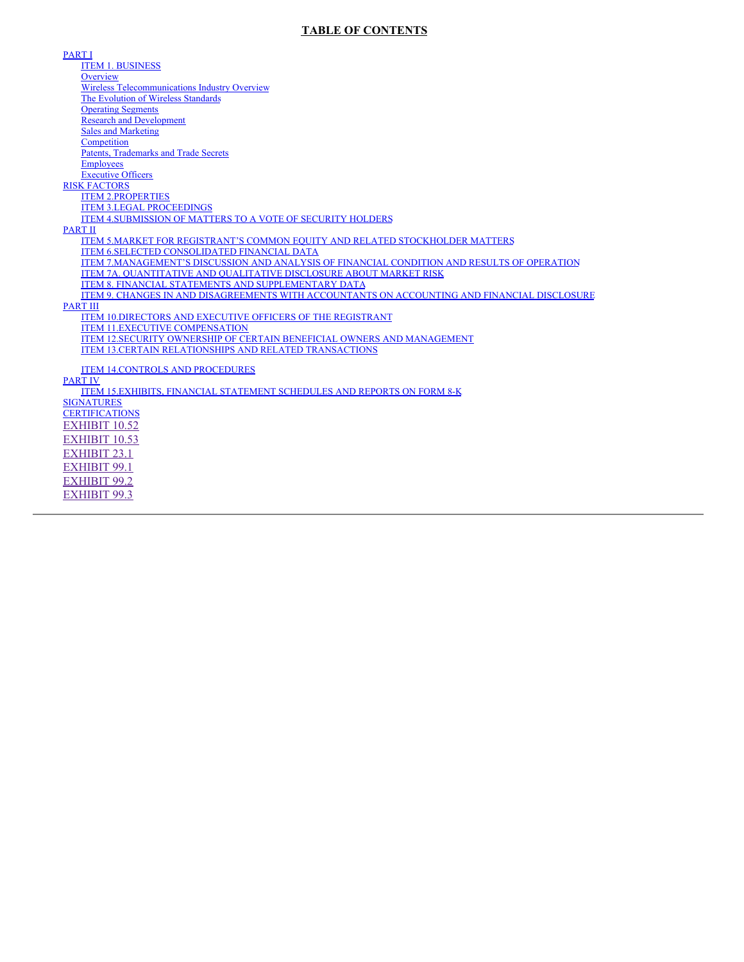### **TABLE OF CONTENTS**

[PART](#page-5-0) I **ITEM 1. [BUSINESS](#page-5-1) [Overview](#page-5-2)** Wireless [Telecommunications](#page-9-0) Industry Overview The [Evolution](#page-10-0) of Wireless Standards **[Operating](#page-12-0) Segments** Research and [Development](#page-17-0) Sales and [Marketing](#page-17-1) **[Competition](#page-18-0)** Patents, [Trademarks](#page-20-0) and Trade Secrets **[Employees](#page-24-0)** [Executive](#page-24-1) Officers RISK [FACTORS](#page-25-0) ITEM [2.PROPERTIES](#page-42-0) ITEM 3.LEGAL [PROCEEDINGS](#page-42-1) ITEM [4.SUBMISSION](#page-44-0) OF MATTERS TO A VOTE OF SECURITY HOLDERS [PART](#page-45-0) II ITEM 5.MARKET FOR REGISTRANT'S COMMON EQUITY AND RELATED [STOCKHOLDER](#page-45-1) MATTERS ITEM 6.SELECTED [CONSOLIDATED](#page-47-0) FINANCIAL DATA ITEM [7.MANAGEMENT'S](#page-49-0) DISCUSSION AND ANALYSIS OF FINANCIAL CONDITION AND RESULTS OF OPERATION ITEM 7A. [QUANTITATIVE](#page-67-0) AND QUALITATIVE DISCLOSURE ABOUT MARKET RISK ITEM 8. FINANCIAL STATEMENTS AND [SUPPLEMENTARY](#page-69-0) DATA ITEM 9. CHANGES IN AND [DISAGREEMENTS](#page-69-1) WITH ACCOUNTANTS ON ACCOUNTING AND FINANCIAL DISCLOSURE [PART](#page-70-0) III ITEM [10.DIRECTORS](#page-70-1) AND EXECUTIVE OFFICERS OF THE REGISTRANT ITEM 11.EXECUTIVE [COMPENSATION](#page-70-2) ITEM 12.SECURITY OWNERSHIP OF CERTAIN BENEFICIAL OWNERS AND [MANAGEMENT](#page-70-3) ITEM 13.CERTAIN [RELATIONSHIPS](#page-70-4) AND RELATED TRANSACTIONS ITEM [14.CONTROLS](#page-70-5) AND PROCEDURES [PART](#page-70-6) IV ITEM [15.EXHIBITS,](#page-70-7) FINANCIAL STATEMENT SCHEDULES AND REPORTS ON FORM 8-K **[SIGNATURES](#page-75-0) [CERTIFICATIONS](#page-77-0)** [EXHIBIT](#page-127-0) 10.52 [EXHIBIT](#page-135-0) 10.53 [EXHIBIT](#page-141-0) 23.1 [EXHIBIT](#page-142-0) 99.1 [EXHIBIT](#page-143-0) 99.2 [EXHIBIT](#page-150-0) 99.3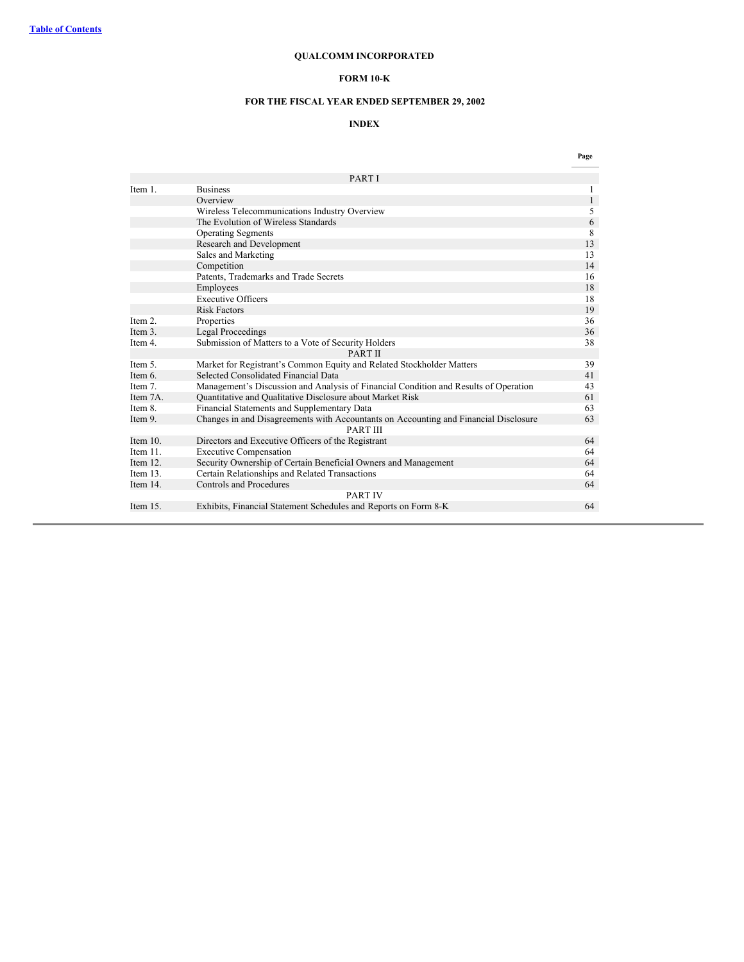### **QUALCOMM INCORPORATED**

### **FORM 10-K**

### **FOR THE FISCAL YEAR ENDED SEPTEMBER 29, 2002**

### **INDEX**

|             |                                                                                      | Page         |
|-------------|--------------------------------------------------------------------------------------|--------------|
|             |                                                                                      |              |
|             | <b>PARTI</b>                                                                         |              |
| Item 1.     | <b>Business</b>                                                                      | 1            |
|             | Overview                                                                             | $\mathbf{1}$ |
|             | Wireless Telecommunications Industry Overview                                        | 5            |
|             | The Evolution of Wireless Standards                                                  | 6            |
|             | <b>Operating Segments</b>                                                            | 8            |
|             | Research and Development                                                             | 13           |
|             | Sales and Marketing                                                                  | 13           |
|             | Competition                                                                          | 14           |
|             | Patents, Trademarks and Trade Secrets                                                | 16           |
|             | Employees                                                                            | 18           |
|             | <b>Executive Officers</b>                                                            | 18           |
|             | <b>Risk Factors</b>                                                                  | 19           |
| Item 2.     | Properties                                                                           | 36           |
| Item 3.     | <b>Legal Proceedings</b>                                                             | 36           |
| Item 4.     | Submission of Matters to a Vote of Security Holders                                  | 38           |
|             | <b>PART II</b>                                                                       |              |
| Item 5.     | Market for Registrant's Common Equity and Related Stockholder Matters                | 39           |
| Item 6.     | Selected Consolidated Financial Data                                                 | 41           |
| Item 7.     | Management's Discussion and Analysis of Financial Condition and Results of Operation | 43           |
| Item 7A.    | Quantitative and Qualitative Disclosure about Market Risk                            | 61           |
| Item 8.     | Financial Statements and Supplementary Data                                          | 63           |
| Item 9.     | Changes in and Disagreements with Accountants on Accounting and Financial Disclosure | 63           |
|             | <b>PART III</b>                                                                      |              |
| Item $10$ . | Directors and Executive Officers of the Registrant                                   | 64           |
| Item $11$ . | <b>Executive Compensation</b>                                                        | 64           |
| Item $12$ . | Security Ownership of Certain Beneficial Owners and Management                       | 64           |
| Item $13$   | Certain Relationships and Related Transactions                                       | 64           |
| Item 14.    | Controls and Procedures                                                              | 64           |
|             | <b>PARTIV</b>                                                                        |              |
| Item $15$ . | Exhibits, Financial Statement Schedules and Reports on Form 8-K                      | 64           |
|             |                                                                                      |              |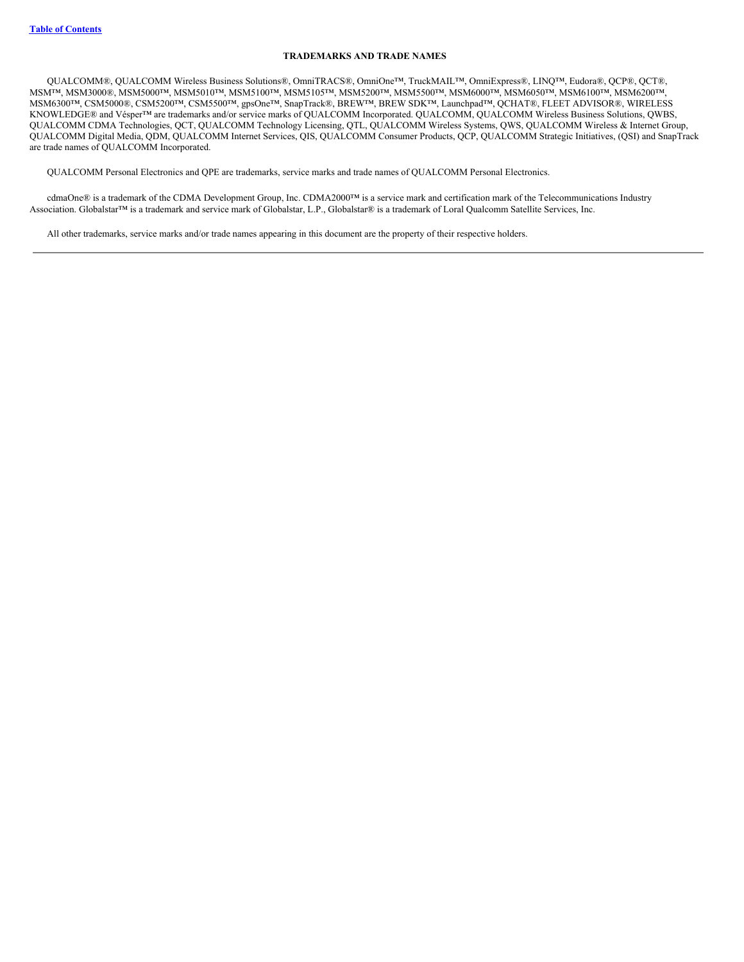#### **TRADEMARKS AND TRADE NAMES**

QUALCOMM®, QUALCOMM Wireless Business Solutions®, OmniTRACS®, OmniOne™, TruckMAIL™, OmniExpress®, LINQ™, Eudora®, QCP®, QCT®, MSM™, MSM3000®, MSM5000™, MSM5010™, MSM5100™, MSM5105™, MSM5200™, MSM5500™, MSM6000™, MSM6050™, MSM6100™, MSM6200™, MSM6300™, CSM5000®, CSM5200™, CSM5500™, gpsOne™, SnapTrack®, BREW™, BREW SDK™, Launchpad™, QCHAT®, FLEET ADVISOR®, WIRELESS KNOWLEDGE® and Vésper™ are trademarks and/or service marks of QUALCOMM Incorporated. QUALCOMM, QUALCOMM Wireless Business Solutions, QWBS, QUALCOMM CDMA Technologies, QCT, QUALCOMM Technology Licensing, QTL, QUALCOMM Wireless Systems, QWS, QUALCOMM Wireless & Internet Group, QUALCOMM Digital Media, QDM, QUALCOMM Internet Services, QIS, QUALCOMM Consumer Products, QCP, QUALCOMM Strategic Initiatives, (QSI) and SnapTrack are trade names of QUALCOMM Incorporated.

QUALCOMM Personal Electronics and QPE are trademarks, service marks and trade names of QUALCOMM Personal Electronics.

cdmaOne® is a trademark of the CDMA Development Group, Inc. CDMA2000™ is a service mark and certification mark of the Telecommunications Industry Association. Globalstar™ is a trademark and service mark of Globalstar, L.P., Globalstar® is a trademark of Loral Qualcomm Satellite Services, Inc.

All other trademarks, service marks and/or trade names appearing in this document are the property of their respective holders.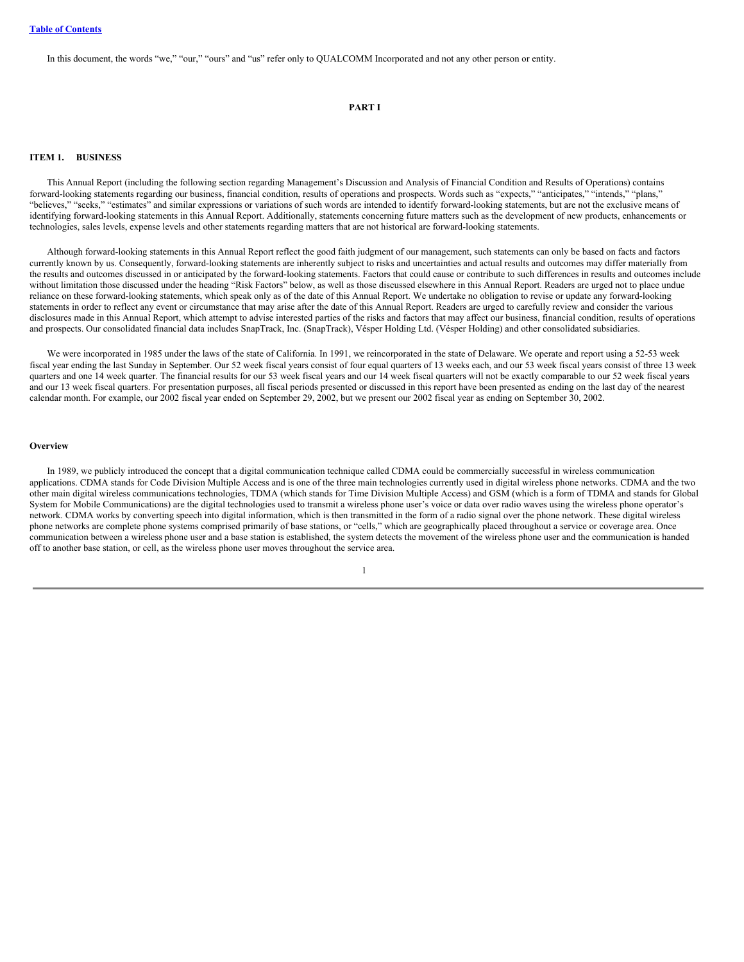<span id="page-5-0"></span>In this document, the words "we," "our," "ours" and "us" refer only to QUALCOMM Incorporated and not any other person or entity.

#### **PART I**

#### <span id="page-5-1"></span>**ITEM 1. BUSINESS**

This Annual Report (including the following section regarding Management's Discussion and Analysis of Financial Condition and Results of Operations) contains forward-looking statements regarding our business, financial condition, results of operations and prospects. Words such as "expects," "anticipates," "intends," "plans," "believes," "seeks," "estimates" and similar expressions or variations of such words are intended to identify forward-looking statements, but are not the exclusive means of identifying forward-looking statements in this Annual Report. Additionally, statements concerning future matters such as the development of new products, enhancements or technologies, sales levels, expense levels and other statements regarding matters that are not historical are forward-looking statements.

Although forward-looking statements in this Annual Report reflect the good faith judgment of our management, such statements can only be based on facts and factors currently known by us. Consequently, forward-looking statements are inherently subject to risks and uncertainties and actual results and outcomes may differ materially from the results and outcomes discussed in or anticipated by the forward-looking statements. Factors that could cause or contribute to such differences in results and outcomes include without limitation those discussed under the heading "Risk Factors" below, as well as those discussed elsewhere in this Annual Report. Readers are urged not to place undue reliance on these forward-looking statements, which speak only as of the date of this Annual Report. We undertake no obligation to revise or update any forward-looking statements in order to reflect any event or circumstance that may arise after the date of this Annual Report. Readers are urged to carefully review and consider the various disclosures made in this Annual Report, which attempt to advise interested parties of the risks and factors that may affect our business, financial condition, results of operations and prospects. Our consolidated financial data includes SnapTrack, Inc. (SnapTrack), Vésper Holding Ltd. (Vésper Holding) and other consolidated subsidiaries.

We were incorporated in 1985 under the laws of the state of California. In 1991, we reincorporated in the state of Delaware. We operate and report using a 52-53 week fiscal year ending the last Sunday in September. Our 52 week fiscal years consist of four equal quarters of 13 weeks each, and our 53 week fiscal years consist of three 13 week quarters and one 14 week quarter. The financial results for our 53 week fiscal years and our 14 week fiscal quarters will not be exactly comparable to our 52 week fiscal years and our 13 week fiscal quarters. For presentation purposes, all fiscal periods presented or discussed in this report have been presented as ending on the last day of the nearest calendar month. For example, our 2002 fiscal year ended on September 29, 2002, but we present our 2002 fiscal year as ending on September 30, 2002.

#### <span id="page-5-2"></span>**Overview**

In 1989, we publicly introduced the concept that a digital communication technique called CDMA could be commercially successful in wireless communication applications. CDMA stands for Code Division Multiple Access and is one of the three main technologies currently used in digital wireless phone networks. CDMA and the two other main digital wireless communications technologies, TDMA (which stands for Time Division Multiple Access) and GSM (which is a form of TDMA and stands for Global System for Mobile Communications) are the digital technologies used to transmit a wireless phone user's voice or data over radio waves using the wireless phone operator's network. CDMA works by converting speech into digital information, which is then transmitted in the form of a radio signal over the phone network. These digital wireless phone networks are complete phone systems comprised primarily of base stations, or "cells," which are geographically placed throughout a service or coverage area. Once communication between a wireless phone user and a base station is established, the system detects the movement of the wireless phone user and the communication is handed off to another base station, or cell, as the wireless phone user moves throughout the service area.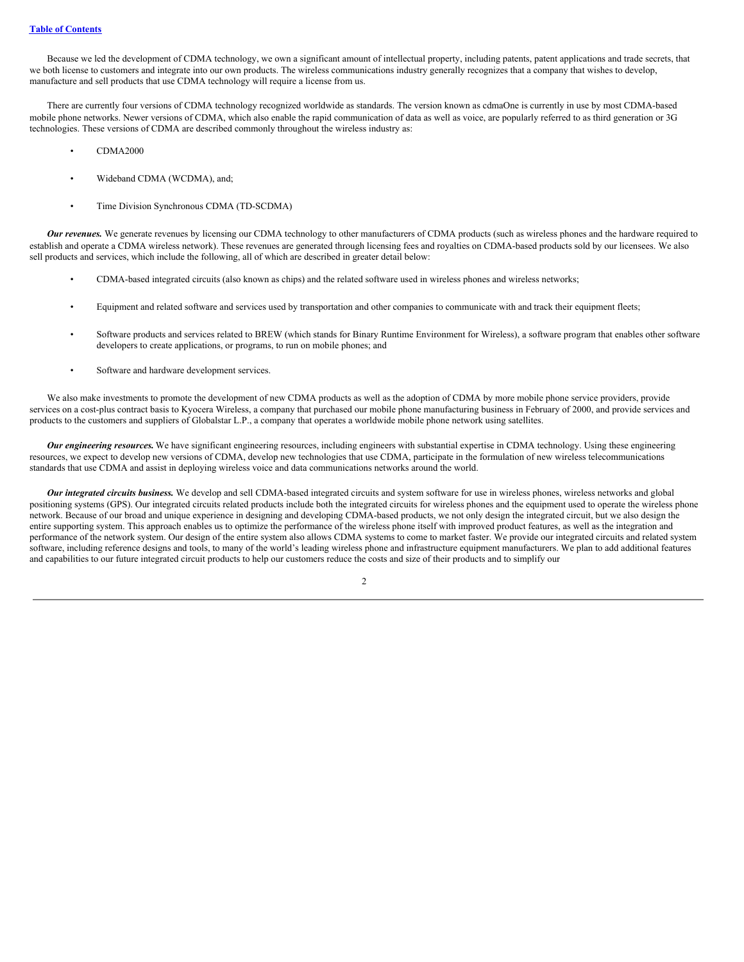Because we led the development of CDMA technology, we own a significant amount of intellectual property, including patents, patent applications and trade secrets, that we both license to customers and integrate into our own products. The wireless communications industry generally recognizes that a company that wishes to develop, manufacture and sell products that use CDMA technology will require a license from us.

There are currently four versions of CDMA technology recognized worldwide as standards. The version known as cdmaOne is currently in use by most CDMA-based mobile phone networks. Newer versions of CDMA, which also enable the rapid communication of data as well as voice, are popularly referred to as third generation or 3G technologies. These versions of CDMA are described commonly throughout the wireless industry as:

- CDMA2000
- Wideband CDMA (WCDMA), and;
- Time Division Synchronous CDMA (TD-SCDMA)

*Our revenues.* We generate revenues by licensing our CDMA technology to other manufacturers of CDMA products (such as wireless phones and the hardware required to establish and operate a CDMA wireless network). These revenues are generated through licensing fees and royalties on CDMA-based products sold by our licensees. We also sell products and services, which include the following, all of which are described in greater detail below:

- CDMA-based integrated circuits (also known as chips) and the related software used in wireless phones and wireless networks;
- Equipment and related software and services used by transportation and other companies to communicate with and track their equipment fleets;
- Software products and services related to BREW (which stands for Binary Runtime Environment for Wireless), a software program that enables other software developers to create applications, or programs, to run on mobile phones; and
- Software and hardware development services.

We also make investments to promote the development of new CDMA products as well as the adoption of CDMA by more mobile phone service providers, provide services on a cost-plus contract basis to Kyocera Wireless, a company that purchased our mobile phone manufacturing business in February of 2000, and provide services and products to the customers and suppliers of Globalstar L.P., a company that operates a worldwide mobile phone network using satellites.

*Our engineering resources.* We have significant engineering resources, including engineers with substantial expertise in CDMA technology. Using these engineering resources, we expect to develop new versions of CDMA, develop new technologies that use CDMA, participate in the formulation of new wireless telecommunications standards that use CDMA and assist in deploying wireless voice and data communications networks around the world.

*Our integrated circuits business.* We develop and sell CDMA-based integrated circuits and system software for use in wireless phones, wireless networks and global positioning systems (GPS). Our integrated circuits related products include both the integrated circuits for wireless phones and the equipment used to operate the wireless phone network. Because of our broad and unique experience in designing and developing CDMA-based products, we not only design the integrated circuit, but we also design the entire supporting system. This approach enables us to optimize the performance of the wireless phone itself with improved product features, as well as the integration and performance of the network system. Our design of the entire system also allows CDMA systems to come to market faster. We provide our integrated circuits and related system software, including reference designs and tools, to many of the world's leading wireless phone and infrastructure equipment manufacturers. We plan to add additional features and capabilities to our future integrated circuit products to help our customers reduce the costs and size of their products and to simplify our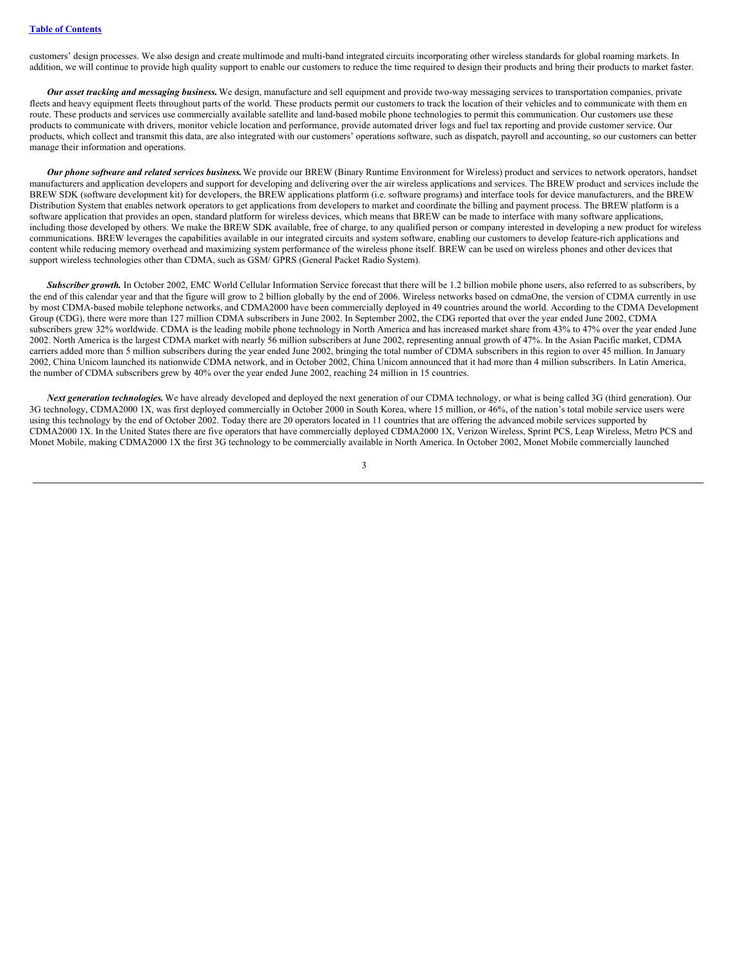customers' design processes. We also design and create multimode and multi-band integrated circuits incorporating other wireless standards for global roaming markets. In addition, we will continue to provide high quality support to enable our customers to reduce the time required to design their products and bring their products to market faster.

*Our asset tracking and messaging business.* We design, manufacture and sell equipment and provide two-way messaging services to transportation companies, private fleets and heavy equipment fleets throughout parts of the world. These products permit our customers to track the location of their vehicles and to communicate with them en route. These products and services use commercially available satellite and land-based mobile phone technologies to permit this communication. Our customers use these products to communicate with drivers, monitor vehicle location and performance, provide automated driver logs and fuel tax reporting and provide customer service. Our products, which collect and transmit this data, are also integrated with our customers' operations software, such as dispatch, payroll and accounting, so our customers can better manage their information and operations.

*Our phone software and related services business.*We provide our BREW (Binary Runtime Environment for Wireless) product and services to network operators, handset manufacturers and application developers and support for developing and delivering over the air wireless applications and services. The BREW product and services include the BREW SDK (software development kit) for developers, the BREW applications platform (i.e. software programs) and interface tools for device manufacturers, and the BREW Distribution System that enables network operators to get applications from developers to market and coordinate the billing and payment process. The BREW platform is a software application that provides an open, standard platform for wireless devices, which means that BREW can be made to interface with many software applications, including those developed by others. We make the BREW SDK available, free of charge, to any qualified person or company interested in developing a new product for wireless communications. BREW leverages the capabilities available in our integrated circuits and system software, enabling our customers to develop feature-rich applications and content while reducing memory overhead and maximizing system performance of the wireless phone itself. BREW can be used on wireless phones and other devices that support wireless technologies other than CDMA, such as GSM/ GPRS (General Packet Radio System).

Subscriber growth. In October 2002, EMC World Cellular Information Service forecast that there will be 1.2 billion mobile phone users, also referred to as subscribers, by the end of this calendar year and that the figure will grow to 2 billion globally by the end of 2006. Wireless networks based on cdmaOne, the version of CDMA currently in use by most CDMA-based mobile telephone networks, and CDMA2000 have been commercially deployed in 49 countries around the world. According to the CDMA Development Group (CDG), there were more than 127 million CDMA subscribers in June 2002. In September 2002, the CDG reported that over the year ended June 2002, CDMA subscribers grew 32% worldwide. CDMA is the leading mobile phone technology in North America and has increased market share from 43% to 47% over the year ended June 2002. North America is the largest CDMA market with nearly 56 million subscribers at June 2002, representing annual growth of 47%. In the Asian Pacific market, CDMA carriers added more than 5 million subscribers during the year ended June 2002, bringing the total number of CDMA subscribers in this region to over 45 million. In January 2002, China Unicom launched its nationwide CDMA network, and in October 2002, China Unicom announced that it had more than 4 million subscribers. In Latin America, the number of CDMA subscribers grew by 40% over the year ended June 2002, reaching 24 million in 15 countries.

*Next generation technologies.* We have already developed and deployed the next generation of our CDMA technology, or what is being called 3G (third generation). Our 3G technology, CDMA2000 1X, was first deployed commercially in October 2000 in South Korea, where 15 million, or 46%, of the nation's total mobile service users were using this technology by the end of October 2002. Today there are 20 operators located in 11 countries that are offering the advanced mobile services supported by CDMA2000 1X. In the United States there are five operators that have commercially deployed CDMA2000 1X, Verizon Wireless, Sprint PCS, Leap Wireless, Metro PCS and Monet Mobile, making CDMA2000 1X the first 3G technology to be commercially available in North America. In October 2002, Monet Mobile commercially launched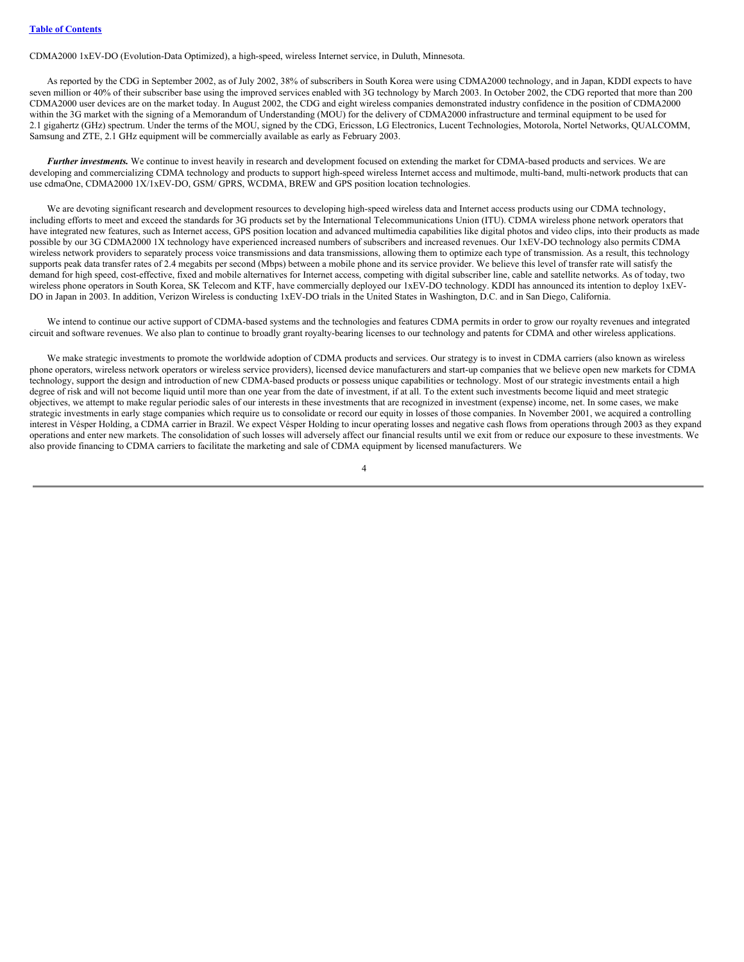CDMA2000 1xEV-DO (Evolution-Data Optimized), a high-speed, wireless Internet service, in Duluth, Minnesota.

As reported by the CDG in September 2002, as of July 2002, 38% of subscribers in South Korea were using CDMA2000 technology, and in Japan, KDDI expects to have seven million or 40% of their subscriber base using the improved services enabled with 3G technology by March 2003. In October 2002, the CDG reported that more than 200 CDMA2000 user devices are on the market today. In August 2002, the CDG and eight wireless companies demonstrated industry confidence in the position of CDMA2000 within the 3G market with the signing of a Memorandum of Understanding (MOU) for the delivery of CDMA2000 infrastructure and terminal equipment to be used for 2.1 gigahertz (GHz) spectrum. Under the terms of the MOU, signed by the CDG, Ericsson, LG Electronics, Lucent Technologies, Motorola, Nortel Networks, QUALCOMM, Samsung and ZTE, 2.1 GHz equipment will be commercially available as early as February 2003.

*Further investments.* We continue to invest heavily in research and development focused on extending the market for CDMA-based products and services. We are developing and commercializing CDMA technology and products to support high-speed wireless Internet access and multimode, multi-band, multi-network products that can use cdmaOne, CDMA2000 1X/1xEV-DO, GSM/ GPRS, WCDMA, BREW and GPS position location technologies.

We are devoting significant research and development resources to developing high-speed wireless data and Internet access products using our CDMA technology, including efforts to meet and exceed the standards for 3G products set by the International Telecommunications Union (ITU). CDMA wireless phone network operators that have integrated new features, such as Internet access, GPS position location and advanced multimedia capabilities like digital photos and video clips, into their products as made possible by our 3G CDMA2000 1X technology have experienced increased numbers of subscribers and increased revenues. Our 1xEV-DO technology also permits CDMA wireless network providers to separately process voice transmissions and data transmissions, allowing them to optimize each type of transmission. As a result, this technology supports peak data transfer rates of 2.4 megabits per second (Mbps) between a mobile phone and its service provider. We believe this level of transfer rate will satisfy the demand for high speed, cost-effective, fixed and mobile alternatives for Internet access, competing with digital subscriber line, cable and satellite networks. As of today, two wireless phone operators in South Korea, SK Telecom and KTF, have commercially deployed our 1xEV-DO technology. KDDI has announced its intention to deploy 1xEV-DO in Japan in 2003. In addition, Verizon Wireless is conducting 1xEV-DO trials in the United States in Washington, D.C. and in San Diego, California.

We intend to continue our active support of CDMA-based systems and the technologies and features CDMA permits in order to grow our royalty revenues and integrated circuit and software revenues. We also plan to continue to broadly grant royalty-bearing licenses to our technology and patents for CDMA and other wireless applications.

We make strategic investments to promote the worldwide adoption of CDMA products and services. Our strategy is to invest in CDMA carriers (also known as wireless phone operators, wireless network operators or wireless service providers), licensed device manufacturers and start-up companies that we believe open new markets for CDMA technology, support the design and introduction of new CDMA-based products or possess unique capabilities or technology. Most of our strategic investments entail a high degree of risk and will not become liquid until more than one year from the date of investment, if at all. To the extent such investments become liquid and meet strategic objectives, we attempt to make regular periodic sales of our interests in these investments that are recognized in investment (expense) income, net. In some cases, we make strategic investments in early stage companies which require us to consolidate or record our equity in losses of those companies. In November 2001, we acquired a controlling interest in Vésper Holding, a CDMA carrier in Brazil. We expect Vésper Holding to incur operating losses and negative cash flows from operations through 2003 as they expand operations and enter new markets. The consolidation of such losses will adversely affect our financial results until we exit from or reduce our exposure to these investments. We also provide financing to CDMA carriers to facilitate the marketing and sale of CDMA equipment by licensed manufacturers. We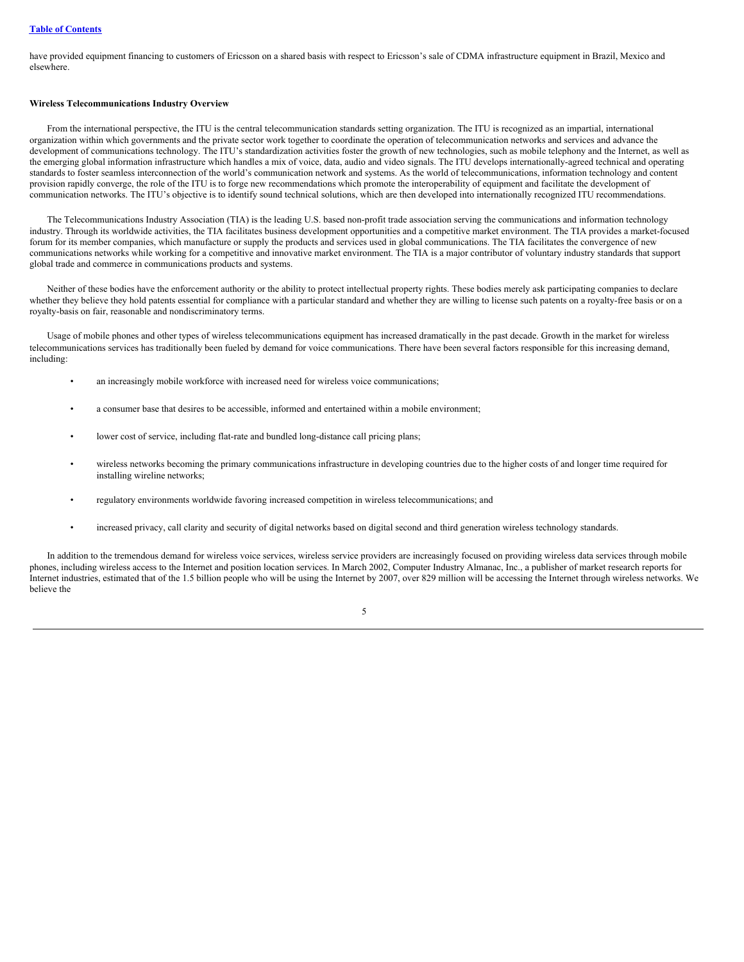<span id="page-9-0"></span>have provided equipment financing to customers of Ericsson on a shared basis with respect to Ericsson's sale of CDMA infrastructure equipment in Brazil, Mexico and elsewhere.

#### **Wireless Telecommunications Industry Overview**

From the international perspective, the ITU is the central telecommunication standards setting organization. The ITU is recognized as an impartial, international organization within which governments and the private sector work together to coordinate the operation of telecommunication networks and services and advance the development of communications technology. The ITU's standardization activities foster the growth of new technologies, such as mobile telephony and the Internet, as well as the emerging global information infrastructure which handles a mix of voice, data, audio and video signals. The ITU develops internationally-agreed technical and operating standards to foster seamless interconnection of the world's communication network and systems. As the world of telecommunications, information technology and content provision rapidly converge, the role of the ITU is to forge new recommendations which promote the interoperability of equipment and facilitate the development of communication networks. The ITU's objective is to identify sound technical solutions, which are then developed into internationally recognized ITU recommendations.

The Telecommunications Industry Association (TIA) is the leading U.S. based non-profit trade association serving the communications and information technology industry. Through its worldwide activities, the TIA facilitates business development opportunities and a competitive market environment. The TIA provides a market-focused forum for its member companies, which manufacture or supply the products and services used in global communications. The TIA facilitates the convergence of new communications networks while working for a competitive and innovative market environment. The TIA is a major contributor of voluntary industry standards that support global trade and commerce in communications products and systems.

Neither of these bodies have the enforcement authority or the ability to protect intellectual property rights. These bodies merely ask participating companies to declare whether they believe they hold patents essential for compliance with a particular standard and whether they are willing to license such patents on a royalty-free basis or on a royalty-basis on fair, reasonable and nondiscriminatory terms.

Usage of mobile phones and other types of wireless telecommunications equipment has increased dramatically in the past decade. Growth in the market for wireless telecommunications services has traditionally been fueled by demand for voice communications. There have been several factors responsible for this increasing demand, including:

- an increasingly mobile workforce with increased need for wireless voice communications;
- a consumer base that desires to be accessible, informed and entertained within a mobile environment;
- lower cost of service, including flat-rate and bundled long-distance call pricing plans;
- wireless networks becoming the primary communications infrastructure in developing countries due to the higher costs of and longer time required for installing wireline networks;
- regulatory environments worldwide favoring increased competition in wireless telecommunications; and
- increased privacy, call clarity and security of digital networks based on digital second and third generation wireless technology standards.

In addition to the tremendous demand for wireless voice services, wireless service providers are increasingly focused on providing wireless data services through mobile phones, including wireless access to the Internet and position location services. In March 2002, Computer Industry Almanac, Inc., a publisher of market research reports for Internet industries, estimated that of the 1.5 billion people who will be using the Internet by 2007, over 829 million will be accessing the Internet through wireless networks. We believe the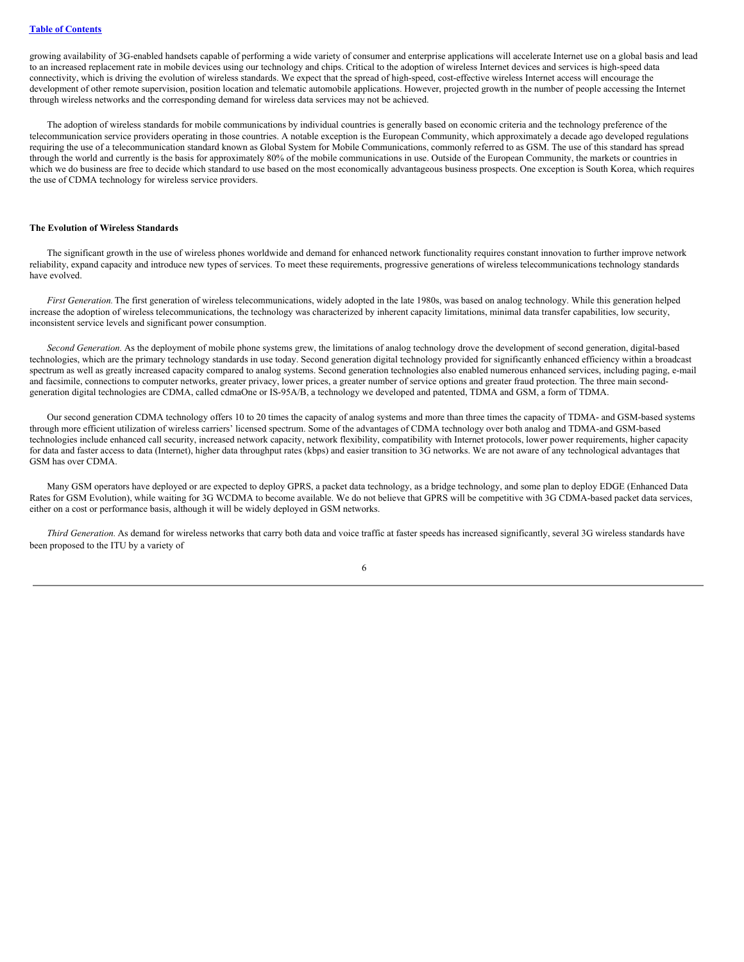growing availability of 3G-enabled handsets capable of performing a wide variety of consumer and enterprise applications will accelerate Internet use on a global basis and lead to an increased replacement rate in mobile devices using our technology and chips. Critical to the adoption of wireless Internet devices and services is high-speed data connectivity, which is driving the evolution of wireless standards. We expect that the spread of high-speed, cost-effective wireless Internet access will encourage the development of other remote supervision, position location and telematic automobile applications. However, projected growth in the number of people accessing the Internet through wireless networks and the corresponding demand for wireless data services may not be achieved.

The adoption of wireless standards for mobile communications by individual countries is generally based on economic criteria and the technology preference of the telecommunication service providers operating in those countries. A notable exception is the European Community, which approximately a decade ago developed regulations requiring the use of a telecommunication standard known as Global System for Mobile Communications, commonly referred to as GSM. The use of this standard has spread through the world and currently is the basis for approximately 80% of the mobile communications in use. Outside of the European Community, the markets or countries in which we do business are free to decide which standard to use based on the most economically advantageous business prospects. One exception is South Korea, which requires the use of CDMA technology for wireless service providers.

#### <span id="page-10-0"></span>**The Evolution of Wireless Standards**

The significant growth in the use of wireless phones worldwide and demand for enhanced network functionality requires constant innovation to further improve network reliability, expand capacity and introduce new types of services. To meet these requirements, progressive generations of wireless telecommunications technology standards have evolved.

*First Generation.* The first generation of wireless telecommunications, widely adopted in the late 1980s, was based on analog technology. While this generation helped increase the adoption of wireless telecommunications, the technology was characterized by inherent capacity limitations, minimal data transfer capabilities, low security, inconsistent service levels and significant power consumption.

*Second Generation.* As the deployment of mobile phone systems grew, the limitations of analog technology drove the development of second generation, digital-based technologies, which are the primary technology standards in use today. Second generation digital technology provided for significantly enhanced efficiency within a broadcast spectrum as well as greatly increased capacity compared to analog systems. Second generation technologies also enabled numerous enhanced services, including paging, e-mail and facsimile, connections to computer networks, greater privacy, lower prices, a greater number of service options and greater fraud protection. The three main secondgeneration digital technologies are CDMA, called cdmaOne or IS-95A/B, a technology we developed and patented, TDMA and GSM, a form of TDMA.

Our second generation CDMA technology offers 10 to 20 times the capacity of analog systems and more than three times the capacity of TDMA- and GSM-based systems through more efficient utilization of wireless carriers' licensed spectrum. Some of the advantages of CDMA technology over both analog and TDMA-and GSM-based technologies include enhanced call security, increased network capacity, network flexibility, compatibility with Internet protocols, lower power requirements, higher capacity for data and faster access to data (Internet), higher data throughput rates (kbps) and easier transition to 3G networks. We are not aware of any technological advantages that GSM has over CDMA.

Many GSM operators have deployed or are expected to deploy GPRS, a packet data technology, as a bridge technology, and some plan to deploy EDGE (Enhanced Data Rates for GSM Evolution), while waiting for 3G WCDMA to become available. We do not believe that GPRS will be competitive with 3G CDMA-based packet data services, either on a cost or performance basis, although it will be widely deployed in GSM networks.

*Third Generation.* As demand for wireless networks that carry both data and voice traffic at faster speeds has increased significantly, several 3G wireless standards have been proposed to the ITU by a variety of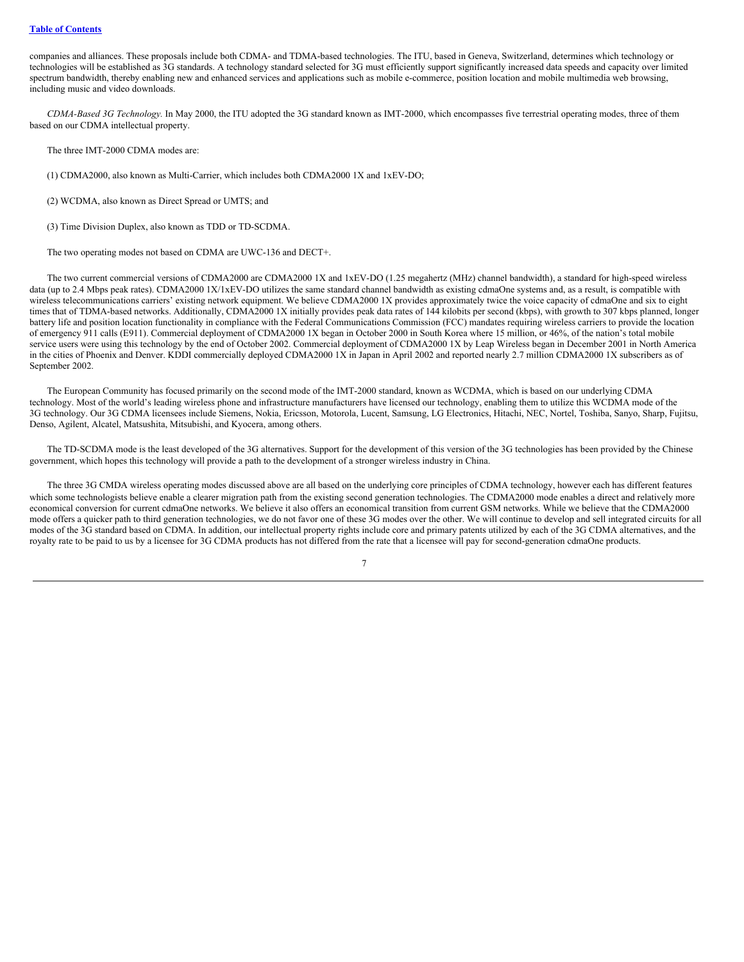companies and alliances. These proposals include both CDMA- and TDMA-based technologies. The ITU, based in Geneva, Switzerland, determines which technology or technologies will be established as 3G standards. A technology standard selected for 3G must efficiently support significantly increased data speeds and capacity over limited spectrum bandwidth, thereby enabling new and enhanced services and applications such as mobile e-commerce, position location and mobile multimedia web browsing, including music and video downloads.

*CDMA-Based 3G Technology.* In May 2000, the ITU adopted the 3G standard known as IMT-2000, which encompasses five terrestrial operating modes, three of them based on our CDMA intellectual property.

The three IMT-2000 CDMA modes are:

(1) CDMA2000, also known as Multi-Carrier, which includes both CDMA2000 1X and 1xEV-DO;

(2) WCDMA, also known as Direct Spread or UMTS; and

(3) Time Division Duplex, also known as TDD or TD-SCDMA.

The two operating modes not based on CDMA are UWC-136 and DECT+.

The two current commercial versions of CDMA2000 are CDMA2000 1X and 1xEV-DO (1.25 megahertz (MHz) channel bandwidth), a standard for high-speed wireless data (up to 2.4 Mbps peak rates). CDMA2000 1X/1xEV-DO utilizes the same standard channel bandwidth as existing cdmaOne systems and, as a result, is compatible with wireless telecommunications carriers' existing network equipment. We believe CDMA2000 1X provides approximately twice the voice capacity of cdmaOne and six to eight times that of TDMA-based networks. Additionally, CDMA2000 1X initially provides peak data rates of 144 kilobits per second (kbps), with growth to 307 kbps planned, longer battery life and position location functionality in compliance with the Federal Communications Commission (FCC) mandates requiring wireless carriers to provide the location of emergency 911 calls (E911). Commercial deployment of CDMA2000 1X began in October 2000 in South Korea where 15 million, or 46%, of the nation's total mobile service users were using this technology by the end of October 2002. Commercial deployment of CDMA2000 1X by Leap Wireless began in December 2001 in North America in the cities of Phoenix and Denver. KDDI commercially deployed CDMA2000 1X in Japan in April 2002 and reported nearly 2.7 million CDMA2000 1X subscribers as of September 2002.

The European Community has focused primarily on the second mode of the IMT-2000 standard, known as WCDMA, which is based on our underlying CDMA technology. Most of the world's leading wireless phone and infrastructure manufacturers have licensed our technology, enabling them to utilize this WCDMA mode of the 3G technology. Our 3G CDMA licensees include Siemens, Nokia, Ericsson, Motorola, Lucent, Samsung, LG Electronics, Hitachi, NEC, Nortel, Toshiba, Sanyo, Sharp, Fujitsu, Denso, Agilent, Alcatel, Matsushita, Mitsubishi, and Kyocera, among others.

The TD-SCDMA mode is the least developed of the 3G alternatives. Support for the development of this version of the 3G technologies has been provided by the Chinese government, which hopes this technology will provide a path to the development of a stronger wireless industry in China.

The three 3G CMDA wireless operating modes discussed above are all based on the underlying core principles of CDMA technology, however each has different features which some technologists believe enable a clearer migration path from the existing second generation technologies. The CDMA2000 mode enables a direct and relatively more economical conversion for current cdmaOne networks. We believe it also offers an economical transition from current GSM networks. While we believe that the CDMA2000 mode offers a quicker path to third generation technologies, we do not favor one of these 3G modes over the other. We will continue to develop and sell integrated circuits for all modes of the 3G standard based on CDMA. In addition, our intellectual property rights include core and primary patents utilized by each of the 3G CDMA alternatives, and the royalty rate to be paid to us by a licensee for 3G CDMA products has not differed from the rate that a licensee will pay for second-generation cdmaOne products.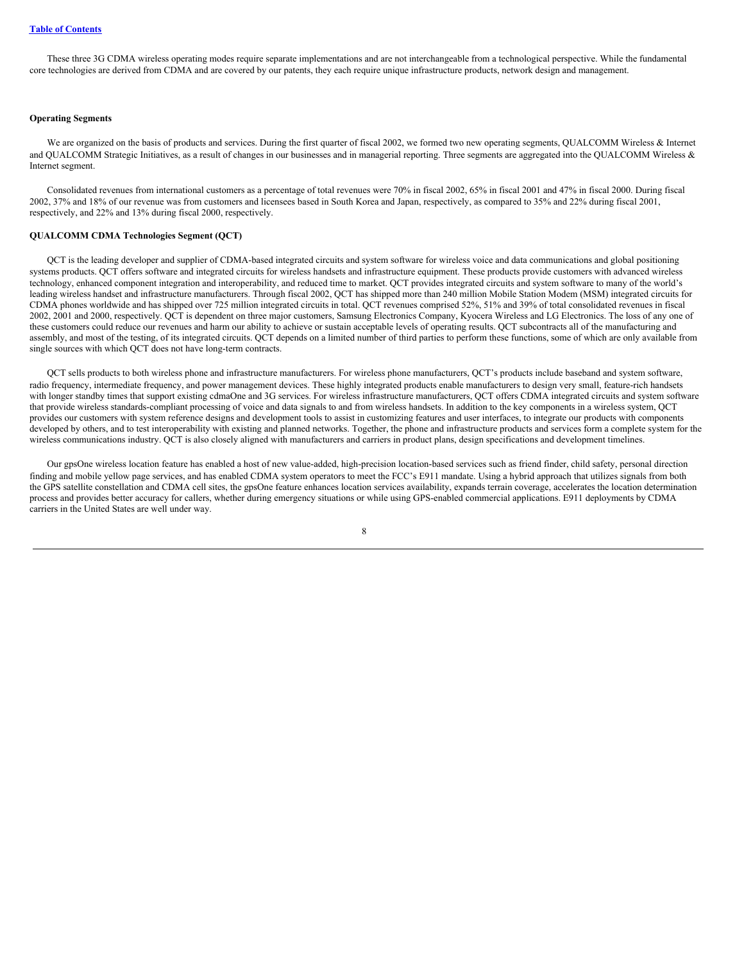These three 3G CDMA wireless operating modes require separate implementations and are not interchangeable from a technological perspective. While the fundamental core technologies are derived from CDMA and are covered by our patents, they each require unique infrastructure products, network design and management.

#### <span id="page-12-0"></span>**Operating Segments**

We are organized on the basis of products and services. During the first quarter of fiscal 2002, we formed two new operating segments, QUALCOMM Wireless & Internet and QUALCOMM Strategic Initiatives, as a result of changes in our businesses and in managerial reporting. Three segments are aggregated into the QUALCOMM Wireless & Internet segment.

Consolidated revenues from international customers as a percentage of total revenues were 70% in fiscal 2002, 65% in fiscal 2001 and 47% in fiscal 2000. During fiscal 2002, 37% and 18% of our revenue was from customers and licensees based in South Korea and Japan, respectively, as compared to 35% and 22% during fiscal 2001, respectively, and 22% and 13% during fiscal 2000, respectively.

#### **QUALCOMM CDMA Technologies Segment (QCT)**

QCT is the leading developer and supplier of CDMA-based integrated circuits and system software for wireless voice and data communications and global positioning systems products. QCT offers software and integrated circuits for wireless handsets and infrastructure equipment. These products provide customers with advanced wireless technology, enhanced component integration and interoperability, and reduced time to market. QCT provides integrated circuits and system software to many of the world's leading wireless handset and infrastructure manufacturers. Through fiscal 2002, QCT has shipped more than 240 million Mobile Station Modem (MSM) integrated circuits for CDMA phones worldwide and has shipped over 725 million integrated circuits in total. QCT revenues comprised 52%, 51% and 39% of total consolidated revenues in fiscal 2002, 2001 and 2000, respectively. QCT is dependent on three major customers, Samsung Electronics Company, Kyocera Wireless and LG Electronics. The loss of any one of these customers could reduce our revenues and harm our ability to achieve or sustain acceptable levels of operating results. QCT subcontracts all of the manufacturing and assembly, and most of the testing, of its integrated circuits. QCT depends on a limited number of third parties to perform these functions, some of which are only available from single sources with which QCT does not have long-term contracts.

QCT sells products to both wireless phone and infrastructure manufacturers. For wireless phone manufacturers, QCT's products include baseband and system software, radio frequency, intermediate frequency, and power management devices. These highly integrated products enable manufacturers to design very small, feature-rich handsets with longer standby times that support existing cdmaOne and 3G services. For wireless infrastructure manufacturers, QCT offers CDMA integrated circuits and system software that provide wireless standards-compliant processing of voice and data signals to and from wireless handsets. In addition to the key components in a wireless system, QCT provides our customers with system reference designs and development tools to assist in customizing features and user interfaces, to integrate our products with components developed by others, and to test interoperability with existing and planned networks. Together, the phone and infrastructure products and services form a complete system for the wireless communications industry. QCT is also closely aligned with manufacturers and carriers in product plans, design specifications and development timelines.

Our gpsOne wireless location feature has enabled a host of new value-added, high-precision location-based services such as friend finder, child safety, personal direction finding and mobile yellow page services, and has enabled CDMA system operators to meet the FCC's E911 mandate. Using a hybrid approach that utilizes signals from both the GPS satellite constellation and CDMA cell sites, the gpsOne feature enhances location services availability, expands terrain coverage, accelerates the location determination process and provides better accuracy for callers, whether during emergency situations or while using GPS-enabled commercial applications. E911 deployments by CDMA carriers in the United States are well under way.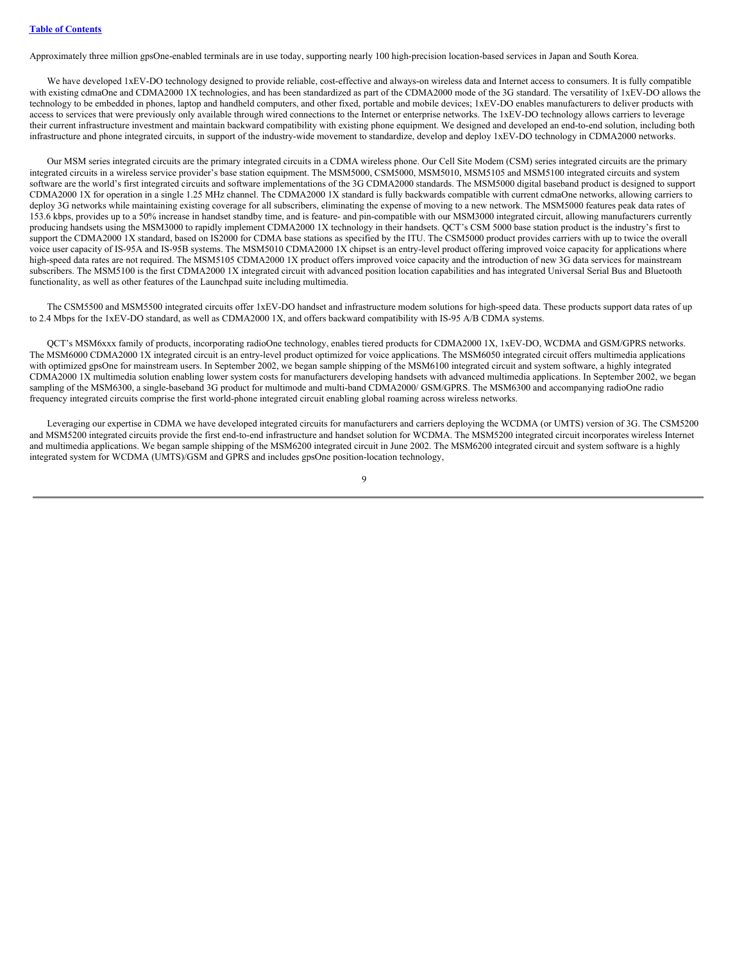Approximately three million gpsOne-enabled terminals are in use today, supporting nearly 100 high-precision location-based services in Japan and South Korea.

We have developed 1xEV-DO technology designed to provide reliable, cost-effective and always-on wireless data and Internet access to consumers. It is fully compatible with existing cdmaOne and CDMA2000 1X technologies, and has been standardized as part of the CDMA2000 mode of the 3G standard. The versatility of 1xEV-DO allows the technology to be embedded in phones, laptop and handheld computers, and other fixed, portable and mobile devices; 1xEV-DO enables manufacturers to deliver products with access to services that were previously only available through wired connections to the Internet or enterprise networks. The 1xEV-DO technology allows carriers to leverage their current infrastructure investment and maintain backward compatibility with existing phone equipment. We designed and developed an end-to-end solution, including both infrastructure and phone integrated circuits, in support of the industry-wide movement to standardize, develop and deploy 1xEV-DO technology in CDMA2000 networks.

Our MSM series integrated circuits are the primary integrated circuits in a CDMA wireless phone. Our Cell Site Modem (CSM) series integrated circuits are the primary integrated circuits in a wireless service provider's base station equipment. The MSM5000, CSM5000, MSM5010, MSM5105 and MSM5100 integrated circuits and system software are the world's first integrated circuits and software implementations of the 3G CDMA2000 standards. The MSM5000 digital baseband product is designed to support CDMA2000 1X for operation in a single 1.25 MHz channel. The CDMA2000 1X standard is fully backwards compatible with current cdmaOne networks, allowing carriers to deploy 3G networks while maintaining existing coverage for all subscribers, eliminating the expense of moving to a new network. The MSM5000 features peak data rates of 153.6 kbps, provides up to a 50% increase in handset standby time, and is feature- and pin-compatible with our MSM3000 integrated circuit, allowing manufacturers currently producing handsets using the MSM3000 to rapidly implement CDMA2000 1X technology in their handsets. QCT's CSM 5000 base station product is the industry's first to support the CDMA2000 1X standard, based on IS2000 for CDMA base stations as specified by the ITU. The CSM5000 product provides carriers with up to twice the overall voice user capacity of IS-95A and IS-95B systems. The MSM5010 CDMA2000 1X chipset is an entry-level product offering improved voice capacity for applications where high-speed data rates are not required. The MSM5105 CDMA2000 1X product offers improved voice capacity and the introduction of new 3G data services for mainstream subscribers. The MSM5100 is the first CDMA2000 1X integrated circuit with advanced position location capabilities and has integrated Universal Serial Bus and Bluetooth functionality, as well as other features of the Launchpad suite including multimedia.

The CSM5500 and MSM5500 integrated circuits offer 1xEV-DO handset and infrastructure modem solutions for high-speed data. These products support data rates of up to 2.4 Mbps for the 1xEV-DO standard, as well as CDMA2000 1X, and offers backward compatibility with IS-95 A/B CDMA systems.

QCT's MSM6xxx family of products, incorporating radioOne technology, enables tiered products for CDMA2000 1X, 1xEV-DO, WCDMA and GSM/GPRS networks. The MSM6000 CDMA2000 1X integrated circuit is an entry-level product optimized for voice applications. The MSM6050 integrated circuit offers multimedia applications with optimized gpsOne for mainstream users. In September 2002, we began sample shipping of the MSM6100 integrated circuit and system software, a highly integrated CDMA2000 1X multimedia solution enabling lower system costs for manufacturers developing handsets with advanced multimedia applications. In September 2002, we began sampling of the MSM6300, a single-baseband 3G product for multimode and multi-band CDMA2000/ GSM/GPRS. The MSM6300 and accompanying radioOne radio frequency integrated circuits comprise the first world-phone integrated circuit enabling global roaming across wireless networks.

Leveraging our expertise in CDMA we have developed integrated circuits for manufacturers and carriers deploying the WCDMA (or UMTS) version of 3G. The CSM5200 and MSM5200 integrated circuits provide the first end-to-end infrastructure and handset solution for WCDMA. The MSM5200 integrated circuit incorporates wireless Internet and multimedia applications. We began sample shipping of the MSM6200 integrated circuit in June 2002. The MSM6200 integrated circuit and system software is a highly integrated system for WCDMA (UMTS)/GSM and GPRS and includes gpsOne position-location technology,

 $\overline{Q}$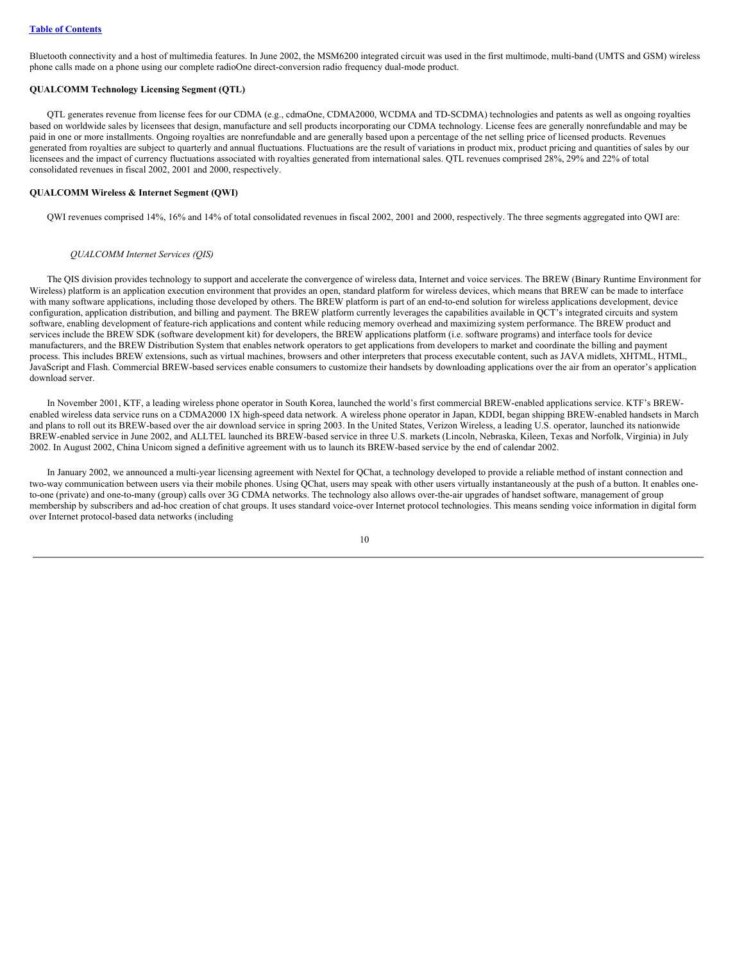Bluetooth connectivity and a host of multimedia features. In June 2002, the MSM6200 integrated circuit was used in the first multimode, multi-band (UMTS and GSM) wireless phone calls made on a phone using our complete radioOne direct-conversion radio frequency dual-mode product.

#### **QUALCOMM Technology Licensing Segment (QTL)**

QTL generates revenue from license fees for our CDMA (e.g., cdmaOne, CDMA2000, WCDMA and TD-SCDMA) technologies and patents as well as ongoing royalties based on worldwide sales by licensees that design, manufacture and sell products incorporating our CDMA technology. License fees are generally nonrefundable and may be paid in one or more installments. Ongoing royalties are nonrefundable and are generally based upon a percentage of the net selling price of licensed products. Revenues generated from royalties are subject to quarterly and annual fluctuations. Fluctuations are the result of variations in product mix, product pricing and quantities of sales by our licensees and the impact of currency fluctuations associated with royalties generated from international sales. QTL revenues comprised 28%, 29% and 22% of total consolidated revenues in fiscal 2002, 2001 and 2000, respectively.

#### **QUALCOMM Wireless & Internet Segment (QWI)**

QWI revenues comprised 14%, 16% and 14% of total consolidated revenues in fiscal 2002, 2001 and 2000, respectively. The three segments aggregated into QWI are:

#### *QUALCOMM Internet Services (QIS)*

The QIS division provides technology to support and accelerate the convergence of wireless data, Internet and voice services. The BREW (Binary Runtime Environment for Wireless) platform is an application execution environment that provides an open, standard platform for wireless devices, which means that BREW can be made to interface with many software applications, including those developed by others. The BREW platform is part of an end-to-end solution for wireless applications development, device configuration, application distribution, and billing and payment. The BREW platform currently leverages the capabilities available in QCT's integrated circuits and system software, enabling development of feature-rich applications and content while reducing memory overhead and maximizing system performance. The BREW product and services include the BREW SDK (software development kit) for developers, the BREW applications platform (i.e. software programs) and interface tools for device manufacturers, and the BREW Distribution System that enables network operators to get applications from developers to market and coordinate the billing and payment process. This includes BREW extensions, such as virtual machines, browsers and other interpreters that process executable content, such as JAVA midlets, XHTML, HTML, JavaScript and Flash. Commercial BREW-based services enable consumers to customize their handsets by downloading applications over the air from an operator's application download server.

In November 2001, KTF, a leading wireless phone operator in South Korea, launched the world's first commercial BREW-enabled applications service. KTF's BREWenabled wireless data service runs on a CDMA2000 1X high-speed data network. A wireless phone operator in Japan, KDDI, began shipping BREW-enabled handsets in March and plans to roll out its BREW-based over the air download service in spring 2003. In the United States, Verizon Wireless, a leading U.S. operator, launched its nationwide BREW-enabled service in June 2002, and ALLTEL launched its BREW-based service in three U.S. markets (Lincoln, Nebraska, Kileen, Texas and Norfolk, Virginia) in July 2002. In August 2002, China Unicom signed a definitive agreement with us to launch its BREW-based service by the end of calendar 2002.

In January 2002, we announced a multi-year licensing agreement with Nextel for QChat, a technology developed to provide a reliable method of instant connection and two-way communication between users via their mobile phones. Using QChat, users may speak with other users virtually instantaneously at the push of a button. It enables oneto-one (private) and one-to-many (group) calls over 3G CDMA networks. The technology also allows over-the-air upgrades of handset software, management of group membership by subscribers and ad-hoc creation of chat groups. It uses standard voice-over Internet protocol technologies. This means sending voice information in digital form over Internet protocol-based data networks (including

<sup>10</sup>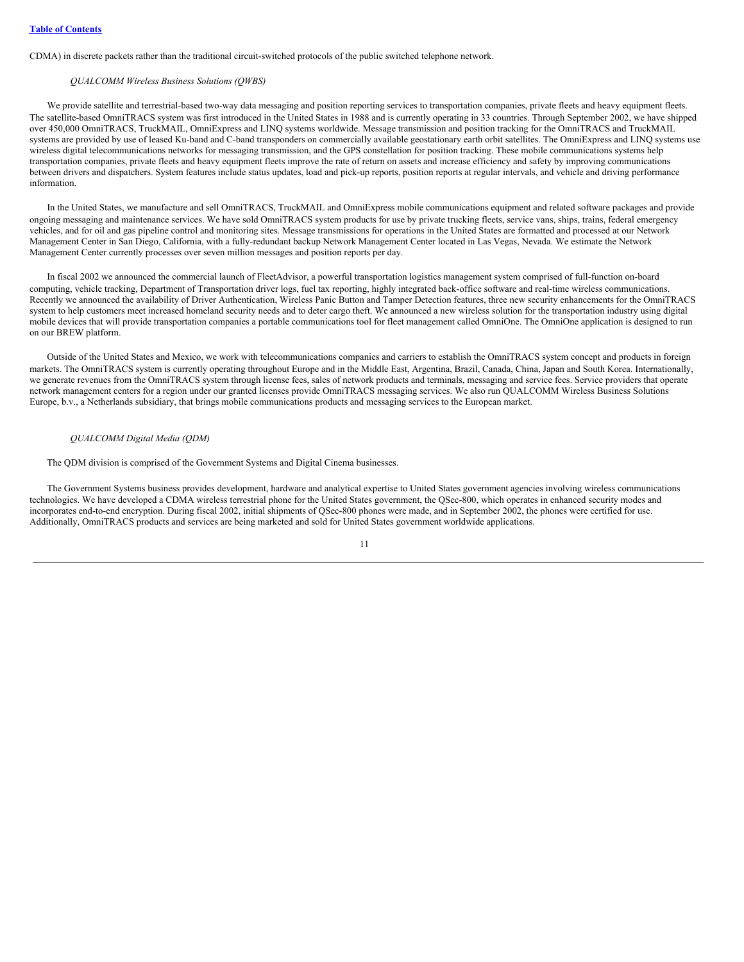CDMA) in discrete packets rather than the traditional circuit-switched protocols of the public switched telephone network.

#### *QUALCOMM Wireless Business Solutions (QWBS)*

We provide satellite and terrestrial-based two-way data messaging and position reporting services to transportation companies, private fleets and heavy equipment fleets. The satellite-based OmniTRACS system was first introduced in the United States in 1988 and is currently operating in 33 countries. Through September 2002, we have shipped over 450,000 OmniTRACS, TruckMAIL, OmniExpress and LINQ systems worldwide. Message transmission and position tracking for the OmniTRACS and TruckMAIL systems are provided by use of leased Ku-band and C-band transponders on commercially available geostationary earth orbit satellites. The OmniExpress and LINQ systems use wireless digital telecommunications networks for messaging transmission, and the GPS constellation for position tracking. These mobile communications systems help transportation companies, private fleets and heavy equipment fleets improve the rate of return on assets and increase efficiency and safety by improving communications between drivers and dispatchers. System features include status updates, load and pick-up reports, position reports at regular intervals, and vehicle and driving performance information.

In the United States, we manufacture and sell OmniTRACS, TruckMAIL and OmniExpress mobile communications equipment and related software packages and provide ongoing messaging and maintenance services. We have sold OmniTRACS system products for use by private trucking fleets, service vans, ships, trains, federal emergency vehicles, and for oil and gas pipeline control and monitoring sites. Message transmissions for operations in the United States are formatted and processed at our Network Management Center in San Diego, California, with a fully-redundant backup Network Management Center located in Las Vegas, Nevada. We estimate the Network Management Center currently processes over seven million messages and position reports per day.

In fiscal 2002 we announced the commercial launch of FleetAdvisor, a powerful transportation logistics management system comprised of full-function on-board computing, vehicle tracking, Department of Transportation driver logs, fuel tax reporting, highly integrated back-office software and real-time wireless communications. Recently we announced the availability of Driver Authentication, Wireless Panic Button and Tamper Detection features, three new security enhancements for the OmniTRACS system to help customers meet increased homeland security needs and to deter cargo theft. We announced a new wireless solution for the transportation industry using digital mobile devices that will provide transportation companies a portable communications tool for fleet management called OmniOne. The OmniOne application is designed to run on our BREW platform.

Outside of the United States and Mexico, we work with telecommunications companies and carriers to establish the OmniTRACS system concept and products in foreign markets. The OmniTRACS system is currently operating throughout Europe and in the Middle East, Argentina, Brazil, Canada, China, Japan and South Korea. Internationally, we generate revenues from the OmniTRACS system through license fees, sales of network products and terminals, messaging and service fees. Service providers that operate network management centers for a region under our granted licenses provide OmniTRACS messaging services. We also run QUALCOMM Wireless Business Solutions Europe, b.v., a Netherlands subsidiary, that brings mobile communications products and messaging services to the European market.

#### *QUALCOMM Digital Media (QDM)*

The QDM division is comprised of the Government Systems and Digital Cinema businesses.

The Government Systems business provides development, hardware and analytical expertise to United States government agencies involving wireless communications technologies. We have developed a CDMA wireless terrestrial phone for the United States government, the QSec-800, which operates in enhanced security modes and incorporates end-to-end encryption. During fiscal 2002, initial shipments of QSec-800 phones were made, and in September 2002, the phones were certified for use. Additionally, OmniTRACS products and services are being marketed and sold for United States government worldwide applications.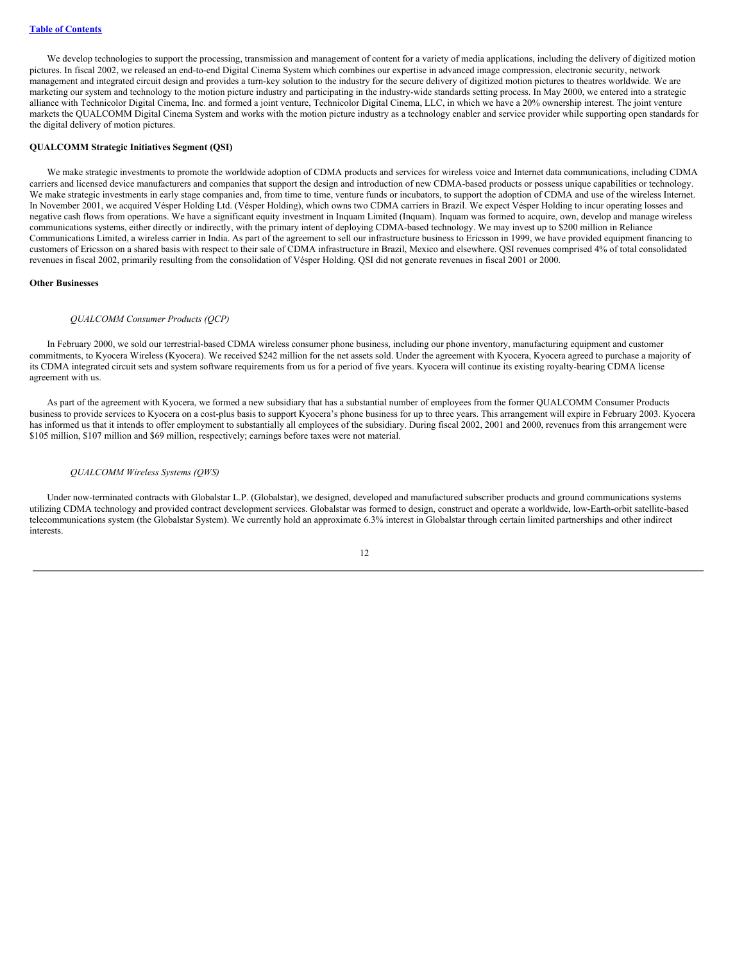We develop technologies to support the processing, transmission and management of content for a variety of media applications, including the delivery of digitized motion pictures. In fiscal 2002, we released an end-to-end Digital Cinema System which combines our expertise in advanced image compression, electronic security, network management and integrated circuit design and provides a turn-key solution to the industry for the secure delivery of digitized motion pictures to theatres worldwide. We are marketing our system and technology to the motion picture industry and participating in the industry-wide standards setting process. In May 2000, we entered into a strategic alliance with Technicolor Digital Cinema, Inc. and formed a joint venture, Technicolor Digital Cinema, LLC, in which we have a 20% ownership interest. The joint venture markets the QUALCOMM Digital Cinema System and works with the motion picture industry as a technology enabler and service provider while supporting open standards for the digital delivery of motion pictures.

#### **QUALCOMM Strategic Initiatives Segment (QSI)**

We make strategic investments to promote the worldwide adoption of CDMA products and services for wireless voice and Internet data communications, including CDMA carriers and licensed device manufacturers and companies that support the design and introduction of new CDMA-based products or possess unique capabilities or technology. We make strategic investments in early stage companies and, from time to time, venture funds or incubators, to support the adoption of CDMA and use of the wireless Internet. In November 2001, we acquired Vésper Holding Ltd. (Vésper Holding), which owns two CDMA carriers in Brazil. We expect Vésper Holding to incur operating losses and negative cash flows from operations. We have a significant equity investment in Inquam Limited (Inquam). Inquam was formed to acquire, own, develop and manage wireless communications systems, either directly or indirectly, with the primary intent of deploying CDMA-based technology. We may invest up to \$200 million in Reliance Communications Limited, a wireless carrier in India. As part of the agreement to sell our infrastructure business to Ericsson in 1999, we have provided equipment financing to customers of Ericsson on a shared basis with respect to their sale of CDMA infrastructure in Brazil, Mexico and elsewhere. QSI revenues comprised 4% of total consolidated revenues in fiscal 2002, primarily resulting from the consolidation of Vésper Holding. QSI did not generate revenues in fiscal 2001 or 2000.

#### **Other Businesses**

#### *QUALCOMM Consumer Products (QCP)*

In February 2000, we sold our terrestrial-based CDMA wireless consumer phone business, including our phone inventory, manufacturing equipment and customer commitments, to Kyocera Wireless (Kyocera). We received \$242 million for the net assets sold. Under the agreement with Kyocera, Kyocera agreed to purchase a majority of its CDMA integrated circuit sets and system software requirements from us for a period of five years. Kyocera will continue its existing royalty-bearing CDMA license agreement with us.

As part of the agreement with Kyocera, we formed a new subsidiary that has a substantial number of employees from the former QUALCOMM Consumer Products business to provide services to Kyocera on a cost-plus basis to support Kyocera's phone business for up to three years. This arrangement will expire in February 2003. Kyocera has informed us that it intends to offer employment to substantially all employees of the subsidiary. During fiscal 2002, 2001 and 2000, revenues from this arrangement were \$105 million, \$107 million and \$69 million, respectively; earnings before taxes were not material.

#### *QUALCOMM Wireless Systems (QWS)*

Under now-terminated contracts with Globalstar L.P. (Globalstar), we designed, developed and manufactured subscriber products and ground communications systems utilizing CDMA technology and provided contract development services. Globalstar was formed to design, construct and operate a worldwide, low-Earth-orbit satellite-based telecommunications system (the Globalstar System). We currently hold an approximate 6.3% interest in Globalstar through certain limited partnerships and other indirect interests.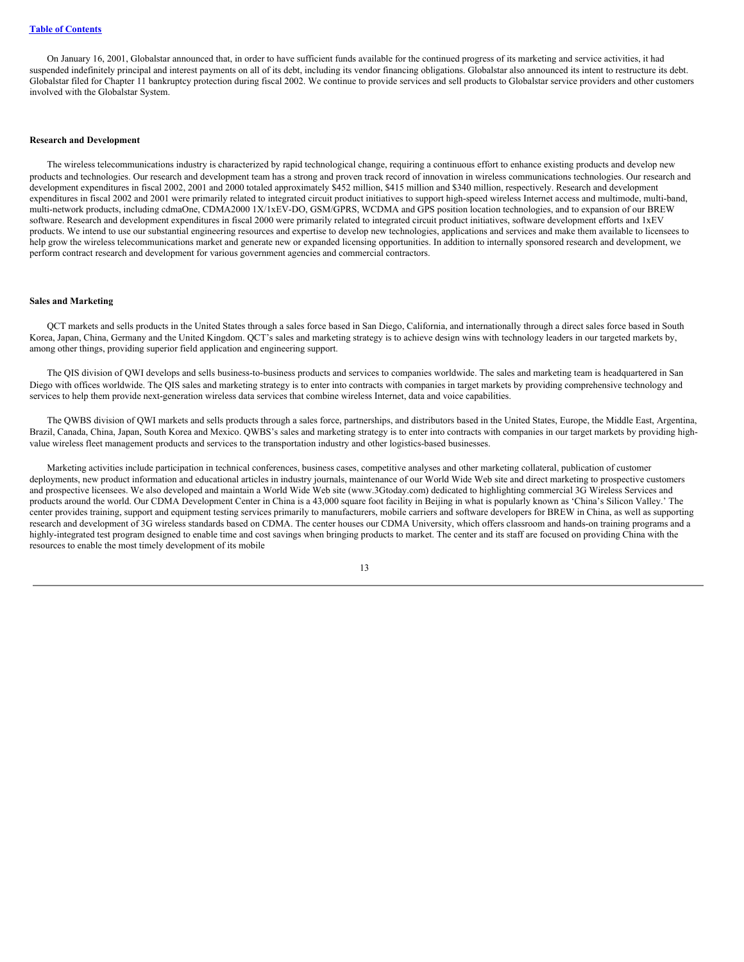On January 16, 2001, Globalstar announced that, in order to have sufficient funds available for the continued progress of its marketing and service activities, it had suspended indefinitely principal and interest payments on all of its debt, including its vendor financing obligations. Globalstar also announced its intent to restructure its debt. Globalstar filed for Chapter 11 bankruptcy protection during fiscal 2002. We continue to provide services and sell products to Globalstar service providers and other customers involved with the Globalstar System.

#### <span id="page-17-0"></span>**Research and Development**

The wireless telecommunications industry is characterized by rapid technological change, requiring a continuous effort to enhance existing products and develop new products and technologies. Our research and development team has a strong and proven track record of innovation in wireless communications technologies. Our research and development expenditures in fiscal 2002, 2001 and 2000 totaled approximately \$452 million, \$415 million and \$340 million, respectively. Research and development expenditures in fiscal 2002 and 2001 were primarily related to integrated circuit product initiatives to support high-speed wireless Internet access and multimode, multi-band, multi-network products, including cdmaOne, CDMA2000 1X/1xEV-DO, GSM/GPRS, WCDMA and GPS position location technologies, and to expansion of our BREW software. Research and development expenditures in fiscal 2000 were primarily related to integrated circuit product initiatives, software development efforts and 1xEV products. We intend to use our substantial engineering resources and expertise to develop new technologies, applications and services and make them available to licensees to help grow the wireless telecommunications market and generate new or expanded licensing opportunities. In addition to internally sponsored research and development, we perform contract research and development for various government agencies and commercial contractors.

#### <span id="page-17-1"></span>**Sales and Marketing**

QCT markets and sells products in the United States through a sales force based in San Diego, California, and internationally through a direct sales force based in South Korea, Japan, China, Germany and the United Kingdom. QCT's sales and marketing strategy is to achieve design wins with technology leaders in our targeted markets by, among other things, providing superior field application and engineering support.

The QIS division of QWI develops and sells business-to-business products and services to companies worldwide. The sales and marketing team is headquartered in San Diego with offices worldwide. The QIS sales and marketing strategy is to enter into contracts with companies in target markets by providing comprehensive technology and services to help them provide next-generation wireless data services that combine wireless Internet, data and voice capabilities.

The QWBS division of QWI markets and sells products through a sales force, partnerships, and distributors based in the United States, Europe, the Middle East, Argentina, Brazil, Canada, China, Japan, South Korea and Mexico. QWBS's sales and marketing strategy is to enter into contracts with companies in our target markets by providing highvalue wireless fleet management products and services to the transportation industry and other logistics-based businesses.

Marketing activities include participation in technical conferences, business cases, competitive analyses and other marketing collateral, publication of customer deployments, new product information and educational articles in industry journals, maintenance of our World Wide Web site and direct marketing to prospective customers and prospective licensees. We also developed and maintain a World Wide Web site (www.3Gtoday.com) dedicated to highlighting commercial 3G Wireless Services and products around the world. Our CDMA Development Center in China is a 43,000 square foot facility in Beijing in what is popularly known as 'China's Silicon Valley.' The center provides training, support and equipment testing services primarily to manufacturers, mobile carriers and software developers for BREW in China, as well as supporting research and development of 3G wireless standards based on CDMA. The center houses our CDMA University, which offers classroom and hands-on training programs and a highly-integrated test program designed to enable time and cost savings when bringing products to market. The center and its staff are focused on providing China with the resources to enable the most timely development of its mobile

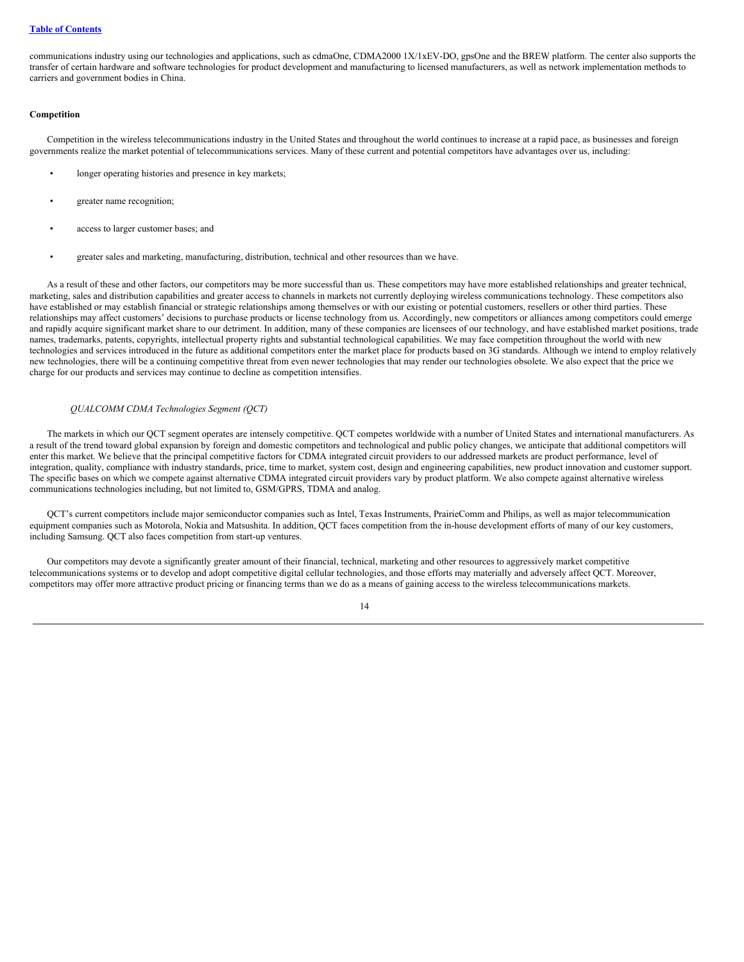#### **Table of [Contents](#page-0-0)**

communications industry using our technologies and applications, such as cdmaOne, CDMA2000 1X/1xEV-DO, gpsOne and the BREW platform. The center also supports the transfer of certain hardware and software technologies for product development and manufacturing to licensed manufacturers, as well as network implementation methods to carriers and government bodies in China.

#### <span id="page-18-0"></span>**Competition**

Competition in the wireless telecommunications industry in the United States and throughout the world continues to increase at a rapid pace, as businesses and foreign governments realize the market potential of telecommunications services. Many of these current and potential competitors have advantages over us, including:

- longer operating histories and presence in key markets;
- greater name recognition;
- access to larger customer bases; and
- greater sales and marketing, manufacturing, distribution, technical and other resources than we have.

As a result of these and other factors, our competitors may be more successful than us. These competitors may have more established relationships and greater technical, marketing, sales and distribution capabilities and greater access to channels in markets not currently deploying wireless communications technology. These competitors also have established or may establish financial or strategic relationships among themselves or with our existing or potential customers, resellers or other third parties. These relationships may affect customers' decisions to purchase products or license technology from us. Accordingly, new competitors or alliances among competitors could emerge and rapidly acquire significant market share to our detriment. In addition, many of these companies are licensees of our technology, and have established market positions, trade names, trademarks, patents, copyrights, intellectual property rights and substantial technological capabilities. We may face competition throughout the world with new technologies and services introduced in the future as additional competitors enter the market place for products based on 3G standards. Although we intend to employ relatively new technologies, there will be a continuing competitive threat from even newer technologies that may render our technologies obsolete. We also expect that the price we charge for our products and services may continue to decline as competition intensifies.

#### *QUALCOMM CDMA Technologies Segment (QCT)*

The markets in which our QCT segment operates are intensely competitive. QCT competes worldwide with a number of United States and international manufacturers. As a result of the trend toward global expansion by foreign and domestic competitors and technological and public policy changes, we anticipate that additional competitors will enter this market. We believe that the principal competitive factors for CDMA integrated circuit providers to our addressed markets are product performance, level of integration, quality, compliance with industry standards, price, time to market, system cost, design and engineering capabilities, new product innovation and customer support. The specific bases on which we compete against alternative CDMA integrated circuit providers vary by product platform. We also compete against alternative wireless communications technologies including, but not limited to, GSM/GPRS, TDMA and analog.

QCT's current competitors include major semiconductor companies such as Intel, Texas Instruments, PrairieComm and Philips, as well as major telecommunication equipment companies such as Motorola, Nokia and Matsushita. In addition, QCT faces competition from the in-house development efforts of many of our key customers, including Samsung. QCT also faces competition from start-up ventures.

Our competitors may devote a significantly greater amount of their financial, technical, marketing and other resources to aggressively market competitive telecommunications systems or to develop and adopt competitive digital cellular technologies, and those efforts may materially and adversely affect QCT. Moreover, competitors may offer more attractive product pricing or financing terms than we do as a means of gaining access to the wireless telecommunications markets.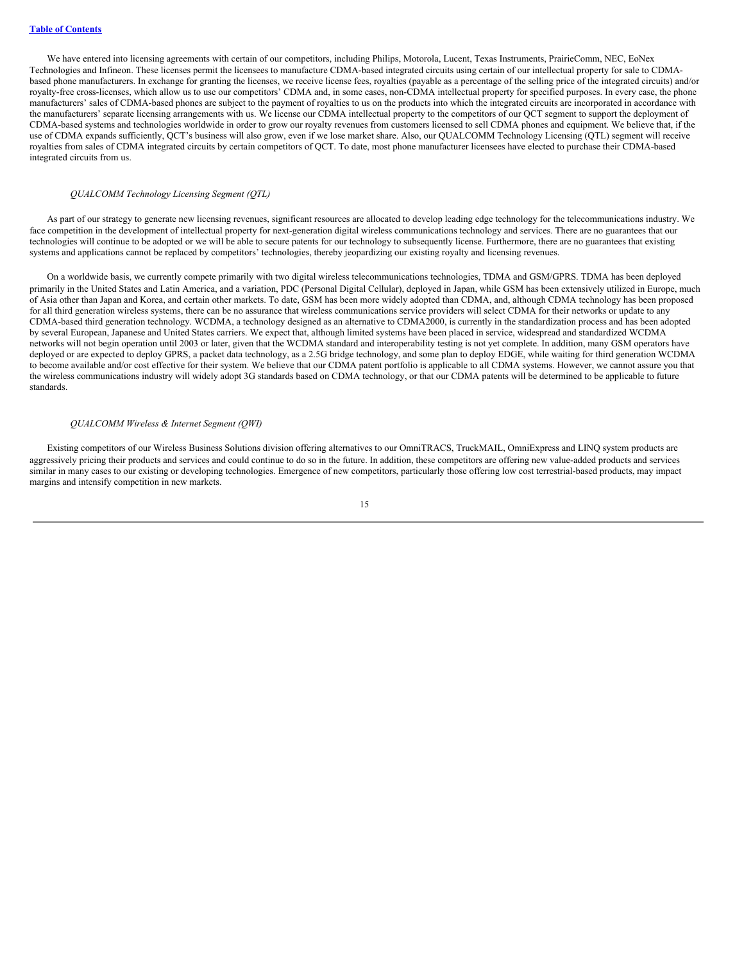We have entered into licensing agreements with certain of our competitors, including Philips, Motorola, Lucent, Texas Instruments, PrairieComm, NEC, EoNex Technologies and Infineon. These licenses permit the licensees to manufacture CDMA-based integrated circuits using certain of our intellectual property for sale to CDMAbased phone manufacturers. In exchange for granting the licenses, we receive license fees, royalties (payable as a percentage of the selling price of the integrated circuits) and/or royalty-free cross-licenses, which allow us to use our competitors' CDMA and, in some cases, non-CDMA intellectual property for specified purposes. In every case, the phone manufacturers' sales of CDMA-based phones are subject to the payment of royalties to us on the products into which the integrated circuits are incorporated in accordance with the manufacturers' separate licensing arrangements with us. We license our CDMA intellectual property to the competitors of our QCT segment to support the deployment of CDMA-based systems and technologies worldwide in order to grow our royalty revenues from customers licensed to sell CDMA phones and equipment. We believe that, if the use of CDMA expands sufficiently, OCT's business will also grow, even if we lose market share. Also, our QUALCOMM Technology Licensing (OTL) segment will receive royalties from sales of CDMA integrated circuits by certain competitors of QCT. To date, most phone manufacturer licensees have elected to purchase their CDMA-based integrated circuits from us.

#### *QUALCOMM Technology Licensing Segment (QTL)*

As part of our strategy to generate new licensing revenues, significant resources are allocated to develop leading edge technology for the telecommunications industry. We face competition in the development of intellectual property for next-generation digital wireless communications technology and services. There are no guarantees that our technologies will continue to be adopted or we will be able to secure patents for our technology to subsequently license. Furthermore, there are no guarantees that existing systems and applications cannot be replaced by competitors' technologies, thereby jeopardizing our existing royalty and licensing revenues.

On a worldwide basis, we currently compete primarily with two digital wireless telecommunications technologies, TDMA and GSM/GPRS. TDMA has been deployed primarily in the United States and Latin America, and a variation, PDC (Personal Digital Cellular), deployed in Japan, while GSM has been extensively utilized in Europe, much of Asia other than Japan and Korea, and certain other markets. To date, GSM has been more widely adopted than CDMA, and, although CDMA technology has been proposed for all third generation wireless systems, there can be no assurance that wireless communications service providers will select CDMA for their networks or update to any CDMA-based third generation technology. WCDMA, a technology designed as an alternative to CDMA2000, is currently in the standardization process and has been adopted by several European, Japanese and United States carriers. We expect that, although limited systems have been placed in service, widespread and standardized WCDMA networks will not begin operation until 2003 or later, given that the WCDMA standard and interoperability testing is not yet complete. In addition, many GSM operators have deployed or are expected to deploy GPRS, a packet data technology, as a 2.5G bridge technology, and some plan to deploy EDGE, while waiting for third generation WCDMA to become available and/or cost effective for their system. We believe that our CDMA patent portfolio is applicable to all CDMA systems. However, we cannot assure you that the wireless communications industry will widely adopt 3G standards based on CDMA technology, or that our CDMA patents will be determined to be applicable to future standards.

#### *QUALCOMM Wireless & Internet Segment (QWI)*

Existing competitors of our Wireless Business Solutions division offering alternatives to our OmniTRACS, TruckMAIL, OmniExpress and LINQ system products are aggressively pricing their products and services and could continue to do so in the future. In addition, these competitors are offering new value-added products and services similar in many cases to our existing or developing technologies. Emergence of new competitors, particularly those offering low cost terrestrial-based products, may impact margins and intensify competition in new markets.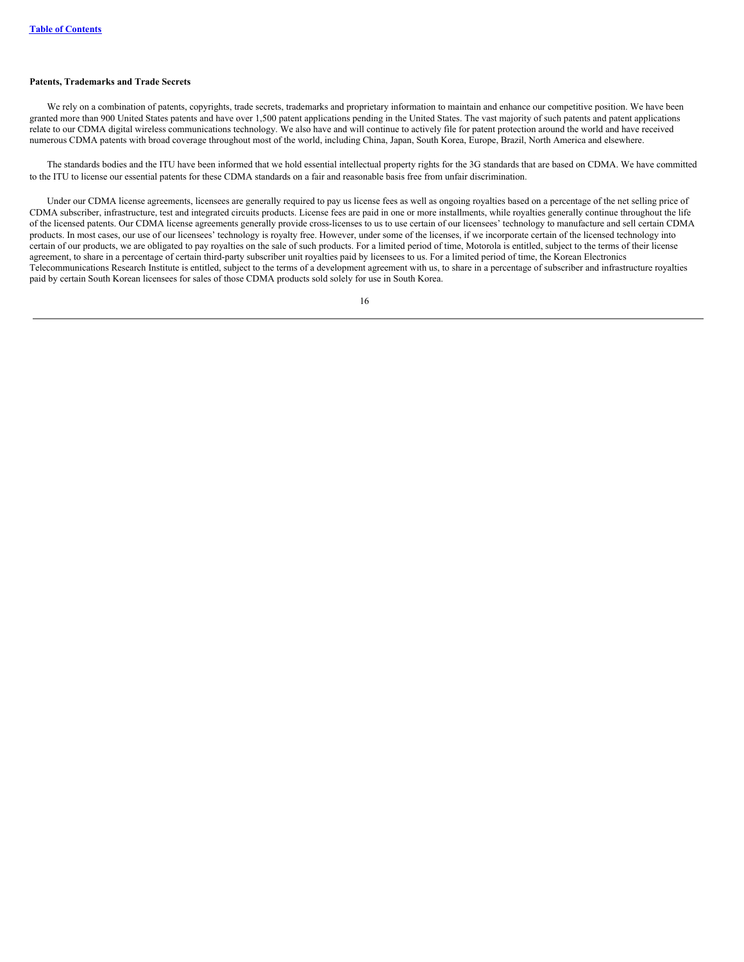#### <span id="page-20-0"></span>**Patents, Trademarks and Trade Secrets**

We rely on a combination of patents, copyrights, trade secrets, trademarks and proprietary information to maintain and enhance our competitive position. We have been granted more than 900 United States patents and have over 1,500 patent applications pending in the United States. The vast majority of such patents and patent applications relate to our CDMA digital wireless communications technology. We also have and will continue to actively file for patent protection around the world and have received numerous CDMA patents with broad coverage throughout most of the world, including China, Japan, South Korea, Europe, Brazil, North America and elsewhere.

The standards bodies and the ITU have been informed that we hold essential intellectual property rights for the 3G standards that are based on CDMA. We have committed to the ITU to license our essential patents for these CDMA standards on a fair and reasonable basis free from unfair discrimination.

Under our CDMA license agreements, licensees are generally required to pay us license fees as well as ongoing royalties based on a percentage of the net selling price of CDMA subscriber, infrastructure, test and integrated circuits products. License fees are paid in one or more installments, while royalties generally continue throughout the life of the licensed patents. Our CDMA license agreements generally provide cross-licenses to us to use certain of our licensees' technology to manufacture and sell certain CDMA products. In most cases, our use of our licensees' technology is royalty free. However, under some of the licenses, if we incorporate certain of the licensed technology into certain of our products, we are obligated to pay royalties on the sale of such products. For a limited period of time, Motorola is entitled, subject to the terms of their license agreement, to share in a percentage of certain third-party subscriber unit royalties paid by licensees to us. For a limited period of time, the Korean Electronics Telecommunications Research Institute is entitled, subject to the terms of a development agreement with us, to share in a percentage of subscriber and infrastructure royalties paid by certain South Korean licensees for sales of those CDMA products sold solely for use in South Korea.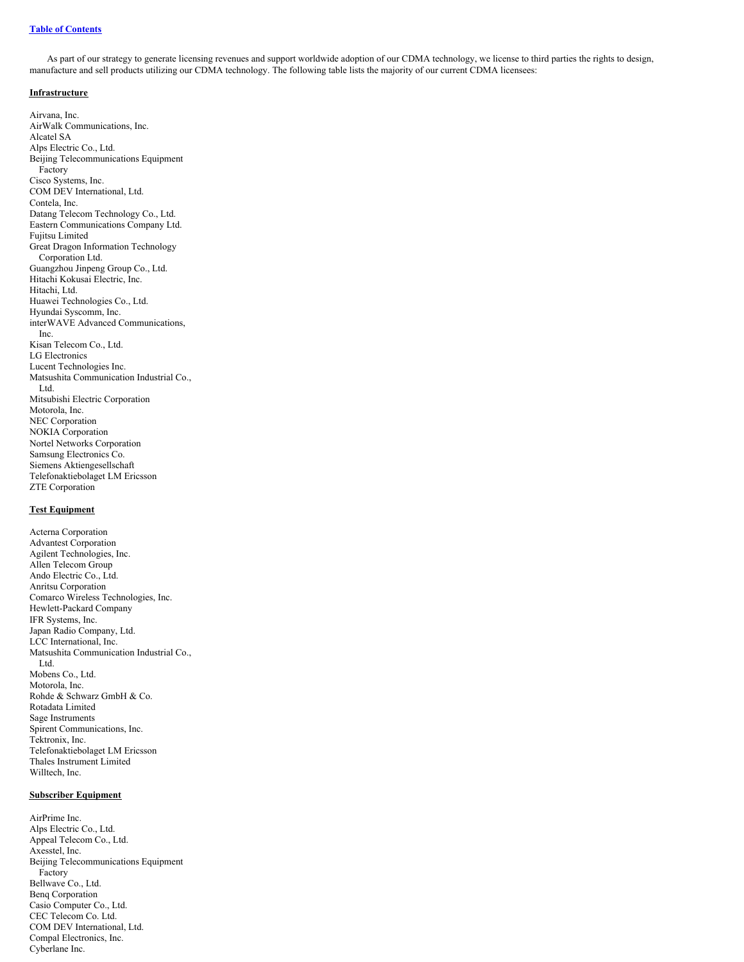As part of our strategy to generate licensing revenues and support worldwide adoption of our CDMA technology, we license to third parties the rights to design, manufacture and sell products utilizing our CDMA technology. The following table lists the majority of our current CDMA licensees:

#### **Infrastructure**

Airvana, Inc. AirWalk Communications, Inc. Alcatel SA Alps Electric Co., Ltd. Beijing Telecommunications Equipment Factory Cisco Systems, Inc. COM DEV International, Ltd. Contela, Inc. Datang Telecom Technology Co., Ltd. Eastern Communications Company Ltd. Fujitsu Limited Great Dragon Information Technology Corporation Ltd. Guangzhou Jinpeng Group Co., Ltd. Hitachi Kokusai Electric, Inc. Hitachi, Ltd. Huawei Technologies Co., Ltd. Hyundai Syscomm, Inc. interWAVE Advanced Communications, Inc. Kisan Telecom Co., Ltd. LG Electronics Lucent Technologies Inc. Matsushita Communication Industrial Co., Ltd. Mitsubishi Electric Corporation Motorola, Inc. NEC Corporation NOKIA Corporation Nortel Networks Corporation Samsung Electronics Co. Siemens Aktiengesellschaft Telefonaktiebolaget LM Ericsson ZTE Corporation

#### **Test Equipment**

Acterna Corporation Advantest Corporation Agilent Technologies, Inc. Allen Telecom Group Ando Electric Co., Ltd. Anritsu Corporation Comarco Wireless Technologies, Inc. Hewlett-Packard Company IFR Systems, Inc. Japan Radio Company, Ltd. LCC International, Inc. Matsushita Communication Industrial Co., Ltd. Mobens Co., Ltd. Motorola, Inc. Rohde & Schwarz GmbH & Co. Rotadata Limited Sage Instruments Spirent Communications, Inc. Tektronix, Inc. Telefonaktiebolaget LM Ericsson Thales Instrument Limited Willtech, Inc.

### **Subscriber Equipment**

AirPrime Inc. Alps Electric Co., Ltd. Appeal Telecom Co., Ltd. Axesstel, Inc. Beijing Telecommunications Equipment Factory Bellwave Co., Ltd. Benq Corporation Casio Computer Co., Ltd. CEC Telecom Co. Ltd. COM DEV International, Ltd. Compal Electronics, Inc. Cyberlane Inc.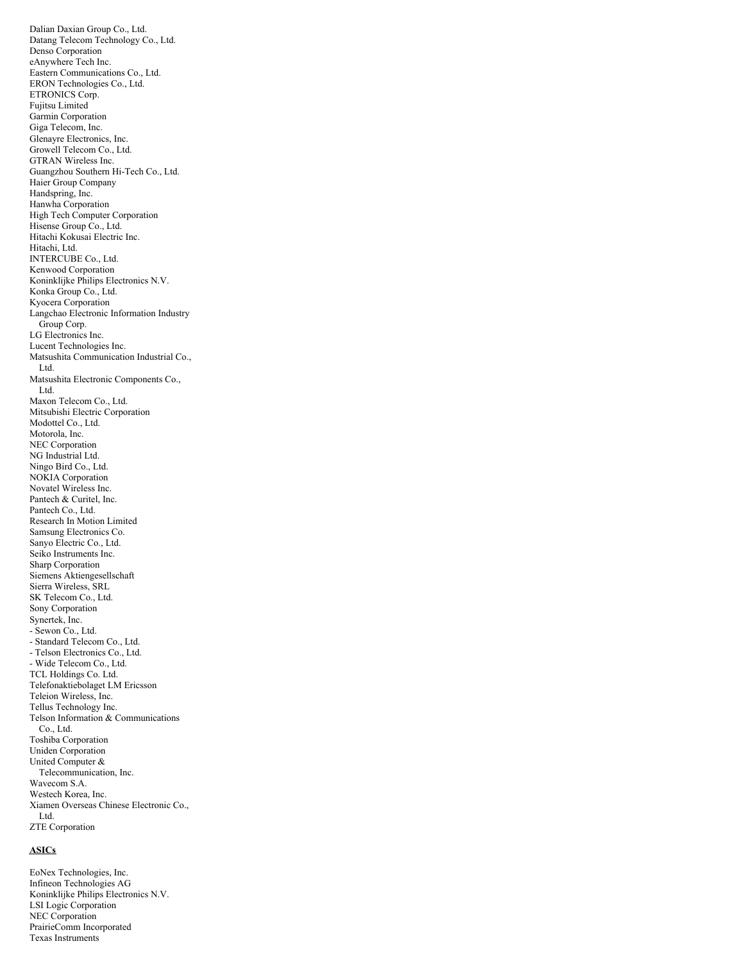Dalian Daxian Group Co., Ltd. Datang Telecom Technology Co., Ltd. Denso Corporation eAnywhere Tech Inc. Eastern Communications Co., Ltd. ERON Technologies Co., Ltd. ETRONICS Corp. Fujitsu Limited Garmin Corporation Giga Telecom, Inc. Glenayre Electronics, Inc. Growell Telecom Co., Ltd. GTRAN Wireless Inc. Guangzhou Southern Hi-Tech Co., Ltd. Haier Group Company Handspring, Inc. Hanwha Corporation High Tech Computer Corporation Hisense Group Co., Ltd. Hitachi Kokusai Electric Inc. Hitachi, Ltd. INTERCUBE Co., Ltd. Kenwood Corporation Koninklijke Philips Electronics N.V. Konka Group Co., Ltd. Kyocera Corporation Langchao Electronic Information Industry Group Corp. LG Electronics Inc. Lucent Technologies Inc. Matsushita Communication Industrial Co., Ltd. Matsushita Electronic Components Co., Ltd. Maxon Telecom Co., Ltd. Mitsubishi Electric Corporation Modottel Co., Ltd. Motorola, Inc. NEC Corporation NG Industrial Ltd. Ningo Bird Co., Ltd. NOKIA Corporation Novatel Wireless Inc. Pantech & Curitel, Inc. Pantech Co., Ltd. Research In Motion Limited Samsung Electronics Co. Sanyo Electric Co., Ltd. Seiko Instruments Inc. Sharp Corporation Siemens Aktiengesellschaft Sierra Wireless, SRL SK Telecom Co., Ltd. Sony Corporation Synertek, Inc. - Sewon Co., Ltd. - Standard Telecom Co., Ltd. - Telson Electronics Co., Ltd. - Wide Telecom Co., Ltd. TCL Holdings Co. Ltd. Telefonaktiebolaget LM Ericsson Teleion Wireless, Inc. Tellus Technology Inc. Telson Information & Communications Co., Ltd. Toshiba Corporation Uniden Corporation United Computer & Telecommunication, Inc. Wavecom S.A. Westech Korea, Inc. Xiamen Overseas Chinese Electronic Co., Ltd. ZTE Corporation

### **ASICs**

EoNex Technologies, Inc. Infineon Technologies AG Koninklijke Philips Electronics N.V. LSI Logic Corporation NEC Corporation PrairieComm Incorporated Texas Instruments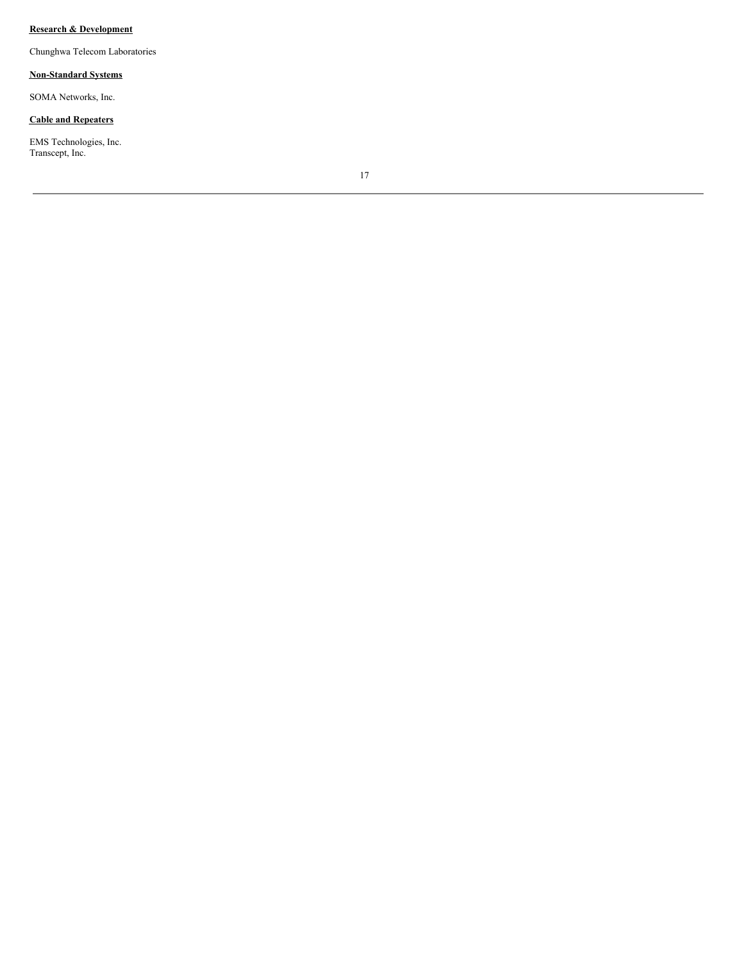#### **Research & Development**

Chunghwa Telecom Laboratories

#### **Non-Standard Systems**

SOMA Networks, Inc.

### **Cable and Repeaters**

EMS Technologies, In c. Transcept, Inc.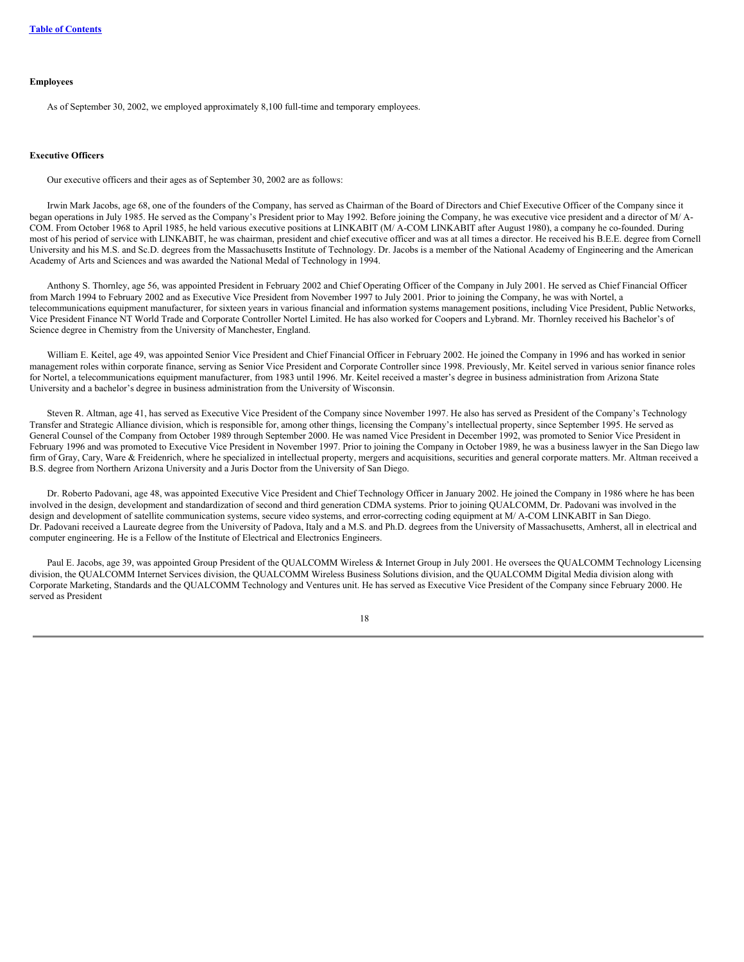#### <span id="page-24-0"></span>**Employees**

As of September 30, 2002, we employed approximately 8,100 full-time and temporary employees.

#### <span id="page-24-1"></span>**Executive Officers**

Our executive officers and their ages as of September 30, 2002 are as follows:

Irwin Mark Jacobs, age 68, one of the founders of the Company, has served as Chairman of the Board of Directors and Chief Executive Officer of the Company since it began operations in July 1985. He served as the Company's President prior to May 1992. Before joining the Company, he was executive vice president and a director of M/A-COM. From October 1968 to April 1985, he held various executive positions at LINKABIT (M/ A-COM LINKABIT after August 1980), a company he co-founded. During most of his period of service with LINKABIT, he was chairman, president and chief executive officer and was at all times a director. He received his B.E.E. degree from Cornell University and his M.S. and Sc.D. degrees from the Massachusetts Institute of Technology. Dr. Jacobs is a member of the National Academy of Engineering and the American Academy of Arts and Sciences and was awarded the National Medal of Technology in 1994.

Anthony S. Thornley, age 56, was appointed President in February 2002 and Chief Operating Officer of the Company in July 2001. He served as Chief Financial Officer from March 1994 to February 2002 and as Executive Vice President from November 1997 to July 2001. Prior to joining the Company, he was with Nortel, a telecommunications equipment manufacturer, for sixteen years in various financial and information systems management positions, including Vice President, Public Networks, Vice President Finance NT World Trade and Corporate Controller Nortel Limited. He has also worked for Coopers and Lybrand. Mr. Thornley received his Bachelor's of Science degree in Chemistry from the University of Manchester, England.

William E. Keitel, age 49, was appointed Senior Vice President and Chief Financial Officer in February 2002. He joined the Company in 1996 and has worked in senior management roles within corporate finance, serving as Senior Vice President and Corporate Controller since 1998. Previously, Mr. Keitel served in various senior finance roles for Nortel, a telecommunications equipment manufacturer, from 1983 until 1996. Mr. Keitel received a master's degree in business administration from Arizona State University and a bachelor's degree in business administration from the University of Wisconsin.

Steven R. Altman, age 41, has served as Executive Vice President of the Company since November 1997. He also has served as President of the Company's Technology Transfer and Strategic Alliance division, which is responsible for, among other things, licensing the Company's intellectual property, since September 1995. He served as General Counsel of the Company from October 1989 through September 2000. He was named Vice President in December 1992, was promoted to Senior Vice President in February 1996 and was promoted to Executive Vice President in November 1997. Prior to joining the Company in October 1989, he was a business lawyer in the San Diego law firm of Gray, Cary, Ware & Freidenrich, where he specialized in intellectual property, mergers and acquisitions, securities and general corporate matters. Mr. Altman received a B.S. degree from Northern Arizona University and a Juris Doctor from the University of San Diego.

Dr. Roberto Padovani, age 48, was appointed Executive Vice President and Chief Technology Officer in January 2002. He joined the Company in 1986 where he has been involved in the design, development and standardization of second and third generation CDMA systems. Prior to joining QUALCOMM, Dr. Padovani was involved in the design and development of satellite communication systems, secure video systems, and error-correcting coding equipment at M/ A-COM LINKABIT in San Diego. Dr. Padovani received a Laureate degree from the University of Padova, Italy and a M.S. and Ph.D. degrees from the University of Massachusetts, Amherst, all in electrical and computer engineering. He is a Fellow of the Institute of Electrical and Electronics Engineers.

Paul E. Jacobs, age 39, was appointed Group President of the QUALCOMM Wireless & Internet Group in July 2001. He oversees the QUALCOMM Technology Licensing division, the QUALCOMM Internet Services division, the QUALCOMM Wireless Business Solutions division, and the QUALCOMM Digital Media division along with Corporate Marketing, Standards and the QUALCOMM Technology and Ventures unit. He has served as Executive Vice President of the Company since February 2000. He served as President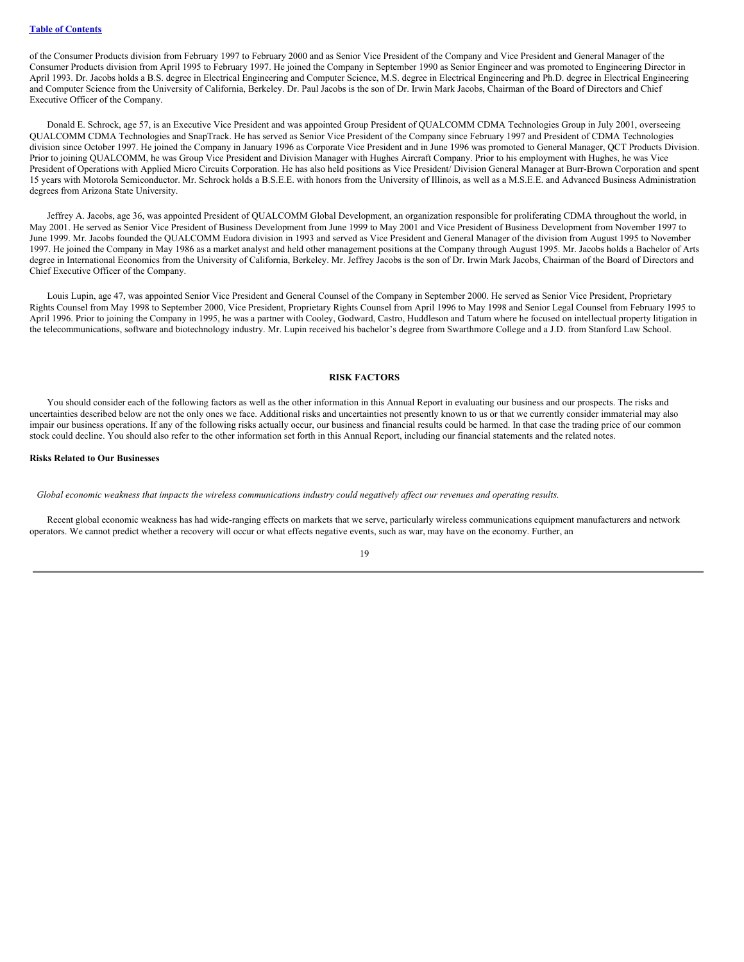of the Consumer Products division from February 1997 to February 2000 and as Senior Vice President of the Company and Vice President and General Manager of the Consumer Products division from April 1995 to February 1997. He joined the Company in September 1990 as Senior Engineer and was promoted to Engineering Director in April 1993. Dr. Jacobs holds a B.S. degree in Electrical Engineering and Computer Science, M.S. degree in Electrical Engineering and Ph.D. degree in Electrical Engineering and Computer Science from the University of California, Berkeley. Dr. Paul Jacobs is the son of Dr. Irwin Mark Jacobs, Chairman of the Board of Directors and Chief Executive Officer of the Company.

Donald E. Schrock, age 57, is an Executive Vice President and was appointed Group President of QUALCOMM CDMA Technologies Group in July 2001, overseeing QUALCOMM CDMA Technologies and SnapTrack. He has served as Senior Vice President of the Company since February 1997 and President of CDMA Technologies division since October 1997. He joined the Company in January 1996 as Corporate Vice President and in June 1996 was promoted to General Manager, QCT Products Division. Prior to joining QUALCOMM, he was Group Vice President and Division Manager with Hughes Aircraft Company. Prior to his employment with Hughes, he was Vice President of Operations with Applied Micro Circuits Corporation. He has also held positions as Vice President/ Division General Manager at Burr-Brown Corporation and spent 15 years with Motorola Semiconductor. Mr. Schrock holds a B.S.E.E. with honors from the University of Illinois, as well as a M.S.E.E. and Advanced Business Administration degrees from Arizona State University.

Jeffrey A. Jacobs, age 36, was appointed President of QUALCOMM Global Development, an organization responsible for proliferating CDMA throughout the world, in May 2001. He served as Senior Vice President of Business Development from June 1999 to May 2001 and Vice President of Business Development from November 1997 to June 1999. Mr. Jacobs founded the QUALCOMM Eudora division in 1993 and served as Vice President and General Manager of the division from August 1995 to November 1997. He joined the Company in May 1986 as a market analyst and held other management positions at the Company through August 1995. Mr. Jacobs holds a Bachelor of Arts degree in International Economics from the University of California, Berkeley. Mr. Jeffrey Jacobs is the son of Dr. Irwin Mark Jacobs, Chairman of the Board of Directors and Chief Executive Officer of the Company.

Louis Lupin, age 47, was appointed Senior Vice President and General Counsel of the Company in September 2000. He served as Senior Vice President, Proprietary Rights Counsel from May 1998 to September 2000, Vice President, Proprietary Rights Counsel from April 1996 to May 1998 and Senior Legal Counsel from February 1995 to April 1996. Prior to joining the Company in 1995, he was a partner with Cooley, Godward, Castro, Huddleson and Tatum where he focused on intellectual property litigation in the telecommunications, software and biotechnology industry. Mr. Lupin received his bachelor's degree from Swarthmore College and a J.D. from Stanford Law School.

#### **RISK FACTORS**

<span id="page-25-0"></span>You should consider each of the following factors as well as the other information in this Annual Report in evaluating our business and our prospects. The risks and uncertainties described below are not the only ones we face. Additional risks and uncertainties not presently known to us or that we currently consider immaterial may also impair our business operations. If any of the following risks actually occur, our business and financial results could be harmed. In that case the trading price of our common stock could decline. You should also refer to the other information set forth in this Annual Report, including our financial statements and the related notes.

#### **Risks Related to Our Businesses**

Global economic weakness that impacts the wireless communications industry could negatively affect our revenues and operating results.

Recent global economic weakness has had wide-ranging effects on markets that we serve, particularly wireless communications equipment manufacturers and network operators. We cannot predict whether a recovery will occur or what effects negative events, such as war, may have on the economy. Further, an

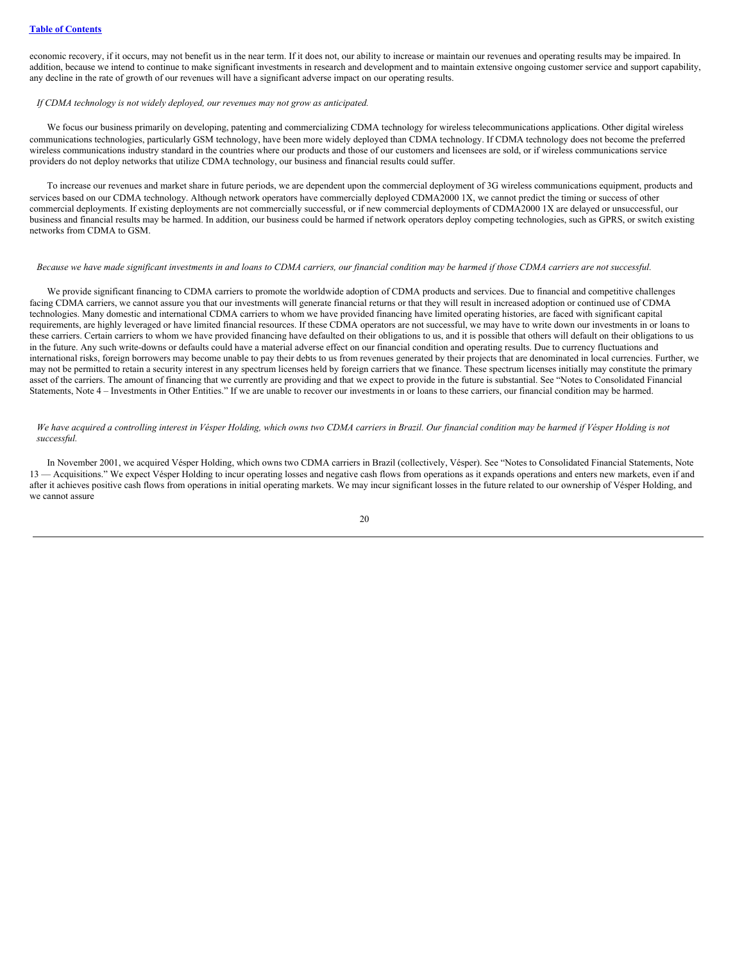economic recovery, if it occurs, may not benefit us in the near term. If it does not, our ability to increase or maintain our revenues and operating results may be impaired. In addition, because we intend to continue to make significant investments in research and development and to maintain extensive ongoing customer service and support capability, any decline in the rate of growth of our revenues will have a significant adverse impact on our operating results.

#### *If CDMA technology is not widely deployed, our revenues may not grow as anticipated.*

We focus our business primarily on developing, patenting and commercializing CDMA technology for wireless telecommunications applications. Other digital wireless communications technologies, particularly GSM technology, have been more widely deployed than CDMA technology. If CDMA technology does not become the preferred wireless communications industry standard in the countries where our products and those of our customers and licensees are sold, or if wireless communications service providers do not deploy networks that utilize CDMA technology, our business and financial results could suffer.

To increase our revenues and market share in future periods, we are dependent upon the commercial deployment of 3G wireless communications equipment, products and services based on our CDMA technology. Although network operators have commercially deployed CDMA2000 1X, we cannot predict the timing or success of other commercial deployments. If existing deployments are not commercially successful, or if new commercial deployments of CDMA2000 1X are delayed or unsuccessful, our business and financial results may be harmed. In addition, our business could be harmed if network operators deploy competing technologies, such as GPRS, or switch existing networks from CDMA to GSM.

#### Because we have made significant investments in and loans to CDMA carriers, our financial condition may be harmed if those CDMA carriers are not successful.

We provide significant financing to CDMA carriers to promote the worldwide adoption of CDMA products and services. Due to financial and competitive challenges facing CDMA carriers, we cannot assure you that our investments will generate financial returns or that they will result in increased adoption or continued use of CDMA technologies. Many domestic and international CDMA carriers to whom we have provided financing have limited operating histories, are faced with significant capital requirements, are highly leveraged or have limited financial resources. If these CDMA operators are not successful, we may have to write down our investments in or loans to these carriers. Certain carriers to whom we have provided financing have defaulted on their obligations to us, and it is possible that others will default on their obligations to us in the future. Any such write-downs or defaults could have a material adverse effect on our financial condition and operating results. Due to currency fluctuations and international risks, foreign borrowers may become unable to pay their debts to us from revenues generated by their projects that are denominated in local currencies. Further, we may not be permitted to retain a security interest in any spectrum licenses held by foreign carriers that we finance. These spectrum licenses initially may constitute the primary asset of the carriers. The amount of financing that we currently are providing and that we expect to provide in the future is substantial. See "Notes to Consolidated Financial Statements, Note 4 – Investments in Other Entities." If we are unable to recover our investments in or loans to these carriers, our financial condition may be harmed.

#### We have acquired a controlling interest in Vésper Holding, which owns two CDMA carriers in Brazil. Our financial condition may be harmed if Vésper Holding is not *successful.*

In November 2001, we acquired Vésper Holding, which owns two CDMA carriers in Brazil (collectively, Vésper). See "Notes to Consolidated Financial Statements, Note 13 — Acquisitions." We expect Vésper Holding to incur operating losses and negative cash flows from operations as it expands operations and enters new markets, even if and after it achieves positive cash flows from operations in initial operating markets. We may incur significant losses in the future related to our ownership of Vésper Holding, and we cannot assure

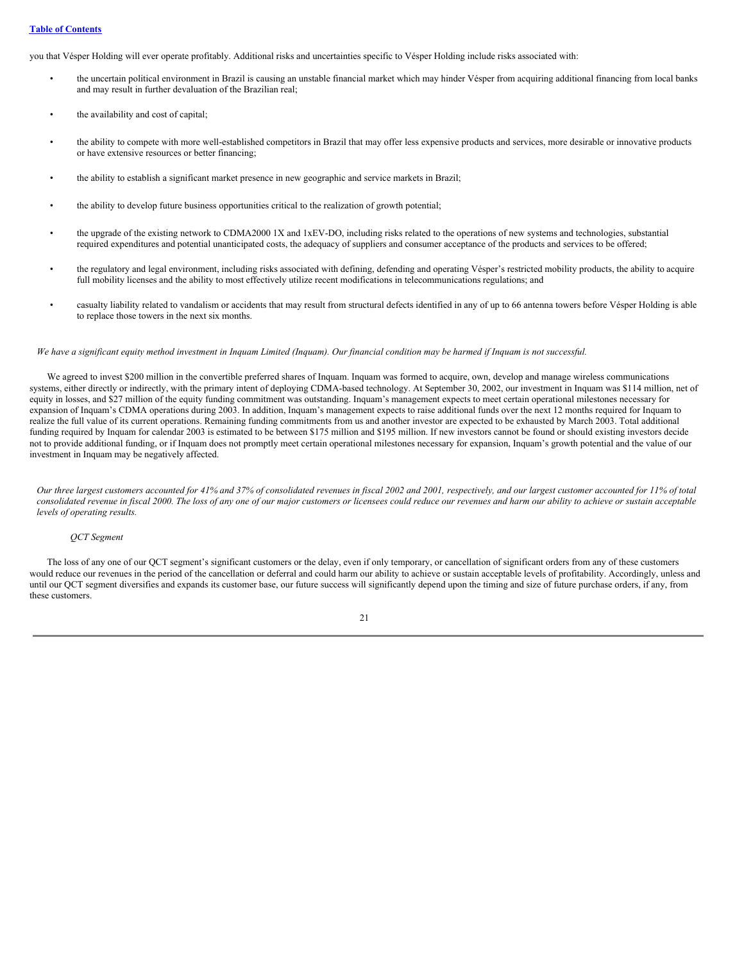### **Table of [Contents](#page-0-0)**

you that Vésper Holding will ever operate profitably. Additional risks and uncertainties specific to Vésper Holding include risks associated with:

- the uncertain political environment in Brazil is causing an unstable financial market which may hinder Vésper from acquiring additional financing from local banks and may result in further devaluation of the Brazilian real;
- the availability and cost of capital;
- the ability to compete with more well-established competitors in Brazil that may offer less expensive products and services, more desirable or innovative products or have extensive resources or better financing;
- the ability to establish a significant market presence in new geographic and service markets in Brazil;
- the ability to develop future business opportunities critical to the realization of growth potential;
- the upgrade of the existing network to CDMA2000 1X and 1xEV-DO, including risks related to the operations of new systems and technologies, substantial required expenditures and potential unanticipated costs, the adequacy of suppliers and consumer acceptance of the products and services to be offered;
- the regulatory and legal environment, including risks associated with defining, defending and operating Vésper's restricted mobility products, the ability to acquire full mobility licenses and the ability to most effectively utilize recent modifications in telecommunications regulations; and
- casualty liability related to vandalism or accidents that may result from structural defects identified in any of up to 66 antenna towers before Vésper Holding is able to replace those towers in the next six months.

#### We have a significant equity method investment in Inquam Limited (Inquam). Our financial condition may be harmed if Inquam is not successful.

We agreed to invest \$200 million in the convertible preferred shares of Inquam. Inquam was formed to acquire, own, develop and manage wireless communications systems, either directly or indirectly, with the primary intent of deploying CDMA-based technology. At September 30, 2002, our investment in Inquam was \$114 million, net of equity in losses, and \$27 million of the equity funding commitment was outstanding. Inquam's management expects to meet certain operational milestones necessary for expansion of Inquam's CDMA operations during 2003. In addition, Inquam's management expects to raise additional funds over the next 12 months required for Inquam to realize the full value of its current operations. Remaining funding commitments from us and another investor are expected to be exhausted by March 2003. Total additional funding required by Inquam for calendar 2003 is estimated to be between \$175 million and \$195 million. If new investors cannot be found or should existing investors decide not to provide additional funding, or if Inquam does not promptly meet certain operational milestones necessary for expansion, Inquam's growth potential and the value of our investment in Inquam may be negatively affected.

Our three largest customers accounted for 41% and 37% of consolidated revenues in fiscal 2002 and 2001, respectively, and our largest customer accounted for 11% of total consolidated revenue in fiscal 2000. The loss of any one of our major customers or licensees could reduce our revenues and harm our ability to achieve or sustain acceptable *levels of operating results.*

#### *QCT Segment*

The loss of any one of our QCT segment's significant customers or the delay, even if only temporary, or cancellation of significant orders from any of these customers would reduce our revenues in the period of the cancellation or deferral and could harm our ability to achieve or sustain acceptable levels of profitability. Accordingly, unless and until our QCT segment diversifies and expands its customer base, our future success will significantly depend upon the timing and size of future purchase orders, if any, from these customers.

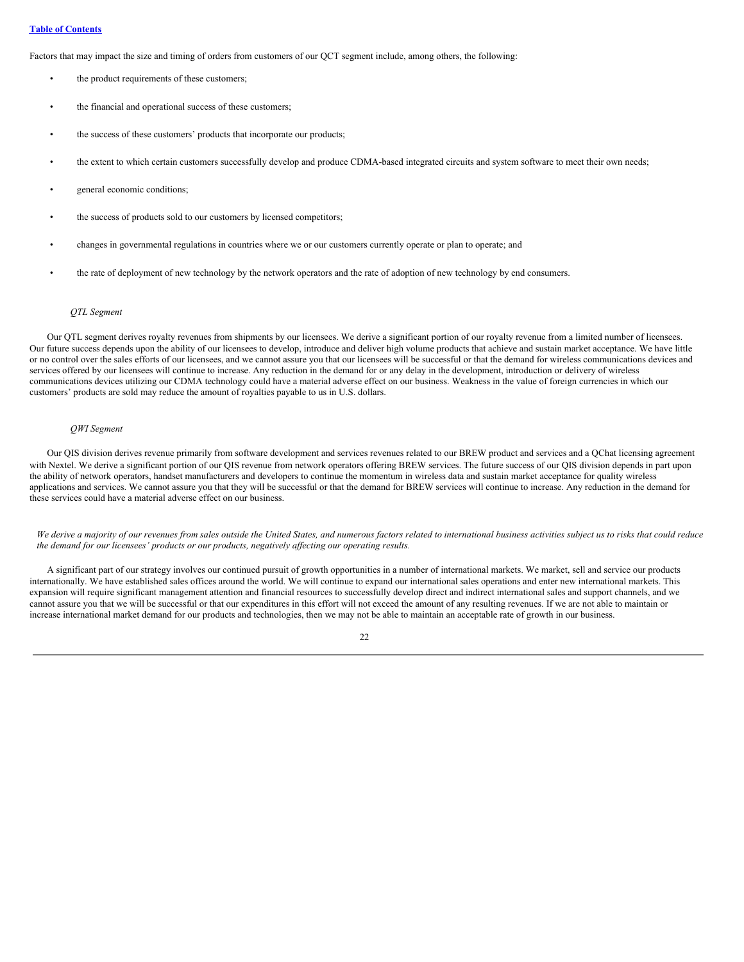#### **Table of [Contents](#page-0-0)**

Factors that may impact the size and timing of orders from customers of our QCT segment include, among others, the following:

- the product requirements of these customers;
- the financial and operational success of these customers;
- the success of these customers' products that incorporate our products;
- the extent to which certain customers successfully develop and produce CDMA-based integrated circuits and system software to meet their own needs;
- general economic conditions;
- the success of products sold to our customers by licensed competitors;
- changes in governmental regulations in countries where we or our customers currently operate or plan to operate; and
- the rate of deployment of new technology by the network operators and the rate of adoption of new technology by end consumers.

#### *QTL Segment*

Our QTL segment derives royalty revenues from shipments by our licensees. We derive a significant portion of our royalty revenue from a limited number of licensees. Our future success depends upon the ability of our licensees to develop, introduce and deliver high volume products that achieve and sustain market acceptance. We have little or no control over the sales efforts of our licensees, and we cannot assure you that our licensees will be successful or that the demand for wireless communications devices and services offered by our licensees will continue to increase. Any reduction in the demand for or any delay in the development, introduction or delivery of wireless communications devices utilizing our CDMA technology could have a material adverse effect on our business. Weakness in the value of foreign currencies in which our customers' products are sold may reduce the amount of royalties payable to us in U.S. dollars.

#### *QWI Segment*

Our QIS division derives revenue primarily from software development and services revenues related to our BREW product and services and a QChat licensing agreement with Nextel. We derive a significant portion of our QIS revenue from network operators offering BREW services. The future success of our QIS division depends in part upon the ability of network operators, handset manufacturers and developers to continue the momentum in wireless data and sustain market acceptance for quality wireless applications and services. We cannot assure you that they will be successful or that the demand for BREW services will continue to increase. Any reduction in the demand for these services could have a material adverse effect on our business.

We derive a majority of our revenues from sales outside the United States, and numerous factors related to international business activities subject us to risks that could reduce *the demand for our licensees' products or our products, negatively af ecting our operating results.*

A significant part of our strategy involves our continued pursuit of growth opportunities in a number of international markets. We market, sell and service our products internationally. We have established sales offices around the world. We will continue to expand our international sales operations and enter new international markets. This expansion will require significant management attention and financial resources to successfully develop direct and indirect international sales and support channels, and we cannot assure you that we will be successful or that our expenditures in this effort will not exceed the amount of any resulting revenues. If we are not able to maintain or increase international market demand for our products and technologies, then we may not be able to maintain an acceptable rate of growth in our business.

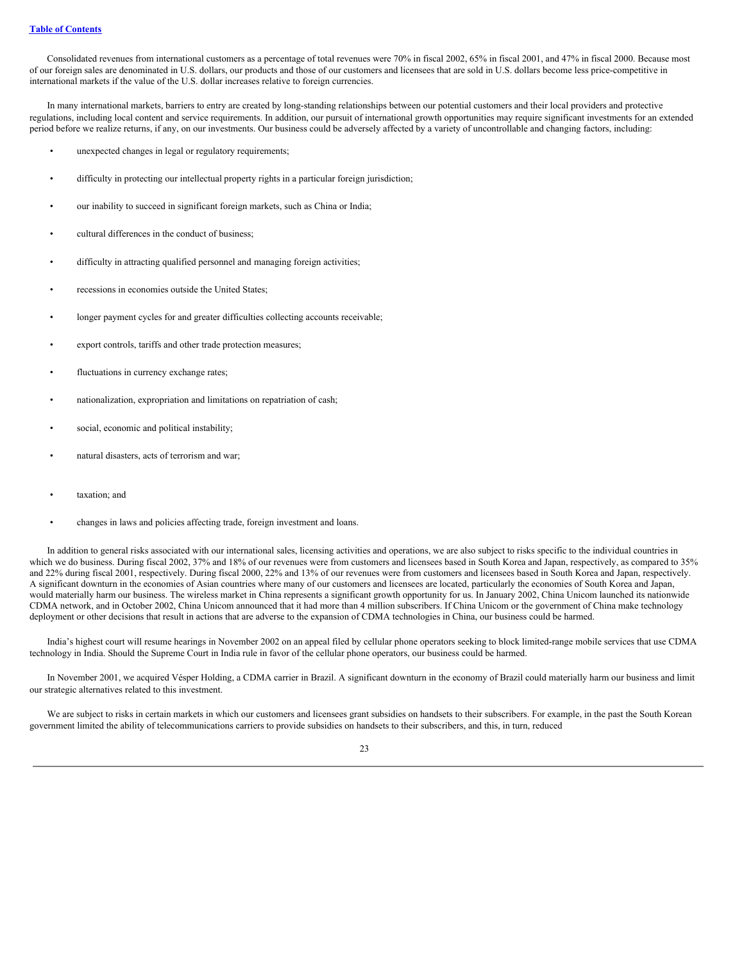Consolidated revenues from international customers as a percentage of total revenues were 70% in fiscal 2002, 65% in fiscal 2001, and 47% in fiscal 2000. Because most of our foreign sales are denominated in U.S. dollars, our products and those of our customers and licensees that are sold in U.S. dollars become less price-competitive in international markets if the value of the U.S. dollar increases relative to foreign currencies.

In many international markets, barriers to entry are created by long-standing relationships between our potential customers and their local providers and protective regulations, including local content and service requirements. In addition, our pursuit of international growth opportunities may require significant investments for an extended period before we realize returns, if any, on our investments. Our business could be adversely affected by a variety of uncontrollable and changing factors, including:

- unexpected changes in legal or regulatory requirements;
- difficulty in protecting our intellectual property rights in a particular foreign jurisdiction;
- our inability to succeed in significant foreign markets, such as China or India;
- cultural differences in the conduct of business;
- difficulty in attracting qualified personnel and managing foreign activities;
- recessions in economies outside the United States;
- longer payment cycles for and greater difficulties collecting accounts receivable;
- export controls, tariffs and other trade protection measures;
- fluctuations in currency exchange rates;
- nationalization, expropriation and limitations on repatriation of cash;
- social, economic and political instability;
- natural disasters, acts of terrorism and war;
- taxation; and
- changes in laws and policies affecting trade, foreign investment and loans.

In addition to general risks associated with our international sales, licensing activities and operations, we are also subject to risks specific to the individual countries in which we do business. During fiscal 2002, 37% and 18% of our revenues were from customers and licensees based in South Korea and Japan, respectively, as compared to 35% and 22% during fiscal 2001, respectively. During fiscal 2000, 22% and 13% of our revenues were from customers and licensees based in South Korea and Japan, respectively. A significant downturn in the economies of Asian countries where many of our customers and licensees are located, particularly the economies of South Korea and Japan, would materially harm our business. The wireless market in China represents a significant growth opportunity for us. In January 2002, China Unicom launched its nationwide CDMA network, and in October 2002, China Unicom announced that it had more than 4 million subscribers. If China Unicom or the government of China make technology deployment or other decisions that result in actions that are adverse to the expansion of CDMA technologies in China, our business could be harmed.

India's highest court will resume hearings in November 2002 on an appeal filed by cellular phone operators seeking to block limited-range mobile services that use CDMA technology in India. Should the Supreme Court in India rule in favor of the cellular phone operators, our business could be harmed.

In November 2001, we acquired Vésper Holding, a CDMA carrier in Brazil. A significant downturn in the economy of Brazil could materially harm our business and limit our strategic alternatives related to this investment.

We are subject to risks in certain markets in which our customers and licensees grant subsidies on handsets to their subscribers. For example, in the past the South Korean government limited the ability of telecommunications carriers to provide subsidies on handsets to their subscribers, and this, in turn, reduced

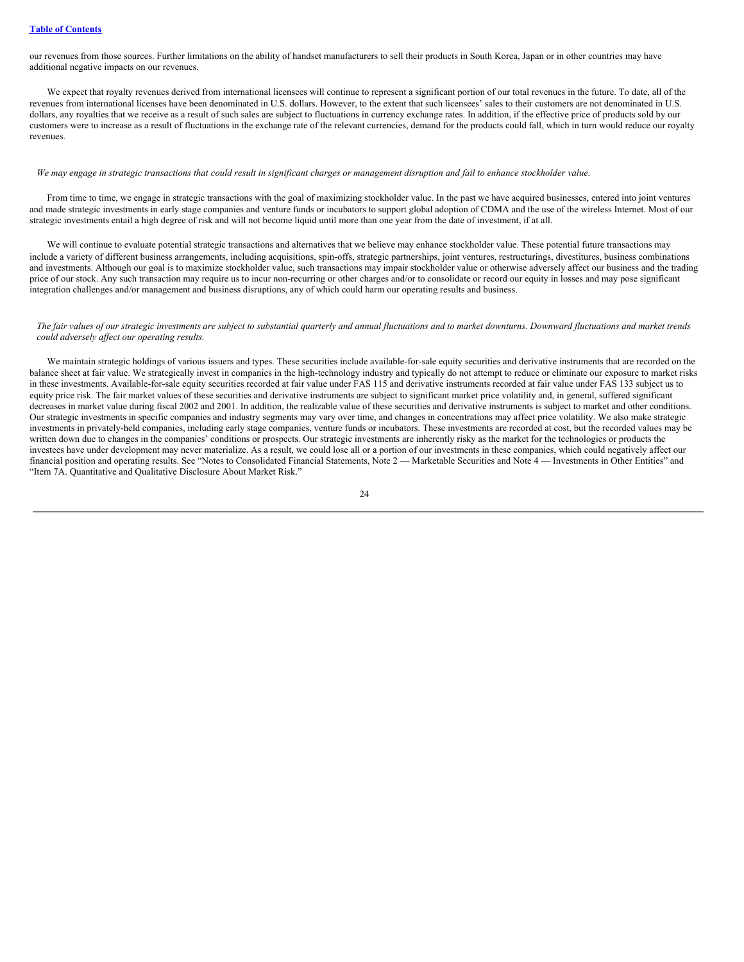our revenues from those sources. Further limitations on the ability of handset manufacturers to sell their products in South Korea, Japan or in other countries may have additional negative impacts on our revenues.

We expect that royalty revenues derived from international licensees will continue to represent a significant portion of our total revenues in the future. To date, all of the revenues from international licenses have been denominated in U.S. dollars. However, to the extent that such licensees' sales to their customers are not denominated in U.S. dollars, any royalties that we receive as a result of such sales are subject to fluctuations in currency exchange rates. In addition, if the effective price of products sold by our customers were to increase as a result of fluctuations in the exchange rate of the relevant currencies, demand for the products could fall, which in turn would reduce our royalty revenues.

#### We may engage in strategic transactions that could result in significant charges or management disruption and fail to enhance stockholder value.

From time to time, we engage in strategic transactions with the goal of maximizing stockholder value. In the past we have acquired businesses, entered into joint ventures and made strategic investments in early stage companies and venture funds or incubators to support global adoption of CDMA and the use of the wireless Internet. Most of our strategic investments entail a high degree of risk and will not become liquid until more than one year from the date of investment, if at all.

We will continue to evaluate potential strategic transactions and alternatives that we believe may enhance stockholder value. These potential future transactions may include a variety of different business arrangements, including acquisitions, spin-offs, strategic partnerships, joint ventures, restructurings, divestitures, business combinations and investments. Although our goal is to maximize stockholder value, such transactions may impair stockholder value or otherwise adversely affect our business and the trading price of our stock. Any such transaction may require us to incur non-recurring or other charges and/or to consolidate or record our equity in losses and may pose significant integration challenges and/or management and business disruptions, any of which could harm our operating results and business.

#### The fair values of our strategic investments are subject to substantial quarterly and annual fluctuations and to market downturns. Downward fluctuations and market trends *could adversely af ect our operating results.*

We maintain strategic holdings of various issuers and types. These securities include available-for-sale equity securities and derivative instruments that are recorded on the balance sheet at fair value. We strategically invest in companies in the high-technology industry and typically do not attempt to reduce or eliminate our exposure to market risks in these investments. Available-for-sale equity securities recorded at fair value under FAS 115 and derivative instruments recorded at fair value under FAS 133 subject us to equity price risk. The fair market values of these securities and derivative instruments are subject to significant market price volatility and, in general, suffered significant decreases in market value during fiscal 2002 and 2001. In addition, the realizable value of these securities and derivative instruments is subject to market and other conditions. Our strategic investments in specific companies and industry segments may vary over time, and changes in concentrations may affect price volatility. We also make strategic investments in privately-held companies, including early stage companies, venture funds or incubators. These investments are recorded at cost, but the recorded values may be written down due to changes in the companies' conditions or prospects. Our strategic investments are inherently risky as the market for the technologies or products the investees have under development may never materialize. As a result, we could lose all or a portion of our investments in these companies, which could negatively affect our financial position and operating results. See "Notes to Consolidated Financial Statements, Note 2 — Marketable Securities and Note 4 — Investments in Other Entities" and "Item 7A. Quantitative and Qualitative Disclosure About Market Risk."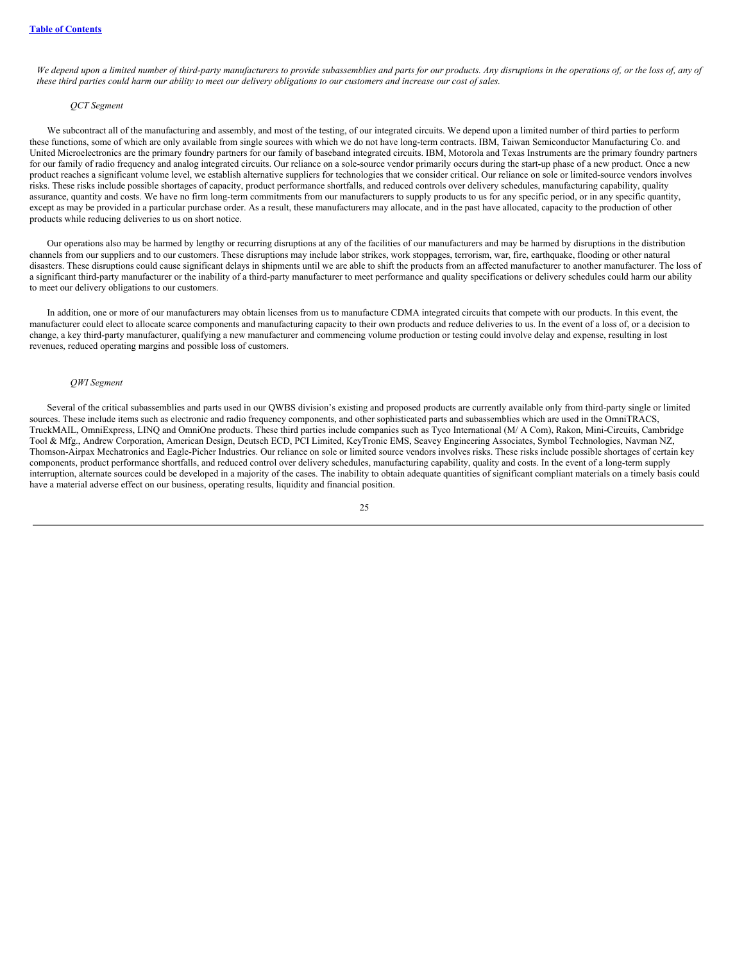We depend upon a limited number of third-party manufacturers to provide subassemblies and parts for our products. Any disruptions in the operations of, or the loss of, any of these third parties could harm our ability to meet our delivery obligations to our customers and increase our cost of sales.

#### *QCT Segment*

We subcontract all of the manufacturing and assembly, and most of the testing, of our integrated circuits. We depend upon a limited number of third parties to perform these functions, some of which are only available from single sources with which we do not have long-term contracts. IBM, Taiwan Semiconductor Manufacturing Co. and United Microelectronics are the primary foundry partners for our family of baseband integrated circuits. IBM, Motorola and Texas Instruments are the primary foundry partners for our family of radio frequency and analog integrated circuits. Our reliance on a sole-source vendor primarily occurs during the start-up phase of a new product. Once a new product reaches a significant volume level, we establish alternative suppliers for technologies that we consider critical. Our reliance on sole or limited-source vendors involves risks. These risks include possible shortages of capacity, product performance shortfalls, and reduced controls over delivery schedules, manufacturing capability, quality assurance, quantity and costs. We have no firm long-term commitments from our manufacturers to supply products to us for any specific period, or in any specific quantity, except as may be provided in a particular purchase order. As a result, these manufacturers may allocate, and in the past have allocated, capacity to the production of other products while reducing deliveries to us on short notice.

Our operations also may be harmed by lengthy or recurring disruptions at any of the facilities of our manufacturers and may be harmed by disruptions in the distribution channels from our suppliers and to our customers. These disruptions may include labor strikes, work stoppages, terrorism, war, fire, earthquake, flooding or other natural disasters. These disruptions could cause significant delays in shipments until we are able to shift the products from an affected manufacturer to another manufacturer. The loss of a significant third-party manufacturer or the inability of a third-party manufacturer to meet performance and quality specifications or delivery schedules could harm our ability to meet our delivery obligations to our customers.

In addition, one or more of our manufacturers may obtain licenses from us to manufacture CDMA integrated circuits that compete with our products. In this event, the manufacturer could elect to allocate scarce components and manufacturing capacity to their own products and reduce deliveries to us. In the event of a loss of, or a decision to change, a key third-party manufacturer, qualifying a new manufacturer and commencing volume production or testing could involve delay and expense, resulting in lost revenues, reduced operating margins and possible loss of customers.

#### *QWI Segment*

Several of the critical subassemblies and parts used in our QWBS division's existing and proposed products are currently available only from third-party single or limited sources. These include items such as electronic and radio frequency components, and other sophisticated parts and subassemblies which are used in the OmniTRACS, TruckMAIL, OmniExpress, LINQ and OmniOne products. These third parties include companies such as Tyco International (M/ A Com), Rakon, Mini-Circuits, Cambridge Tool & Mfg., Andrew Corporation, American Design, Deutsch ECD, PCI Limited, KeyTronic EMS, Seavey Engineering Associates, Symbol Technologies, Navman NZ, Thomson-Airpax Mechatronics and Eagle-Picher Industries. Our reliance on sole or limited source vendors involves risks. These risks include possible shortages of certain key components, product performance shortfalls, and reduced control over delivery schedules, manufacturing capability, quality and costs. In the event of a long-term supply interruption, alternate sources could be developed in a majority of the cases. The inability to obtain adequate quantities of significant compliant materials on a timely basis could have a material adverse effect on our business, operating results, liquidity and financial position.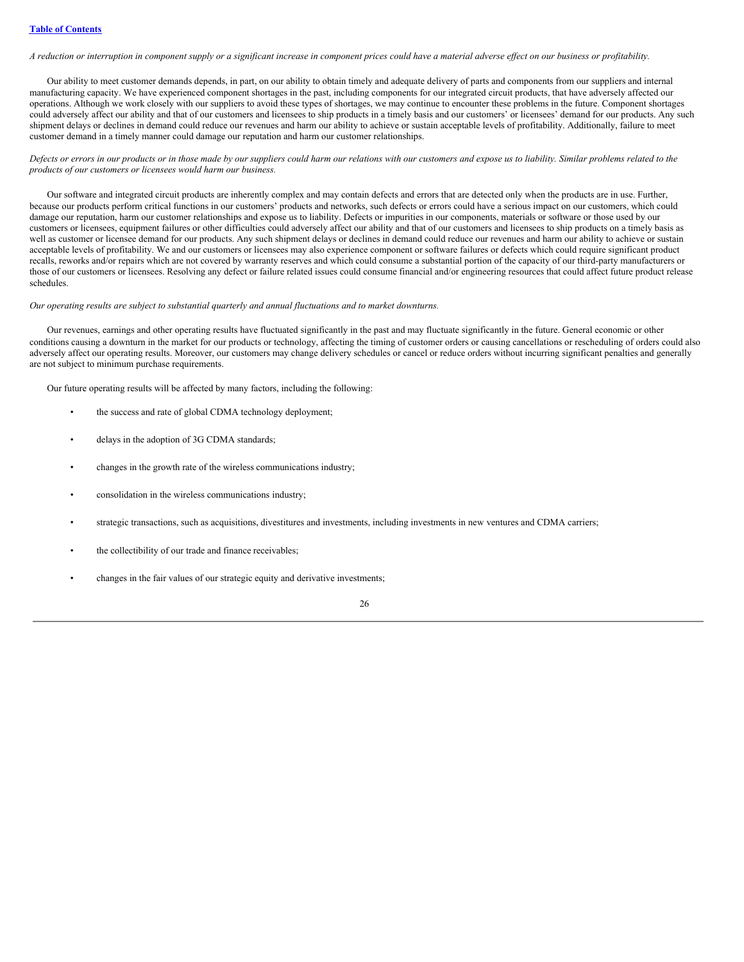A reduction or interruption in component supply or a significant increase in component prices could have a material adverse effect on our business or profitability.

Our ability to meet customer demands depends, in part, on our ability to obtain timely and adequate delivery of parts and components from our suppliers and internal manufacturing capacity. We have experienced component shortages in the past, including components for our integrated circuit products, that have adversely affected our operations. Although we work closely with our suppliers to avoid these types of shortages, we may continue to encounter these problems in the future. Component shortages could adversely affect our ability and that of our customers and licensees to ship products in a timely basis and our customers' or licensees' demand for our products. Any such shipment delays or declines in demand could reduce our revenues and harm our ability to achieve or sustain acceptable levels of profitability. Additionally, failure to meet customer demand in a timely manner could damage our reputation and harm our customer relationships.

Defects or errors in our products or in those made by our suppliers could harm our relations with our customers and expose us to liability. Similar problems related to the *products of our customers or licensees would harm our business.*

Our software and integrated circuit products are inherently complex and may contain defects and errors that are detected only when the products are in use. Further, because our products perform critical functions in our customers' products and networks, such defects or errors could have a serious impact on our customers, which could damage our reputation, harm our customer relationships and expose us to liability. Defects or impurities in our components, materials or software or those used by our customers or licensees, equipment failures or other difficulties could adversely affect our ability and that of our customers and licensees to ship products on a timely basis as well as customer or licensee demand for our products. Any such shipment delays or declines in demand could reduce our revenues and harm our ability to achieve or sustain acceptable levels of profitability. We and our customers or licensees may also experience component or software failures or defects which could require significant product recalls, reworks and/or repairs which are not covered by warranty reserves and which could consume a substantial portion of the capacity of our third-party manufacturers or those of our customers or licensees. Resolving any defect or failure related issues could consume financial and/or engineering resources that could affect future product release schedules.

#### *Our operating results are subject to substantial quarterly and annual fluctuations and to market downturns.*

Our revenues, earnings and other operating results have fluctuated significantly in the past and may fluctuate significantly in the future. General economic or other conditions causing a downturn in the market for our products or technology, affecting the timing of customer orders or causing cancellations or rescheduling of orders could also adversely affect our operating results. Moreover, our customers may change delivery schedules or cancel or reduce orders without incurring significant penalties and generally are not subject to minimum purchase requirements.

Our future operating results will be affected by many factors, including the following:

- the success and rate of global CDMA technology deployment;
- delays in the adoption of 3G CDMA standards;
- changes in the growth rate of the wireless communications industry;
- consolidation in the wireless communications industry;
- strategic transactions, such as acquisitions, divestitures and investments, including investments in new ventures and CDMA carriers;
- the collectibility of our trade and finance receivables;
- changes in the fair values of our strategic equity and derivative investments;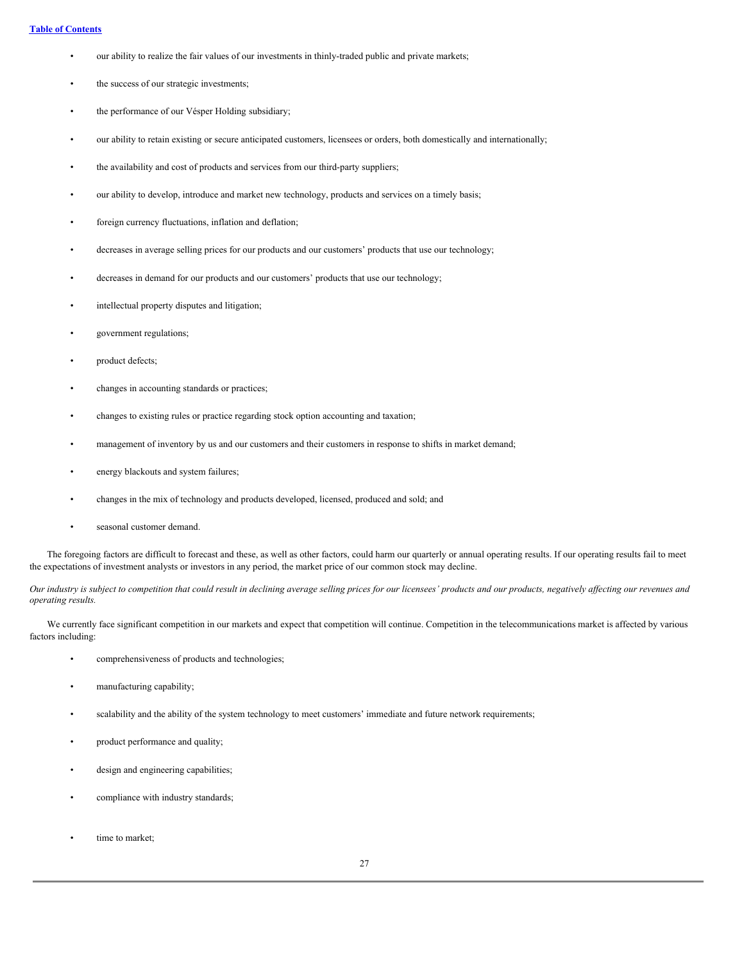- our ability to realize the fair values of our investments in thinly-traded public and private markets;
- the success of our strategic investments;
- the performance of our Vésper Holding subsidiary;
- our ability to retain existing or secure anticipated customers, licensees or orders, both domestically and internationally;
- the availability and cost of products and services from our third-party suppliers;
- our ability to develop, introduce and market new technology, products and services on a timely basis;
- foreign currency fluctuations, inflation and deflation;
- decreases in average selling prices for our products and our customers' products that use our technology;
- decreases in demand for our products and our customers' products that use our technology;
- intellectual property disputes and litigation;
- government regulations;
- product defects;
- changes in accounting standards or practices;
- changes to existing rules or practice regarding stock option accounting and taxation;
- management of inventory by us and our customers and their customers in response to shifts in market demand;
- energy blackouts and system failures;
- changes in the mix of technology and products developed, licensed, produced and sold; and
- seasonal customer demand.

The foregoing factors are difficult to forecast and these, as well as other factors, could harm our quarterly or annual operating results. If our operating results fail to meet the expectations of investment analysts or investors in any period, the market price of our common stock may decline.

Our industry is subject to competition that could result in declining average selling prices for our licensees' products and our products, negatively affecting our revenues and *operating results.*

We currently face significant competition in our markets and expect that competition will continue. Competition in the telecommunications market is affected by various factors including:

- comprehensiveness of products and technologies;
- manufacturing capability;
- scalability and the ability of the system technology to meet customers' immediate and future network requirements;
- product performance and quality;
- design and engineering capabilities;
- compliance with industry standards;
- time to market;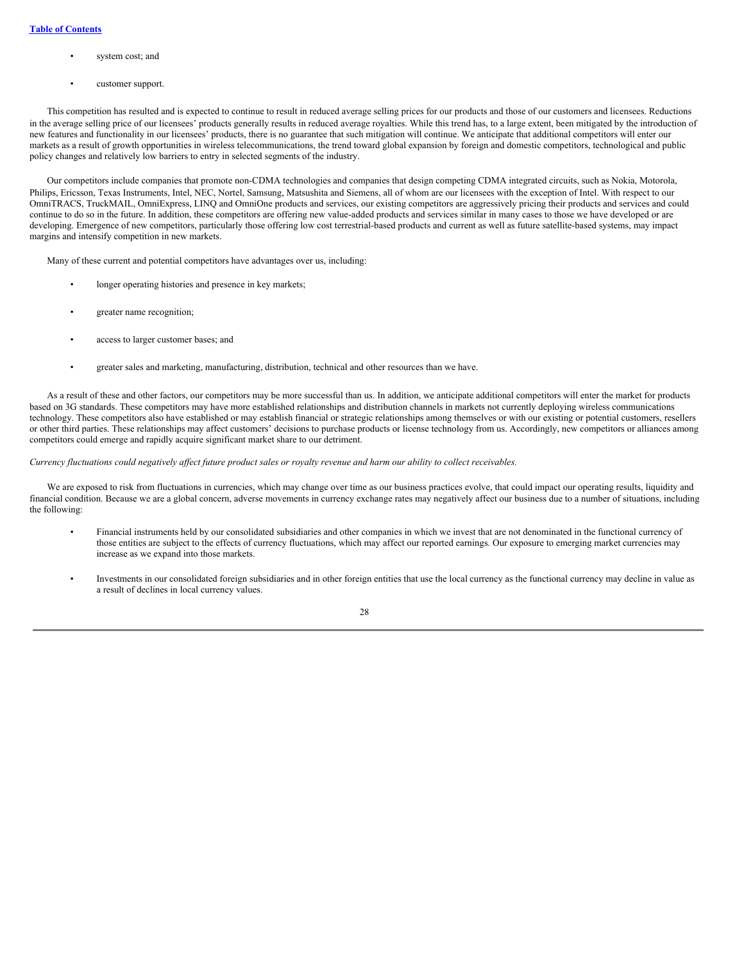- system cost; and
- customer support.

This competition has resulted and is expected to continue to result in reduced average selling prices for our products and those of our customers and licensees. Reductions in the average selling price of our licensees' products generally results in reduced average royalties. While this trend has, to a large extent, been mitigated by the introduction of new features and functionality in our licensees' products, there is no guarantee that such mitigation will continue. We anticipate that additional competitors will enter our markets as a result of growth opportunities in wireless telecommunications, the trend toward global expansion by foreign and domestic competitors, technological and public policy changes and relatively low barriers to entry in selected segments of the industry.

Our competitors include companies that promote non-CDMA technologies and companies that design competing CDMA integrated circuits, such as Nokia, Motorola, Philips, Ericsson, Texas Instruments, Intel, NEC, Nortel, Samsung, Matsushita and Siemens, all of whom are our licensees with the exception of Intel. With respect to our OmniTRACS, TruckMAIL, OmniExpress, LINQ and OmniOne products and services, our existing competitors are aggressively pricing their products and services and could continue to do so in the future. In addition, these competitors are offering new value-added products and services similar in many cases to those we have developed or are developing. Emergence of new competitors, particularly those offering low cost terrestrial-based products and current as well as future satellite-based systems, may impact margins and intensify competition in new markets.

Many of these current and potential competitors have advantages over us, including:

- longer operating histories and presence in key markets;
- greater name recognition;
- access to larger customer bases; and
- greater sales and marketing, manufacturing, distribution, technical and other resources than we have.

As a result of these and other factors, our competitors may be more successful than us. In addition, we anticipate additional competitors will enter the market for products based on 3G standards. These competitors may have more established relationships and distribution channels in markets not currently deploying wireless communications technology. These competitors also have established or may establish financial or strategic relationships among themselves or with our existing or potential customers, resellers or other third parties. These relationships may affect customers' decisions to purchase products or license technology from us. Accordingly, new competitors or alliances among competitors could emerge and rapidly acquire significant market share to our detriment.

#### Currency fluctuations could negatively affect future product sales or royalty revenue and harm our ability to collect receivables.

We are exposed to risk from fluctuations in currencies, which may change over time as our business practices evolve, that could impact our operating results, liquidity and financial condition. Because we are a global concern, adverse movements in currency exchange rates may negatively affect our business due to a number of situations, including the following:

- Financial instruments held by our consolidated subsidiaries and other companies in which we invest that are not denominated in the functional currency of those entities are subject to the effects of currency fluctuations, which may affect our reported earnings. Our exposure to emerging market currencies may increase as we expand into those markets.
- Investments in our consolidated foreign subsidiaries and in other foreign entities that use the local currency as the functional currency may decline in value as a result of declines in local currency values.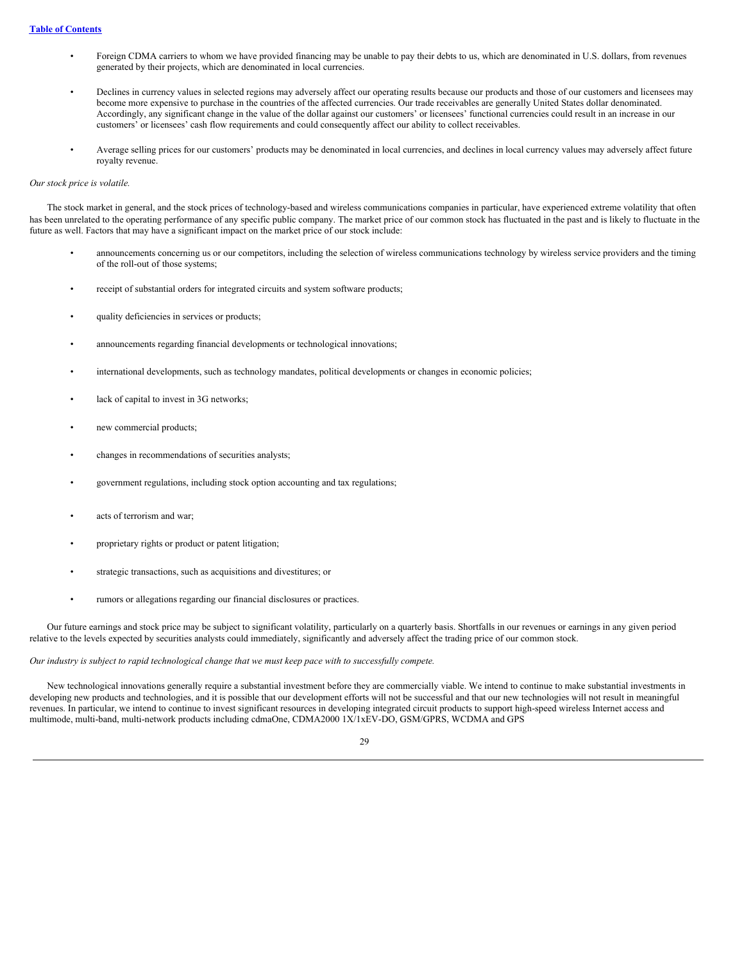- Foreign CDMA carriers to whom we have provided financing may be unable to pay their debts to us, which are denominated in U.S. dollars, from revenues generated by their projects, which are denominated in local currencies.
- Declines in currency values in selected regions may adversely affect our operating results because our products and those of our customers and licensees may become more expensive to purchase in the countries of the affected currencies. Our trade receivables are generally United States dollar denominated. Accordingly, any significant change in the value of the dollar against our customers' or licensees' functional currencies could result in an increase in our customers' or licensees' cash flow requirements and could consequently affect our ability to collect receivables.
- Average selling prices for our customers' products may be denominated in local currencies, and declines in local currency values may adversely affect future royalty revenue.

#### *Our stock price is volatile.*

The stock market in general, and the stock prices of technology-based and wireless communications companies in particular, have experienced extreme volatility that often has been unrelated to the operating performance of any specific public company. The market price of our common stock has fluctuated in the past and is likely to fluctuate in the future as well. Factors that may have a significant impact on the market price of our stock include:

- announcements concerning us or our competitors, including the selection of wireless communications technology by wireless service providers and the timing of the roll-out of those systems;
- receipt of substantial orders for integrated circuits and system software products;
- quality deficiencies in services or products;
- announcements regarding financial developments or technological innovations;
- international developments, such as technology mandates, political developments or changes in economic policies;
- lack of capital to invest in 3G networks;
- new commercial products;
- changes in recommendations of securities analysts;
- government regulations, including stock option accounting and tax regulations;
- acts of terrorism and war;
- proprietary rights or product or patent litigation;
- strategic transactions, such as acquisitions and divestitures; or
- rumors or allegations regarding our financial disclosures or practices.

Our future earnings and stock price may be subject to significant volatility, particularly on a quarterly basis. Shortfalls in our revenues or earnings in any given period relative to the levels expected by securities analysts could immediately, significantly and adversely affect the trading price of our common stock.

#### Our industry is subject to rapid technological change that we must keep pace with to successfully compete.

New technological innovations generally require a substantial investment before they are commercially viable. We intend to continue to make substantial investments in developing new products and technologies, and it is possible that our development efforts will not be successful and that our new technologies will not result in meaningful revenues. In particular, we intend to continue to invest significant resources in developing integrated circuit products to support high-speed wireless Internet access and multimode, multi-band, multi-network products including cdmaOne, CDMA2000 1X/1xEV-DO, GSM/GPRS, WCDMA and GPS

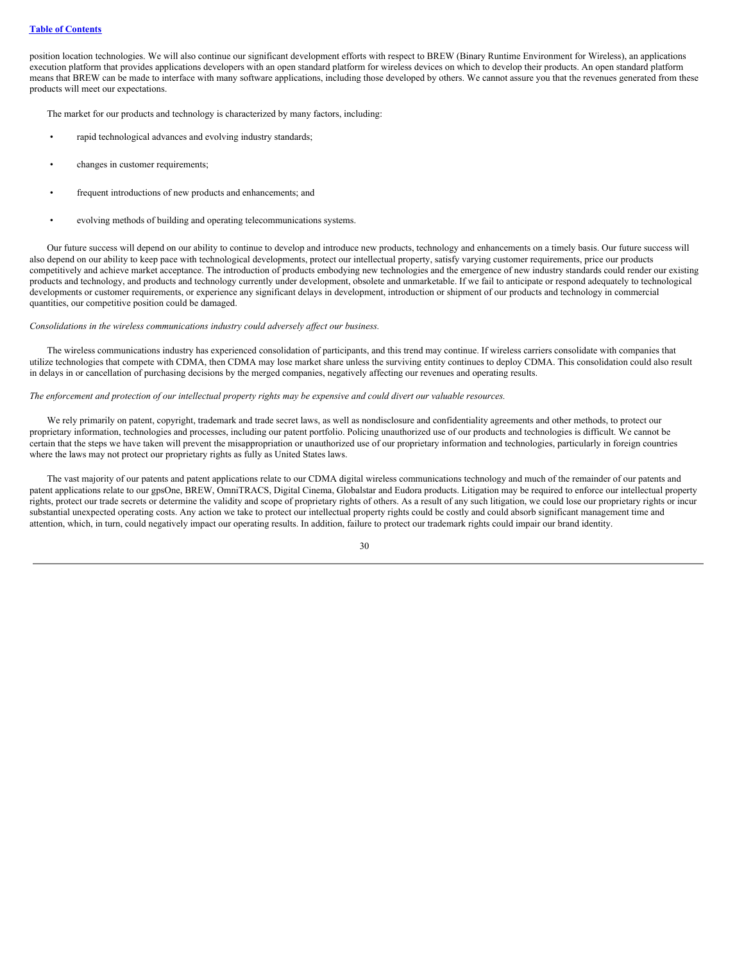position location technologies. We will also continue our significant development efforts with respect to BREW (Binary Runtime Environment for Wireless), an applications execution platform that provides applications developers with an open standard platform for wireless devices on which to develop their products. An open standard platform means that BREW can be made to interface with many software applications, including those developed by others. We cannot assure you that the revenues generated from these products will meet our expectations.

The market for our products and technology is characterized by many factors, including:

- rapid technological advances and evolving industry standards;
- changes in customer requirements;
- frequent introductions of new products and enhancements; and
- evolving methods of building and operating telecommunications systems.

Our future success will depend on our ability to continue to develop and introduce new products, technology and enhancements on a timely basis. Our future success will also depend on our ability to keep pace with technological developments, protect our intellectual property, satisfy varying customer requirements, price our products competitively and achieve market acceptance. The introduction of products embodying new technologies and the emergence of new industry standards could render our existing products and technology, and products and technology currently under development, obsolete and unmarketable. If we fail to anticipate or respond adequately to technological developments or customer requirements, or experience any significant delays in development, introduction or shipment of our products and technology in commercial quantities, our competitive position could be damaged.

### *Consolidations in the wireless communications industry could adversely af ect our business.*

The wireless communications industry has experienced consolidation of participants, and this trend may continue. If wireless carriers consolidate with companies that utilize technologies that compete with CDMA, then CDMA may lose market share unless the surviving entity continues to deploy CDMA. This consolidation could also result in delays in or cancellation of purchasing decisions by the merged companies, negatively affecting our revenues and operating results.

#### The enforcement and protection of our intellectual property rights may be expensive and could divert our valuable resources.

We rely primarily on patent, copyright, trademark and trade secret laws, as well as nondisclosure and confidentiality agreements and other methods, to protect our proprietary information, technologies and processes, including our patent portfolio. Policing unauthorized use of our products and technologies is difficult. We cannot be certain that the steps we have taken will prevent the misappropriation or unauthorized use of our proprietary information and technologies, particularly in foreign countries where the laws may not protect our proprietary rights as fully as United States laws.

The vast majority of our patents and patent applications relate to our CDMA digital wireless communications technology and much of the remainder of our patents and patent applications relate to our gpsOne, BREW, OmniTRACS, Digital Cinema, Globalstar and Eudora products. Litigation may be required to enforce our intellectual property rights, protect our trade secrets or determine the validity and scope of proprietary rights of others. As a result of any such litigation, we could lose our proprietary rights or incur substantial unexpected operating costs. Any action we take to protect our intellectual property rights could be costly and could absorb significant management time and attention, which, in turn, could negatively impact our operating results. In addition, failure to protect our trademark rights could impair our brand identity.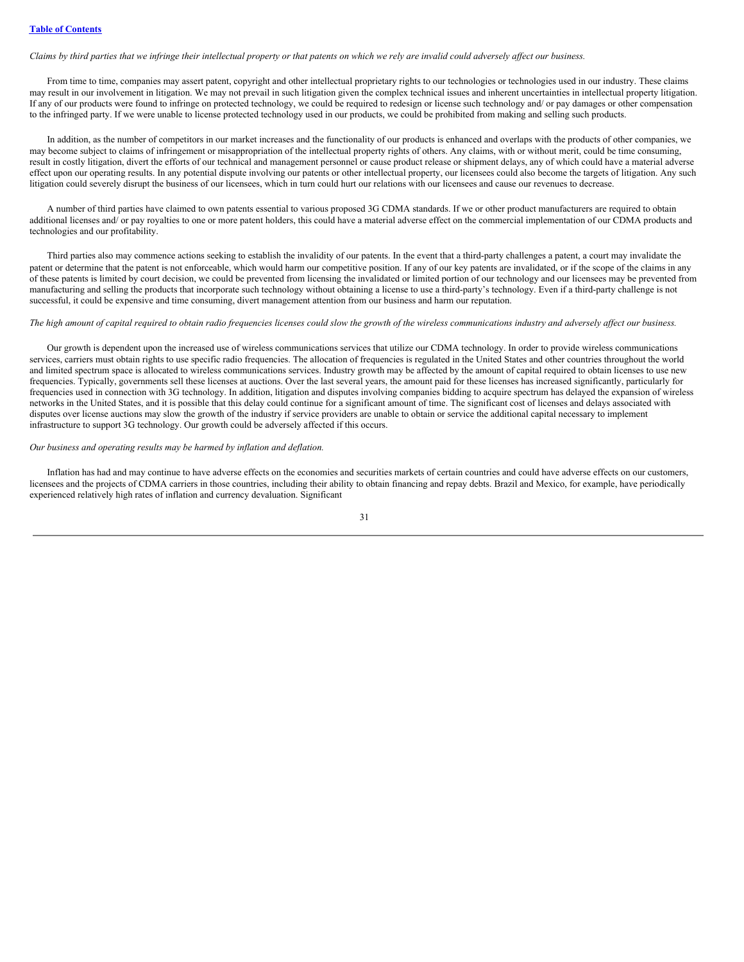Claims by third parties that we infringe their intellectual property or that patents on which we rely are invalid could adversely affect our business.

From time to time, companies may assert patent, copyright and other intellectual proprietary rights to our technologies or technologies used in our industry. These claims may result in our involvement in litigation. We may not prevail in such litigation given the complex technical issues and inherent uncertainties in intellectual property litigation. If any of our products were found to infringe on protected technology, we could be required to redesign or license such technology and/ or pay damages or other compensation to the infringed party. If we were unable to license protected technology used in our products, we could be prohibited from making and selling such products.

In addition, as the number of competitors in our market increases and the functionality of our products is enhanced and overlaps with the products of other companies, we may become subject to claims of infringement or misappropriation of the intellectual property rights of others. Any claims, with or without merit, could be time consuming, result in costly litigation, divert the efforts of our technical and management personnel or cause product release or shipment delays, any of which could have a material adverse effect upon our operating results. In any potential dispute involving our patents or other intellectual property, our licensees could also become the targets of litigation. Any such litigation could severely disrupt the business of our licensees, which in turn could hurt our relations with our licensees and cause our revenues to decrease.

A number of third parties have claimed to own patents essential to various proposed 3G CDMA standards. If we or other product manufacturers are required to obtain additional licenses and/ or pay royalties to one or more patent holders, this could have a material adverse effect on the commercial implementation of our CDMA products and technologies and our profitability.

Third parties also may commence actions seeking to establish the invalidity of our patents. In the event that a third-party challenges a patent, a court may invalidate the patent or determine that the patent is not enforceable, which would harm our competitive position. If any of our key patents are invalidated, or if the scope of the claims in any of these patents is limited by court decision, we could be prevented from licensing the invalidated or limited portion of our technology and our licensees may be prevented from manufacturing and selling the products that incorporate such technology without obtaining a license to use a third-party's technology. Even if a third-party challenge is not successful, it could be expensive and time consuming, divert management attention from our business and harm our reputation.

#### The high amount of capital required to obtain radio frequencies licenses could slow the growth of the wireless communications industry and adversely affect our business.

Our growth is dependent upon the increased use of wireless communications services that utilize our CDMA technology. In order to provide wireless communications services, carriers must obtain rights to use specific radio frequencies. The allocation of frequencies is regulated in the United States and other countries throughout the world and limited spectrum space is allocated to wireless communications services. Industry growth may be affected by the amount of capital required to obtain licenses to use new frequencies. Typically, governments sell these licenses at auctions. Over the last several years, the amount paid for these licenses has increased significantly, particularly for frequencies used in connection with 3G technology. In addition, litigation and disputes involving companies bidding to acquire spectrum has delayed the expansion of wireless networks in the United States, and it is possible that this delay could continue for a significant amount of time. The significant cost of licenses and delays associated with disputes over license auctions may slow the growth of the industry if service providers are unable to obtain or service the additional capital necessary to implement infrastructure to support 3G technology. Our growth could be adversely affected if this occurs.

#### *Our business and operating results may be harmed by inflation and deflation.*

Inflation has had and may continue to have adverse effects on the economies and securities markets of certain countries and could have adverse effects on our customers, licensees and the projects of CDMA carriers in those countries, including their ability to obtain financing and repay debts. Brazil and Mexico, for example, have periodically experienced relatively high rates of inflation and currency devaluation. Significant

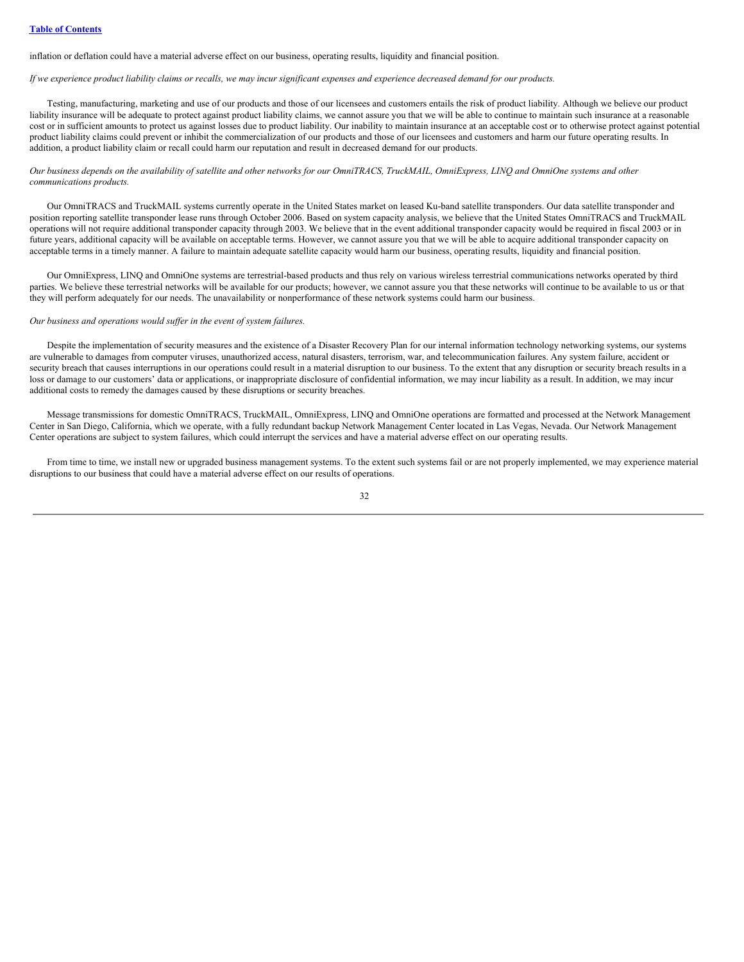inflation or deflation could have a material adverse effect on our business, operating results, liquidity and financial position.

If we experience product liability claims or recalls, we may incur significant expenses and experience decreased demand for our products.

Testing, manufacturing, marketing and use of our products and those of our licensees and customers entails the risk of product liability. Although we believe our product liability insurance will be adequate to protect against product liability claims, we cannot assure you that we will be able to continue to maintain such insurance at a reasonable cost or in sufficient amounts to protect us against losses due to product liability. Our inability to maintain insurance at an acceptable cost or to otherwise protect against potential product liability claims could prevent or inhibit the commercialization of our products and those of our licensees and customers and harm our future operating results. In addition, a product liability claim or recall could harm our reputation and result in decreased demand for our products.

Our business depends on the availability of satellite and other networks for our OmniTRACS, TruckMAIL, OmniExpress, LINQ and OmniOne systems and other *communications products.*

Our OmniTRACS and TruckMAIL systems currently operate in the United States market on leased Ku-band satellite transponders. Our data satellite transponder and position reporting satellite transponder lease runs through October 2006. Based on system capacity analysis, we believe that the United States OmniTRACS and TruckMAIL operations will not require additional transponder capacity through 2003. We believe that in the event additional transponder capacity would be required in fiscal 2003 or in future years, additional capacity will be available on acceptable terms. However, we cannot assure you that we will be able to acquire additional transponder capacity on acceptable terms in a timely manner. A failure to maintain adequate satellite capacity would harm our business, operating results, liquidity and financial position.

Our OmniExpress, LINQ and OmniOne systems are terrestrial-based products and thus rely on various wireless terrestrial communications networks operated by third parties. We believe these terrestrial networks will be available for our products; however, we cannot assure you that these networks will continue to be available to us or that they will perform adequately for our needs. The unavailability or nonperformance of these network systems could harm our business.

### *Our business and operations would suf er in the event of system failures.*

Despite the implementation of security measures and the existence of a Disaster Recovery Plan for our internal information technology networking systems, our systems are vulnerable to damages from computer viruses, unauthorized access, natural disasters, terrorism, war, and telecommunication failures. Any system failure, accident or security breach that causes interruptions in our operations could result in a material disruption to our business. To the extent that any disruption or security breach results in a loss or damage to our customers' data or applications, or inappropriate disclosure of confidential information, we may incur liability as a result. In addition, we may incur additional costs to remedy the damages caused by these disruptions or security breaches.

Message transmissions for domestic OmniTRACS, TruckMAIL, OmniExpress, LINQ and OmniOne operations are formatted and processed at the Network Management Center in San Diego, California, which we operate, with a fully redundant backup Network Management Center located in Las Vegas, Nevada. Our Network Management Center operations are subject to system failures, which could interrupt the services and have a material adverse effect on our operating results.

From time to time, we install new or upgraded business management systems. To the extent such systems fail or are not properly implemented, we may experience material disruptions to our business that could have a material adverse effect on our results of operations.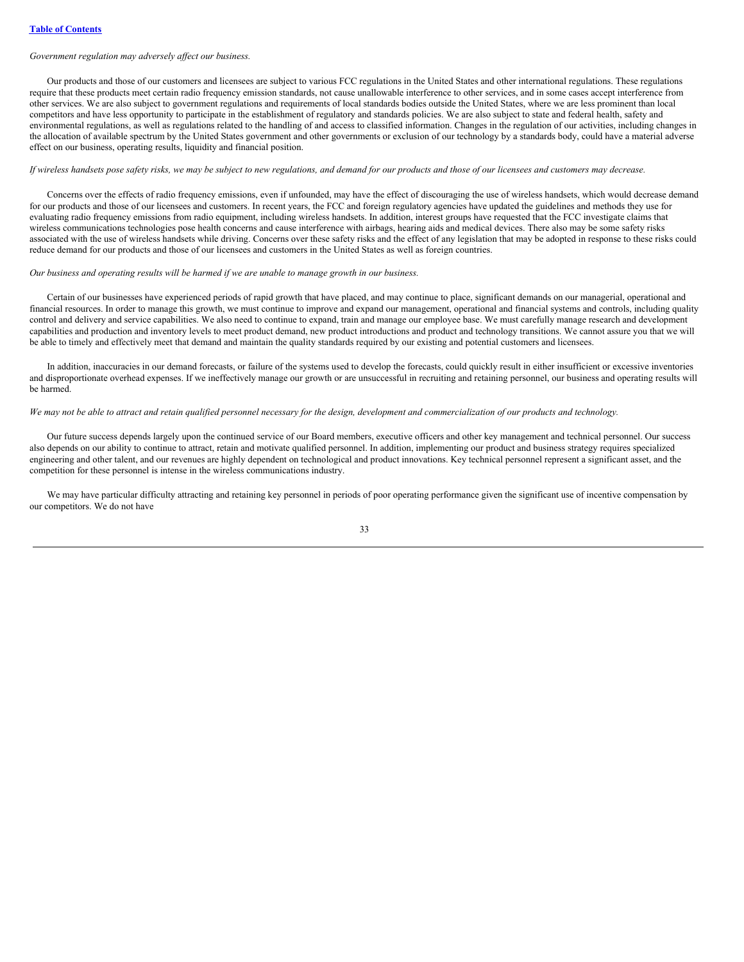#### *Government regulation may adversely af ect our business.*

Our products and those of our customers and licensees are subject to various FCC regulations in the United States and other international regulations. These regulations require that these products meet certain radio frequency emission standards, not cause unallowable interference to other services, and in some cases accept interference from other services. We are also subject to government regulations and requirements of local standards bodies outside the United States, where we are less prominent than local competitors and have less opportunity to participate in the establishment of regulatory and standards policies. We are also subject to state and federal health, safety and environmental regulations, as well as regulations related to the handling of and access to classified information. Changes in the regulation of our activities, including changes in the allocation of available spectrum by the United States government and other governments or exclusion of our technology by a standards body, could have a material adverse effect on our business, operating results, liquidity and financial position.

### If wireless handsets pose safety risks, we may be subject to new regulations, and demand for our products and those of our licensees and customers may decrease.

Concerns over the effects of radio frequency emissions, even if unfounded, may have the effect of discouraging the use of wireless handsets, which would decrease demand for our products and those of our licensees and customers. In recent years, the FCC and foreign regulatory agencies have updated the guidelines and methods they use for evaluating radio frequency emissions from radio equipment, including wireless handsets. In addition, interest groups have requested that the FCC investigate claims that wireless communications technologies pose health concerns and cause interference with airbags, hearing aids and medical devices. There also may be some safety risks associated with the use of wireless handsets while driving. Concerns over these safety risks and the effect of any legislation that may be adopted in response to these risks could reduce demand for our products and those of our licensees and customers in the United States as well as foreign countries.

### Our business and operating results will be harmed if we are unable to manage growth in our business.

Certain of our businesses have experienced periods of rapid growth that have placed, and may continue to place, significant demands on our managerial, operational and financial resources. In order to manage this growth, we must continue to improve and expand our management, operational and financial systems and controls, including quality control and delivery and service capabilities. We also need to continue to expand, train and manage our employee base. We must carefully manage research and development capabilities and production and inventory levels to meet product demand, new product introductions and product and technology transitions. We cannot assure you that we will be able to timely and effectively meet that demand and maintain the quality standards required by our existing and potential customers and licensees.

In addition, inaccuracies in our demand forecasts, or failure of the systems used to develop the forecasts, could quickly result in either insufficient or excessive inventories and disproportionate overhead expenses. If we ineffectively manage our growth or are unsuccessful in recruiting and retaining personnel, our business and operating results will be harmed.

### We may not be able to attract and retain qualified personnel necessary for the design, development and commercialization of our products and technology.

Our future success depends largely upon the continued service of our Board members, executive officers and other key management and technical personnel. Our success also depends on our ability to continue to attract, retain and motivate qualified personnel. In addition, implementing our product and business strategy requires specialized engineering and other talent, and our revenues are highly dependent on technological and product innovations. Key technical personnel represent a significant asset, and the competition for these personnel is intense in the wireless communications industry.

We may have particular difficulty attracting and retaining key personnel in periods of poor operating performance given the significant use of incentive compensation by our competitors. We do not have

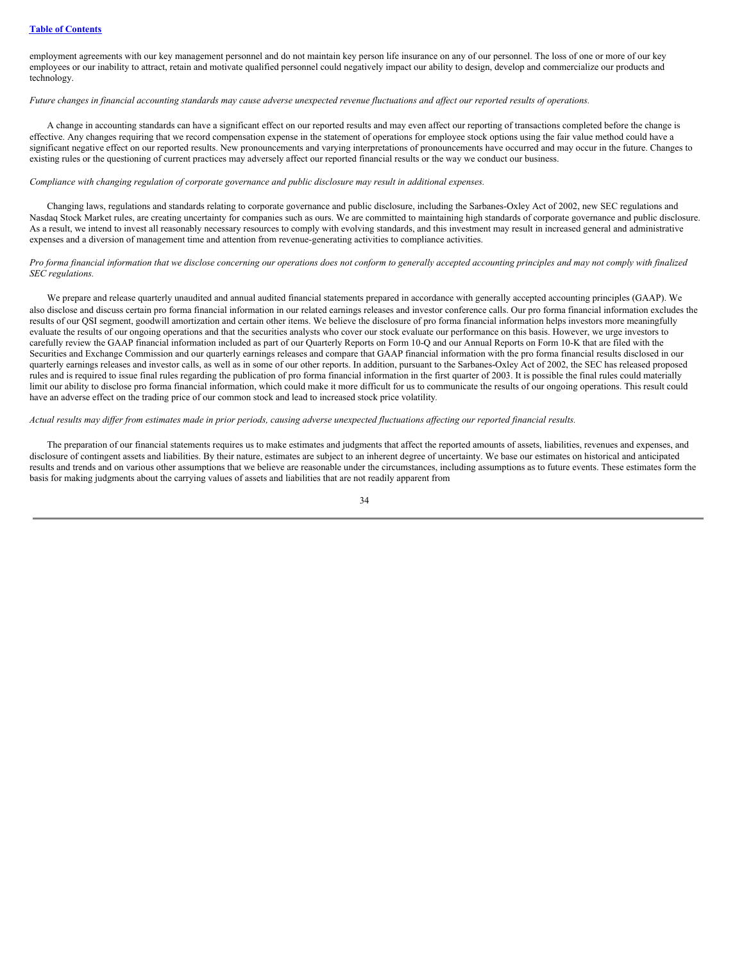### **Table of [Contents](#page-0-0)**

employment agreements with our key management personnel and do not maintain key person life insurance on any of our personnel. The loss of one or more of our key employees or our inability to attract, retain and motivate qualified personnel could negatively impact our ability to design, develop and commercialize our products and technology.

#### Future changes in financial accounting standards may cause adverse unexpected revenue fluctuations and affect our reported results of operations.

A change in accounting standards can have a significant effect on our reported results and may even affect our reporting of transactions completed before the change is effective. Any changes requiring that we record compensation expense in the statement of operations for employee stock options using the fair value method could have a significant negative effect on our reported results. New pronouncements and varying interpretations of pronouncements have occurred and may occur in the future. Changes to existing rules or the questioning of current practices may adversely affect our reported financial results or the way we conduct our business.

#### *Compliance with changing regulation of corporate governance and public disclosure may result in additional expenses.*

Changing laws, regulations and standards relating to corporate governance and public disclosure, including the Sarbanes-Oxley Act of 2002, new SEC regulations and Nasdaq Stock Market rules, are creating uncertainty for companies such as ours. We are committed to maintaining high standards of corporate governance and public disclosure. As a result, we intend to invest all reasonably necessary resources to comply with evolving standards, and this investment may result in increased general and administrative expenses and a diversion of management time and attention from revenue-generating activities to compliance activities.

### Pro forma financial information that we disclose concerning our operations does not conform to generally accepted accounting principles and may not comply with finalized *SEC regulations.*

We prepare and release quarterly unaudited and annual audited financial statements prepared in accordance with generally accepted accounting principles (GAAP). We also disclose and discuss certain pro forma financial information in our related earnings releases and investor conference calls. Our pro forma financial information excludes the results of our QSI segment, goodwill amortization and certain other items. We believe the disclosure of pro forma financial information helps investors more meaningfully evaluate the results of our ongoing operations and that the securities analysts who cover our stock evaluate our performance on this basis. However, we urge investors to carefully review the GAAP financial information included as part of our Quarterly Reports on Form 10-Q and our Annual Reports on Form 10-K that are filed with the Securities and Exchange Commission and our quarterly earnings releases and compare that GAAP financial information with the pro forma financial results disclosed in our quarterly earnings releases and investor calls, as well as in some of our other reports. In addition, pursuant to the Sarbanes-Oxley Act of 2002, the SEC has released proposed rules and is required to issue final rules regarding the publication of pro forma financial information in the first quarter of 2003. It is possible the final rules could materially limit our ability to disclose pro forma financial information, which could make it more difficult for us to communicate the results of our ongoing operations. This result could have an adverse effect on the trading price of our common stock and lead to increased stock price volatility*.*

### Actual results may differ from estimates made in prior periods, causing adverse unexpected fluctuations affecting our reported financial results.

The preparation of our financial statements requires us to make estimates and judgments that affect the reported amounts of assets, liabilities, revenues and expenses, and disclosure of contingent assets and liabilities. By their nature, estimates are subject to an inherent degree of uncertainty. We base our estimates on historical and anticipated results and trends and on various other assumptions that we believe are reasonable under the circumstances, including assumptions as to future events. These estimates form the basis for making judgments about the carrying values of assets and liabilities that are not readily apparent from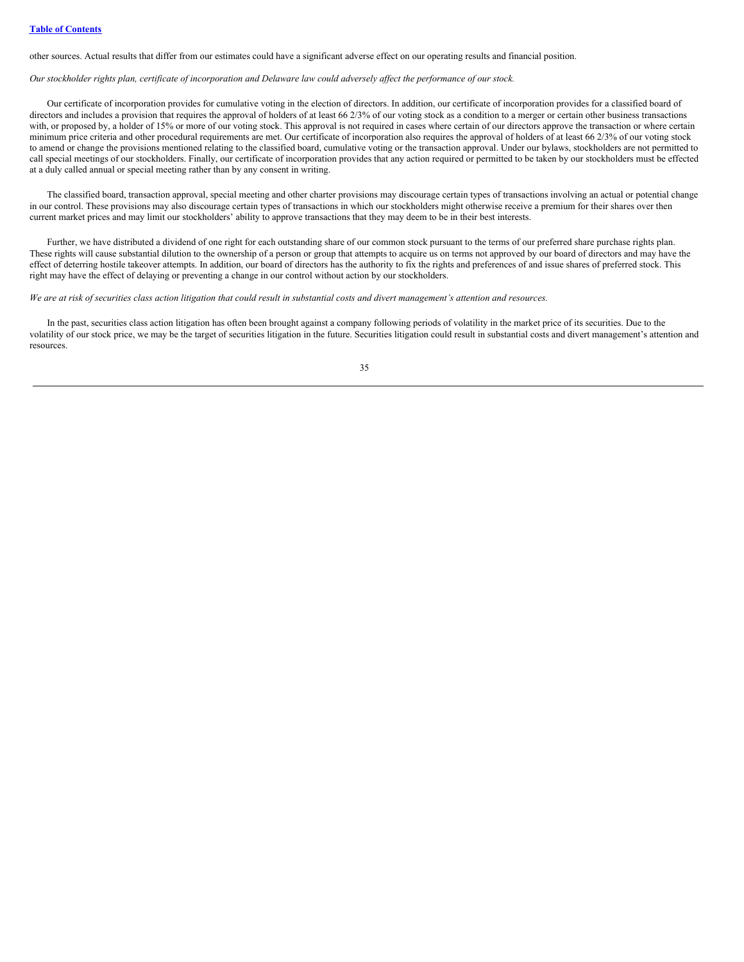other sources. Actual results that differ from our estimates could have a significant adverse effect on our operating results and financial position.

#### Our stockholder rights plan, certificate of incorporation and Delaware law could adversely affect the performance of our stock.

Our certificate of incorporation provides for cumulative voting in the election of directors. In addition, our certificate of incorporation provides for a classified board of directors and includes a provision that requires the approval of holders of at least 66 2/3% of our voting stock as a condition to a merger or certain other business transactions with, or proposed by, a holder of 15% or more of our voting stock. This approval is not required in cases where certain of our directors approve the transaction or where certain minimum price criteria and other procedural requirements are met. Our certificate of incorporation also requires the approval of holders of at least 66 2/3% of our voting stock to amend or change the provisions mentioned relating to the classified board, cumulative voting or the transaction approval. Under our bylaws, stockholders are not permitted to call special meetings of our stockholders. Finally, our certificate of incorporation provides that any action required or permitted to be taken by our stockholders must be effected at a duly called annual or special meeting rather than by any consent in writing.

The classified board, transaction approval, special meeting and other charter provisions may discourage certain types of transactions involving an actual or potential change in our control. These provisions may also discourage certain types of transactions in which our stockholders might otherwise receive a premium for their shares over then current market prices and may limit our stockholders' ability to approve transactions that they may deem to be in their best interests.

Further, we have distributed a dividend of one right for each outstanding share of our common stock pursuant to the terms of our preferred share purchase rights plan. These rights will cause substantial dilution to the ownership of a person or group that attempts to acquire us on terms not approved by our board of directors and may have the effect of deterring hostile takeover attempts. In addition, our board of directors has the authority to fix the rights and preferences of and issue shares of preferred stock. This right may have the effect of delaying or preventing a change in our control without action by our stockholders.

### We are at risk of securities class action litigation that could result in substantial costs and divert management's attention and resources.

In the past, securities class action litigation has often been brought against a company following periods of volatility in the market price of its securities. Due to the volatility of our stock price, we may be the target of securities litigation in the future. Securities litigation could result in substantial costs and divert management's attention and resources.

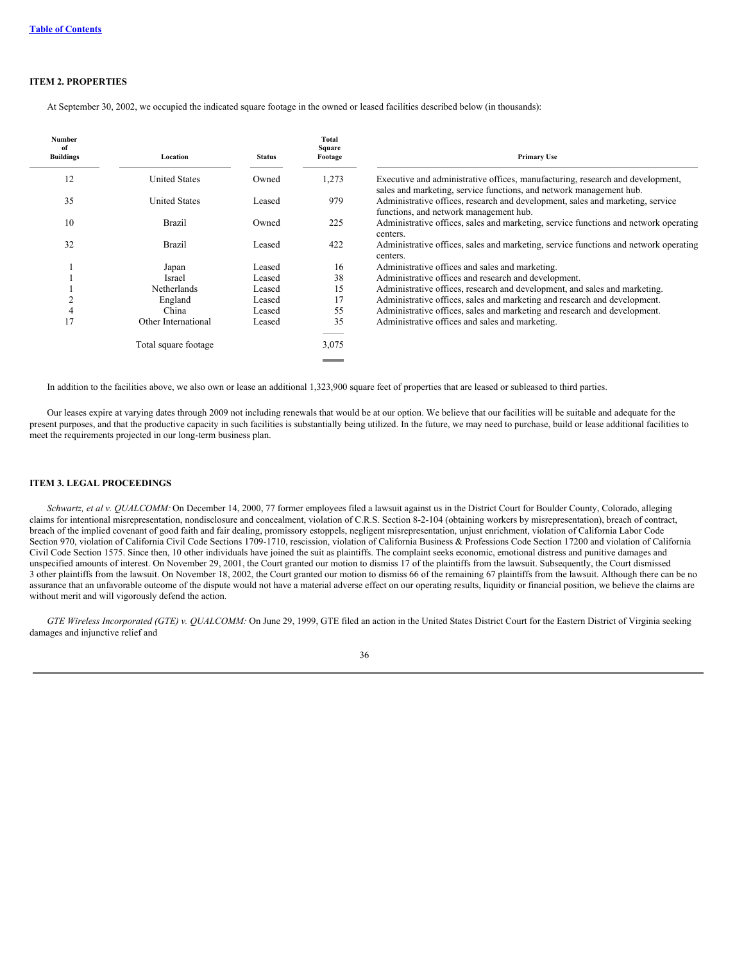# **ITEM 2. PROPERTIES**

At September 30, 2002, we occupied the indicated square footage in the owned or leased facilities described below (in thousands):

| <b>Number</b><br>of<br><b>Buildings</b> | Location             | <b>Status</b> | <b>Total</b><br>Square<br>Footage | <b>Primary Use</b>                                                                                                                                    |
|-----------------------------------------|----------------------|---------------|-----------------------------------|-------------------------------------------------------------------------------------------------------------------------------------------------------|
| 12                                      | <b>United States</b> | Owned         | 1,273                             | Executive and administrative offices, manufacturing, research and development,<br>sales and marketing, service functions, and network management hub. |
| 35                                      | <b>United States</b> | Leased        | 979                               | Administrative offices, research and development, sales and marketing, service<br>functions, and network management hub.                              |
| 10                                      | Brazil               | Owned         | 225                               | Administrative offices, sales and marketing, service functions and network operating<br>centers.                                                      |
| 32                                      | <b>Brazil</b>        | Leased        | 422                               | Administrative offices, sales and marketing, service functions and network operating<br>centers.                                                      |
|                                         | Japan                | Leased        | 16                                | Administrative offices and sales and marketing.                                                                                                       |
|                                         | Israel               | Leased        | 38                                | Administrative offices and research and development.                                                                                                  |
|                                         | <b>Netherlands</b>   | Leased        | 15                                | Administrative offices, research and development, and sales and marketing.                                                                            |
| $\overline{2}$                          | England              | Leased        | 17                                | Administrative offices, sales and marketing and research and development.                                                                             |
| 4                                       | China                | Leased        | 55                                | Administrative offices, sales and marketing and research and development.                                                                             |
| 17                                      | Other International  | Leased        | 35                                | Administrative offices and sales and marketing.                                                                                                       |
|                                         | Total square footage |               | 3,075                             |                                                                                                                                                       |
|                                         |                      |               |                                   |                                                                                                                                                       |

In addition to the facilities above, we also own or lease an additional 1,323,900 square feet of properties that are leased or subleased to third parties.

Our leases expire at varying dates through 2009 not including renewals that would be at our option. We believe that our facilities will be suitable and adequate for the present purposes, and that the productive capacity in such facilities is substantially being utilized. In the future, we may need to purchase, build or lease additional facilities to meet the requirements projected in our long-term business plan.

### **ITEM 3. LEGAL PROCEEDINGS**

*Schwartz, et al v. QUALCOMM:* On December 14, 2000, 77 former employees filed a lawsuit against us in the District Court for Boulder County, Colorado, alleging claims for intentional misrepresentation, nondisclosure and concealment, violation of C.R.S. Section 8-2-104 (obtaining workers by misrepresentation), breach of contract, breach of the implied covenant of good faith and fair dealing, promissory estoppels, negligent misrepresentation, unjust enrichment, violation of California Labor Code Section 970, violation of California Civil Code Sections 1709-1710, rescission, violation of California Business & Professions Code Section 17200 and violation of California Civil Code Section 1575. Since then, 10 other individuals have joined the suit as plaintiffs. The complaint seeks economic, emotional distress and punitive damages and unspecified amounts of interest. On November 29, 2001, the Court granted our motion to dismiss 17 of the plaintiffs from the lawsuit. Subsequently, the Court dismissed 3 other plaintiffs from the lawsuit. On November 18, 2002, the Court granted our motion to dismiss 66 of the remaining 67 plaintiffs from the lawsuit. Although there can be no assurance that an unfavorable outcome of the dispute would not have a material adverse effect on our operating results, liquidity or financial position, we believe the claims are without merit and will vigorously defend the action.

*GTE Wireless Incorporated (GTE) v. QUALCOMM:* On June 29, 1999, GTE filed an action in the United States District Court for the Eastern District of Virginia seeking damages and injunctive relief and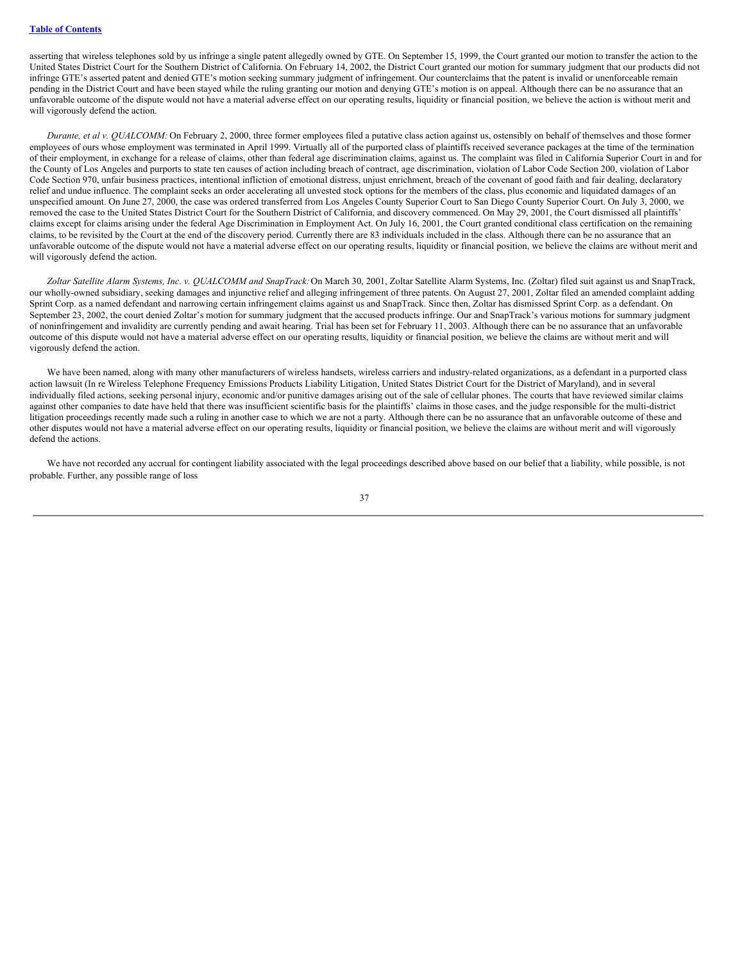asserting that wireless telephones sold by us infringe a single patent allegedly owned by GTE. On September 15, 1999, the Court granted our motion to transfer the action to the United States District Court for the Southern District of California. On February 14, 2002, the District Court granted our motion for summary judgment that our products did not infringe GTE's asserted patent and denied GTE's motion seeking summary judgment of infringement. Our counterclaims that the patent is invalid or unenforceable remain pending in the District Court and have been stayed while the ruling granting our motion and denying GTE's motion is on appeal. Although there can be no assurance that an unfavorable outcome of the dispute would not have a material adverse effect on our operating results, liquidity or financial position, we believe the action is without merit and will vigorously defend the action.

*Durante, et al v. QUALCOMM:* On February 2, 2000, three former employees filed a putative class action against us, ostensibly on behalf of themselves and those former employees of ours whose employment was terminated in April 1999. Virtually all of the purported class of plaintiffs received severance packages at the time of the termination of their employment, in exchange for a release of claims, other than federal age discrimination claims, against us. The complaint was filed in California Superior Court in and for the County of Los Angeles and purports to state ten causes of action including breach of contract, age discrimination, violation of Labor Code Section 200, violation of Labor Code Section 970, unfair business practices, intentional infliction of emotional distress, unjust enrichment, breach of the covenant of good faith and fair dealing, declaratory relief and undue influence. The complaint seeks an order accelerating all unvested stock options for the members of the class, plus economic and liquidated damages of an unspecified amount. On June 27, 2000, the case was ordered transferred from Los Angeles County Superior Court to San Diego County Superior Court. On July 3, 2000, we removed the case to the United States District Court for the Southern District of California, and discovery commenced. On May 29, 2001, the Court dismissed all plaintiffs' claims except for claims arising under the federal Age Discrimination in Employment Act. On July 16, 2001, the Court granted conditional class certification on the remaining claims, to be revisited by the Court at the end of the discovery period. Currently there are 83 individuals included in the class. Although there can be no assurance that an unfavorable outcome of the dispute would not have a material adverse effect on our operating results, liquidity or financial position, we believe the claims are without merit and will vigorously defend the action.

Zoltar Satellite Alarm Systems, Inc. v. QUALCOMM and SnapTrack: On March 30, 2001, Zoltar Satellite Alarm Systems, Inc. (Zoltar) filed suit against us and SnapTrack, our wholly-owned subsidiary, seeking damages and injunctive relief and alleging infringement of three patents. On August 27, 2001, Zoltar filed an amended complaint adding Sprint Corp. as a named defendant and narrowing certain infringement claims against us and SnapTrack. Since then, Zoltar has dismissed Sprint Corp. as a defendant. On September 23, 2002, the court denied Zoltar's motion for summary judgment that the accused products infringe. Our and SnapTrack's various motions for summary judgment of noninfringement and invalidity are currently pending and await hearing. Trial has been set for February 11, 2003. Although there can be no assurance that an unfavorable outcome of this dispute would not have a material adverse effect on our operating results, liquidity or financial position, we believe the claims are without merit and will vigorously defend the action.

We have been named, along with many other manufacturers of wireless handsets, wireless carriers and industry-related organizations, as a defendant in a purported class action lawsuit (In re Wireless Telephone Frequency Emissions Products Liability Litigation, United States District Court for the District of Maryland), and in several individually filed actions, seeking personal injury, economic and/or punitive damages arising out of the sale of cellular phones. The courts that have reviewed similar claims against other companies to date have held that there was insufficient scientific basis for the plaintiffs' claims in those cases, and the judge responsible for the multi-district litigation proceedings recently made such a ruling in another case to which we are not a party. Although there can be no assurance that an unfavorable outcome of these and other disputes would not have a material adverse effect on our operating results, liquidity or financial position, we believe the claims are without merit and will vigorously defend the actions.

We have not recorded any accrual for contingent liability associated with the legal proceedings described above based on our belief that a liability, while possible, is not probable. Further, any possible range of loss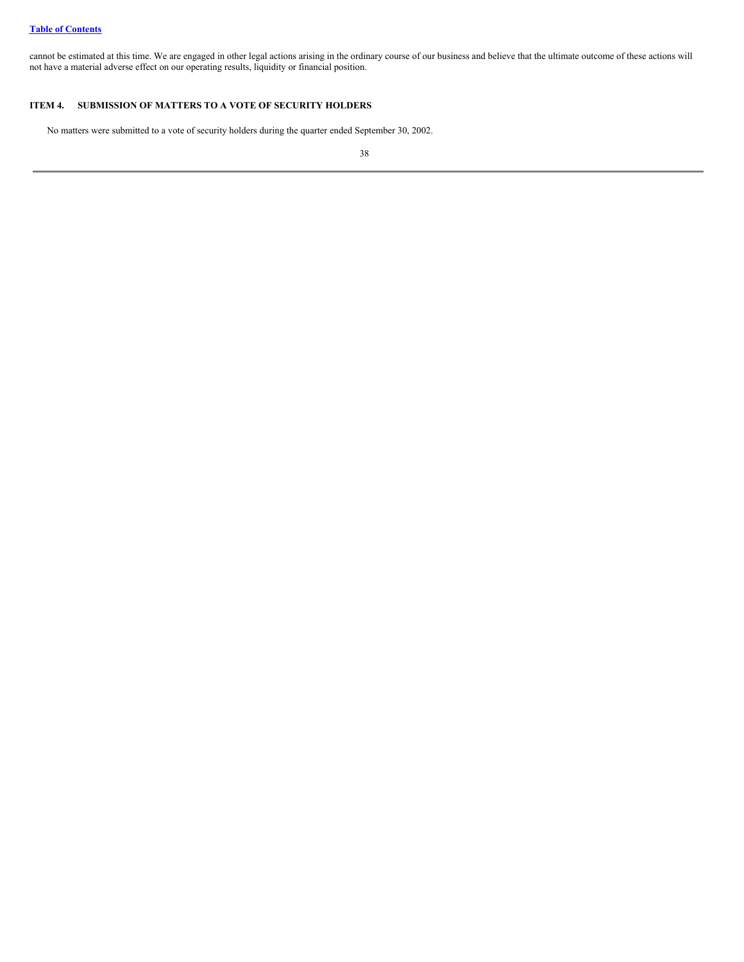cannot be estimated at this time. We are engaged in other legal actions arising in the ordinary course of our business and believe that the ultimate outcome of these actions will not have a material adverse effect on our operating results, liquidity or financial position.

### **ITEM 4. SUBMISSION OF MATTERS TO A VOTE OF SECURITY HOLDERS**

No matters were submitted to a vote of security holders during the quarter ended September 30, 2002.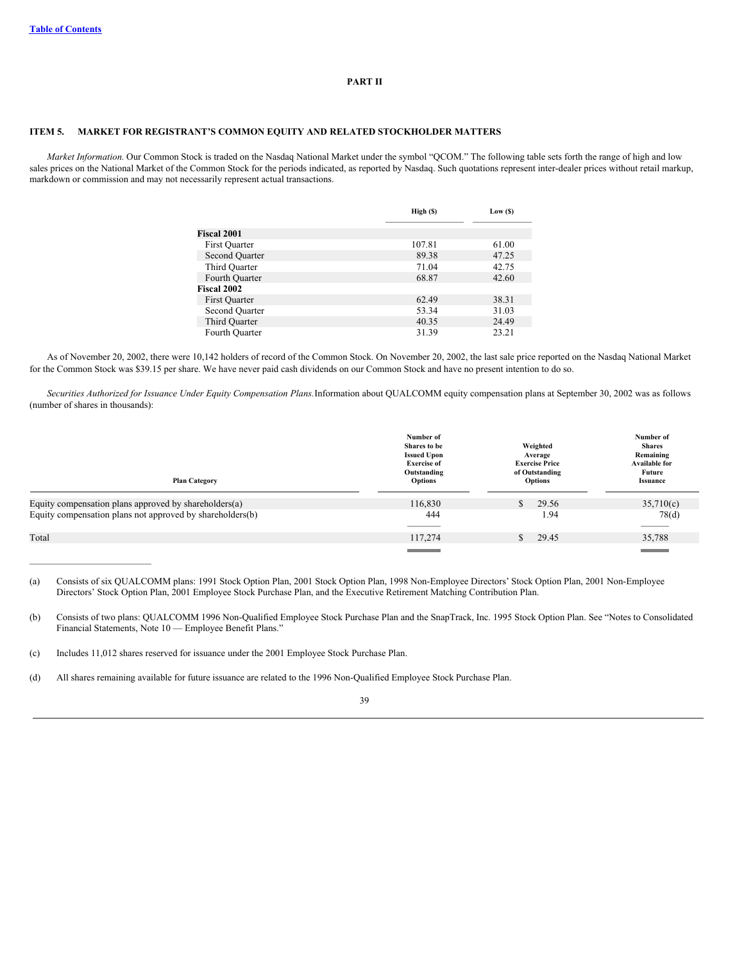# **PART II**

### **ITEM 5. MARKET FOR REGISTRANT'S COMMON EQUITY AND RELATED STOCKHOLDER MATTERS**

*Market Information.* Our Common Stock is traded on the Nasdaq National Market under the symbol "QCOM." The following table sets forth the range of high and low sales prices on the National Market of the Common Stock for the periods indicated, as reported by Nasdaq. Such quotations represent inter-dealer prices without retail markup, markdown or commission and may not necessarily represent actual transactions.

|                    | High (\$) | Low(\$) |
|--------------------|-----------|---------|
| <b>Fiscal 2001</b> |           |         |
| First Quarter      | 107.81    | 61.00   |
| Second Quarter     | 89.38     | 47.25   |
| Third Quarter      | 71.04     | 42.75   |
| Fourth Quarter     | 68.87     | 42.60   |
| Fiscal 2002        |           |         |
| First Quarter      | 62.49     | 38.31   |
| Second Quarter     | 53.34     | 31.03   |
| Third Quarter      | 40.35     | 24.49   |
| Fourth Ouarter     | 31.39     | 23.21   |

As of November 20, 2002, there were 10,142 holders of record of the Common Stock. On November 20, 2002, the last sale price reported on the Nasdaq National Market for the Common Stock was \$39.15 per share. We have never paid cash dividends on our Common Stock and have no present intention to do so.

*Securities Authorized for Issuance Under Equity Compensation Plans.*Information about QUALCOMM equity compensation plans at September 30, 2002 was as follows (number of shares in thousands):

| <b>Plan Category</b>                                      | Number of<br>Shares to be<br><b>Issued Upon</b><br><b>Exercise of</b><br>Outstanding<br><b>Options</b> |    | Weighted<br>Average<br><b>Exercise Price</b><br>of Outstanding<br><b>Options</b> | Number of<br><b>Shares</b><br>Remaining<br><b>Available for</b><br><b>Future</b><br><b>Issuance</b> |
|-----------------------------------------------------------|--------------------------------------------------------------------------------------------------------|----|----------------------------------------------------------------------------------|-----------------------------------------------------------------------------------------------------|
| Equity compensation plans approved by shareholders(a)     | 116,830                                                                                                | S. | 29.56                                                                            | 35,710(c)                                                                                           |
| Equity compensation plans not approved by shareholders(b) | 444<br>_____                                                                                           |    | 1.94                                                                             | 78(d)                                                                                               |
| Total                                                     | 117,274                                                                                                |    | 29.45                                                                            | $\sim$<br>35,788                                                                                    |
|                                                           |                                                                                                        |    |                                                                                  | <b>Contract Contract</b>                                                                            |

<sup>(</sup>a) Consists of six QUALCOMM plans: 1991 Stock Option Plan, 2001 Stock Option Plan, 1998 Non-Employee Directors' Stock Option Plan, 2001 Non-Employee Directors' Stock Option Plan, 2001 Employee Stock Purchase Plan, and the Executive Retirement Matching Contribution Plan.

(b) Consists of two plans: QUALCOMM 1996 Non-Qualified Employee Stock Purchase Plan and the SnapTrack, Inc. 1995 Stock Option Plan. See "Notes to Consolidated Financial Statements, Note 10 — Employee Benefit Plans."

(c) Includes 11,012 shares reserved for issuance under the 2001 Employee Stock Purchase Plan.

(d) All shares remaining available for future issuance are related to the 1996 Non-Qualified Employee Stock Purchase Plan.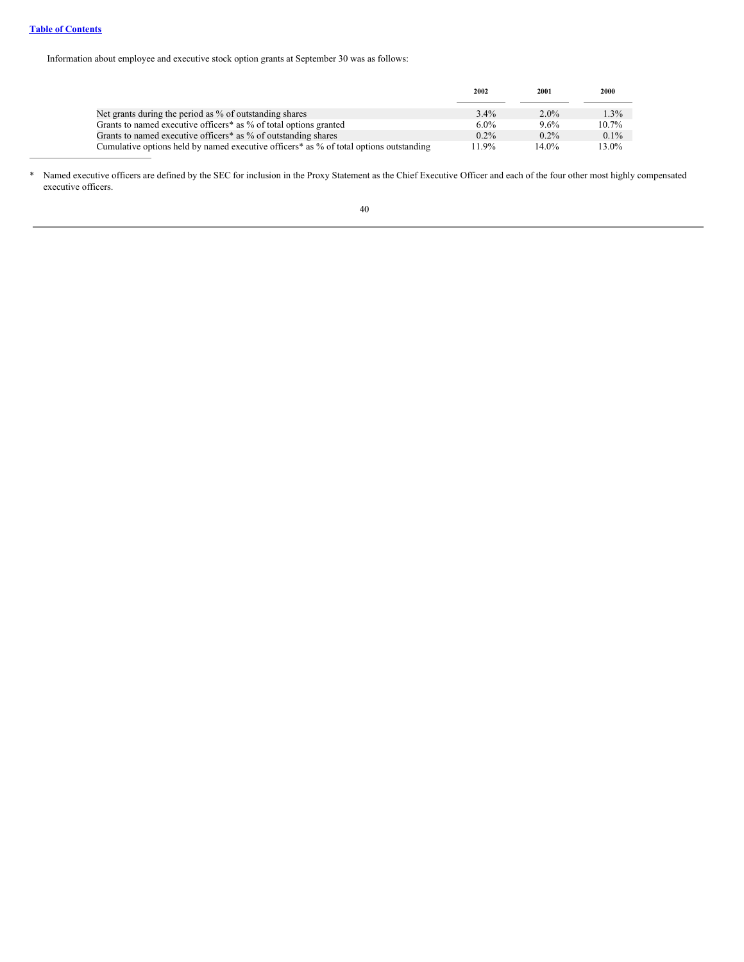Information about employee and executive stock option grants at September 30 was as follows:

|                                                                                                    | 2002    | 2001    | 2000     |
|----------------------------------------------------------------------------------------------------|---------|---------|----------|
| Net grants during the period as % of outstanding shares                                            | $3.4\%$ | $2.0\%$ | $1.3\%$  |
| Grants to named executive officers <sup>*</sup> as % of total options granted                      | $6.0\%$ | 9.6%    | $10.7\%$ |
| Grants to named executive officers <sup>*</sup> as % of outstanding shares                         | $0.2\%$ | $0.2\%$ | $0.1\%$  |
| Cumulative options held by named executive officers <sup>*</sup> as % of total options outstanding | 11.9%   | 14.0%   | 13.0%    |

\* Named executive officers are defined by the SEC for inclusion in the Proxy Statement as the Chief Executive Officer and each of the four other most highly compensated executive officers.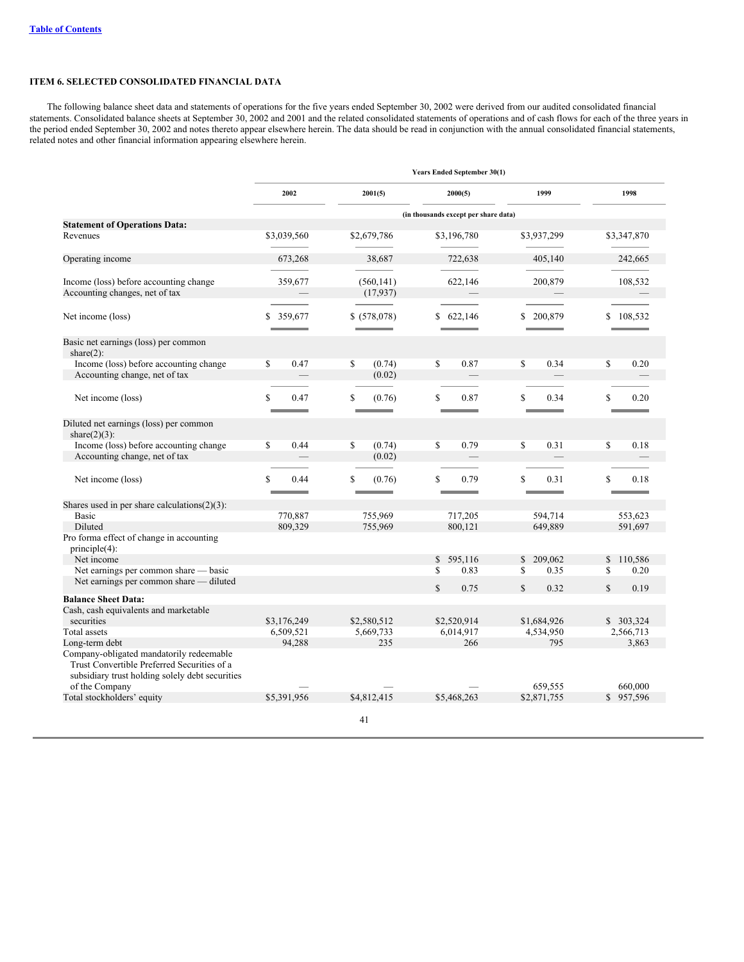# **ITEM 6. SELECTED CONSOLIDATED FINANCIAL DATA**

The following balance sheet data and statements of operations for the five years ended September 30, 2002 were derived from our audited consolidated financial statements. Consolidated balance sheets at September 30, 2002 and 2001 and the related consolidated statements of operations and of cash flows for each of the three years in the period ended September 30, 2002 and notes thereto appear elsewhere herein. The data should be read in conjunction with the annual consolidated financial statements, related notes and other financial information appearing elsewhere herein.

|                                                                                                                                            | <b>Years Ended September 30(1)</b> |              |                                      |                      |                      |  |
|--------------------------------------------------------------------------------------------------------------------------------------------|------------------------------------|--------------|--------------------------------------|----------------------|----------------------|--|
|                                                                                                                                            | 2002                               | 2001(5)      | 2000(5)                              | 1999                 | 1998                 |  |
|                                                                                                                                            |                                    |              | (in thousands except per share data) |                      |                      |  |
| <b>Statement of Operations Data:</b>                                                                                                       |                                    |              |                                      |                      |                      |  |
| Revenues                                                                                                                                   | \$3,039,560                        | \$2,679,786  | \$3,196,780                          | \$3,937,299          | \$3,347,870          |  |
| Operating income                                                                                                                           | 673,268                            | 38,687       | 722,638                              | 405,140              | 242,665              |  |
| Income (loss) before accounting change                                                                                                     | 359,677                            | (560, 141)   | 622.146                              | 200,879              | 108,532              |  |
| Accounting changes, net of tax                                                                                                             |                                    | (17, 937)    |                                      |                      |                      |  |
|                                                                                                                                            |                                    |              |                                      |                      |                      |  |
| Net income (loss)                                                                                                                          | 359,677<br>S                       | \$ (578,078) | \$<br>622,146                        | 200,879<br>\$        | \$108,532            |  |
| Basic net earnings (loss) per common<br>share $(2)$ :                                                                                      |                                    |              |                                      |                      |                      |  |
| Income (loss) before accounting change                                                                                                     | \$<br>0.47                         | \$<br>(0.74) | $\mathbb{S}$<br>0.87                 | $\mathbb{S}$<br>0.34 | \$<br>0.20           |  |
| Accounting change, net of tax                                                                                                              |                                    | (0.02)       |                                      |                      |                      |  |
|                                                                                                                                            |                                    |              |                                      |                      |                      |  |
| Net income (loss)                                                                                                                          | S.<br>0.47                         | S<br>(0.76)  | \$.<br>0.87                          | \$<br>0.34           | 0.20<br>S            |  |
|                                                                                                                                            |                                    |              |                                      |                      |                      |  |
| Diluted net earnings (loss) per common<br>share $(2)(3)$ :                                                                                 |                                    |              |                                      |                      |                      |  |
| Income (loss) before accounting change                                                                                                     | \$<br>0.44                         | \$<br>(0.74) | $\mathbb{S}$<br>0.79                 | $\mathbb{S}$<br>0.31 | \$<br>0.18           |  |
| Accounting change, net of tax                                                                                                              |                                    | (0.02)       |                                      |                      |                      |  |
|                                                                                                                                            |                                    |              |                                      |                      |                      |  |
| Net income (loss)                                                                                                                          | \$.<br>0.44                        | \$<br>(0.76) | S<br>0.79                            | S<br>0.31            | \$<br>0.18           |  |
|                                                                                                                                            |                                    |              |                                      |                      |                      |  |
| Shares used in per share calculations( $2$ )(3):                                                                                           |                                    |              |                                      |                      |                      |  |
| Basic                                                                                                                                      | 770.887                            | 755,969      | 717.205                              | 594.714              | 553,623              |  |
| Diluted                                                                                                                                    | 809,329                            | 755,969      | 800,121                              | 649,889              | 591,697              |  |
| Pro forma effect of change in accounting                                                                                                   |                                    |              |                                      |                      |                      |  |
| $principle(4)$ :                                                                                                                           |                                    |              |                                      |                      |                      |  |
| Net income                                                                                                                                 |                                    |              | \$595,116                            | 209,062<br>S         | 110,586<br>\$        |  |
| Net earnings per common share — basic                                                                                                      |                                    |              | \$<br>0.83                           | \$<br>0.35           | \$<br>0.20           |  |
| Net earnings per common share - diluted                                                                                                    |                                    |              | $\mathbf S$<br>0.75                  | $\mathbf S$<br>0.32  | $\mathbb{S}$<br>0.19 |  |
| <b>Balance Sheet Data:</b>                                                                                                                 |                                    |              |                                      |                      |                      |  |
| Cash, cash equivalents and marketable                                                                                                      |                                    |              |                                      |                      |                      |  |
| securities                                                                                                                                 | \$3,176,249                        | \$2,580,512  | \$2,520,914                          | \$1,684,926          | \$ 303,324           |  |
| Total assets                                                                                                                               | 6,509,521                          | 5,669,733    | 6,014,917                            | 4,534,950            | 2,566,713            |  |
| Long-term debt                                                                                                                             | 94,288                             | 235          | 266                                  | 795                  | 3,863                |  |
| Company-obligated mandatorily redeemable<br>Trust Convertible Preferred Securities of a<br>subsidiary trust holding solely debt securities |                                    |              |                                      |                      |                      |  |
| of the Company                                                                                                                             |                                    |              |                                      | 659,555              | 660,000              |  |
| Total stockholders' equity                                                                                                                 | \$5,391,956                        | \$4,812,415  | \$5,468,263                          | \$2,871,755          | \$957,596            |  |
|                                                                                                                                            |                                    | 41           |                                      |                      |                      |  |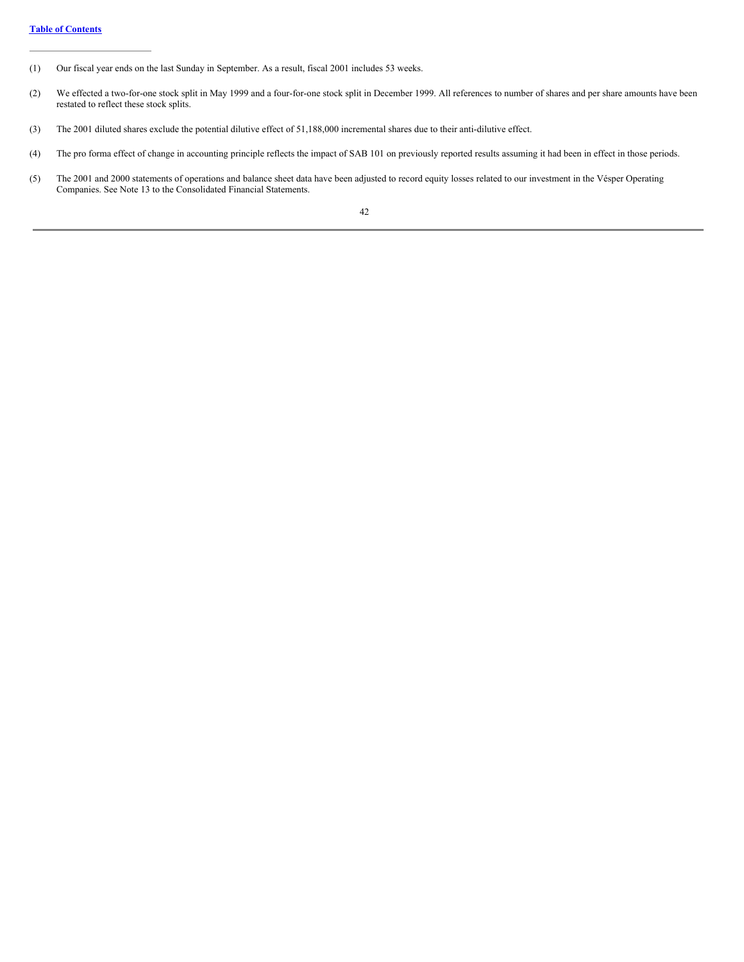- (1) Our fiscal year ends on the last Sunday in September. As a result, fiscal 2001 includes 53 weeks.
- (2) We effected a two-for-one stock split in May 1999 and a four-for-one stock split in December 1999. All references to number of shares and per share amounts have been restated to reflect these stock splits.
- (3) The 2001 diluted shares exclude the potential dilutive effect of 51,188,000 incremental shares due to their anti-dilutive effect.
- (4) The pro forma effect of change in accounting principle reflects the impact of SAB 101 on previously reported results assuming it had been in effect in those periods.
- (5) The 2001 and 2000 statements of operations and balance sheet data have been adjusted to record equity losses related to our investment in the Vésper Operating Companies. See Note 13 to the Consolidated Financial Statements.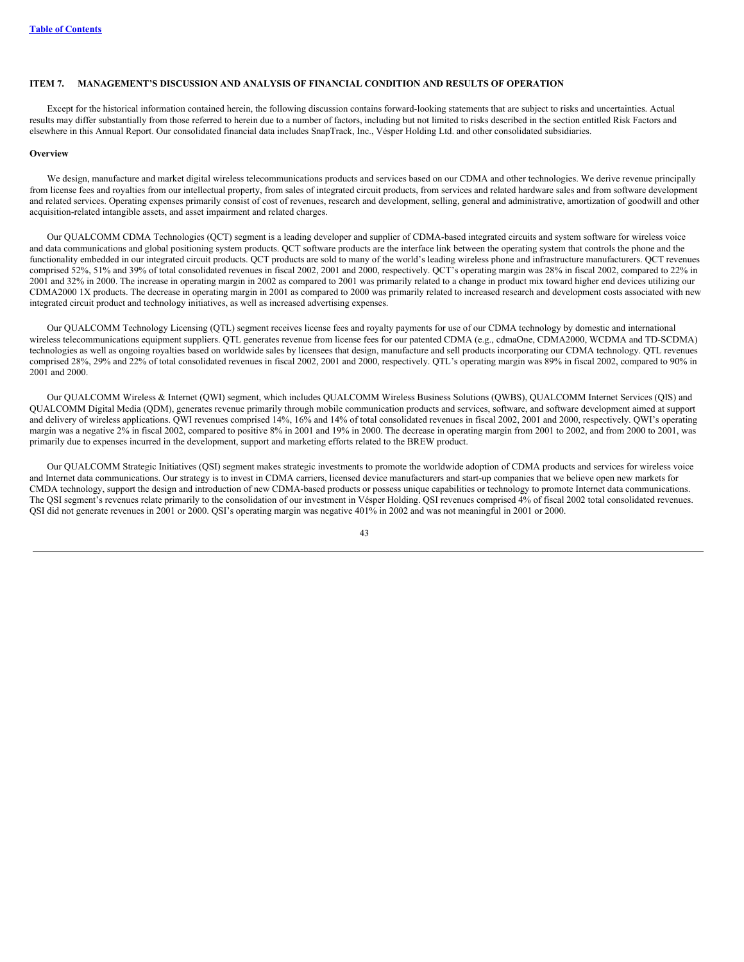### **ITEM 7. MANAGEMENT'S DISCUSSION AND ANALYSIS OF FINANCIAL CONDITION AND RESULTS OF OPERATION**

Except for the historical information contained herein, the following discussion contains forward-looking statements that are subject to risks and uncertainties. Actual results may differ substantially from those referred to herein due to a number of factors, including but not limited to risks described in the section entitled Risk Factors and elsewhere in this Annual Report. Our consolidated financial data includes SnapTrack, Inc., Vésper Holding Ltd. and other consolidated subsidiaries.

#### **Overview**

We design, manufacture and market digital wireless telecommunications products and services based on our CDMA and other technologies. We derive revenue principally from license fees and royalties from our intellectual property, from sales of integrated circuit products, from services and related hardware sales and from software development and related services. Operating expenses primarily consist of cost of revenues, research and development, selling, general and administrative, amortization of goodwill and other acquisition-related intangible assets, and asset impairment and related charges.

Our QUALCOMM CDMA Technologies (QCT) segment is a leading developer and supplier of CDMA-based integrated circuits and system software for wireless voice and data communications and global positioning system products. QCT software products are the interface link between the operating system that controls the phone and the functionality embedded in our integrated circuit products. QCT products are sold to many of the world's leading wireless phone and infrastructure manufacturers. QCT revenues comprised 52%, 51% and 39% of total consolidated revenues in fiscal 2002, 2001 and 2000, respectively. QCT's operating margin was 28% in fiscal 2002, compared to 22% in 2001 and 32% in 2000. The increase in operating margin in 2002 as compared to 2001 was primarily related to a change in product mix toward higher end devices utilizing our CDMA2000 1X products. The decrease in operating margin in 2001 as compared to 2000 was primarily related to increased research and development costs associated with new integrated circuit product and technology initiatives, as well as increased advertising expenses.

Our QUALCOMM Technology Licensing (QTL) segment receives license fees and royalty payments for use of our CDMA technology by domestic and international wireless telecommunications equipment suppliers. QTL generates revenue from license fees for our patented CDMA (e.g., cdmaOne, CDMA2000, WCDMA and TD-SCDMA) technologies as well as ongoing royalties based on worldwide sales by licensees that design, manufacture and sell products incorporating our CDMA technology. QTL revenues comprised 28%, 29% and 22% of total consolidated revenues in fiscal 2002, 2001 and 2000, respectively. QTL's operating margin was 89% in fiscal 2002, compared to 90% in 2001 and 2000.

Our QUALCOMM Wireless & Internet (QWI) segment, which includes QUALCOMM Wireless Business Solutions (QWBS), QUALCOMM Internet Services (QIS) and QUALCOMM Digital Media (QDM), generates revenue primarily through mobile communication products and services, software, and software development aimed at support and delivery of wireless applications. QWI revenues comprised 14%, 16% and 14% of total consolidated revenues in fiscal 2002, 2001 and 2000, respectively. QWI's operating margin was a negative 2% in fiscal 2002, compared to positive 8% in 2001 and 19% in 2000. The decrease in operating margin from 2001 to 2002, and from 2000 to 2001, was primarily due to expenses incurred in the development, support and marketing efforts related to the BREW product.

Our QUALCOMM Strategic Initiatives (QSI) segment makes strategic investments to promote the worldwide adoption of CDMA products and services for wireless voice and Internet data communications. Our strategy is to invest in CDMA carriers, licensed device manufacturers and start-up companies that we believe open new markets for CMDA technology, support the design and introduction of new CDMA-based products or possess unique capabilities or technology to promote Internet data communications. The QSI segment's revenues relate primarily to the consolidation of our investment in Vésper Holding. QSI revenues comprised 4% of fiscal 2002 total consolidated revenues. QSI did not generate revenues in 2001 or 2000. QSI's operating margin was negative 401% in 2002 and was not meaningful in 2001 or 2000.

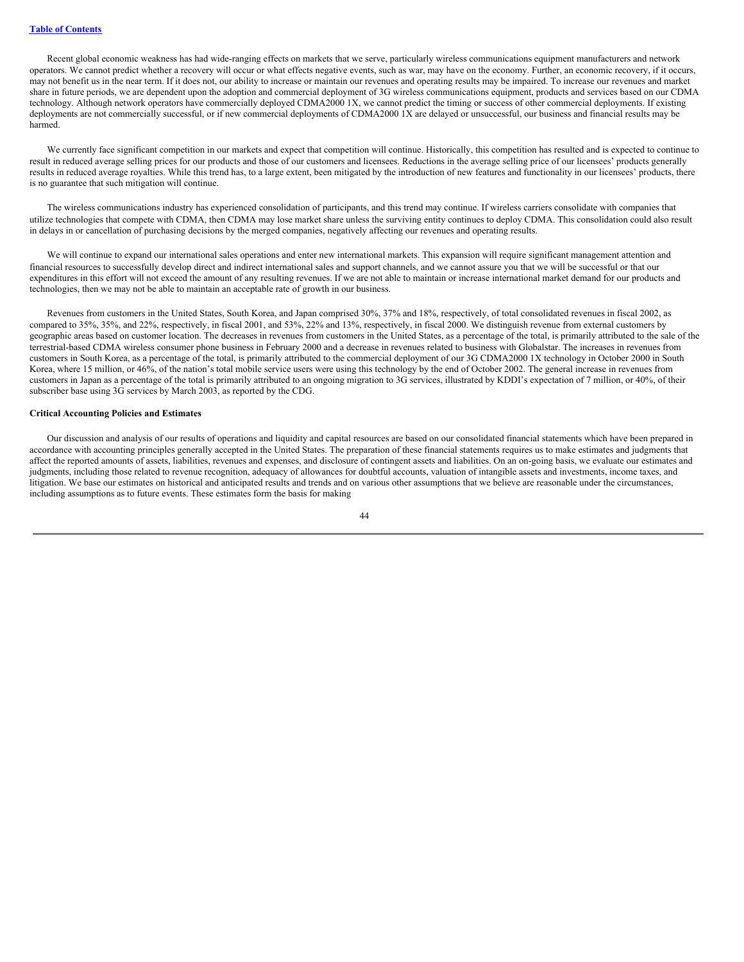Recent global economic weakness has had wide-ranging effects on markets that we serve, particularly wireless communications equipment manufacturers and network operators. We cannot predict whether a recovery will occur or what effects negative events, such as war, may have on the economy. Further, an economic recovery, if it occurs, may not benefit us in the near term. If it does not, our ability to increase or maintain our revenues and operating results may be impaired. To increase our revenues and market share in future periods, we are dependent upon the adoption and commercial deployment of 3G wireless communications equipment, products and services based on our CDMA technology. Although network operators have commercially deployed CDMA2000 1X, we cannot predict the timing or success of other commercial deployments. If existing deployments are not commercially successful, or if new commercial deployments of CDMA2000 1X are delayed or unsuccessful, our business and financial results may be harmed.

We currently face significant competition in our markets and expect that competition will continue. Historically, this competition has resulted and is expected to continue to result in reduced average selling prices for our products and those of our customers and licensees. Reductions in the average selling price of our licensees' products generally results in reduced average royalties. While this trend has, to a large extent, been mitigated by the introduction of new features and functionality in our licensees' products, there is no guarantee that such mitigation will continue.

The wireless communications industry has experienced consolidation of participants, and this trend may continue. If wireless carriers consolidate with companies that utilize technologies that compete with CDMA, then CDMA may lose market share unless the surviving entity continues to deploy CDMA. This consolidation could also result in delays in or cancellation of purchasing decisions by the merged companies, negatively affecting our revenues and operating results.

We will continue to expand our international sales operations and enter new international markets. This expansion will require significant management attention and financial resources to successfully develop direct and indirect international sales and support channels, and we cannot assure you that we will be successful or that our expenditures in this effort will not exceed the amount of any resulting revenues. If we are not able to maintain or increase international market demand for our products and technologies, then we may not be able to maintain an acceptable rate of growth in our business.

Revenues from customers in the United States, South Korea, and Japan comprised 30%, 37% and 18%, respectively, of total consolidated revenues in fiscal 2002, as compared to 35%, 35%, and 22%, respectively, in fiscal 2001, and 53%, 22% and 13%, respectively, in fiscal 2000. We distinguish revenue from external customers by geographic areas based on customer location. The decreases in revenues from customers in the United States, as a percentage of the total, is primarily attributed to the sale of the terrestrial-based CDMA wireless consumer phone business in February 2000 and a decrease in revenues related to business with Globalstar. The increases in revenues from customers in South Korea, as a percentage of the total, is primarily attributed to the commercial deployment of our 3G CDMA2000 1X technology in October 2000 in South Korea, where 15 million, or 46%, of the nation's total mobile service users were using this technology by the end of October 2002. The general increase in revenues from customers in Japan as a percentage of the total is primarily attributed to an ongoing migration to 3G services, illustrated by KDDI's expectation of 7 million, or 40%, of their subscriber base using 3G services by March 2003, as reported by the CDG.

### **Critical Accounting Policies and Estimates**

Our discussion and analysis of our results of operations and liquidity and capital resources are based on our consolidated financial statements which have been prepared in accordance with accounting principles generally accepted in the United States. The preparation of these financial statements requires us to make estimates and judgments that affect the reported amounts of assets, liabilities, revenues and expenses, and disclosure of contingent assets and liabilities. On an on-going basis, we evaluate our estimates and judgments, including those related to revenue recognition, adequacy of allowances for doubtful accounts, valuation of intangible assets and investments, income taxes, and litigation. We base our estimates on historical and anticipated results and trends and on various other assumptions that we believe are reasonable under the circumstances, including assumptions as to future events. These estimates form the basis for making

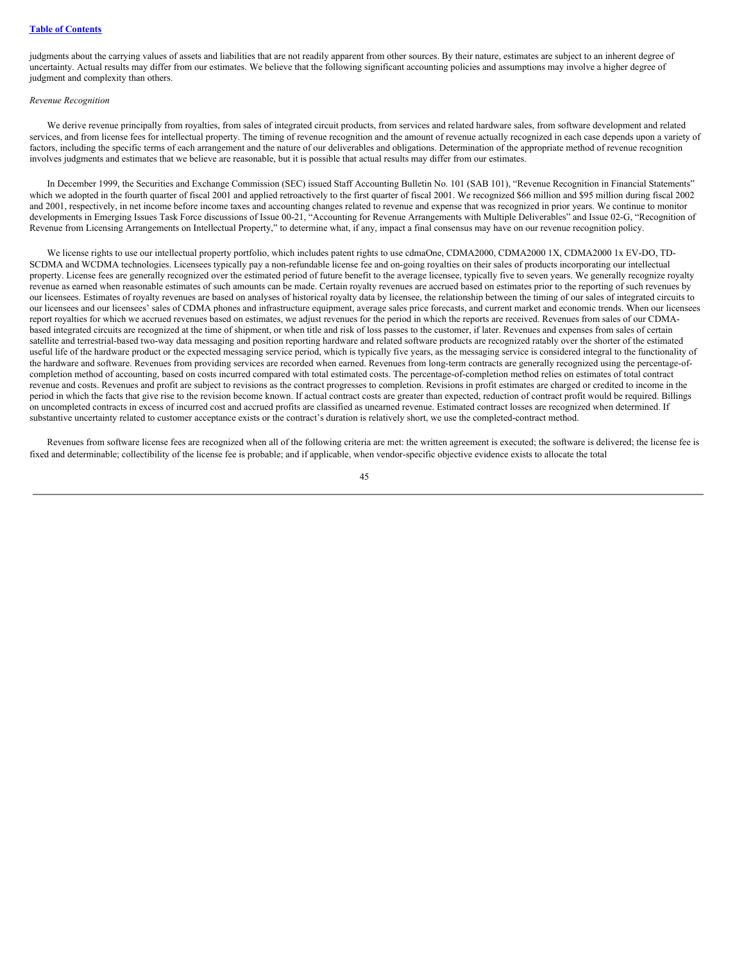#### **Table of [Contents](#page-0-0)**

judgments about the carrying values of assets and liabilities that are not readily apparent from other sources. By their nature, estimates are subject to an inherent degree of uncertainty. Actual results may differ from our estimates. We believe that the following significant accounting policies and assumptions may involve a higher degree of judgment and complexity than others.

### *Revenue Recognition*

We derive revenue principally from royalties, from sales of integrated circuit products, from services and related hardware sales, from software development and related services, and from license fees for intellectual property. The timing of revenue recognition and the amount of revenue actually recognized in each case depends upon a variety of factors, including the specific terms of each arrangement and the nature of our deliverables and obligations. Determination of the appropriate method of revenue recognition involves judgments and estimates that we believe are reasonable, but it is possible that actual results may differ from our estimates.

In December 1999, the Securities and Exchange Commission (SEC) issued Staff Accounting Bulletin No. 101 (SAB 101), "Revenue Recognition in Financial Statements" which we adopted in the fourth quarter of fiscal 2001 and applied retroactively to the first quarter of fiscal 2001. We recognized \$66 million and \$95 million during fiscal 2002 and 2001, respectively, in net income before income taxes and accounting changes related to revenue and expense that was recognized in prior years. We continue to monitor developments in Emerging Issues Task Force discussions of Issue 00-21, "Accounting for Revenue Arrangements with Multiple Deliverables" and Issue 02-G, "Recognition of Revenue from Licensing Arrangements on Intellectual Property," to determine what, if any, impact a final consensus may have on our revenue recognition policy.

We license rights to use our intellectual property portfolio, which includes patent rights to use cdmaOne, CDMA2000, CDMA2000 1X, CDMA2000 1x EV-DO, TD-SCDMA and WCDMA technologies. Licensees typically pay a non-refundable license fee and on-going royalties on their sales of products incorporating our intellectual property. License fees are generally recognized over the estimated period of future benefit to the average licensee, typically five to seven years. We generally recognize royalty revenue as earned when reasonable estimates of such amounts can be made. Certain royalty revenues are accrued based on estimates prior to the reporting of such revenues by our licensees. Estimates of royalty revenues are based on analyses of historical royalty data by licensee, the relationship between the timing of our sales of integrated circuits to our licensees and our licensees' sales of CDMA phones and infrastructure equipment, average sales price forecasts, and current market and economic trends. When our licensees report royalties for which we accrued revenues based on estimates, we adjust revenues for the period in which the reports are received. Revenues from sales of our CDMAbased integrated circuits are recognized at the time of shipment, or when title and risk of loss passes to the customer, if later. Revenues and expenses from sales of certain satellite and terrestrial-based two-way data messaging and position reporting hardware and related software products are recognized ratably over the shorter of the estimated useful life of the hardware product or the expected messaging service period, which is typically five years, as the messaging service is considered integral to the functionality of the hardware and software. Revenues from providing services are recorded when earned. Revenues from long-term contracts are generally recognized using the percentage-ofcompletion method of accounting, based on costs incurred compared with total estimated costs. The percentage-of-completion method relies on estimates of total contract revenue and costs. Revenues and profit are subject to revisions as the contract progresses to completion. Revisions in profit estimates are charged or credited to income in the period in which the facts that give rise to the revision become known. If actual contract costs are greater than expected, reduction of contract profit would be required. Billings on uncompleted contracts in excess of incurred cost and accrued profits are classified as unearned revenue. Estimated contract losses are recognized when determined. If substantive uncertainty related to customer acceptance exists or the contract's duration is relatively short, we use the completed-contract method.

Revenues from software license fees are recognized when all of the following criteria are met: the written agreement is executed; the software is delivered; the license fee is fixed and determinable; collectibility of the license fee is probable; and if applicable, when vendor-specific objective evidence exists to allocate the total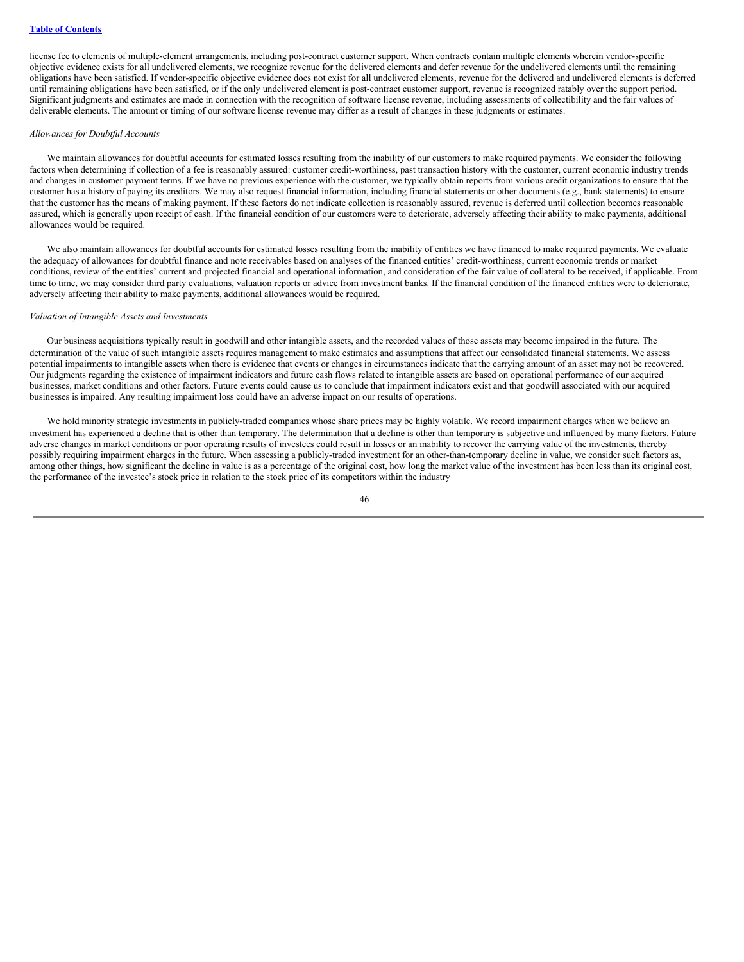license fee to elements of multiple-element arrangements, including post-contract customer support. When contracts contain multiple elements wherein vendor-specific objective evidence exists for all undelivered elements, we recognize revenue for the delivered elements and defer revenue for the undelivered elements until the remaining obligations have been satisfied. If vendor-specific objective evidence does not exist for all undelivered elements, revenue for the delivered and undelivered elements is deferred until remaining obligations have been satisfied, or if the only undelivered element is post-contract customer support, revenue is recognized ratably over the support period. Significant judgments and estimates are made in connection with the recognition of software license revenue, including assessments of collectibility and the fair values of deliverable elements. The amount or timing of our software license revenue may differ as a result of changes in these judgments or estimates.

#### *Allowances for Doubtful Accounts*

We maintain allowances for doubtful accounts for estimated losses resulting from the inability of our customers to make required payments. We consider the following factors when determining if collection of a fee is reasonably assured: customer credit-worthiness, past transaction history with the customer, current economic industry trends and changes in customer payment terms. If we have no previous experience with the customer, we typically obtain reports from various credit organizations to ensure that the customer has a history of paying its creditors. We may also request financial information, including financial statements or other documents (e.g., bank statements) to ensure that the customer has the means of making payment. If these factors do not indicate collection is reasonably assured, revenue is deferred until collection becomes reasonable assured, which is generally upon receipt of cash. If the financial condition of our customers were to deteriorate, adversely affecting their ability to make payments, additional allowances would be required.

We also maintain allowances for doubtful accounts for estimated losses resulting from the inability of entities we have financed to make required payments. We evaluate the adequacy of allowances for doubtful finance and note receivables based on analyses of the financed entities' credit-worthiness, current economic trends or market conditions, review of the entities' current and projected financial and operational information, and consideration of the fair value of collateral to be received, if applicable. From time to time, we may consider third party evaluations, valuation reports or advice from investment banks. If the financial condition of the financed entities were to deteriorate, adversely affecting their ability to make payments, additional allowances would be required.

#### *Valuation of Intangible Assets and Investments*

Our business acquisitions typically result in goodwill and other intangible assets, and the recorded values of those assets may become impaired in the future. The determination of the value of such intangible assets requires management to make estimates and assumptions that affect our consolidated financial statements. We assess potential impairments to intangible assets when there is evidence that events or changes in circumstances indicate that the carrying amount of an asset may not be recovered. Our judgments regarding the existence of impairment indicators and future cash flows related to intangible assets are based on operational performance of our acquired businesses, market conditions and other factors. Future events could cause us to conclude that impairment indicators exist and that goodwill associated with our acquired businesses is impaired. Any resulting impairment loss could have an adverse impact on our results of operations.

We hold minority strategic investments in publicly-traded companies whose share prices may be highly volatile. We record impairment charges when we believe an investment has experienced a decline that is other than temporary. The determination that a decline is other than temporary is subjective and influenced by many factors. Future adverse changes in market conditions or poor operating results of investees could result in losses or an inability to recover the carrying value of the investments, thereby possibly requiring impairment charges in the future. When assessing a publicly-traded investment for an other-than-temporary decline in value, we consider such factors as, among other things, how significant the decline in value is as a percentage of the original cost, how long the market value of the investment has been less than its original cost, the performance of the investee's stock price in relation to the stock price of its competitors within the industry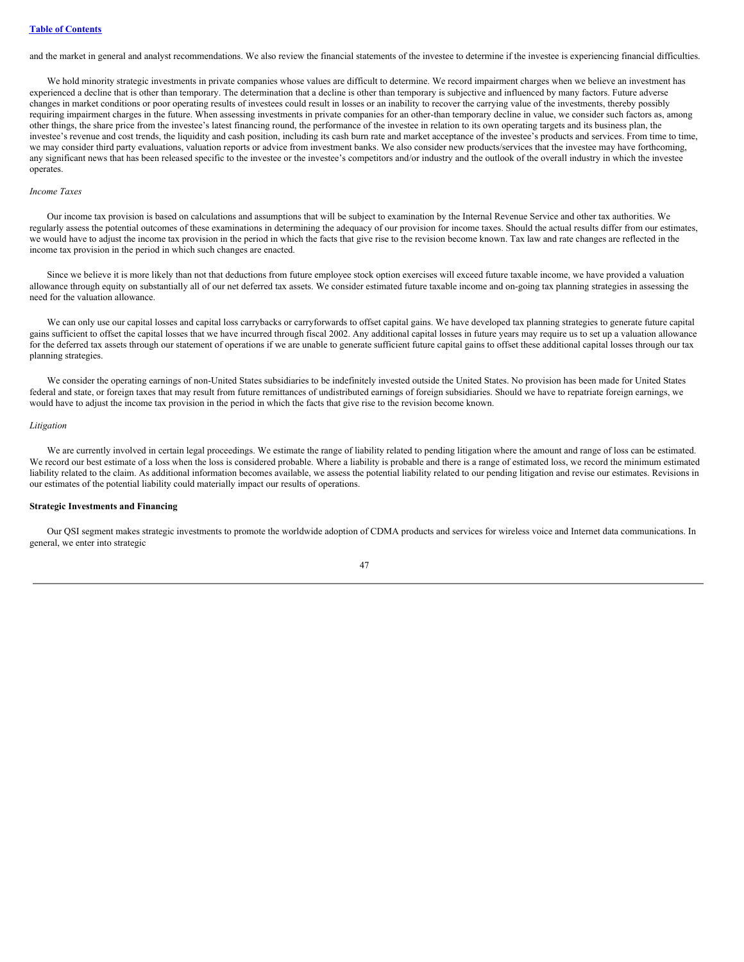and the market in general and analyst recommendations. We also review the financial statements of the investee to determine if the investee is experiencing financial difficulties.

We hold minority strategic investments in private companies whose values are difficult to determine. We record impairment charges when we believe an investment has experienced a decline that is other than temporary. The determination that a decline is other than temporary is subjective and influenced by many factors. Future adverse changes in market conditions or poor operating results of investees could result in losses or an inability to recover the carrying value of the investments, thereby possibly requiring impairment charges in the future. When assessing investments in private companies for an other-than temporary decline in value, we consider such factors as, among other things, the share price from the investee's latest financing round, the performance of the investee in relation to its own operating targets and its business plan, the investee's revenue and cost trends, the liquidity and cash position, including its cash burn rate and market acceptance of the investee's products and services. From time to time, we may consider third party evaluations, valuation reports or advice from investment banks. We also consider new products/services that the investee may have forthcoming, any significant news that has been released specific to the investee or the investee's competitors and/or industry and the outlook of the overall industry in which the investee operates.

### *Income Taxes*

Our income tax provision is based on calculations and assumptions that will be subject to examination by the Internal Revenue Service and other tax authorities. We regularly assess the potential outcomes of these examinations in determining the adequacy of our provision for income taxes. Should the actual results differ from our estimates, we would have to adjust the income tax provision in the period in which the facts that give rise to the revision become known. Tax law and rate changes are reflected in the income tax provision in the period in which such changes are enacted.

Since we believe it is more likely than not that deductions from future employee stock option exercises will exceed future taxable income, we have provided a valuation allowance through equity on substantially all of our net deferred tax assets. We consider estimated future taxable income and on-going tax planning strategies in assessing the need for the valuation allowance.

We can only use our capital losses and capital loss carrybacks or carryforwards to offset capital gains. We have developed tax planning strategies to generate future capital gains sufficient to offset the capital losses that we have incurred through fiscal 2002. Any additional capital losses in future years may require us to set up a valuation allowance for the deferred tax assets through our statement of operations if we are unable to generate sufficient future capital gains to offset these additional capital losses through our tax planning strategies.

We consider the operating earnings of non-United States subsidiaries to be indefinitely invested outside the United States. No provision has been made for United States federal and state, or foreign taxes that may result from future remittances of undistributed earnings of foreign subsidiaries. Should we have to repatriate foreign earnings, we would have to adjust the income tax provision in the period in which the facts that give rise to the revision become known.

#### *Litigation*

We are currently involved in certain legal proceedings. We estimate the range of liability related to pending litigation where the amount and range of loss can be estimated. We record our best estimate of a loss when the loss is considered probable. Where a liability is probable and there is a range of estimated loss, we record the minimum estimated liability related to the claim. As additional information becomes available, we assess the potential liability related to our pending litigation and revise our estimates. Revisions in our estimates of the potential liability could materially impact our results of operations.

### **Strategic Investments and Financing**

Our QSI segment makes strategic investments to promote the worldwide adoption of CDMA products and services for wireless voice and Internet data communications. In general, we enter into strategic

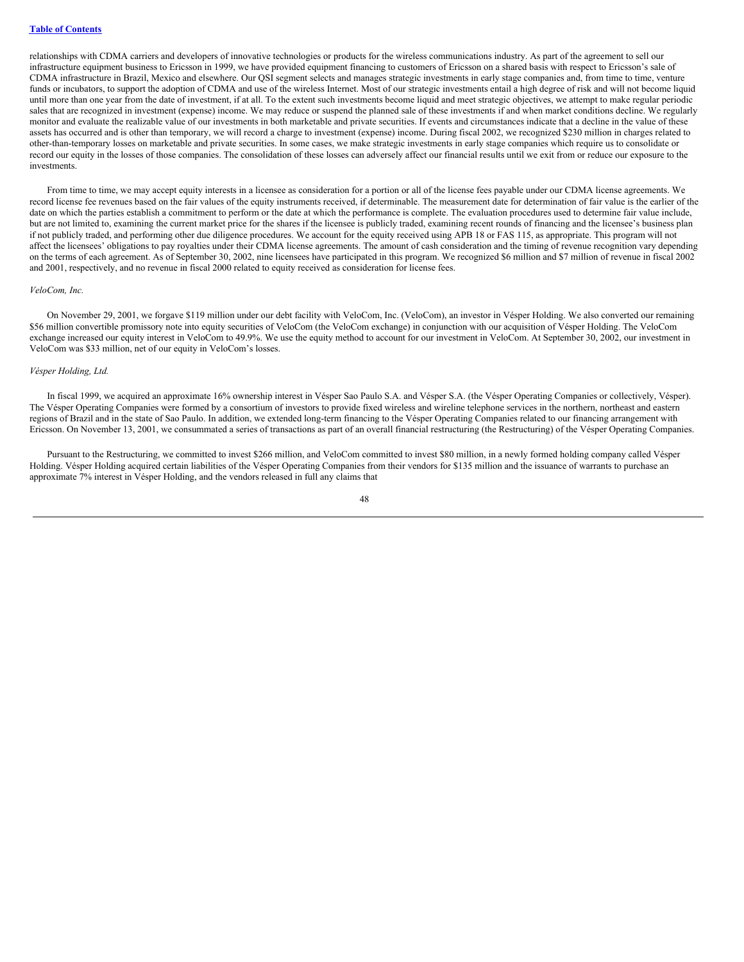relationships with CDMA carriers and developers of innovative technologies or products for the wireless communications industry. As part of the agreement to sell our infrastructure equipment business to Ericsson in 1999, we have provided equipment financing to customers of Ericsson on a shared basis with respect to Ericsson's sale of CDMA infrastructure in Brazil, Mexico and elsewhere. Our QSI segment selects and manages strategic investments in early stage companies and, from time to time, venture funds or incubators, to support the adoption of CDMA and use of the wireless Internet. Most of our strategic investments entail a high degree of risk and will not become liquid until more than one year from the date of investment, if at all. To the extent such investments become liquid and meet strategic objectives, we attempt to make regular periodic sales that are recognized in investment (expense) income. We may reduce or suspend the planned sale of these investments if and when market conditions decline. We regularly monitor and evaluate the realizable value of our investments in both marketable and private securities. If events and circumstances indicate that a decline in the value of these assets has occurred and is other than temporary, we will record a charge to investment (expense) income. During fiscal 2002, we recognized \$230 million in charges related to other-than-temporary losses on marketable and private securities. In some cases, we make strategic investments in early stage companies which require us to consolidate or record our equity in the losses of those companies. The consolidation of these losses can adversely affect our financial results until we exit from or reduce our exposure to the investments.

From time to time, we may accept equity interests in a licensee as consideration for a portion or all of the license fees payable under our CDMA license agreements. We record license fee revenues based on the fair values of the equity instruments received, if determinable. The measurement date for determination of fair value is the earlier of the date on which the parties establish a commitment to perform or the date at which the performance is complete. The evaluation procedures used to determine fair value include, but are not limited to, examining the current market price for the shares if the licensee is publicly traded, examining recent rounds of financing and the licensee's business plan if not publicly traded, and performing other due diligence procedures. We account for the equity received using APB 18 or FAS 115, as appropriate. This program will not affect the licensees' obligations to pay royalties under their CDMA license agreements. The amount of cash consideration and the timing of revenue recognition vary depending on the terms of each agreement. As of September 30, 2002, nine licensees have participated in this program. We recognized \$6 million and \$7 million of revenue in fiscal 2002 and 2001, respectively, and no revenue in fiscal 2000 related to equity received as consideration for license fees.

#### *VeloCom, Inc.*

On November 29, 2001, we forgave \$119 million under our debt facility with VeloCom, Inc. (VeloCom), an investor in Vésper Holding. We also converted our remaining \$56 million convertible promissory note into equity securities of VeloCom (the VeloCom exchange) in conjunction with our acquisition of Vésper Holding. The VeloCom exchange increased our equity interest in VeloCom to 49.9%. We use the equity method to account for our investment in VeloCom. At September 30, 2002, our investment in VeloCom was \$33 million, net of our equity in VeloCom's losses.

#### *Vésper Holding, Ltd.*

In fiscal 1999, we acquired an approximate 16% ownership interest in Vésper Sao Paulo S.A. and Vésper S.A. (the Vésper Operating Companies or collectively, Vésper). The Vésper Operating Companies were formed by a consortium of investors to provide fixed wireless and wireline telephone services in the northern, northeast and eastern regions of Brazil and in the state of Sao Paulo. In addition, we extended long-term financing to the Vésper Operating Companies related to our financing arrangement with Ericsson. On November 13, 2001, we consummated a series of transactions as part of an overall financial restructuring (the Restructuring) of the Vésper Operating Companies.

Pursuant to the Restructuring, we committed to invest \$266 million, and VeloCom committed to invest \$80 million, in a newly formed holding company called Vésper Holding. Vésper Holding acquired certain liabilities of the Vésper Operating Companies from their vendors for \$135 million and the issuance of warrants to purchase an approximate 7% interest in Vésper Holding, and the vendors released in full any claims that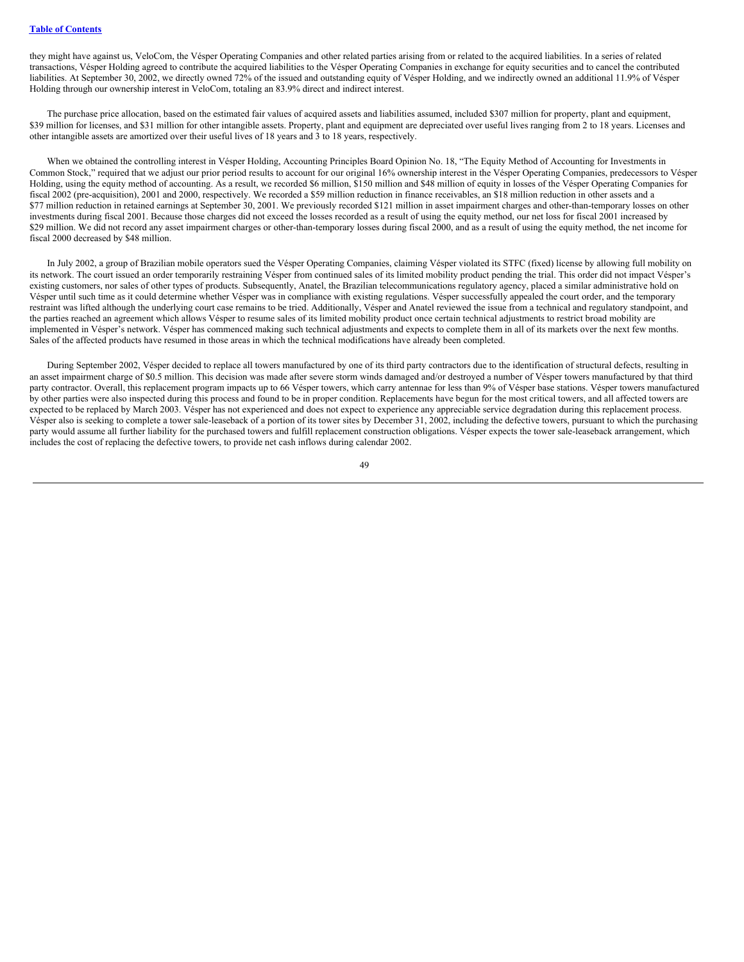they might have against us, VeloCom, the Vésper Operating Companies and other related parties arising from or related to the acquired liabilities. In a series of related transactions, Vésper Holding agreed to contribute the acquired liabilities to the Vésper Operating Companies in exchange for equity securities and to cancel the contributed liabilities. At September 30, 2002, we directly owned 72% of the issued and outstanding equity of Vésper Holding, and we indirectly owned an additional 11.9% of Vésper Holding through our ownership interest in VeloCom, totaling an 83.9% direct and indirect interest.

The purchase price allocation, based on the estimated fair values of acquired assets and liabilities assumed, included \$307 million for property, plant and equipment, \$39 million for licenses, and \$31 million for other intangible assets. Property, plant and equipment are depreciated over useful lives ranging from 2 to 18 years. Licenses and other intangible assets are amortized over their useful lives of 18 years and 3 to 18 years, respectively.

When we obtained the controlling interest in Vésper Holding, Accounting Principles Board Opinion No. 18, "The Equity Method of Accounting for Investments in Common Stock," required that we adjust our prior period results to account for our original 16% ownership interest in the Vésper Operating Companies, predecessors to Vésper Holding, using the equity method of accounting. As a result, we recorded \$6 million, \$150 million and \$48 million of equity in losses of the Vésper Operating Companies for fiscal 2002 (pre-acquisition), 2001 and 2000, respectively. We recorded a \$59 million reduction in finance receivables, an \$18 million reduction in other assets and a \$77 million reduction in retained earnings at September 30, 2001. We previously recorded \$121 million in asset impairment charges and other-than-temporary losses on other investments during fiscal 2001. Because those charges did not exceed the losses recorded as a result of using the equity method, our net loss for fiscal 2001 increased by \$29 million. We did not record any asset impairment charges or other-than-temporary losses during fiscal 2000, and as a result of using the equity method, the net income for fiscal 2000 decreased by \$48 million.

In July 2002, a group of Brazilian mobile operators sued the Vésper Operating Companies, claiming Vésper violated its STFC (fixed) license by allowing full mobility on its network. The court issued an order temporarily restraining Vésper from continued sales of its limited mobility product pending the trial. This order did not impact Vésper's existing customers, nor sales of other types of products. Subsequently, Anatel, the Brazilian telecommunications regulatory agency, placed a similar administrative hold on Vésper until such time as it could determine whether Vésper was in compliance with existing regulations. Vésper successfully appealed the court order, and the temporary restraint was lifted although the underlying court case remains to be tried. Additionally, Vésper and Anatel reviewed the issue from a technical and regulatory standpoint, and the parties reached an agreement which allows Vésper to resume sales of its limited mobility product once certain technical adjustments to restrict broad mobility are implemented in Vésper's network. Vésper has commenced making such technical adjustments and expects to complete them in all of its markets over the next few months. Sales of the affected products have resumed in those areas in which the technical modifications have already been completed.

During September 2002, Vésper decided to replace all towers manufactured by one of its third party contractors due to the identification of structural defects, resulting in an asset impairment charge of \$0.5 million. This decision was made after severe storm winds damaged and/or destroyed a number of Vésper towers manufactured by that third party contractor. Overall, this replacement program impacts up to 66 Vésper towers, which carry antennae for less than 9% of Vésper base stations. Vésper towers manufactured by other parties were also inspected during this process and found to be in proper condition. Replacements have begun for the most critical towers, and all affected towers are expected to be replaced by March 2003. Vésper has not experienced and does not expect to experience any appreciable service degradation during this replacement process. Vésper also is seeking to complete a tower sale-leaseback of a portion of its tower sites by December 31, 2002, including the defective towers, pursuant to which the purchasing party would assume all further liability for the purchased towers and fulfill replacement construction obligations. Vésper expects the tower sale-leaseback arrangement, which includes the cost of replacing the defective towers, to provide net cash inflows during calendar 2002.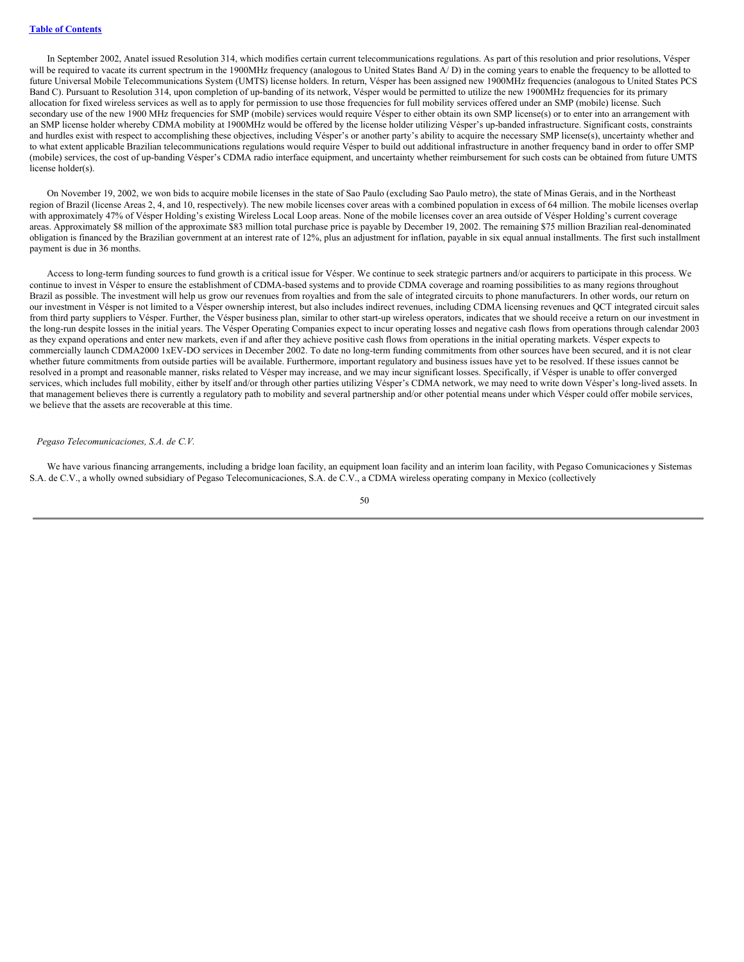In September 2002, Anatel issued Resolution 314, which modifies certain current telecommunications regulations. As part of this resolution and prior resolutions, Vésper will be required to vacate its current spectrum in the 1900MHz frequency (analogous to United States Band  $A/D$ ) in the coming years to enable the frequency to be allotted to future Universal Mobile Telecommunications System (UMTS) license holders. In return, Vésper has been assigned new 1900MHz frequencies (analogous to United States PCS Band C). Pursuant to Resolution 314, upon completion of up-banding of its network, Vésper would be permitted to utilize the new 1900MHz frequencies for its primary allocation for fixed wireless services as well as to apply for permission to use those frequencies for full mobility services offered under an SMP (mobile) license. Such secondary use of the new 1900 MHz frequencies for SMP (mobile) services would require Vésper to either obtain its own SMP license(s) or to enter into an arrangement with an SMP license holder whereby CDMA mobility at 1900MHz would be offered by the license holder utilizing Vésper's up-banded infrastructure. Significant costs, constraints and hurdles exist with respect to accomplishing these objectives, including Vésper's or another party's ability to acquire the necessary SMP license(s), uncertainty whether and to what extent applicable Brazilian telecommunications regulations would require Vésper to build out additional infrastructure in another frequency band in order to offer SMP (mobile) services, the cost of up-banding Vésper's CDMA radio interface equipment, and uncertainty whether reimbursement for such costs can be obtained from future UMTS license holder(s).

On November 19, 2002, we won bids to acquire mobile licenses in the state of Sao Paulo (excluding Sao Paulo metro), the state of Minas Gerais, and in the Northeast region of Brazil (license Areas 2, 4, and 10, respectively). The new mobile licenses cover areas with a combined population in excess of 64 million. The mobile licenses overlap with approximately 47% of Vésper Holding's existing Wireless Local Loop areas. None of the mobile licenses cover an area outside of Vésper Holding's current coverage areas. Approximately \$8 million of the approximate \$83 million total purchase price is payable by December 19, 2002. The remaining \$75 million Brazilian real-denominated obligation is financed by the Brazilian government at an interest rate of 12%, plus an adjustment for inflation, payable in six equal annual installments. The first such installment payment is due in 36 months.

Access to long-term funding sources to fund growth is a critical issue for Vésper. We continue to seek strategic partners and/or acquirers to participate in this process. We continue to invest in Vésper to ensure the establishment of CDMA-based systems and to provide CDMA coverage and roaming possibilities to as many regions throughout Brazil as possible. The investment will help us grow our revenues from royalties and from the sale of integrated circuits to phone manufacturers. In other words, our return on our investment in Vésper is not limited to a Vésper ownership interest, but also includes indirect revenues, including CDMA licensing revenues and QCT integrated circuit sales from third party suppliers to Vésper. Further, the Vésper business plan, similar to other start-up wireless operators, indicates that we should receive a return on our investment in the long-run despite losses in the initial years. The Vésper Operating Companies expect to incur operating losses and negative cash flows from operations through calendar 2003 as they expand operations and enter new markets, even if and after they achieve positive cash flows from operations in the initial operating markets. Vésper expects to commercially launch CDMA2000 1xEV-DO services in December 2002. To date no long-term funding commitments from other sources have been secured, and it is not clear whether future commitments from outside parties will be available. Furthermore, important regulatory and business issues have yet to be resolved. If these issues cannot be resolved in a prompt and reasonable manner, risks related to Vésper may increase, and we may incur significant losses. Specifically, if Vésper is unable to offer converged services, which includes full mobility, either by itself and/or through other parties utilizing Vésper's CDMA network, we may need to write down Vésper's long-lived assets. In that management believes there is currently a regulatory path to mobility and several partnership and/or other potential means under which Vésper could offer mobile services, we believe that the assets are recoverable at this time.

*Pegaso Telecomunicaciones, S.A. de C.V.*

We have various financing arrangements, including a bridge loan facility, an equipment loan facility and an interim loan facility, with Pegaso Comunicaciones y Sistemas S.A. de C.V., a wholly owned subsidiary of Pegaso Telecomunicaciones, S.A. de C.V., a CDMA wireless operating company in Mexico (collectively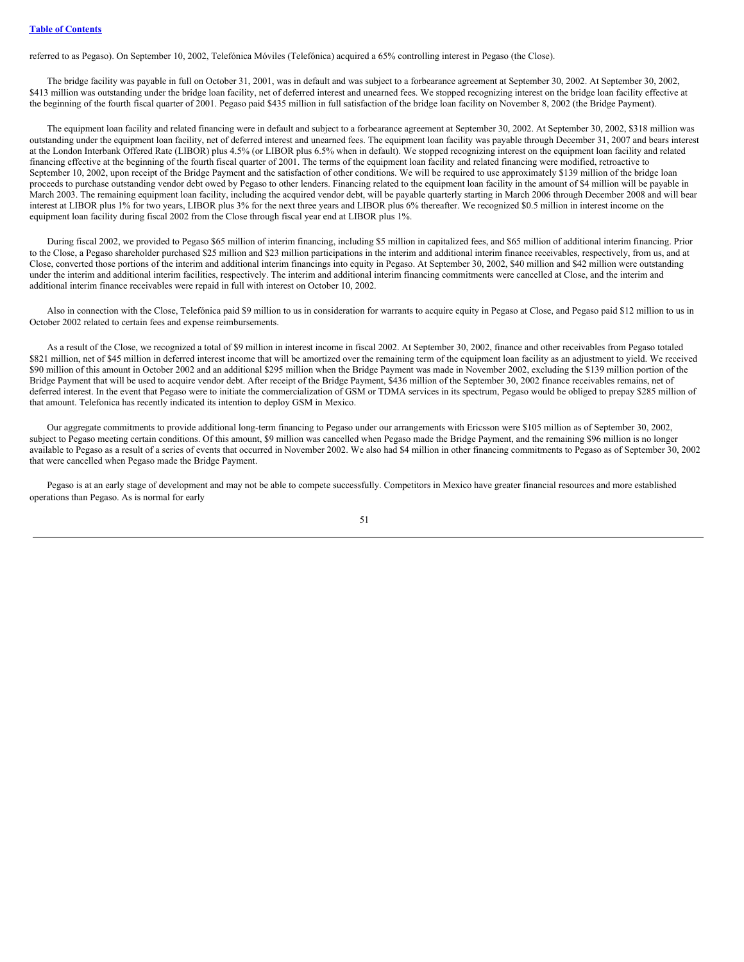referred to as Pegaso). On September 10, 2002, Telefónica Móviles (Telefónica) acquired a 65% controlling interest in Pegaso (the Close).

The bridge facility was payable in full on October 31, 2001, was in default and was subject to a forbearance agreement at September 30, 2002, At September 30, 2002, \$413 million was outstanding under the bridge loan facility, net of deferred interest and unearned fees. We stopped recognizing interest on the bridge loan facility effective at the beginning of the fourth fiscal quarter of 2001. Pegaso paid \$435 million in full satisfaction of the bridge loan facility on November 8, 2002 (the Bridge Payment).

The equipment loan facility and related financing were in default and subject to a forbearance agreement at September 30, 2002. At September 30, 2002, \$318 million was outstanding under the equipment loan facility, net of deferred interest and unearned fees. The equipment loan facility was payable through December 31, 2007 and bears interest at the London Interbank Offered Rate (LIBOR) plus 4.5% (or LIBOR plus 6.5% when in default). We stopped recognizing interest on the equipment loan facility and related financing effective at the beginning of the fourth fiscal quarter of 2001. The terms of the equipment loan facility and related financing were modified, retroactive to September 10, 2002, upon receipt of the Bridge Payment and the satisfaction of other conditions. We will be required to use approximately \$139 million of the bridge loan proceeds to purchase outstanding vendor debt owed by Pegaso to other lenders. Financing related to the equipment loan facility in the amount of \$4 million will be payable in March 2003. The remaining equipment loan facility, including the acquired vendor debt, will be payable quarterly starting in March 2006 through December 2008 and will bear interest at LIBOR plus 1% for two years, LIBOR plus 3% for the next three years and LIBOR plus 6% thereafter. We recognized \$0.5 million in interest income on the equipment loan facility during fiscal 2002 from the Close through fiscal year end at LIBOR plus 1%.

During fiscal 2002, we provided to Pegaso \$65 million of interim financing, including \$5 million in capitalized fees, and \$65 million of additional interim financing. Prior to the Close, a Pegaso shareholder purchased \$25 million and \$23 million participations in the interim and additional interim finance receivables, respectively, from us, and at Close, converted those portions of the interim and additional interim financings into equity in Pegaso. At September 30, 2002, \$40 million and \$42 million were outstanding under the interim and additional interim facilities, respectively. The interim and additional interim financing commitments were cancelled at Close, and the interim and additional interim finance receivables were repaid in full with interest on October 10, 2002.

Also in connection with the Close, Telefónica paid \$9 million to us in consideration for warrants to acquire equity in Pegaso at Close, and Pegaso paid \$12 million to us in October 2002 related to certain fees and expense reimbursements.

As a result of the Close, we recognized a total of \$9 million in interest income in fiscal 2002. At September 30, 2002, finance and other receivables from Pegaso totaled \$821 million, net of \$45 million in deferred interest income that will be amortized over the remaining term of the equipment loan facility as an adjustment to yield. We received \$90 million of this amount in October 2002 and an additional \$295 million when the Bridge Payment was made in November 2002, excluding the \$139 million portion of the Bridge Payment that will be used to acquire vendor debt. After receipt of the Bridge Payment, \$436 million of the September 30, 2002 finance receivables remains, net of deferred interest. In the event that Pegaso were to initiate the commercialization of GSM or TDMA services in its spectrum, Pegaso would be obliged to prepay \$285 million of that amount. Telefonica has recently indicated its intention to deploy GSM in Mexico.

Our aggregate commitments to provide additional long-term financing to Pegaso under our arrangements with Ericsson were \$105 million as of September 30, 2002, subject to Pegaso meeting certain conditions. Of this amount, \$9 million was cancelled when Pegaso made the Bridge Payment, and the remaining \$96 million is no longer available to Pegaso as a result of a series of events that occurred in November 2002. We also had \$4 million in other financing commitments to Pegaso as of September 30, 2002 that were cancelled when Pegaso made the Bridge Payment.

Pegaso is at an early stage of development and may not be able to compete successfully. Competitors in Mexico have greater financial resources and more established operations than Pegaso. As is normal for early

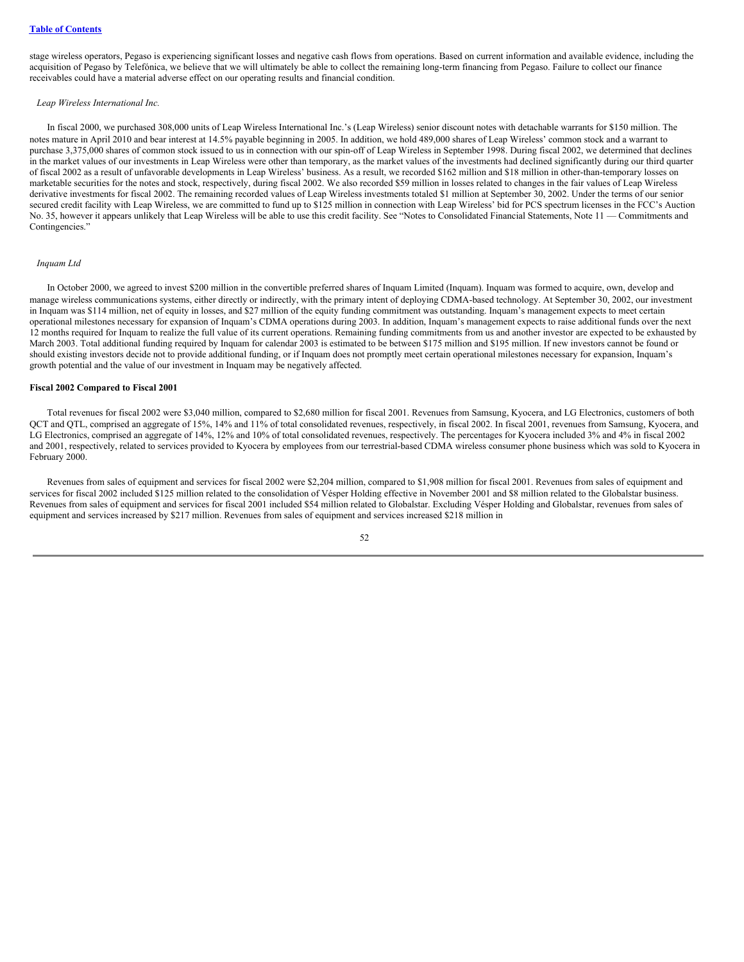#### **Table of [Contents](#page-0-0)**

stage wireless operators, Pegaso is experiencing significant losses and negative cash flows from operations. Based on current information and available evidence, including the acquisition of Pegaso by Telefónica, we believe that we will ultimately be able to collect the remaining long-term financing from Pegaso. Failure to collect our finance receivables could have a material adverse effect on our operating results and financial condition.

#### *Leap Wireless International Inc.*

In fiscal 2000, we purchased 308,000 units of Leap Wireless International Inc.'s (Leap Wireless) senior discount notes with detachable warrants for \$150 million. The notes mature in April 2010 and bear interest at 14.5% payable beginning in 2005. In addition, we hold 489,000 shares of Leap Wireless' common stock and a warrant to purchase 3,375,000 shares of common stock issued to us in connection with our spin-off of Leap Wireless in September 1998. During fiscal 2002, we determined that declines in the market values of our investments in Leap Wireless were other than temporary, as the market values of the investments had declined significantly during our third quarter of fiscal 2002 as a result of unfavorable developments in Leap Wireless' business. As a result, we recorded \$162 million and \$18 million in other-than-temporary losses on marketable securities for the notes and stock, respectively, during fiscal 2002. We also recorded \$59 million in losses related to changes in the fair values of Leap Wireless derivative investments for fiscal 2002. The remaining recorded values of Leap Wireless investments totaled \$1 million at September 30, 2002. Under the terms of our senior secured credit facility with Leap Wireless, we are committed to fund up to \$125 million in connection with Leap Wireless' bid for PCS spectrum licenses in the FCC's Auction No. 35, however it appears unlikely that Leap Wireless will be able to use this credit facility. See "Notes to Consolidated Financial Statements, Note 11 — Commitments and Contingencies."

#### *Inquam Ltd*

In October 2000, we agreed to invest \$200 million in the convertible preferred shares of Inquam Limited (Inquam). Inquam was formed to acquire, own, develop and manage wireless communications systems, either directly or indirectly, with the primary intent of deploying CDMA-based technology. At September 30, 2002, our investment in Inquam was \$114 million, net of equity in losses, and \$27 million of the equity funding commitment was outstanding. Inquam's management expects to meet certain operational milestones necessary for expansion of Inquam's CDMA operations during 2003. In addition, Inquam's management expects to raise additional funds over the next 12 months required for Inquam to realize the full value of its current operations. Remaining funding commitments from us and another investor are expected to be exhausted by March 2003. Total additional funding required by Inquam for calendar 2003 is estimated to be between \$175 million and \$195 million. If new investors cannot be found or should existing investors decide not to provide additional funding, or if Inquam does not promptly meet certain operational milestones necessary for expansion, Inquam's growth potential and the value of our investment in Inquam may be negatively affected.

### **Fiscal 2002 Compared to Fiscal 2001**

Total revenues for fiscal 2002 were \$3,040 million, compared to \$2,680 million for fiscal 2001. Revenues from Samsung, Kyocera, and LG Electronics, customers of both QCT and QTL, comprised an aggregate of 15%, 14% and 11% of total consolidated revenues, respectively, in fiscal 2002. In fiscal 2001, revenues from Samsung, Kyocera, and LG Electronics, comprised an aggregate of 14%, 12% and 10% of total consolidated revenues, respectively. The percentages for Kyocera included 3% and 4% in fiscal 2002 and 2001, respectively, related to services provided to Kyocera by employees from our terrestrial-based CDMA wireless consumer phone business which was sold to Kyocera in February 2000.

Revenues from sales of equipment and services for fiscal 2002 were \$2,204 million, compared to \$1,908 million for fiscal 2001. Revenues from sales of equipment and services for fiscal 2002 included \$125 million related to the consolidation of Vésper Holding effective in November 2001 and \$8 million related to the Globalstar business. Revenues from sales of equipment and services for fiscal 2001 included \$54 million related to Globalstar. Excluding Vésper Holding and Globalstar, revenues from sales of equipment and services increased by \$217 million. Revenues from sales of equipment and services increased \$218 million in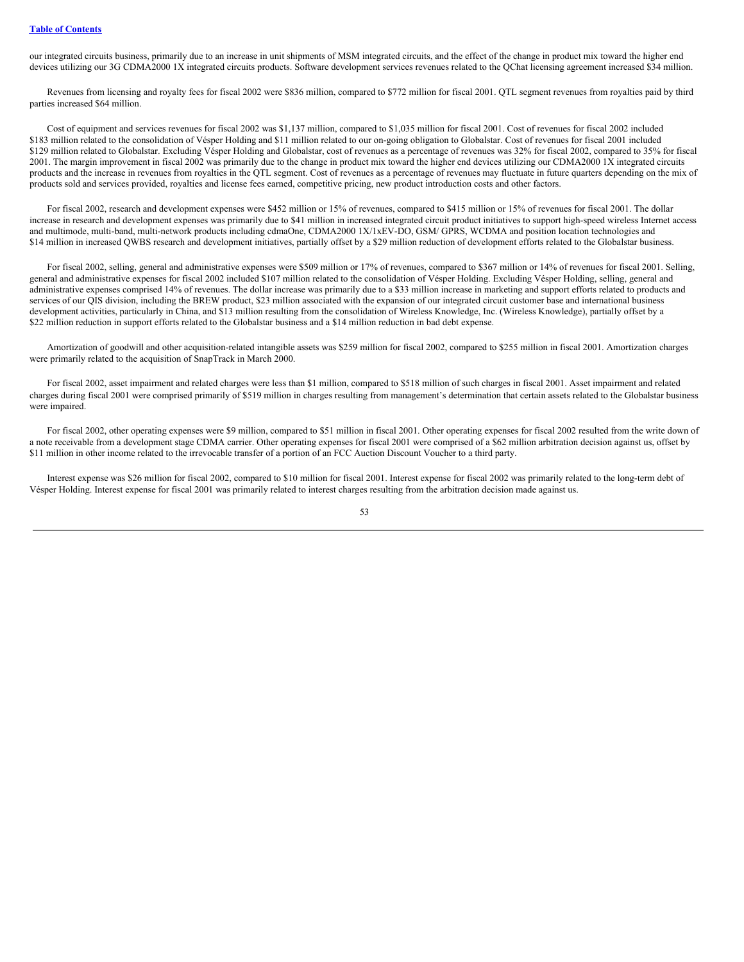our integrated circuits business, primarily due to an increase in unit shipments of MSM integrated circuits, and the effect of the change in product mix toward the higher end devices utilizing our 3G CDMA2000 1X integrated circuits products. Software development services revenues related to the QChat licensing agreement increased \$34 million.

Revenues from licensing and royalty fees for fiscal 2002 were \$836 million, compared to \$772 million for fiscal 2001. QTL segment revenues from royalties paid by third parties increased \$64 million.

Cost of equipment and services revenues for fiscal 2002 was \$1,137 million, compared to \$1,035 million for fiscal 2001. Cost of revenues for fiscal 2002 included \$183 million related to the consolidation of Vésper Holding and \$11 million related to our on-going obligation to Globalstar. Cost of revenues for fiscal 2001 included \$129 million related to Globalstar. Excluding Vésper Holding and Globalstar, cost of revenues as a percentage of revenues was 32% for fiscal 2002, compared to 35% for fiscal 2001. The margin improvement in fiscal 2002 was primarily due to the change in product mix toward the higher end devices utilizing our CDMA2000 1X integrated circuits products and the increase in revenues from royalties in the QTL segment. Cost of revenues as a percentage of revenues may fluctuate in future quarters depending on the mix of products sold and services provided, royalties and license fees earned, competitive pricing, new product introduction costs and other factors.

For fiscal 2002, research and development expenses were \$452 million or 15% of revenues, compared to \$415 million or 15% of revenues for fiscal 2001. The dollar increase in research and development expenses was primarily due to \$41 million in increased integrated circuit product initiatives to support high-speed wireless Internet access and multimode, multi-band, multi-network products including cdmaOne, CDMA2000 1X/1xEV-DO, GSM/ GPRS, WCDMA and position location technologies and \$14 million in increased QWBS research and development initiatives, partially offset by a \$29 million reduction of development efforts related to the Globalstar business.

For fiscal 2002, selling, general and administrative expenses were \$509 million or 17% of revenues, compared to \$367 million or 14% of revenues for fiscal 2001. Selling, general and administrative expenses for fiscal 2002 included \$107 million related to the consolidation of Vésper Holding. Excluding Vésper Holding, selling, general and administrative expenses comprised 14% of revenues. The dollar increase was primarily due to a \$33 million increase in marketing and support efforts related to products and services of our QIS division, including the BREW product, \$23 million associated with the expansion of our integrated circuit customer base and international business development activities, particularly in China, and \$13 million resulting from the consolidation of Wireless Knowledge, Inc. (Wireless Knowledge), partially offset by a \$22 million reduction in support efforts related to the Globalstar business and a \$14 million reduction in bad debt expense.

Amortization of goodwill and other acquisition-related intangible assets was \$259 million for fiscal 2002, compared to \$255 million in fiscal 2001. Amortization charges were primarily related to the acquisition of SnapTrack in March 2000.

For fiscal 2002, asset impairment and related charges were less than \$1 million, compared to \$518 million of such charges in fiscal 2001. Asset impairment and related charges during fiscal 2001 were comprised primarily of \$519 million in charges resulting from management's determination that certain assets related to the Globalstar business were impaired.

For fiscal 2002, other operating expenses were \$9 million, compared to \$51 million in fiscal 2001. Other operating expenses for fiscal 2002 resulted from the write down of a note receivable from a development stage CDMA carrier. Other operating expenses for fiscal 2001 were comprised of a \$62 million arbitration decision against us, offset by \$11 million in other income related to the irrevocable transfer of a portion of an FCC Auction Discount Voucher to a third party.

Interest expense was \$26 million for fiscal 2002, compared to \$10 million for fiscal 2001. Interest expense for fiscal 2002 was primarily related to the long-term debt of Vésper Holding. Interest expense for fiscal 2001 was primarily related to interest charges resulting from the arbitration decision made against us.

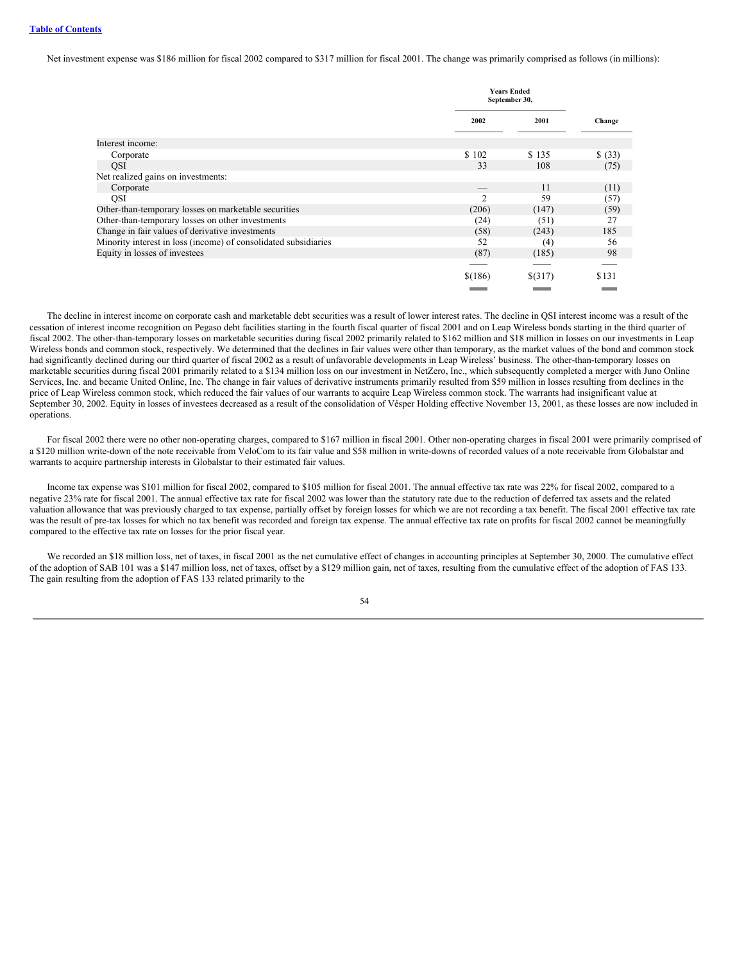Net investment expense was \$186 million for fiscal 2002 compared to \$317 million for fiscal 2001. The change was primarily comprised as follows (in millions):

|                                                                 |         | <b>Years Ended</b><br>September 30, |         |  |
|-----------------------------------------------------------------|---------|-------------------------------------|---------|--|
|                                                                 | 2002    | 2001                                | Change  |  |
| Interest income:                                                |         |                                     |         |  |
| Corporate                                                       | \$102   | \$135                               | \$ (33) |  |
| <b>OSI</b>                                                      | 33      | 108                                 | (75)    |  |
| Net realized gains on investments:                              |         |                                     |         |  |
| Corporate                                                       |         | 11                                  | (11)    |  |
| <b>OSI</b>                                                      | 2       | 59                                  | (57)    |  |
| Other-than-temporary losses on marketable securities            | (206)   | (147)                               | (59)    |  |
| Other-than-temporary losses on other investments                | (24)    | (51)                                | 27      |  |
| Change in fair values of derivative investments                 | (58)    | (243)                               | 185     |  |
| Minority interest in loss (income) of consolidated subsidiaries | 52      | (4)                                 | 56      |  |
| Equity in losses of investees                                   | (87)    | (185)                               | 98      |  |
|                                                                 |         |                                     |         |  |
|                                                                 | \$(186) | \$(317)                             | \$131   |  |
|                                                                 |         |                                     |         |  |

The decline in interest income on corporate cash and marketable debt securities was a result of lower interest rates. The decline in QSI interest income was a result of the cessation of interest income recognition on Pegaso debt facilities starting in the fourth fiscal quarter of fiscal 2001 and on Leap Wireless bonds starting in the third quarter of fiscal 2002. The other-than-temporary losses on marketable securities during fiscal 2002 primarily related to \$162 million and \$18 million in losses on our investments in Leap Wireless bonds and common stock, respectively. We determined that the declines in fair values were other than temporary, as the market values of the bond and common stock had significantly declined during our third quarter of fiscal 2002 as a result of unfavorable developments in Leap Wireless' business. The other-than-temporary losses on marketable securities during fiscal 2001 primarily related to a \$134 million loss on our investment in NetZero, Inc., which subsequently completed a merger with Juno Online Services, Inc. and became United Online, Inc. The change in fair values of derivative instruments primarily resulted from \$59 million in losses resulting from declines in the price of Leap Wireless common stock, which reduced the fair values of our warrants to acquire Leap Wireless common stock. The warrants had insignificant value at September 30, 2002. Equity in losses of investees decreased as a result of the consolidation of Vésper Holding effective November 13, 2001, as these losses are now included in operations.

For fiscal 2002 there were no other non-operating charges, compared to \$167 million in fiscal 2001. Other non-operating charges in fiscal 2001 were primarily comprised of a \$120 million write-down of the note receivable from VeloCom to its fair value and \$58 million in write-downs of recorded values of a note receivable from Globalstar and warrants to acquire partnership interests in Globalstar to their estimated fair values.

Income tax expense was \$101 million for fiscal 2002, compared to \$105 million for fiscal 2001. The annual effective tax rate was 22% for fiscal 2002, compared to a negative 23% rate for fiscal 2001. The annual effective tax rate for fiscal 2002 was lower than the statutory rate due to the reduction of deferred tax assets and the related valuation allowance that was previously charged to tax expense, partially offset by foreign losses for which we are not recording a tax benefit. The fiscal 2001 effective tax rate was the result of pre-tax losses for which no tax benefit was recorded and foreign tax expense. The annual effective tax rate on profits for fiscal 2002 cannot be meaningfully compared to the effective tax rate on losses for the prior fiscal year.

We recorded an \$18 million loss, net of taxes, in fiscal 2001 as the net cumulative effect of changes in accounting principles at September 30, 2000. The cumulative effect of the adoption of SAB 101 was a \$147 million loss, net of taxes, offset by a \$129 million gain, net of taxes, resulting from the cumulative effect of the adoption of FAS 133. The gain resulting from the adoption of FAS 133 related primarily to the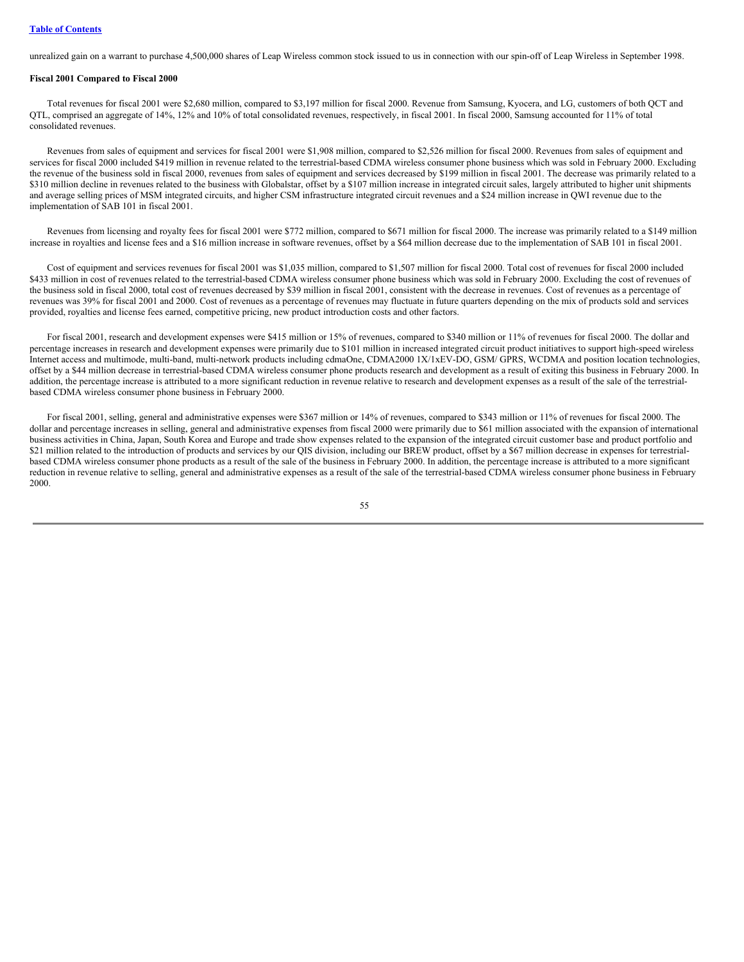unrealized gain on a warrant to purchase 4,500,000 shares of Leap Wireless common stock issued to us in connection with our spin-off of Leap Wireless in September 1998.

### **Fiscal 2001 Compared to Fiscal 2000**

Total revenues for fiscal 2001 were \$2,680 million, compared to \$3,197 million for fiscal 2000. Revenue from Samsung, Kyocera, and LG, customers of both QCT and QTL, comprised an aggregate of 14%, 12% and 10% of total consolidated revenues, respectively, in fiscal 2001. In fiscal 2000, Samsung accounted for 11% of total consolidated revenues.

Revenues from sales of equipment and services for fiscal 2001 were \$1,908 million, compared to \$2,526 million for fiscal 2000. Revenues from sales of equipment and services for fiscal 2000 included \$419 million in revenue related to the terrestrial-based CDMA wireless consumer phone business which was sold in February 2000. Excluding the revenue of the business sold in fiscal 2000, revenues from sales of equipment and services decreased by \$199 million in fiscal 2001. The decrease was primarily related to a \$310 million decline in revenues related to the business with Globalstar, offset by a \$107 million increase in integrated circuit sales, largely attributed to higher unit shipments and average selling prices of MSM integrated circuits, and higher CSM infrastructure integrated circuit revenues and a \$24 million increase in QWI revenue due to the implementation of SAB 101 in fiscal 2001.

Revenues from licensing and royalty fees for fiscal 2001 were \$772 million, compared to \$671 million for fiscal 2000. The increase was primarily related to a \$149 million increase in royalties and license fees and a \$16 million increase in software revenues, offset by a \$64 million decrease due to the implementation of SAB 101 in fiscal 2001.

Cost of equipment and services revenues for fiscal 2001 was \$1,035 million, compared to \$1,507 million for fiscal 2000. Total cost of revenues for fiscal 2000 included \$433 million in cost of revenues related to the terrestrial-based CDMA wireless consumer phone business which was sold in February 2000. Excluding the cost of revenues of the business sold in fiscal 2000, total cost of revenues decreased by \$39 million in fiscal 2001, consistent with the decrease in revenues. Cost of revenues as a percentage of revenues was 39% for fiscal 2001 and 2000. Cost of revenues as a percentage of revenues may fluctuate in future quarters depending on the mix of products sold and services provided, royalties and license fees earned, competitive pricing, new product introduction costs and other factors.

For fiscal 2001, research and development expenses were \$415 million or 15% of revenues, compared to \$340 million or 11% of revenues for fiscal 2000. The dollar and percentage increases in research and development expenses were primarily due to \$101 million in increased integrated circuit product initiatives to support high-speed wireless Internet access and multimode, multi-band, multi-network products including cdmaOne, CDMA2000 1X/1xEV-DO, GSM/ GPRS, WCDMA and position location technologies, offset by a \$44 million decrease in terrestrial-based CDMA wireless consumer phone products research and development as a result of exiting this business in February 2000. In addition, the percentage increase is attributed to a more significant reduction in revenue relative to research and development expenses as a result of the sale of the terrestrialbased CDMA wireless consumer phone business in February 2000.

For fiscal 2001, selling, general and administrative expenses were \$367 million or 14% of revenues, compared to \$343 million or 11% of revenues for fiscal 2000. The dollar and percentage increases in selling, general and administrative expenses from fiscal 2000 were primarily due to \$61 million associated with the expansion of international business activities in China, Japan, South Korea and Europe and trade show expenses related to the expansion of the integrated circuit customer base and product portfolio and \$21 million related to the introduction of products and services by our QIS division, including our BREW product, offset by a \$67 million decrease in expenses for terrestrialbased CDMA wireless consumer phone products as a result of the sale of the business in February 2000. In addition, the percentage increase is attributed to a more significant reduction in revenue relative to selling, general and administrative expenses as a result of the sale of the terrestrial-based CDMA wireless consumer phone business in February 2000.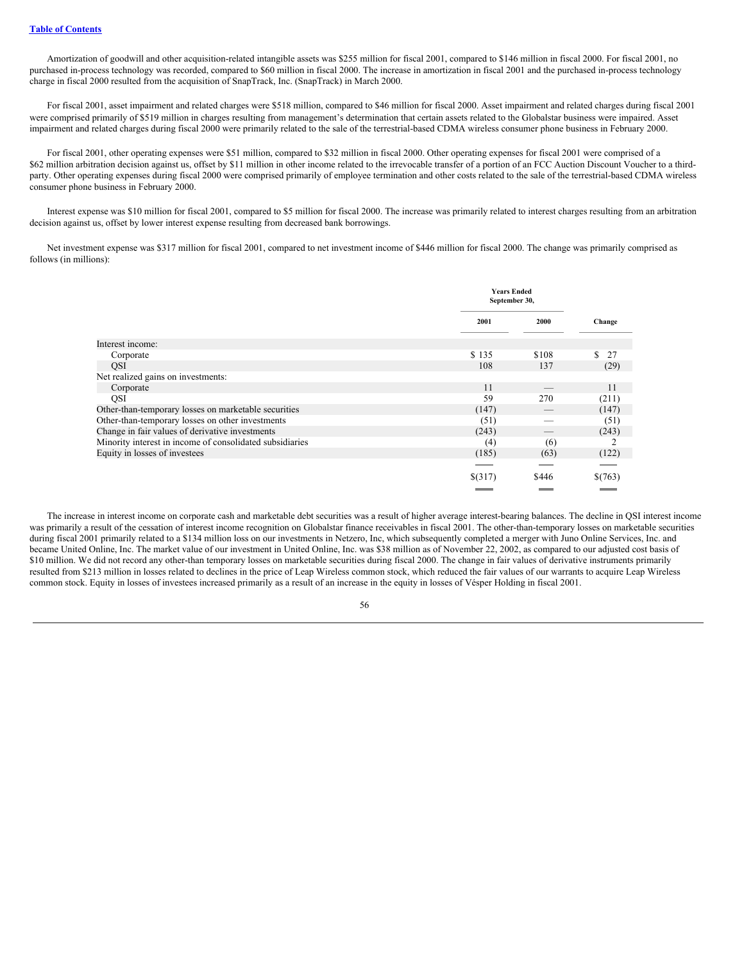Amortization of goodwill and other acquisition-related intangible assets was \$255 million for fiscal 2001, compared to \$146 million in fiscal 2000. For fiscal 2001, no purchased in-process technology was recorded, compared to \$60 million in fiscal 2000. The increase in amortization in fiscal 2001 and the purchased in-process technology charge in fiscal 2000 resulted from the acquisition of SnapTrack, Inc. (SnapTrack) in March 2000.

For fiscal 2001, asset impairment and related charges were \$518 million, compared to \$46 million for fiscal 2000. Asset impairment and related charges during fiscal 2001 were comprised primarily of \$519 million in charges resulting from management's determination that certain assets related to the Globalstar business were impaired. Asset impairment and related charges during fiscal 2000 were primarily related to the sale of the terrestrial-based CDMA wireless consumer phone business in February 2000.

For fiscal 2001, other operating expenses were \$51 million, compared to \$32 million in fiscal 2000. Other operating expenses for fiscal 2001 were comprised of a \$62 million arbitration decision against us, offset by \$11 million in other income related to the irrevocable transfer of a portion of an FCC Auction Discount Voucher to a thirdparty. Other operating expenses during fiscal 2000 were comprised primarily of employee termination and other costs related to the sale of the terrestrial-based CDMA wireless consumer phone business in February 2000.

Interest expense was \$10 million for fiscal 2001, compared to \$5 million for fiscal 2000. The increase was primarily related to interest charges resulting from an arbitration decision against us, offset by lower interest expense resulting from decreased bank borrowings.

Net investment expense was \$317 million for fiscal 2001, compared to net investment income of \$446 million for fiscal 2000. The change was primarily comprised as follows (in millions):

|                                                          | <b>Years Ended</b><br>September 30, |       |          |
|----------------------------------------------------------|-------------------------------------|-------|----------|
|                                                          | 2001                                | 2000  | Change   |
| Interest income:                                         |                                     |       |          |
| Corporate                                                | \$135                               | \$108 | S.<br>27 |
| <b>OSI</b>                                               | 108                                 | 137   | (29)     |
| Net realized gains on investments:                       |                                     |       |          |
| Corporate                                                | 11                                  |       | 11       |
| <b>OSI</b>                                               | 59                                  | 270   | (211)    |
| Other-than-temporary losses on marketable securities     | (147)                               |       | (147)    |
| Other-than-temporary losses on other investments         | (51)                                |       | (51)     |
| Change in fair values of derivative investments          | (243)                               |       | (243)    |
| Minority interest in income of consolidated subsidiaries | (4)                                 | (6)   |          |
| Equity in losses of investees                            | (185)                               | (63)  | (122)    |
|                                                          |                                     |       |          |
|                                                          | $$$ (317)                           | \$446 | \$(763)  |

The increase in interest income on corporate cash and marketable debt securities was a result of higher average interest-bearing balances. The decline in QSI interest income was primarily a result of the cessation of interest income recognition on Globalstar finance receivables in fiscal 2001. The other-than-temporary losses on marketable securities during fiscal 2001 primarily related to a \$134 million loss on our investments in Netzero, Inc, which subsequently completed a merger with Juno Online Services, Inc. and became United Online, Inc. The market value of our investment in United Online, Inc. was \$38 million as of November 22, 2002, as compared to our adjusted cost basis of \$10 million. We did not record any other-than temporary losses on marketable securities during fiscal 2000. The change in fair values of derivative instruments primarily resulted from \$213 million in losses related to declines in the price of Leap Wireless common stock, which reduced the fair values of our warrants to acquire Leap Wireless common stock. Equity in losses of investees increased primarily as a result of an increase in the equity in losses of Vésper Holding in fiscal 2001.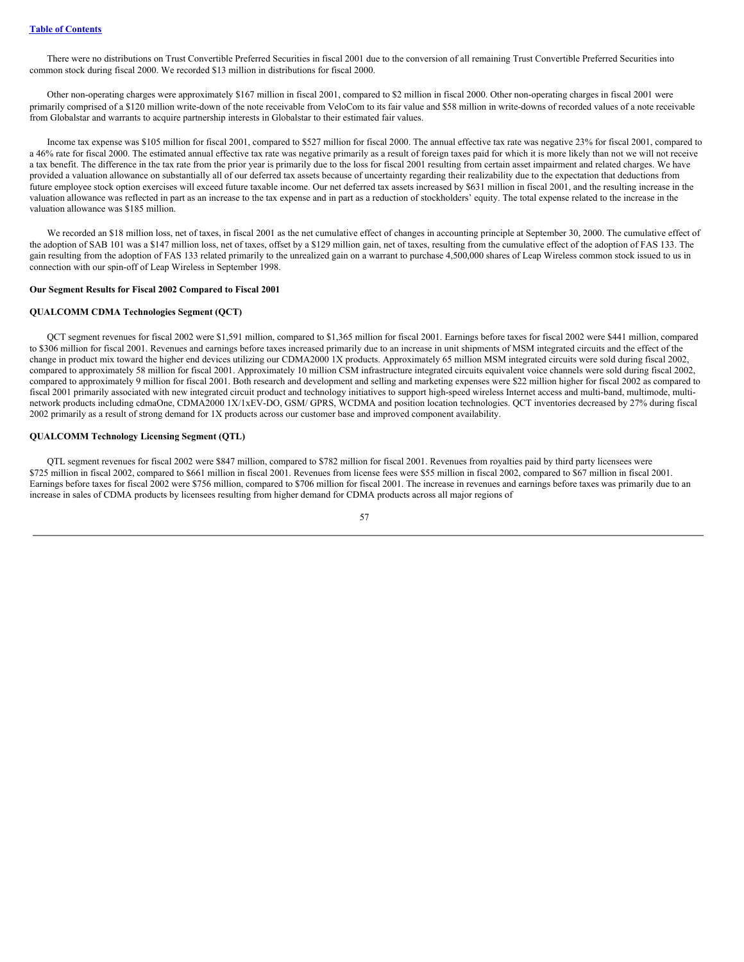There were no distributions on Trust Convertible Preferred Securities in fiscal 2001 due to the conversion of all remaining Trust Convertible Preferred Securities into common stock during fiscal 2000. We recorded \$13 million in distributions for fiscal 2000.

Other non-operating charges were approximately \$167 million in fiscal 2001, compared to \$2 million in fiscal 2000. Other non-operating charges in fiscal 2001 were primarily comprised of a \$120 million write-down of the note receivable from VeloCom to its fair value and \$58 million in write-downs of recorded values of a note receivable from Globalstar and warrants to acquire partnership interests in Globalstar to their estimated fair values.

Income tax expense was \$105 million for fiscal 2001, compared to \$527 million for fiscal 2000. The annual effective tax rate was negative 23% for fiscal 2001, compared to a 46% rate for fiscal 2000. The estimated annual effective tax rate was negative primarily as a result of foreign taxes paid for which it is more likely than not we will not receive a tax benefit. The difference in the tax rate from the prior year is primarily due to the loss for fiscal 2001 resulting from certain asset impairment and related charges. We have provided a valuation allowance on substantially all of our deferred tax assets because of uncertainty regarding their realizability due to the expectation that deductions from future employee stock option exercises will exceed future taxable income. Our net deferred tax assets increased by \$631 million in fiscal 2001, and the resulting increase in the valuation allowance was reflected in part as an increase to the tax expense and in part as a reduction of stockholders' equity. The total expense related to the increase in the valuation allowance was \$185 million.

We recorded an \$18 million loss, net of taxes, in fiscal 2001 as the net cumulative effect of changes in accounting principle at September 30, 2000. The cumulative effect of the adoption of SAB 101 was a \$147 million loss, net of taxes, offset by a \$129 million gain, net of taxes, resulting from the cumulative effect of the adoption of FAS 133. The gain resulting from the adoption of FAS 133 related primarily to the unrealized gain on a warrant to purchase 4,500,000 shares of Leap Wireless common stock issued to us in connection with our spin-off of Leap Wireless in September 1998.

### **Our Segment Results for Fiscal 2002 Compared to Fiscal 2001**

### **QUALCOMM CDMA Technologies Segment (QCT)**

QCT segment revenues for fiscal 2002 were \$1,591 million, compared to \$1,365 million for fiscal 2001. Earnings before taxes for fiscal 2002 were \$441 million, compared to \$306 million for fiscal 2001. Revenues and earnings before taxes increased primarily due to an increase in unit shipments of MSM integrated circuits and the effect of the change in product mix toward the higher end devices utilizing our CDMA2000 1X products. Approximately 65 million MSM integrated circuits were sold during fiscal 2002, compared to approximately 58 million for fiscal 2001. Approximately 10 million CSM infrastructure integrated circuits equivalent voice channels were sold during fiscal 2002, compared to approximately 9 million for fiscal 2001. Both research and development and selling and marketing expenses were \$22 million higher for fiscal 2002 as compared to fiscal 2001 primarily associated with new integrated circuit product and technology initiatives to support high-speed wireless Internet access and multi-band, multimode, multinetwork products including cdmaOne, CDMA2000 1X/1xEV-DO, GSM/ GPRS, WCDMA and position location technologies. QCT inventories decreased by 27% during fiscal 2002 primarily as a result of strong demand for 1X products across our customer base and improved component availability.

### **QUALCOMM Technology Licensing Segment (QTL)**

QTL segment revenues for fiscal 2002 were \$847 million, compared to \$782 million for fiscal 2001. Revenues from royalties paid by third party licensees were \$725 million in fiscal 2002, compared to \$661 million in fiscal 2001. Revenues from license fees were \$55 million in fiscal 2002, compared to \$67 million in fiscal 2001. Earnings before taxes for fiscal 2002 were \$756 million, compared to \$706 million for fiscal 2001. The increase in revenues and earnings before taxes was primarily due to an increase in sales of CDMA products by licensees resulting from higher demand for CDMA products across all major regions of

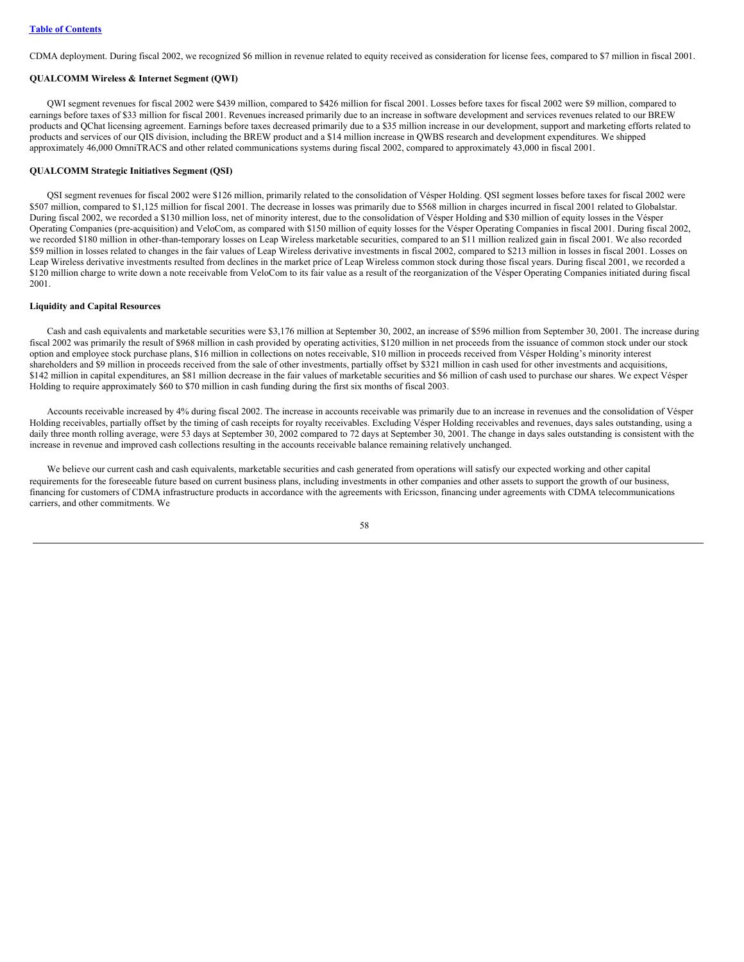CDMA deployment. During fiscal 2002, we recognized \$6 million in revenue related to equity received as consideration for license fees, compared to \$7 million in fiscal 2001.

### **QUALCOMM Wireless & Internet Segment (QWI)**

QWI segment revenues for fiscal 2002 were \$439 million, compared to \$426 million for fiscal 2001. Losses before taxes for fiscal 2002 were \$9 million, compared to earnings before taxes of \$33 million for fiscal 2001. Revenues increased primarily due to an increase in software development and services revenues related to our BREW products and QChat licensing agreement. Earnings before taxes decreased primarily due to a \$35 million increase in our development, support and marketing efforts related to products and services of our QIS division, including the BREW product and a \$14 million increase in QWBS research and development expenditures. We shipped approximately 46,000 OmniTRACS and other related communications systems during fiscal 2002, compared to approximately 43,000 in fiscal 2001.

#### **QUALCOMM Strategic Initiatives Segment (QSI)**

QSI segment revenues for fiscal 2002 were \$126 million, primarily related to the consolidation of Vésper Holding. QSI segment losses before taxes for fiscal 2002 were \$507 million, compared to \$1,125 million for fiscal 2001. The decrease in losses was primarily due to \$568 million in charges incurred in fiscal 2001 related to Globalstar. During fiscal 2002, we recorded a \$130 million loss, net of minority interest, due to the consolidation of Vésper Holding and \$30 million of equity losses in the Vésper Operating Companies (pre-acquisition) and VeloCom, as compared with \$150 million of equity losses for the Vésper Operating Companies in fiscal 2001. During fiscal 2002, we recorded \$180 million in other-than-temporary losses on Leap Wireless marketable securities, compared to an \$11 million realized gain in fiscal 2001. We also recorded \$59 million in losses related to changes in the fair values of Leap Wireless derivative investments in fiscal 2002, compared to \$213 million in losses in fiscal 2001. Losses on Leap Wireless derivative investments resulted from declines in the market price of Leap Wireless common stock during those fiscal years. During fiscal 2001, we recorded a \$120 million charge to write down a note receivable from VeloCom to its fair value as a result of the reorganization of the Vésper Operating Companies initiated during fiscal 2001.

#### **Liquidity and Capital Resources**

Cash and cash equivalents and marketable securities were \$3,176 million at September 30, 2002, an increase of \$596 million from September 30, 2001. The increase during fiscal 2002 was primarily the result of \$968 million in cash provided by operating activities, \$120 million in net proceeds from the issuance of common stock under our stock option and employee stock purchase plans, \$16 million in collections on notes receivable, \$10 million in proceeds received from Vésper Holding's minority interest shareholders and \$9 million in proceeds received from the sale of other investments, partially offset by \$321 million in cash used for other investments and acquisitions, \$142 million in capital expenditures, an \$81 million decrease in the fair values of marketable securities and \$6 million of cash used to purchase our shares. We expect Vésper Holding to require approximately \$60 to \$70 million in cash funding during the first six months of fiscal 2003.

Accounts receivable increased by 4% during fiscal 2002. The increase in accounts receivable was primarily due to an increase in revenues and the consolidation of Vésper Holding receivables, partially offset by the timing of cash receipts for royalty receivables. Excluding Vésper Holding receivables and revenues, days sales outstanding, using a daily three month rolling average, were 53 days at September 30, 2002 compared to 72 days at September 30, 2001. The change in days sales outstanding is consistent with the increase in revenue and improved cash collections resulting in the accounts receivable balance remaining relatively unchanged.

We believe our current cash and cash equivalents, marketable securities and cash generated from operations will satisfy our expected working and other capital requirements for the foreseeable future based on current business plans, including investments in other companies and other assets to support the growth of our business, financing for customers of CDMA infrastructure products in accordance with the agreements with Ericsson, financing under agreements with CDMA telecommunications carriers, and other commitments. We

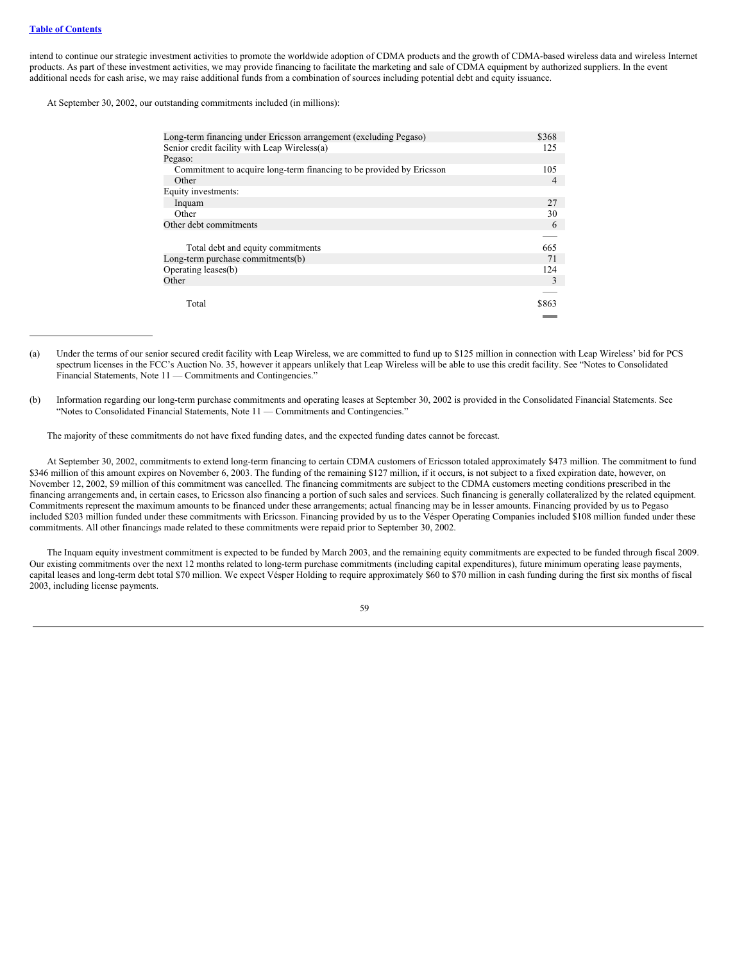intend to continue our strategic investment activities to promote the worldwide adoption of CDMA products and the growth of CDMA-based wireless data and wireless Internet products. As part of these investment activities, we may provide financing to facilitate the marketing and sale of CDMA equipment by authorized suppliers. In the event additional needs for cash arise, we may raise additional funds from a combination of sources including potential debt and equity issuance.

At September 30, 2002, our outstanding commitments included (in millions):

| Long-term financing under Ericsson arrangement (excluding Pegaso)    | \$368          |
|----------------------------------------------------------------------|----------------|
| Senior credit facility with Leap Wireless(a)                         | 125            |
| Pegaso:                                                              |                |
| Commitment to acquire long-term financing to be provided by Ericsson | 105            |
| Other                                                                | $\overline{4}$ |
| Equity investments:                                                  |                |
| Inquam                                                               | 27             |
| Other                                                                | 30             |
| Other debt commitments                                               | 6              |
|                                                                      |                |
| Total debt and equity commitments                                    | 665            |
| Long-term purchase commitments(b)                                    | 71             |
| Operating leases(b)                                                  | 124            |
| Other                                                                | 3              |
|                                                                      |                |
| Total                                                                | \$863          |

- (a) Under the terms of our senior secured credit facility with Leap Wireless, we are committed to fund up to \$125 million in connection with Leap Wireless' bid for PCS spectrum licenses in the FCC's Auction No. 35, however it appears unlikely that Leap Wireless will be able to use this credit facility. See "Notes to Consolidated Financial Statements, Note 11 — Commitments and Contingencies."
- (b) Information regarding our long-term purchase commitments and operating leases at September 30, 2002 is provided in the Consolidated Financial Statements. See "Notes to Consolidated Financial Statements, Note 11 — Commitments and Contingencies."

The majority of these commitments do not have fixed funding dates, and the expected funding dates cannot be forecast.

At September 30, 2002, commitments to extend long-term financing to certain CDMA customers of Ericsson totaled approximately \$473 million. The commitment to fund \$346 million of this amount expires on November 6, 2003. The funding of the remaining \$127 million, if it occurs, is not subject to a fixed expiration date, however, on November 12, 2002, \$9 million of this commitment was cancelled. The financing commitments are subject to the CDMA customers meeting conditions prescribed in the financing arrangements and, in certain cases, to Ericsson also financing a portion of such sales and services. Such financing is generally collateralized by the related equipment. Commitments represent the maximum amounts to be financed under these arrangements; actual financing may be in lesser amounts. Financing provided by us to Pegaso included \$203 million funded under these commitments with Ericsson. Financing provided by us to the Vésper Operating Companies included \$108 million funded under these commitments. All other financings made related to these commitments were repaid prior to September 30, 2002.

The Inquam equity investment commitment is expected to be funded by March 2003, and the remaining equity commitments are expected to be funded through fiscal 2009. Our existing commitments over the next 12 months related to long-term purchase commitments (including capital expenditures), future minimum operating lease payments, capital leases and long-term debt total \$70 million. We expect Vésper Holding to require approximately \$60 to \$70 million in cash funding during the first six months of fiscal 2003, including license payments.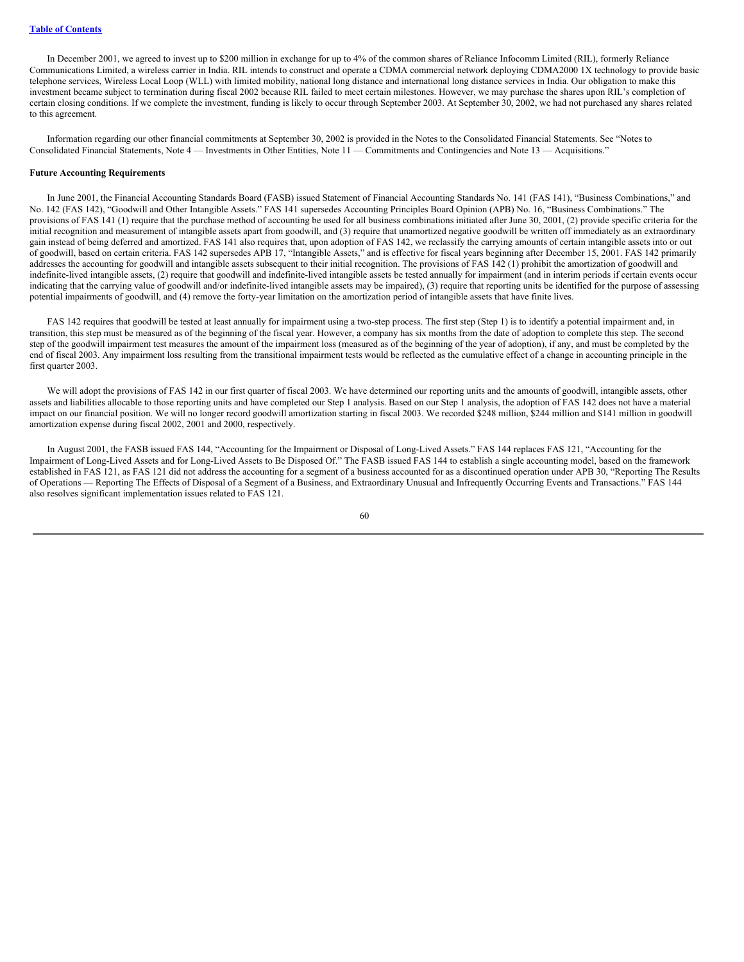In December 2001, we agreed to invest up to \$200 million in exchange for up to 4% of the common shares of Reliance Infocomm Limited (RIL), formerly Reliance Communications Limited, a wireless carrier in India. RIL intends to construct and operate a CDMA commercial network deploying CDMA2000 1X technology to provide basic telephone services, Wireless Local Loop (WLL) with limited mobility, national long distance and international long distance services in India. Our obligation to make this investment became subject to termination during fiscal 2002 because RIL failed to meet certain milestones. However, we may purchase the shares upon RIL's completion of certain closing conditions. If we complete the investment, funding is likely to occur through September 2003. At September 30, 2002, we had not purchased any shares related to this agreement.

Information regarding our other financial commitments at September 30, 2002 is provided in the Notes to the Consolidated Financial Statements. See "Notes to Consolidated Financial Statements, Note 4 — Investments in Other Entities, Note 11 — Commitments and Contingencies and Note 13 — Acquisitions."

### **Future Accounting Requirements**

In June 2001, the Financial Accounting Standards Board (FASB) issued Statement of Financial Accounting Standards No. 141 (FAS 141), "Business Combinations," and No. 142 (FAS 142), "Goodwill and Other Intangible Assets." FAS 141 supersedes Accounting Principles Board Opinion (APB) No. 16, "Business Combinations." The provisions of FAS 141 (1) require that the purchase method of accounting be used for all business combinations initiated after June 30, 2001, (2) provide specific criteria for the initial recognition and measurement of intangible assets apart from goodwill, and (3) require that unamortized negative goodwill be written off immediately as an extraordinary gain instead of being deferred and amortized. FAS 141 also requires that, upon adoption of FAS 142, we reclassify the carrying amounts of certain intangible assets into or out of goodwill, based on certain criteria. FAS 142 supersedes APB 17, "Intangible Assets," and is effective for fiscal years beginning after December 15, 2001. FAS 142 primarily addresses the accounting for goodwill and intangible assets subsequent to their initial recognition. The provisions of FAS 142 (1) prohibit the amortization of goodwill and indefinite-lived intangible assets, (2) require that goodwill and indefinite-lived intangible assets be tested annually for impairment (and in interim periods if certain events occur indicating that the carrying value of goodwill and/or indefinite-lived intangible assets may be impaired), (3) require that reporting units be identified for the purpose of assessing potential impairments of goodwill, and (4) remove the forty-year limitation on the amortization period of intangible assets that have finite lives.

FAS 142 requires that goodwill be tested at least annually for impairment using a two-step process. The first step (Step 1) is to identify a potential impairment and, in transition, this step must be measured as of the beginning of the fiscal year. However, a company has six months from the date of adoption to complete this step. The second step of the goodwill impairment test measures the amount of the impairment loss (measured as of the beginning of the year of adoption), if any, and must be completed by the end of fiscal 2003. Any impairment loss resulting from the transitional impairment tests would be reflected as the cumulative effect of a change in accounting principle in the first quarter 2003.

We will adopt the provisions of FAS 142 in our first quarter of fiscal 2003. We have determined our reporting units and the amounts of goodwill, intangible assets, other assets and liabilities allocable to those reporting units and have completed our Step 1 analysis. Based on our Step 1 analysis, the adoption of FAS 142 does not have a material impact on our financial position. We will no longer record goodwill amortization starting in fiscal 2003. We recorded \$248 million, \$244 million and \$141 million in goodwill amortization expense during fiscal 2002, 2001 and 2000, respectively.

In August 2001, the FASB issued FAS 144, "Accounting for the Impairment or Disposal of Long-Lived Assets." FAS 144 replaces FAS 121, "Accounting for the Impairment of Long-Lived Assets and for Long-Lived Assets to Be Disposed Of." The FASB issued FAS 144 to establish a single accounting model, based on the framework established in FAS 121, as FAS 121 did not address the accounting for a segment of a business accounted for as a discontinued operation under APB 30, "Reporting The Results of Operations — Reporting The Effects of Disposal of a Segment of a Business, and Extraordinary Unusual and Infrequently Occurring Events and Transactions." FAS 144 also resolves significant implementation issues related to FAS 121.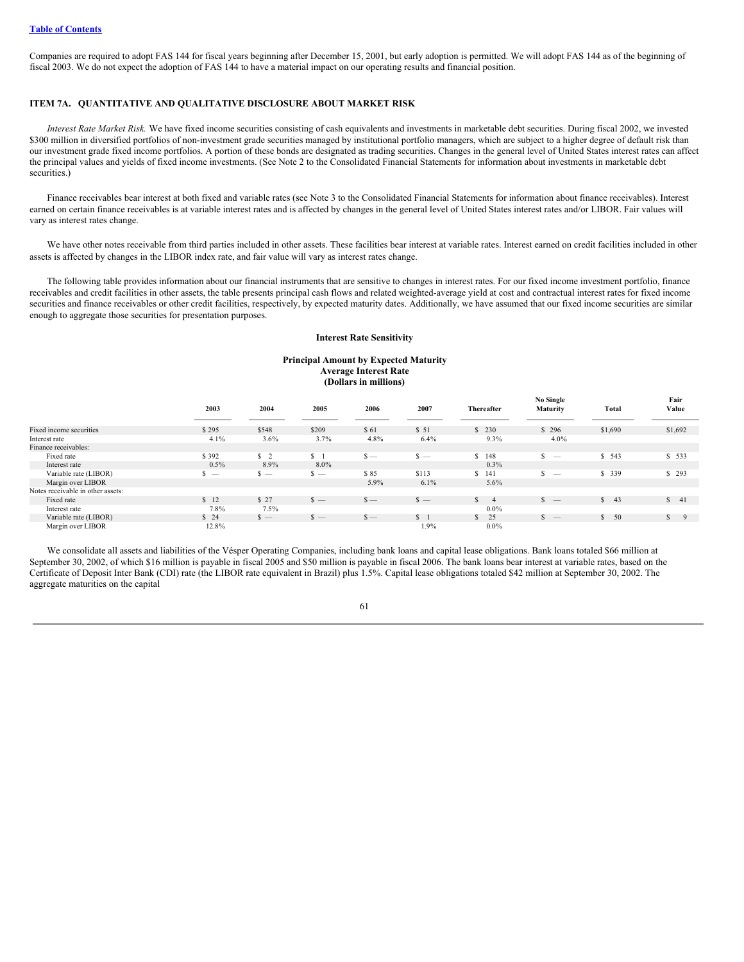Companies are required to adopt FAS 144 for fiscal years beginning after December 15, 2001, but early adoption is permitted. We will adopt FAS 144 as of the beginning of fiscal 2003. We do not expect the adoption of FAS 144 to have a material impact on our operating results and financial position.

### **ITEM 7A. QUANTITATIVE AND QUALITATIVE DISCLOSURE ABOUT MARKET RISK**

*Interest Rate Market Risk.* We have fixed income securities consisting of cash equivalents and investments in marketable debt securities. During fiscal 2002, we invested \$300 million in diversified portfolios of non-investment grade securities managed by institutional portfolio managers, which are subject to a higher degree of default risk than our investment grade fixed income portfolios. A portion of these bonds are designated as trading securities. Changes in the general level of United States interest rates can affect the principal values and yields of fixed income investments. (See Note 2 to the Consolidated Financial Statements for information about investments in marketable debt securities.)

Finance receivables bear interest at both fixed and variable rates (see Note 3 to the Consolidated Financial Statements for information about finance receivables). Interest earned on certain finance receivables is at variable interest rates and is affected by changes in the general level of United States interest rates and/or LIBOR. Fair values will vary as interest rates change.

We have other notes receivable from third parties included in other assets. These facilities bear interest at variable rates. Interest earned on credit facilities included in other assets is affected by changes in the LIBOR index rate, and fair value will vary as interest rates change.

The following table provides information about our financial instruments that are sensitive to changes in interest rates. For our fixed income investment portfolio, finance receivables and credit facilities in other assets, the table presents principal cash flows and related weighted-average yield at cost and contractual interest rates for fixed income securities and finance receivables or other credit facilities, respectively, by expected maturity dates. Additionally, we have assumed that our fixed income securities are similar enough to aggregate those securities for presentation purposes.

#### **Interest Rate Sensitivity**

### **Principal Amount by Expected Maturity Average Interest Rate (Dollars in millions)**

|                                   |                          |                |              |                |                           |                   | <b>No Single</b>                         |                  | Fair             |
|-----------------------------------|--------------------------|----------------|--------------|----------------|---------------------------|-------------------|------------------------------------------|------------------|------------------|
|                                   | 2003                     | 2004           | 2005         | 2006           | 2007                      | Thereafter        | Maturity                                 | Total            | Value            |
|                                   |                          |                |              |                |                           |                   |                                          |                  |                  |
| Fixed income securities           | \$295                    | \$548          | \$209        | \$61           | \$51                      | \$230             | \$296                                    | \$1,690          | \$1,692          |
| Interest rate                     | 4.1%                     | 3.6%           | 3.7%         | 4.8%           | 6.4%                      | $9.3\%$           | $4.0\%$                                  |                  |                  |
| Finance receivables:              |                          |                |              |                |                           |                   |                                          |                  |                  |
| Fixed rate                        | \$392                    | S <sub>2</sub> | $\mathbf{s}$ | $\mathbf{s}$ — | $\frac{\epsilon}{\sigma}$ | \$148             | $\hspace{0.05cm}$                        | \$ 543           | \$533            |
| Interest rate                     | $0.5\%$                  | 8.9%           | $8.0\%$      |                |                           | $0.3\%$           |                                          |                  |                  |
| Variable rate (LIBOR)             | $\overline{\phantom{a}}$ | $s =$          | $s -$        | \$85           | \$113                     | \$141             | $\hspace{0.1mm}$                         | \$ 339           | \$293            |
| Margin over LIBOR                 |                          |                |              | 5.9%           | $6.1\%$                   | 5.6%              |                                          |                  |                  |
| Notes receivable in other assets: |                          |                |              |                |                           |                   |                                          |                  |                  |
| Fixed rate                        | \$12                     | \$27           | $s -$        | $s -$          | $s -$                     | $\mathbf{s}$<br>4 | $\mathbf{s}$<br>$\overline{\phantom{a}}$ | $\frac{1}{2}$ 43 | $\frac{1}{2}$ 41 |
| Interest rate                     | 7.8%                     | 7.5%           |              |                |                           | $0.0\%$           |                                          |                  |                  |
| Variable rate (LIBOR)             | \$24                     | $s -$          | $s -$        | $s -$          | $\mathbf{s}$              | $\frac{1}{25}$    | $\hspace{0.1mm}-\hspace{0.1mm}$          | \$50             | S.<br>9          |
| Margin over LIBOR                 | 12.8%                    |                |              |                | 1.9%                      | $0.0\%$           |                                          |                  |                  |

We consolidate all assets and liabilities of the Vésper Operating Companies, including bank loans and capital lease obligations. Bank loans totaled \$66 million at September 30, 2002, of which \$16 million is payable in fiscal 2005 and \$50 million is payable in fiscal 2006. The bank loans bear interest at variable rates, based on the Certificate of Deposit Inter Bank (CDI) rate (the LIBOR rate equivalent in Brazil) plus 1.5%. Capital lease obligations totaled \$42 million at September 30, 2002. The aggregate maturities on the capital

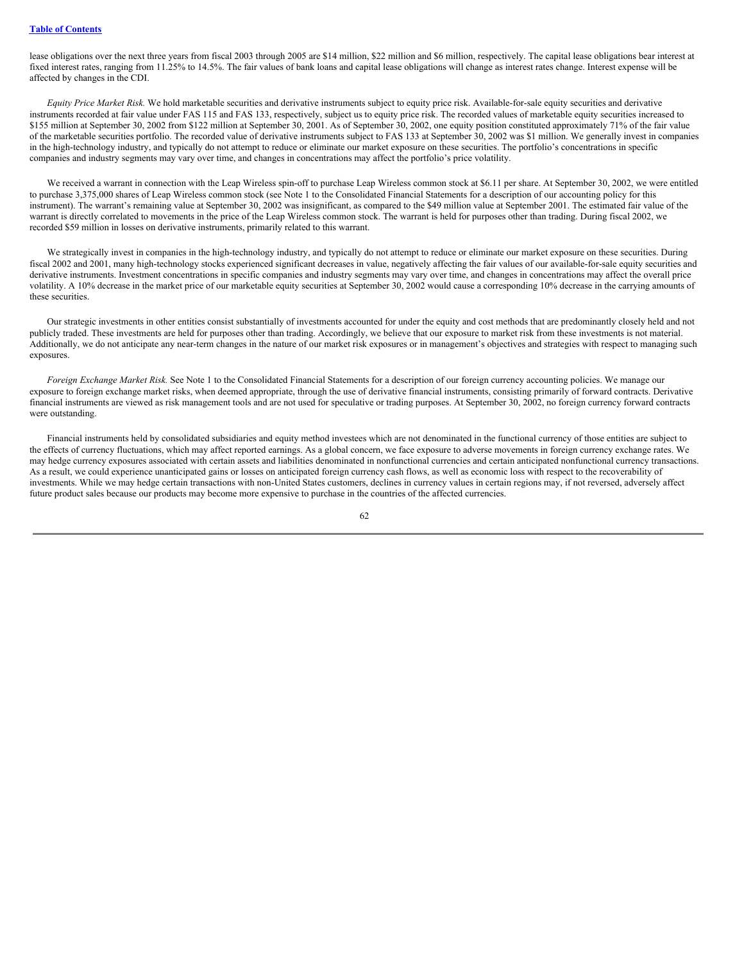lease obligations over the next three years from fiscal 2003 through 2005 are \$14 million, \$22 million and \$6 million, respectively. The capital lease obligations bear interest at fixed interest rates, ranging from 11.25% to 14.5%. The fair values of bank loans and capital lease obligations will change as interest rates change. Interest expense will be affected by changes in the CDI.

*Equity Price Market Risk.* We hold marketable securities and derivative instruments subject to equity price risk. Available-for-sale equity securities and derivative instruments recorded at fair value under FAS 115 and FAS 133, respectively, subject us to equity price risk. The recorded values of marketable equity securities increased to \$155 million at September 30, 2002 from \$122 million at September 30, 2001. As of September 30, 2002, one equity position constituted approximately 71% of the fair value of the marketable securities portfolio. The recorded value of derivative instruments subject to FAS 133 at September 30, 2002 was \$1 million. We generally invest in companies in the high-technology industry, and typically do not attempt to reduce or eliminate our market exposure on these securities. The portfolio's concentrations in specific companies and industry segments may vary over time, and changes in concentrations may affect the portfolio's price volatility.

We received a warrant in connection with the Leap Wireless spin-off to purchase Leap Wireless common stock at \$6.11 per share. At September 30, 2002, we were entitled to purchase 3,375,000 shares of Leap Wireless common stock (see Note 1 to the Consolidated Financial Statements for a description of our accounting policy for this instrument). The warrant's remaining value at September 30, 2002 was insignificant, as compared to the \$49 million value at September 2001. The estimated fair value of the warrant is directly correlated to movements in the price of the Leap Wireless common stock. The warrant is held for purposes other than trading. During fiscal 2002, we recorded \$59 million in losses on derivative instruments, primarily related to this warrant.

We strategically invest in companies in the high-technology industry, and typically do not attempt to reduce or eliminate our market exposure on these securities. During fiscal 2002 and 2001, many high-technology stocks experienced significant decreases in value, negatively affecting the fair values of our available-for-sale equity securities and derivative instruments. Investment concentrations in specific companies and industry segments may vary over time, and changes in concentrations may affect the overall price volatility. A 10% decrease in the market price of our marketable equity securities at September 30, 2002 would cause a corresponding 10% decrease in the carrying amounts of these securities.

Our strategic investments in other entities consist substantially of investments accounted for under the equity and cost methods that are predominantly closely held and not publicly traded. These investments are held for purposes other than trading. Accordingly, we believe that our exposure to market risk from these investments is not material. Additionally, we do not anticipate any near-term changes in the nature of our market risk exposures or in management's objectives and strategies with respect to managing such exposures.

*Foreign Exchange Market Risk.* See Note 1 to the Consolidated Financial Statements for a description of our foreign currency accounting policies. We manage our exposure to foreign exchange market risks, when deemed appropriate, through the use of derivative financial instruments, consisting primarily of forward contracts. Derivative financial instruments are viewed as risk management tools and are not used for speculative or trading purposes. At September 30, 2002, no foreign currency forward contracts were outstanding.

Financial instruments held by consolidated subsidiaries and equity method investees which are not denominated in the functional currency of those entities are subject to the effects of currency fluctuations, which may affect reported earnings. As a global concern, we face exposure to adverse movements in foreign currency exchange rates. We may hedge currency exposures associated with certain assets and liabilities denominated in nonfunctional currencies and certain anticipated nonfunctional currency transactions. As a result, we could experience unanticipated gains or losses on anticipated foreign currency cash flows, as well as economic loss with respect to the recoverability of investments. While we may hedge certain transactions with non-United States customers, declines in currency values in certain regions may, if not reversed, adversely affect future product sales because our products may become more expensive to purchase in the countries of the affected currencies.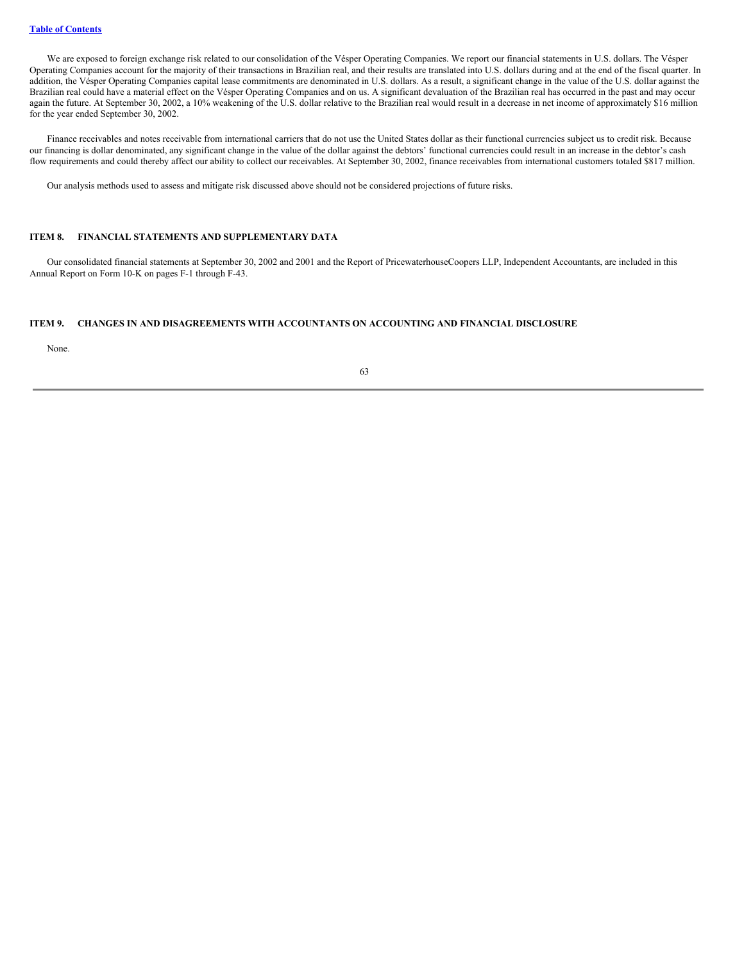We are exposed to foreign exchange risk related to our consolidation of the Vésper Operating Companies. We report our financial statements in U.S. dollars. The Vésper Operating Companies account for the majority of their transactions in Brazilian real, and their results are translated into U.S. dollars during and at the end of the fiscal quarter. In addition, the Vésper Operating Companies capital lease commitments are denominated in U.S. dollars. As a result, a significant change in the value of the U.S. dollar against the Brazilian real could have a material effect on the Vésper Operating Companies and on us. A significant devaluation of the Brazilian real has occurred in the past and may occur again the future. At September 30, 2002, a 10% weakening of the U.S. dollar relative to the Brazilian real would result in a decrease in net income of approximately \$16 million for the year ended September 30, 2002.

Finance receivables and notes receivable from international carriers that do not use the United States dollar as their functional currencies subject us to credit risk. Because our financing is dollar denominated, any significant change in the value of the dollar against the debtors' functional currencies could result in an increase in the debtor's cash flow requirements and could thereby affect our ability to collect our receivables. At September 30, 2002, finance receivables from international customers totaled \$817 million.

Our analysis methods used to assess and mitigate risk discussed above should not be considered projections of future risks.

### **ITEM 8. FINANCIAL STATEMENTS AND SUPPLEMENTARY DATA**

Our consolidated financial statements at September 30, 2002 and 2001 and the Report of PricewaterhouseCoopers LLP, Independent Accountants, are included in this Annual Report on Form 10-K on pages F-1 through F-43.

### **ITEM 9. CHANGES IN AND DISAGREEMENTS WITH ACCOUNTANTS ON ACCOUNTING AND FINANCIAL DISCLOSURE**

None.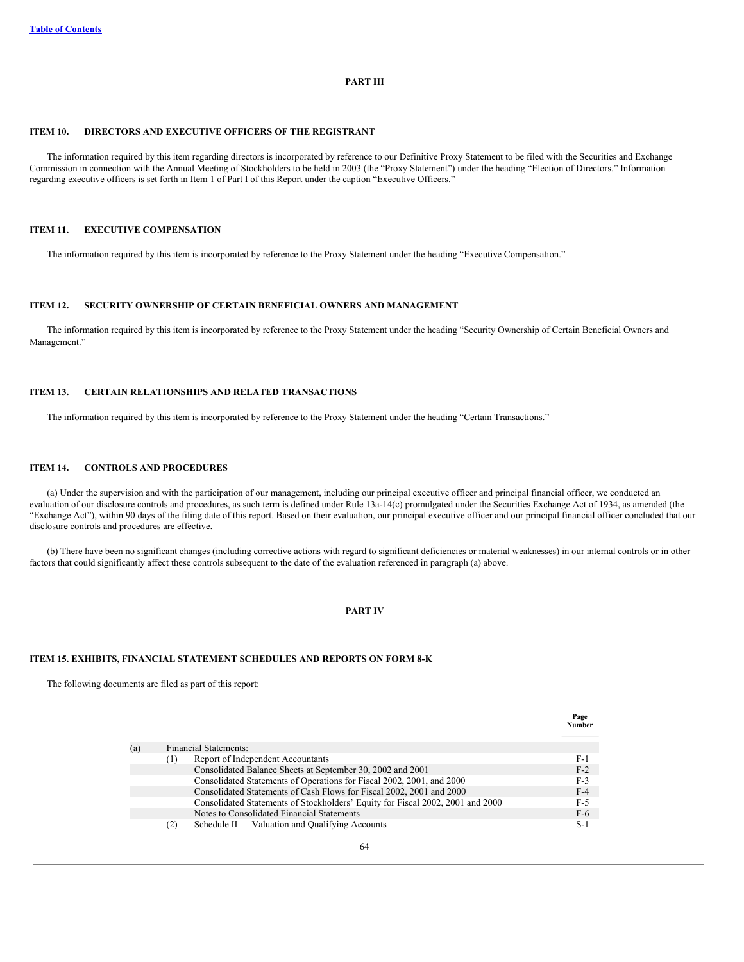# **PART III**

#### **ITEM 10. DIRECTORS AND EXECUTIVE OFFICERS OF THE REGISTRANT**

The information required by this item regarding directors is incorporated by reference to our Definitive Proxy Statement to be filed with the Securities and Exchange Commission in connection with the Annual Meeting of Stockholders to be held in 2003 (the "Proxy Statement") under the heading "Election of Directors." Information regarding executive officers is set forth in Item 1 of Part I of this Report under the caption "Executive Officers."

### **ITEM 11. EXECUTIVE COMPENSATION**

The information required by this item is incorporated by reference to the Proxy Statement under the heading "Executive Compensation."

## **ITEM 12. SECURITY OWNERSHIP OF CERTAIN BENEFICIAL OWNERS AND MANAGEMENT**

The information required by this item is incorporated by reference to the Proxy Statement under the heading "Security Ownership of Certain Beneficial Owners and Management."

### **ITEM 13. CERTAIN RELATIONSHIPS AND RELATED TRANSACTIONS**

The information required by this item is incorporated by reference to the Proxy Statement under the heading "Certain Transactions."

### **ITEM 14. CONTROLS AND PROCEDURES**

(a) Under the supervision and with the participation of our management, including our principal executive officer and principal financial officer, we conducted an evaluation of our disclosure controls and procedures, as such term is defined under Rule 13a-14(c) promulgated under the Securities Exchange Act of 1934, as amended (the "Exchange Act"), within 90 days of the filing date of this report. Based on their evaluation, our principal executive officer and our principal financial officer concluded that our disclosure controls and procedures are effective.

(b) There have been no significant changes (including corrective actions with regard to significant deficiencies or material weaknesses) in our internal controls or in other factors that could significantly affect these controls subsequent to the date of the evaluation referenced in paragraph (a) above.

# **PART IV**

#### **ITEM 15. EXHIBITS, FINANCIAL STATEMENT SCHEDULES AND REPORTS ON FORM 8-K**

The following documents are filed as part of this report:

|     |     |                                                                                | Page<br>Number |
|-----|-----|--------------------------------------------------------------------------------|----------------|
| (a) |     | <b>Financial Statements:</b>                                                   |                |
|     | (1) | Report of Independent Accountants                                              | $F-1$          |
|     |     | Consolidated Balance Sheets at September 30, 2002 and 2001                     | $F-2$          |
|     |     | Consolidated Statements of Operations for Fiscal 2002, 2001, and 2000          | $F-3$          |
|     |     | Consolidated Statements of Cash Flows for Fiscal 2002, 2001 and 2000           | $F-4$          |
|     |     | Consolidated Statements of Stockholders' Equity for Fiscal 2002, 2001 and 2000 | $F-5$          |
|     |     | Notes to Consolidated Financial Statements                                     | $F-6$          |
|     | (2) | Schedule II — Valuation and Qualifying Accounts                                | $S-1$          |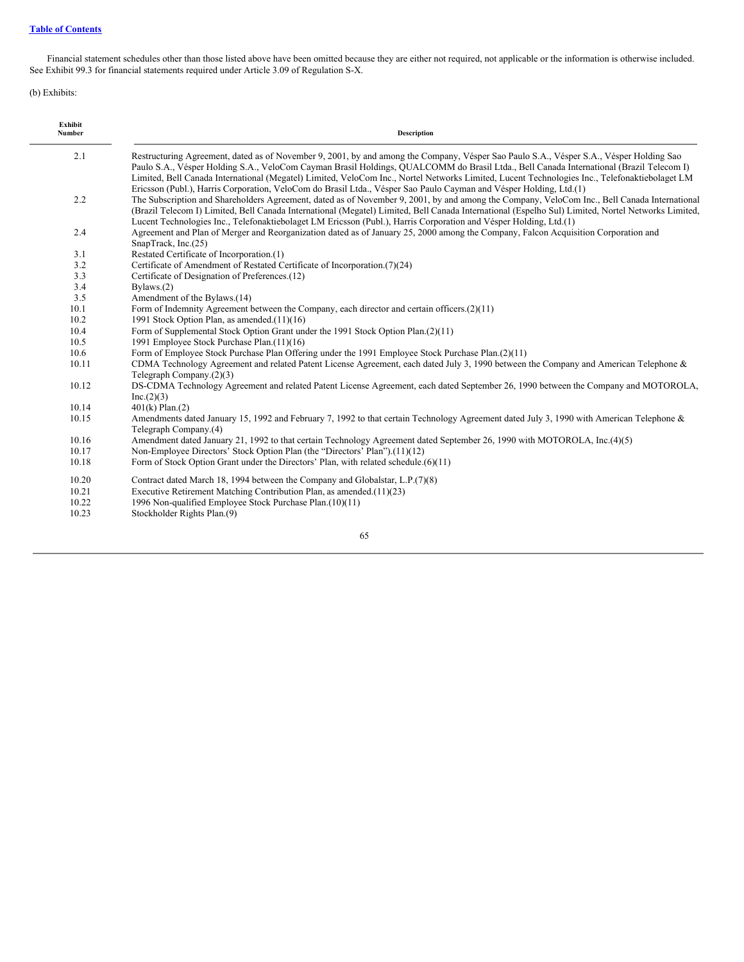Financial statement schedules other than those listed above have been omitted because they are either not required, not applicable or the information is otherwise included. See Exhibit 99.3 for financial statements required under Article 3.09 of Regulation S-X.

# (b) Exhibits:

| Exhibit<br>Number | Description                                                                                                                                                                                                                                                                                                                                                                                                                                                                                                                                               |
|-------------------|-----------------------------------------------------------------------------------------------------------------------------------------------------------------------------------------------------------------------------------------------------------------------------------------------------------------------------------------------------------------------------------------------------------------------------------------------------------------------------------------------------------------------------------------------------------|
| 2.1               | Restructuring Agreement, dated as of November 9, 2001, by and among the Company, Vésper Sao Paulo S.A., Vésper S.A., Vésper Holding Sao<br>Paulo S.A., Vésper Holding S.A., VeloCom Cayman Brasil Holdings, QUALCOMM do Brasil Ltda., Bell Canada International (Brazil Telecom I)<br>Limited, Bell Canada International (Megatel) Limited, VeloCom Inc., Nortel Networks Limited, Lucent Technologies Inc., Telefonaktiebolaget LM<br>Ericsson (Publ.), Harris Corporation, VeloCom do Brasil Ltda., Vésper Sao Paulo Cayman and Vésper Holding, Ltd.(1) |
| 2.2               | The Subscription and Shareholders Agreement, dated as of November 9, 2001, by and among the Company, VeloCom Inc., Bell Canada International<br>(Brazil Telecom I) Limited, Bell Canada International (Megatel) Limited, Bell Canada International (Espelho Sul) Limited, Nortel Networks Limited,<br>Lucent Technologies Inc., Telefonaktiebolaget LM Ericsson (Publ.), Harris Corporation and Vésper Holding, Ltd.(1)                                                                                                                                   |
| 2.4               | Agreement and Plan of Merger and Reorganization dated as of January 25, 2000 among the Company, Falcon Acquisition Corporation and<br>SnapTrack, Inc.(25)                                                                                                                                                                                                                                                                                                                                                                                                 |
| 3.1               | Restated Certificate of Incorporation.(1)                                                                                                                                                                                                                                                                                                                                                                                                                                                                                                                 |
| 3.2               | Certificate of Amendment of Restated Certificate of Incorporation.(7)(24)                                                                                                                                                                                                                                                                                                                                                                                                                                                                                 |
| 3.3               | Certificate of Designation of Preferences. (12)                                                                                                                                                                                                                                                                                                                                                                                                                                                                                                           |
| 3.4               | Bylaws. $(2)$                                                                                                                                                                                                                                                                                                                                                                                                                                                                                                                                             |
| 3.5               | Amendment of the Bylaws. (14)                                                                                                                                                                                                                                                                                                                                                                                                                                                                                                                             |
| 10.1              | Form of Indemnity Agreement between the Company, each director and certain officers.(2)(11)                                                                                                                                                                                                                                                                                                                                                                                                                                                               |
| 10.2              | 1991 Stock Option Plan, as amended.(11)(16)                                                                                                                                                                                                                                                                                                                                                                                                                                                                                                               |
| 10.4              | Form of Supplemental Stock Option Grant under the 1991 Stock Option Plan.(2)(11)                                                                                                                                                                                                                                                                                                                                                                                                                                                                          |
| 10.5              | 1991 Employee Stock Purchase Plan.(11)(16)                                                                                                                                                                                                                                                                                                                                                                                                                                                                                                                |
| 10.6              | Form of Employee Stock Purchase Plan Offering under the 1991 Employee Stock Purchase Plan.(2)(11)                                                                                                                                                                                                                                                                                                                                                                                                                                                         |
| 10.11             | CDMA Technology Agreement and related Patent License Agreement, each dated July 3, 1990 between the Company and American Telephone &<br>Telegraph Company. $(2)(3)$                                                                                                                                                                                                                                                                                                                                                                                       |
| 10.12             | DS-CDMA Technology Agreement and related Patent License Agreement, each dated September 26, 1990 between the Company and MOTOROLA,<br>Inc.(2)(3)                                                                                                                                                                                                                                                                                                                                                                                                          |
| 10.14             | $401(k)$ Plan. $(2)$                                                                                                                                                                                                                                                                                                                                                                                                                                                                                                                                      |
| 10.15             | Amendments dated January 15, 1992 and February 7, 1992 to that certain Technology Agreement dated July 3, 1990 with American Telephone &<br>Telegraph Company.(4)                                                                                                                                                                                                                                                                                                                                                                                         |
| 10.16             | Amendment dated January 21, 1992 to that certain Technology Agreement dated September 26, 1990 with MOTOROLA, Inc.(4)(5)                                                                                                                                                                                                                                                                                                                                                                                                                                  |
| 10.17             | Non-Employee Directors' Stock Option Plan (the "Directors' Plan").(11)(12)                                                                                                                                                                                                                                                                                                                                                                                                                                                                                |
| 10.18             | Form of Stock Option Grant under the Directors' Plan, with related schedule.(6)(11)                                                                                                                                                                                                                                                                                                                                                                                                                                                                       |
| 10.20             | Contract dated March 18, 1994 between the Company and Globalstar, L.P.(7)(8)                                                                                                                                                                                                                                                                                                                                                                                                                                                                              |
| 10.21             | Executive Retirement Matching Contribution Plan, as amended. (11) (23)                                                                                                                                                                                                                                                                                                                                                                                                                                                                                    |
| 10.22             | 1996 Non-qualified Employee Stock Purchase Plan.(10)(11)                                                                                                                                                                                                                                                                                                                                                                                                                                                                                                  |
| 10.23             | Stockholder Rights Plan.(9)                                                                                                                                                                                                                                                                                                                                                                                                                                                                                                                               |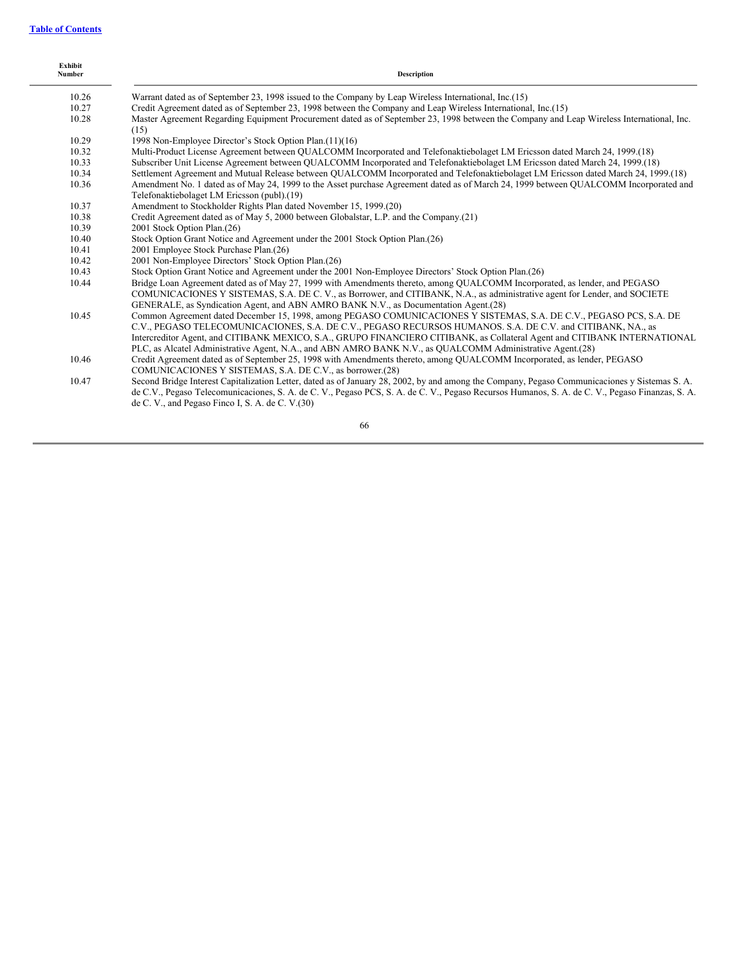| Exhibit<br><b>Number</b> | <b>Description</b>                                                                                                                                                                                                                                                                                                                                                                                                                                                          |
|--------------------------|-----------------------------------------------------------------------------------------------------------------------------------------------------------------------------------------------------------------------------------------------------------------------------------------------------------------------------------------------------------------------------------------------------------------------------------------------------------------------------|
| 10.26                    | Warrant dated as of September 23, 1998 issued to the Company by Leap Wireless International, Inc.(15)                                                                                                                                                                                                                                                                                                                                                                       |
| 10.27                    | Credit Agreement dated as of September 23, 1998 between the Company and Leap Wireless International, Inc.(15)                                                                                                                                                                                                                                                                                                                                                               |
| 10.28                    | Master Agreement Regarding Equipment Procurement dated as of September 23, 1998 between the Company and Leap Wireless International, Inc.<br>(15)                                                                                                                                                                                                                                                                                                                           |
| 10.29                    | 1998 Non-Employee Director's Stock Option Plan. (11) (16)                                                                                                                                                                                                                                                                                                                                                                                                                   |
| 10.32                    | Multi-Product License Agreement between QUALCOMM Incorporated and Telefonaktiebolaget LM Ericsson dated March 24, 1999.(18)                                                                                                                                                                                                                                                                                                                                                 |
| 10.33                    | Subscriber Unit License Agreement between QUALCOMM Incorporated and Telefonaktiebolaget LM Ericsson dated March 24, 1999.(18)                                                                                                                                                                                                                                                                                                                                               |
| 10.34                    | Settlement Agreement and Mutual Release between QUALCOMM Incorporated and Telefonaktiebolaget LM Ericsson dated March 24, 1999.(18)                                                                                                                                                                                                                                                                                                                                         |
| 10.36                    | Amendment No. 1 dated as of May 24, 1999 to the Asset purchase Agreement dated as of March 24, 1999 between QUALCOMM Incorporated and<br>Telefonaktiebolaget LM Ericsson (publ).(19)                                                                                                                                                                                                                                                                                        |
| 10.37                    | Amendment to Stockholder Rights Plan dated November 15, 1999.(20)                                                                                                                                                                                                                                                                                                                                                                                                           |
| 10.38                    | Credit Agreement dated as of May 5, 2000 between Globalstar, L.P. and the Company. (21)                                                                                                                                                                                                                                                                                                                                                                                     |
| 10.39                    | 2001 Stock Option Plan.(26)                                                                                                                                                                                                                                                                                                                                                                                                                                                 |
| 10.40                    | Stock Option Grant Notice and Agreement under the 2001 Stock Option Plan.(26)                                                                                                                                                                                                                                                                                                                                                                                               |
| 10.41                    | 2001 Employee Stock Purchase Plan.(26)                                                                                                                                                                                                                                                                                                                                                                                                                                      |
| 10.42                    | 2001 Non-Employee Directors' Stock Option Plan.(26)                                                                                                                                                                                                                                                                                                                                                                                                                         |
| 10.43                    | Stock Option Grant Notice and Agreement under the 2001 Non-Employee Directors' Stock Option Plan.(26)                                                                                                                                                                                                                                                                                                                                                                       |
| 10.44                    | Bridge Loan Agreement dated as of May 27, 1999 with Amendments thereto, among QUALCOMM Incorporated, as lender, and PEGASO<br>COMUNICACIONES Y SISTEMAS, S.A. DE C. V., as Borrower, and CITIBANK, N.A., as administrative agent for Lender, and SOCIETE<br>GENERALE, as Syndication Agent, and ABN AMRO BANK N.V., as Documentation Agent. (28)                                                                                                                            |
| 10.45                    | Common Agreement dated December 15, 1998, among PEGASO COMUNICACIONES Y SISTEMAS, S.A. DE C.V., PEGASO PCS, S.A. DE<br>C.V., PEGASO TELECOMUNICACIONES, S.A. DE C.V., PEGASO RECURSOS HUMANOS. S.A. DE C.V. and CITIBANK, NA., as<br>Intercreditor Agent, and CITIBANK MEXICO, S.A., GRUPO FINANCIERO CITIBANK, as Collateral Agent and CITIBANK INTERNATIONAL<br>PLC, as Alcatel Administrative Agent, N.A., and ABN AMRO BANK N.V., as QUALCOMM Administrative Agent.(28) |
| 10.46                    | Credit Agreement dated as of September 25, 1998 with Amendments thereto, among QUALCOMM Incorporated, as lender, PEGASO<br>COMUNICACIONES Y SISTEMAS, S.A. DE C.V., as borrower.(28)                                                                                                                                                                                                                                                                                        |
| 10.47                    | Second Bridge Interest Capitalization Letter, dated as of January 28, 2002, by and among the Company, Pegaso Communicaciones y Sistemas S. A.<br>de C.V., Pegaso Telecomunicaciones, S. A. de C.V., Pegaso PCS, S. A. de C.V., Pegaso Recursos Humanos, S. A. de C.V., Pegaso Finanzas, S. A.<br>de C. V., and Pegaso Finco I, S. A. de C. V. $(30)$                                                                                                                        |

66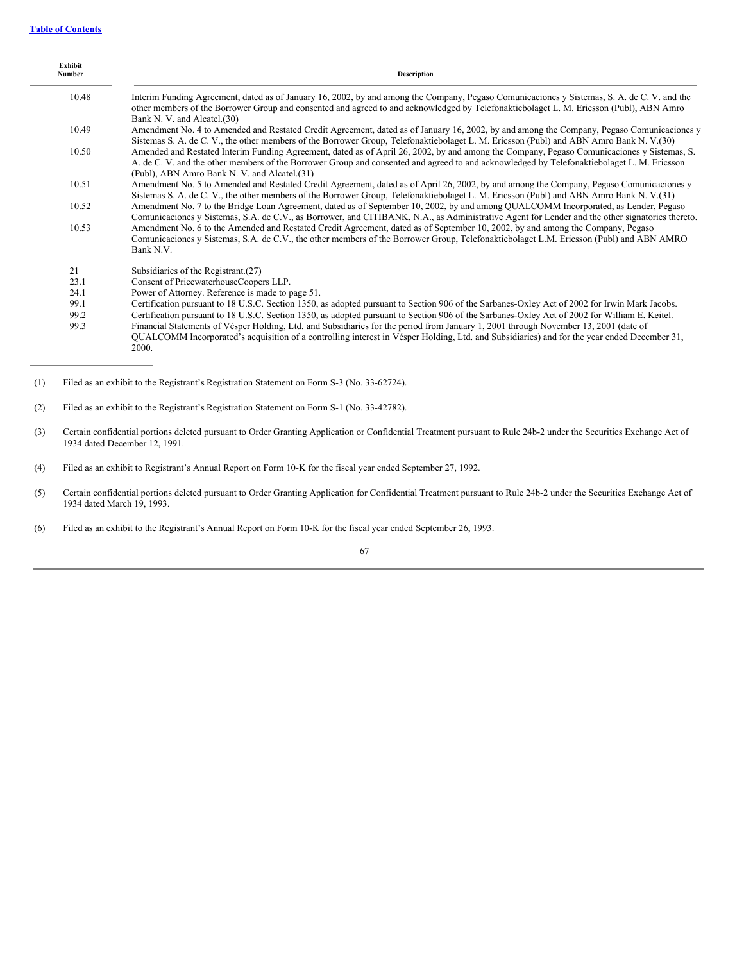| Exhibit<br><b>Number</b> | <b>Description</b>                                                                                                                                                                                                                                                                                                                       |
|--------------------------|------------------------------------------------------------------------------------------------------------------------------------------------------------------------------------------------------------------------------------------------------------------------------------------------------------------------------------------|
| 10.48                    | Interim Funding Agreement, dated as of January 16, 2002, by and among the Company, Pegaso Comunicaciones y Sistemas, S. A. de C. V. and the<br>other members of the Borrower Group and consented and agreed to and acknowledged by Telefonaktiebolaget L. M. Ericsson (Publ), ABN Amro<br>Bank N. V. and Alcatel.(30)                    |
| 10.49                    | Amendment No. 4 to Amended and Restated Credit Agreement, dated as of January 16, 2002, by and among the Company, Pegaso Comunicaciones y<br>Sistemas S. A. de C. V., the other members of the Borrower Group, Telefonaktiebolaget L. M. Ericsson (Publ) and ABN Amro Bank N. V.(30)                                                     |
| 10.50                    | Amended and Restated Interim Funding Agreement, dated as of April 26, 2002, by and among the Company, Pegaso Comunicaciones y Sistemas, S.<br>A. de C. V. and the other members of the Borrower Group and consented and agreed to and acknowledged by Telefonaktiebolaget L. M. Ericsson<br>(Publ), ABN Amro Bank N. V. and Alcatel.(31) |
| 10.51                    | Amendment No. 5 to Amended and Restated Credit Agreement, dated as of April 26, 2002, by and among the Company, Pegaso Comunicaciones y<br>Sistemas S. A. de C. V., the other members of the Borrower Group, Telefonaktiebolaget L. M. Ericsson (Publ) and ABN Amro Bank N. V.(31)                                                       |
| 10.52                    | Amendment No. 7 to the Bridge Loan Agreement, dated as of September 10, 2002, by and among QUALCOMM Incorporated, as Lender, Pegaso<br>Comunicaciones y Sistemas, S.A. de C.V., as Borrower, and CITIBANK, N.A., as Administrative Agent for Lender and the other signatories thereto.                                                   |
| 10.53                    | Amendment No. 6 to the Amended and Restated Credit Agreement, dated as of September 10, 2002, by and among the Company, Pegaso<br>Comunicaciones y Sistemas, S.A. de C.V., the other members of the Borrower Group, Telefonaktiebolaget L.M. Ericsson (Publ) and ABN AMRO<br>Bank N.V.                                                   |
| 21                       | Subsidiaries of the Registrant. (27)                                                                                                                                                                                                                                                                                                     |
| 23.1                     | Consent of PricewaterhouseCoopers LLP.                                                                                                                                                                                                                                                                                                   |
| 24.1                     | Power of Attorney. Reference is made to page 51.                                                                                                                                                                                                                                                                                         |
| 99.1                     | Certification pursuant to 18 U.S.C. Section 1350, as adopted pursuant to Section 906 of the Sarbanes-Oxley Act of 2002 for Irwin Mark Jacobs.                                                                                                                                                                                            |
| 99.2                     | Certification pursuant to 18 U.S.C. Section 1350, as adopted pursuant to Section 906 of the Sarbanes-Oxley Act of 2002 for William E. Keitel.                                                                                                                                                                                            |
| 99.3                     | Financial Statements of Vésper Holding, Ltd. and Subsidiaries for the period from January 1, 2001 through November 13, 2001 (date of<br>QUALCOMM Incorporated's acquisition of a controlling interest in Vésper Holding, Ltd. and Subsidiaries) and for the year ended December 31,<br>2000.                                             |

(1) Filed as an exhibit to the Registrant's Registration Statement on Form S-3 (No. 33-62724).

- (3) Certain confidential portions deleted pursuant to Order Granting Application or Confidential Treatment pursuant to Rule 24b-2 under the Securities Exchange Act of 1934 dated December 12, 1991.
- (4) Filed as an exhibit to Registrant's Annual Report on Form 10-K for the fiscal year ended September 27, 1992.
- (5) Certain confidential portions deleted pursuant to Order Granting Application for Confidential Treatment pursuant to Rule 24b-2 under the Securities Exchange Act of 1934 dated March 19, 1993.
- (6) Filed as an exhibit to the Registrant's Annual Report on Form 10-K for the fiscal year ended September 26, 1993.

<sup>(2)</sup> Filed as an exhibit to the Registrant's Registration Statement on Form S-1 (No. 33-42782).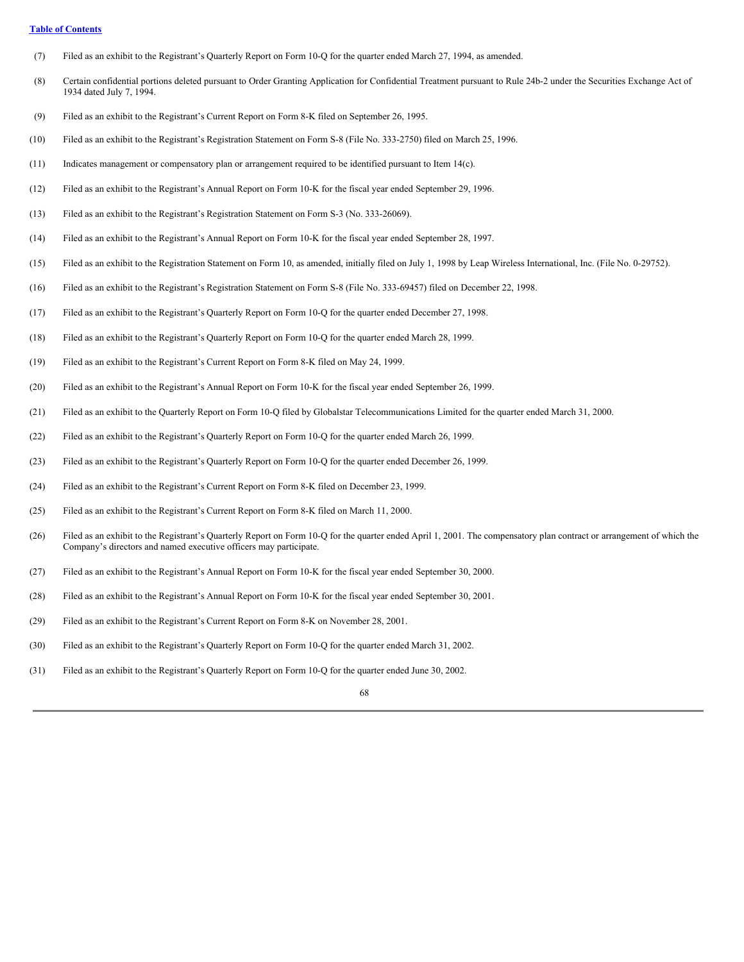## **Table of [Contents](#page-0-0)**

- (7) Filed as an exhibit to the Registrant's Quarterly Report on Form 10-Q for the quarter ended March 27, 1994, as amended.
- (8) Certain confidential portions deleted pursuant to Order Granting Application for Confidential Treatment pursuant to Rule 24b-2 under the Securities Exchange Act of 1934 dated July 7, 1994.
- (9) Filed as an exhibit to the Registrant's Current Report on Form 8-K filed on September 26, 1995.
- (10) Filed as an exhibit to the Registrant's Registration Statement on Form S-8 (File No. 333-2750) filed on March 25, 1996.
- (11) Indicates management or compensatory plan or arrangement required to be identified pursuant to Item 14(c).
- (12) Filed as an exhibit to the Registrant's Annual Report on Form 10-K for the fiscal year ended September 29, 1996.
- (13) Filed as an exhibit to the Registrant's Registration Statement on Form S-3 (No. 333-26069).
- (14) Filed as an exhibit to the Registrant's Annual Report on Form 10-K for the fiscal year ended September 28, 1997.
- (15) Filed as an exhibit to the Registration Statement on Form 10, as amended, initially filed on July 1, 1998 by Leap Wireless International, Inc. (File No. 0-29752).
- (16) Filed as an exhibit to the Registrant's Registration Statement on Form S-8 (File No. 333-69457) filed on December 22, 1998.
- (17) Filed as an exhibit to the Registrant's Quarterly Report on Form 10-Q for the quarter ended December 27, 1998.
- (18) Filed as an exhibit to the Registrant's Quarterly Report on Form 10-Q for the quarter ended March 28, 1999.
- (19) Filed as an exhibit to the Registrant's Current Report on Form 8-K filed on May 24, 1999.
- (20) Filed as an exhibit to the Registrant's Annual Report on Form 10-K for the fiscal year ended September 26, 1999.
- (21) Filed as an exhibit to the Quarterly Report on Form 10-Q filed by Globalstar Telecommunications Limited for the quarter ended March 31, 2000.
- (22) Filed as an exhibit to the Registrant's Quarterly Report on Form 10-Q for the quarter ended March 26, 1999.
- (23) Filed as an exhibit to the Registrant's Quarterly Report on Form 10-Q for the quarter ended December 26, 1999.
- (24) Filed as an exhibit to the Registrant's Current Report on Form 8-K filed on December 23, 1999.
- (25) Filed as an exhibit to the Registrant's Current Report on Form 8-K filed on March 11, 2000.
- (26) Filed as an exhibit to the Registrant's Quarterly Report on Form 10-Q for the quarter ended April 1, 2001. The compensatory plan contract or arrangement of which the Company's directors and named executive officers may participate.
- (27) Filed as an exhibit to the Registrant's Annual Report on Form 10-K for the fiscal year ended September 30, 2000.
- (28) Filed as an exhibit to the Registrant's Annual Report on Form 10-K for the fiscal year ended September 30, 2001.
- (29) Filed as an exhibit to the Registrant's Current Report on Form 8-K on November 28, 2001.
- (30) Filed as an exhibit to the Registrant's Quarterly Report on Form 10-Q for the quarter ended March 31, 2002.
- (31) Filed as an exhibit to the Registrant's Quarterly Report on Form 10-Q for the quarter ended June 30, 2002.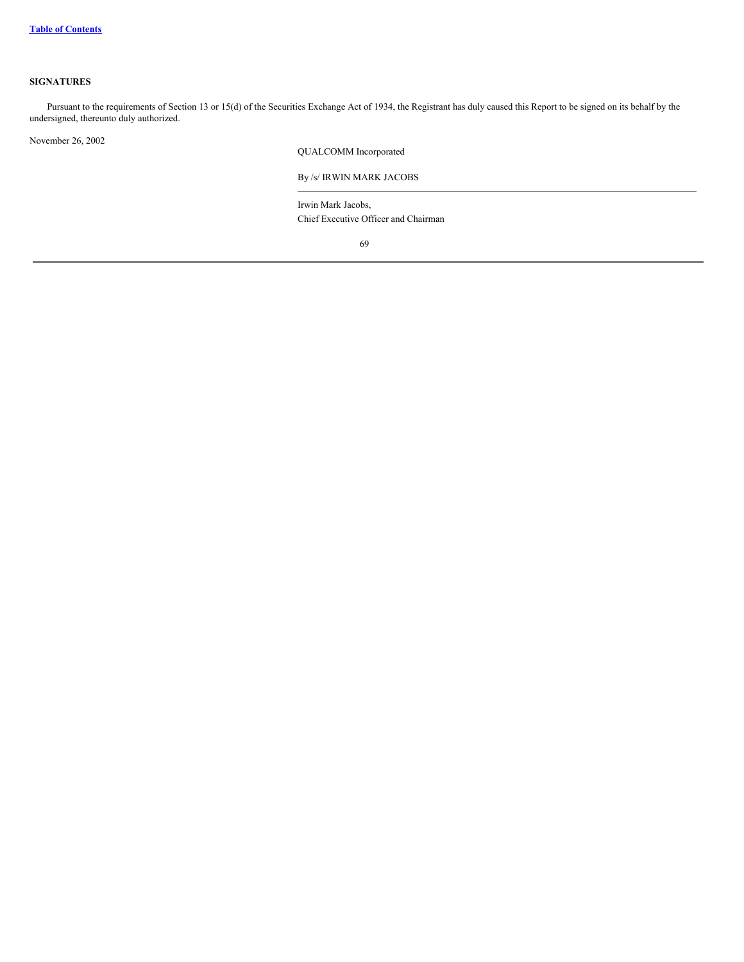# **SIGNATURES**

Pursuant to the requirements of Section 13 or 15(d) of the Securities Exchange Act of 1934, the Registrant has duly caused this Report to be signed on its behalf by the undersigned, thereunto duly authorized.

November 26, 2002

QUALCOMM Incorporated

By /s/ IRWIN MARK JACOBS

Irwin Mark Jacobs, Chief Executive Officer and Chairman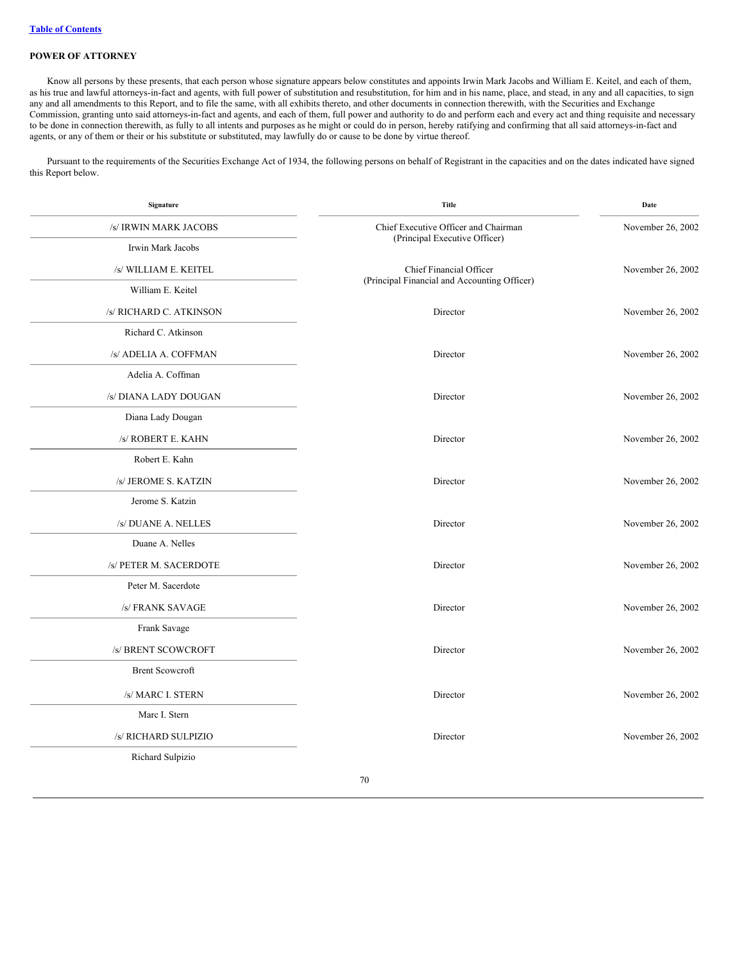## **POWER OF ATTORNEY**

Know all persons by these presents, that each person whose signature appears below constitutes and appoints Irwin Mark Jacobs and William E. Keitel, and each of them, as his true and lawful attorneys-in-fact and agents, with full power of substitution and resubstitution, for him and in his name, place, and stead, in any and all capacities, to sign any and all amendments to this Report, and to file the same, with all exhibits thereto, and other documents in connection therewith, with the Securities and Exchange Commission, granting unto said attorneys-in-fact and agents, and each of them, full power and authority to do and perform each and every act and thing requisite and necessary to be done in connection therewith, as fully to all intents and purposes as he might or could do in person, hereby ratifying and confirming that all said attorneys-in-fact and agents, or any of them or their or his substitute or substituted, may lawfully do or cause to be done by virtue thereof.

Pursuant to the requirements of the Securities Exchange Act of 1934, the following persons on behalf of Registrant in the capacities and on the dates indicated have signed this Report below.

| Signature               | <b>Title</b>                                 | Date              |  |
|-------------------------|----------------------------------------------|-------------------|--|
| /s/ IRWIN MARK JACOBS   | Chief Executive Officer and Chairman         | November 26, 2002 |  |
| Irwin Mark Jacobs       | (Principal Executive Officer)                |                   |  |
| /s/ WILLIAM E. KEITEL   | Chief Financial Officer                      | November 26, 2002 |  |
| William E. Keitel       | (Principal Financial and Accounting Officer) |                   |  |
| /s/ RICHARD C. ATKINSON | Director                                     | November 26, 2002 |  |
| Richard C. Atkinson     |                                              |                   |  |
| /s/ ADELIA A. COFFMAN   | Director                                     | November 26, 2002 |  |
| Adelia A. Coffman       |                                              |                   |  |
| /s/ DIANA LADY DOUGAN   | Director                                     | November 26, 2002 |  |
| Diana Lady Dougan       |                                              |                   |  |
| /s/ ROBERT E. KAHN      | Director                                     | November 26, 2002 |  |
| Robert E. Kahn          |                                              |                   |  |
| /s/ JEROME S. KATZIN    | Director                                     | November 26, 2002 |  |
| Jerome S. Katzin        |                                              |                   |  |
| /s/ DUANE A. NELLES     | Director                                     | November 26, 2002 |  |
| Duane A. Nelles         |                                              |                   |  |
| /s/ PETER M. SACERDOTE  | Director                                     | November 26, 2002 |  |
| Peter M. Sacerdote      |                                              |                   |  |
| /s/ FRANK SAVAGE        | Director                                     | November 26, 2002 |  |
| Frank Savage            |                                              |                   |  |
| /s/ BRENT SCOWCROFT     | Director                                     | November 26, 2002 |  |
| <b>Brent Scowcroft</b>  |                                              |                   |  |
| /s/ MARC I. STERN       | Director                                     | November 26, 2002 |  |
| Marc I. Stern           |                                              |                   |  |
| /s/ RICHARD SULPIZIO    | Director                                     | November 26, 2002 |  |
| Richard Sulpizio        |                                              |                   |  |
|                         | 70                                           |                   |  |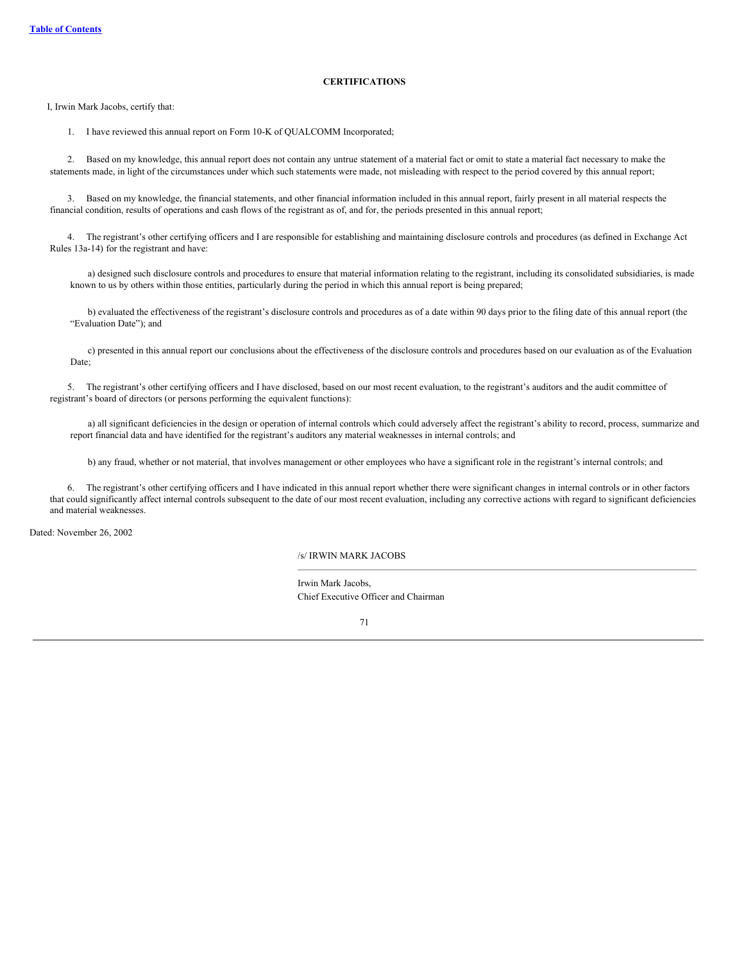## **CERTIFICATIONS**

I, Irwin Mark Jacobs, certify that:

1. I have reviewed this annual report on Form 10-K of QUALCOMM Incorporated;

2. Based on my knowledge, this annual report does not contain any untrue statement of a material fact or omit to state a material fact necessary to make the statements made, in light of the circumstances under which such statements were made, not misleading with respect to the period covered by this annual report;

3. Based on my knowledge, the financial statements, and other financial information included in this annual report, fairly present in all material respects the financial condition, results of operations and cash flows of the registrant as of, and for, the periods presented in this annual report;

4. The registrant's other certifying officers and I are responsible for establishing and maintaining disclosure controls and procedures (as defined in Exchange Act Rules 13a-14) for the registrant and have:

a) designed such disclosure controls and procedures to ensure that material information relating to the registrant, including its consolidated subsidiaries, is made known to us by others within those entities, particularly during the period in which this annual report is being prepared;

b) evaluated the effectiveness of the registrant's disclosure controls and procedures as of a date within 90 days prior to the filing date of this annual report (the "Evaluation Date"); and

c) presented in this annual report our conclusions about the effectiveness of the disclosure controls and procedures based on our evaluation as of the Evaluation Date;

5. The registrant's other certifying officers and I have disclosed, based on our most recent evaluation, to the registrant's auditors and the audit committee of registrant's board of directors (or persons performing the equivalent functions):

a) all significant deficiencies in the design or operation of internal controls which could adversely affect the registrant's ability to record, process, summarize and report financial data and have identified for the registrant's auditors any material weaknesses in internal controls; and

b) any fraud, whether or not material, that involves management or other employees who have a significant role in the registrant's internal controls; and

6. The registrant's other certifying officers and I have indicated in this annual report whether there were significant changes in internal controls or in other factors that could significantly affect internal controls subsequent to the date of our most recent evaluation, including any corrective actions with regard to significant deficiencies and material weaknesses.

Dated: November 26, 2002

## /s/ IRWIN MARK JACOBS

Irwin Mark Jacobs, Chief Executive Officer and Chairman

71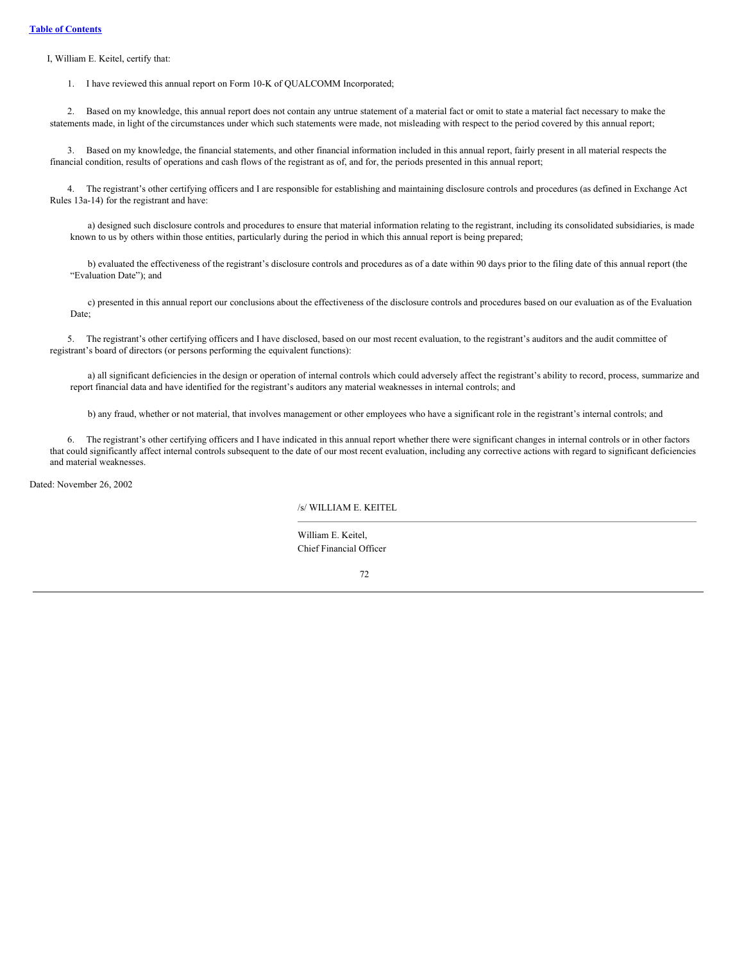I, William E. Keitel, certify that:

1. I have reviewed this annual report on Form 10-K of QUALCOMM Incorporated;

2. Based on my knowledge, this annual report does not contain any untrue statement of a material fact or omit to state a material fact necessary to make the statements made, in light of the circumstances under which such statements were made, not misleading with respect to the period covered by this annual report;

3. Based on my knowledge, the financial statements, and other financial information included in this annual report, fairly present in all material respects the financial condition, results of operations and cash flows of the registrant as of, and for, the periods presented in this annual report;

4. The registrant's other certifying officers and I are responsible for establishing and maintaining disclosure controls and procedures (as defined in Exchange Act Rules 13a-14) for the registrant and have:

a) designed such disclosure controls and procedures to ensure that material information relating to the registrant, including its consolidated subsidiaries, is made known to us by others within those entities, particularly during the period in which this annual report is being prepared;

b) evaluated the effectiveness of the registrant's disclosure controls and procedures as of a date within 90 days prior to the filing date of this annual report (the "Evaluation Date"); and

c) presented in this annual report our conclusions about the effectiveness of the disclosure controls and procedures based on our evaluation as of the Evaluation Date;

5. The registrant's other certifying officers and I have disclosed, based on our most recent evaluation, to the registrant's auditors and the audit committee of registrant's board of directors (or persons performing the equivalent functions):

a) all significant deficiencies in the design or operation of internal controls which could adversely affect the registrant's ability to record, process, summarize and report financial data and have identified for the registrant's auditors any material weaknesses in internal controls; and

b) any fraud, whether or not material, that involves management or other employees who have a significant role in the registrant's internal controls; and

6. The registrant's other certifying officers and I have indicated in this annual report whether there were significant changes in internal controls or in other factors that could significantly affect internal controls subsequent to the date of our most recent evaluation, including any corrective actions with regard to significant deficiencies and material weaknesses.

Dated: November 26, 2002

/s/ WILLIAM E. KEITEL

William E. Keitel, Chief Financial Officer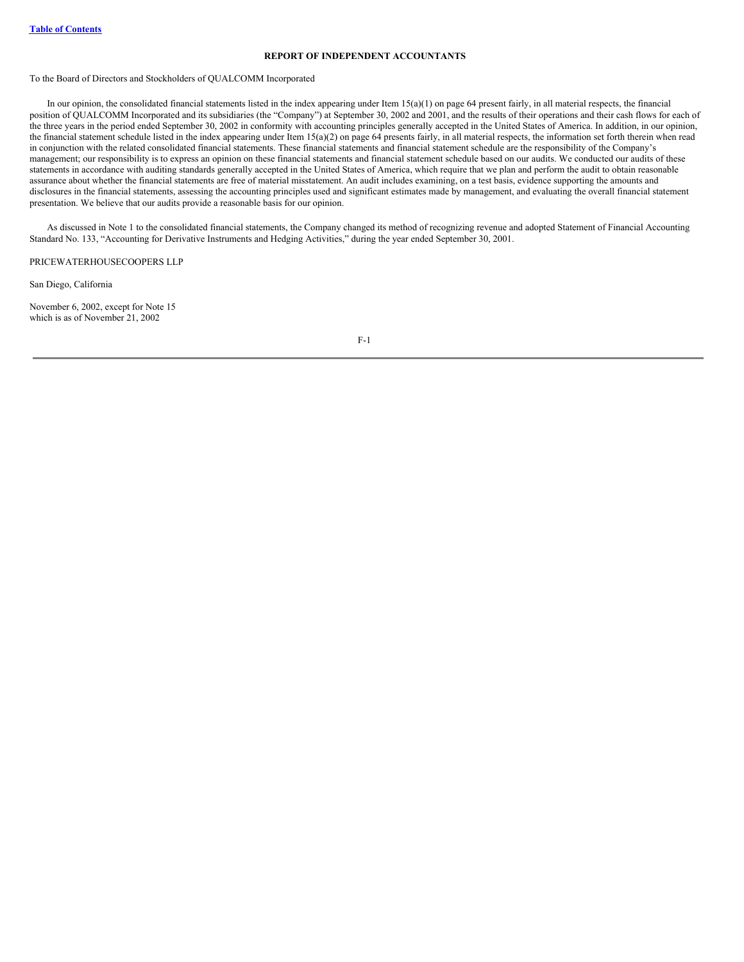## **REPORT OF INDEPENDENT ACCOUNTANTS**

To the Board of Directors and Stockholders of QUALCOMM Incorporated

In our opinion, the consolidated financial statements listed in the index appearing under Item 15(a)(1) on page 64 present fairly, in all material respects, the financial position of QUALCOMM Incorporated and its subsidiaries (the "Company") at September 30, 2002 and 2001, and the results of their operations and their cash flows for each of the three years in the period ended September 30, 2002 in conformity with accounting principles generally accepted in the United States of America. In addition, in our opinion, the financial statement schedule listed in the index appearing under Item 15(a)(2) on page 64 presents fairly, in all material respects, the information set forth therein when read in conjunction with the related consolidated financial statements. These financial statements and financial statement schedule are the responsibility of the Company's management; our responsibility is to express an opinion on these financial statements and financial statement schedule based on our audits. We conducted our audits of these statements in accordance with auditing standards generally accepted in the United States of America, which require that we plan and perform the audit to obtain reasonable assurance about whether the financial statements are free of material misstatement. An audit includes examining, on a test basis, evidence supporting the amounts and disclosures in the financial statements, assessing the accounting principles used and significant estimates made by management, and evaluating the overall financial statement presentation. We believe that our audits provide a reasonable basis for our opinion.

As discussed in Note 1 to the consolidated financial statements, the Company changed its method of recognizing revenue and adopted Statement of Financial Accounting Standard No. 133, "Accounting for Derivative Instruments and Hedging Activities," during the year ended September 30, 2001.

PRICEWATERHOUSECOOPERS LLP

San Diego, California

November 6, 2002, except for Note 15 which is as of November 21, 2002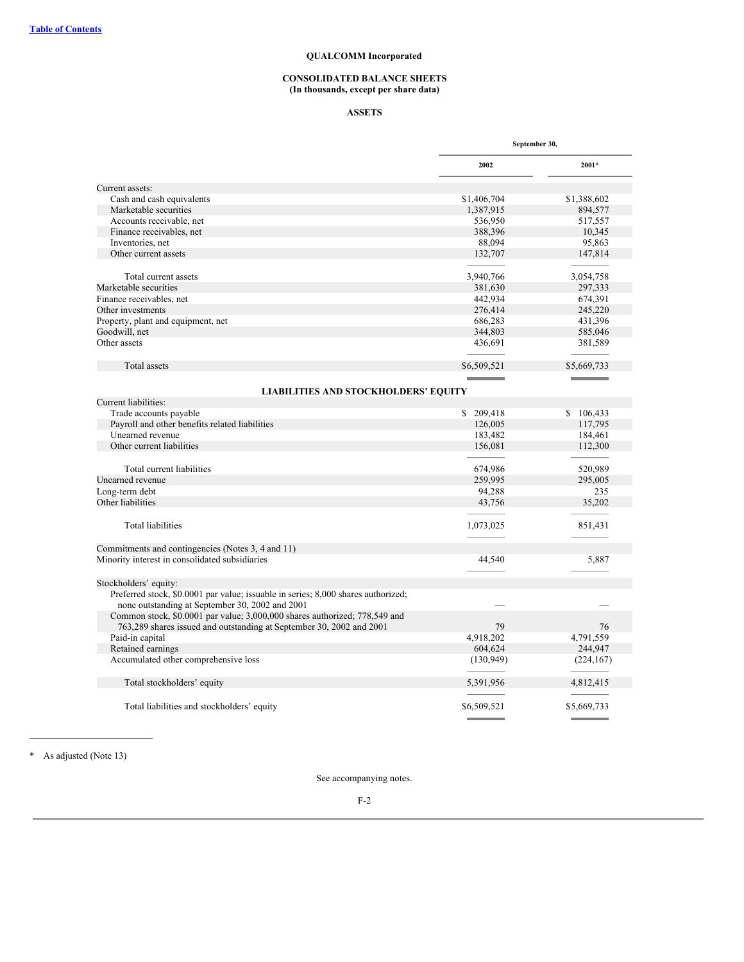#### **CONSOLIDATED BALANCE SHEETS (In thousands, except per share data)**

## **ASSETS**

|                                                                                   | September 30, |             |  |
|-----------------------------------------------------------------------------------|---------------|-------------|--|
|                                                                                   | 2002          | 2001*       |  |
| Current assets:                                                                   |               |             |  |
| Cash and cash equivalents                                                         | \$1,406,704   | \$1,388,602 |  |
| Marketable securities                                                             | 1,387,915     | 894,577     |  |
| Accounts receivable, net                                                          | 536,950       | 517,557     |  |
| Finance receivables, net                                                          | 388,396       | 10,345      |  |
| Inventories, net                                                                  | 88,094        | 95,863      |  |
| Other current assets                                                              | 132,707       | 147,814     |  |
|                                                                                   |               |             |  |
| Total current assets                                                              | 3,940,766     | 3,054,758   |  |
| Marketable securities                                                             | 381,630       | 297,333     |  |
| Finance receivables, net                                                          | 442,934       | 674,391     |  |
| Other investments                                                                 | 276,414       | 245,220     |  |
| Property, plant and equipment, net                                                | 686,283       | 431,396     |  |
| Goodwill, net                                                                     | 344,803       | 585,046     |  |
| Other assets                                                                      | 436,691       | 381,589     |  |
|                                                                                   |               |             |  |
| Total assets                                                                      | \$6,509,521   | \$5,669,733 |  |
|                                                                                   |               |             |  |
| <b>LIABILITIES AND STOCKHOLDERS' EQUITY</b>                                       |               |             |  |
| Current liabilities:                                                              |               |             |  |
| Trade accounts payable                                                            | \$209,418     | \$106,433   |  |
| Payroll and other benefits related liabilities                                    | 126,005       | 117,795     |  |
| Unearned revenue                                                                  | 183,482       | 184,461     |  |
| Other current liabilities                                                         | 156,081       | 112,300     |  |
| Total current liabilities                                                         | 674,986       | 520,989     |  |
| Unearned revenue                                                                  | 259,995       | 295,005     |  |
| Long-term debt                                                                    |               | 235         |  |
| Other liabilities                                                                 | 94,288        |             |  |
|                                                                                   | 43,756        | 35,202      |  |
|                                                                                   |               |             |  |
| <b>Total liabilities</b>                                                          | 1,073,025     | 851,431     |  |
| Commitments and contingencies (Notes 3, 4 and 11)                                 |               |             |  |
| Minority interest in consolidated subsidiaries                                    | 44,540        | 5,887       |  |
|                                                                                   |               |             |  |
| Stockholders' equity:                                                             |               |             |  |
| Preferred stock, \$0.0001 par value; issuable in series; 8,000 shares authorized; |               |             |  |
| none outstanding at September 30, 2002 and 2001                                   |               |             |  |
| Common stock, \$0.0001 par value; 3,000,000 shares authorized; 778,549 and        |               |             |  |
| 763,289 shares issued and outstanding at September 30, 2002 and 2001              | 79            | 76          |  |
| Paid-in capital                                                                   | 4,918,202     | 4,791,559   |  |
| Retained earnings                                                                 | 604,624       | 244,947     |  |
| Accumulated other comprehensive loss                                              | (130, 949)    | (224, 167)  |  |
|                                                                                   |               |             |  |
| Total stockholders' equity                                                        | 5,391,956     | 4,812,415   |  |
|                                                                                   |               |             |  |
| Total liabilities and stockholders' equity                                        | \$6,509,521   | \$5,669,733 |  |

\* As adjusted (Note 13)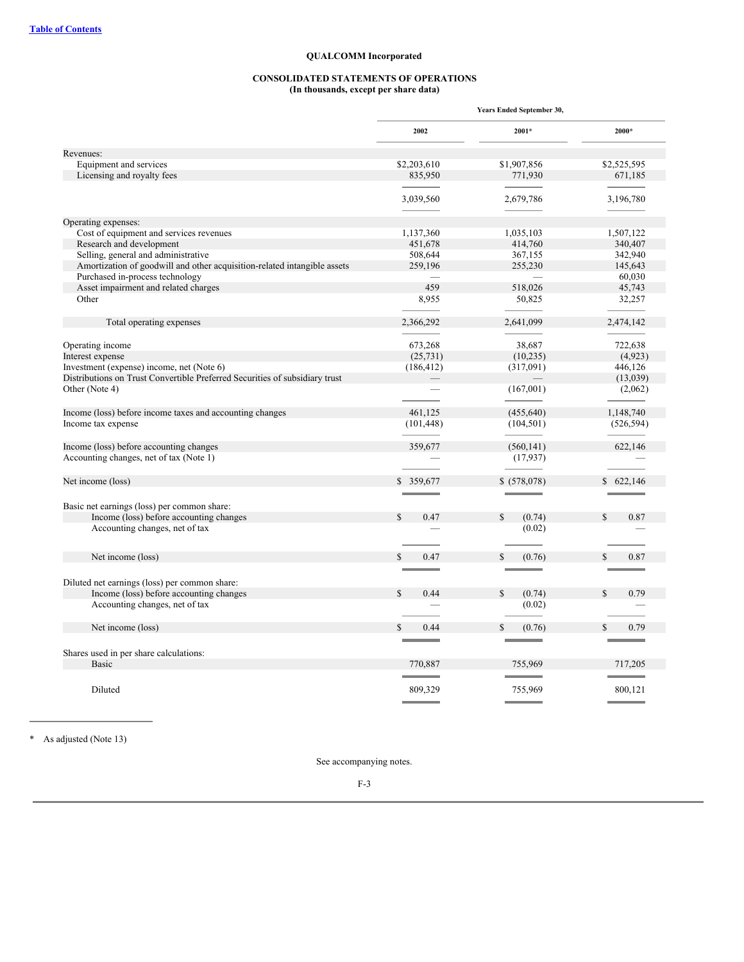#### **CONSOLIDATED STATEMENTS OF OPERATIONS (In thousands, except per share data)**

|                                                                             | Years Ended September 30, |               |             |
|-----------------------------------------------------------------------------|---------------------------|---------------|-------------|
|                                                                             | 2002                      | $2001*$       | 2000*       |
| Revenues:                                                                   |                           |               |             |
| Equipment and services                                                      | \$2,203,610               | \$1,907,856   | \$2,525,595 |
| Licensing and royalty fees                                                  | 835,950                   | 771,930       | 671,185     |
|                                                                             | 3,039,560                 | 2,679,786     | 3,196,780   |
| Operating expenses:                                                         |                           |               |             |
| Cost of equipment and services revenues                                     | 1,137,360                 | 1,035,103     | 1,507,122   |
| Research and development                                                    | 451,678                   | 414,760       | 340,407     |
| Selling, general and administrative                                         | 508,644                   | 367,155       | 342,940     |
| Amortization of goodwill and other acquisition-related intangible assets    | 259,196                   | 255,230       | 145,643     |
| Purchased in-process technology                                             |                           |               | 60,030      |
| Asset impairment and related charges                                        | 459                       | 518,026       | 45,743      |
| Other                                                                       | 8,955                     | 50,825        | 32,257      |
| Total operating expenses                                                    | 2,366,292                 | 2,641,099     | 2,474,142   |
|                                                                             |                           |               |             |
| Operating income                                                            | 673,268                   | 38,687        | 722,638     |
| Interest expense                                                            | (25, 731)                 | (10, 235)     | (4,923)     |
| Investment (expense) income, net (Note 6)                                   | (186, 412)                | (317,091)     | 446,126     |
| Distributions on Trust Convertible Preferred Securities of subsidiary trust |                           |               | (13,039)    |
| Other (Note 4)                                                              |                           | (167,001)     | (2,062)     |
| Income (loss) before income taxes and accounting changes                    | 461,125                   | (455, 640)    | 1,148,740   |
| Income tax expense                                                          | (101, 448)                | (104, 501)    | (526, 594)  |
| Income (loss) before accounting changes                                     | 359,677                   | (560, 141)    | 622,146     |
| Accounting changes, net of tax (Note 1)                                     |                           | (17, 937)     |             |
|                                                                             |                           |               |             |
| Net income (loss)                                                           | \$ 359,677                | \$ (578,078)  | \$622,146   |
| Basic net earnings (loss) per common share:                                 |                           |               |             |
| Income (loss) before accounting changes                                     | \$<br>0.47                | \$<br>(0.74)  | \$<br>0.87  |
| Accounting changes, net of tax                                              |                           | (0.02)        |             |
| Net income (loss)                                                           | 0.47                      | \$.<br>(0.76) | 0.87        |
|                                                                             |                           |               |             |
| Diluted net earnings (loss) per common share:                               |                           |               |             |
| Income (loss) before accounting changes                                     | \$<br>0.44                | \$<br>(0.74)  | \$<br>0.79  |
| Accounting changes, net of tax                                              |                           | (0.02)        |             |
| Net income (loss)                                                           | S<br>0.44                 | \$.<br>(0.76) | 0.79        |
|                                                                             |                           |               |             |
| Shares used in per share calculations:                                      |                           |               |             |
| <b>Basic</b>                                                                | 770,887                   | 755,969       | 717,205     |
| Diluted                                                                     | 809,329                   | 755,969       | 800,121     |

\* As adjusted (Note 13)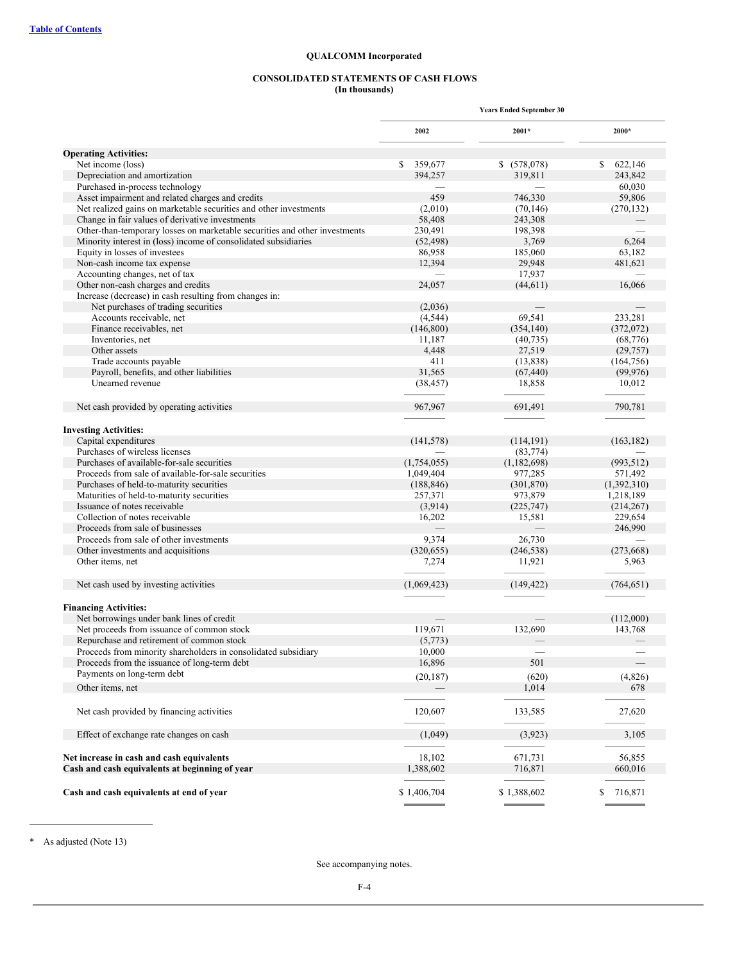## **CONSOLIDATED STATEMENTS OF CASH FLOWS (In thousands)**

|                                                                            | <b>Years Ended September 30</b> |                         |               |
|----------------------------------------------------------------------------|---------------------------------|-------------------------|---------------|
|                                                                            | 2002                            | $2001*$                 | 2000*         |
| <b>Operating Activities:</b>                                               |                                 |                         |               |
| Net income (loss)                                                          | 359,677<br>\$                   | \$ (578,078)            | 622,146<br>\$ |
| Depreciation and amortization                                              | 394,257                         | 319,811                 | 243,842       |
| Purchased in-process technology                                            |                                 |                         | 60,030        |
| Asset impairment and related charges and credits                           | 459                             | 746,330                 | 59,806        |
| Net realized gains on marketable securities and other investments          | (2,010)                         | (70, 146)               | (270, 132)    |
| Change in fair values of derivative investments                            | 58,408                          | 243,308                 |               |
| Other-than-temporary losses on marketable securities and other investments | 230,491                         | 198,398                 |               |
| Minority interest in (loss) income of consolidated subsidiaries            | (52, 498)                       | 3,769                   | 6,264         |
| Equity in losses of investees                                              | 86,958                          | 185,060                 | 63,182        |
| Non-cash income tax expense                                                | 12,394                          | 29,948                  | 481,621       |
| Accounting changes, net of tax                                             |                                 | 17,937                  |               |
| Other non-cash charges and credits                                         | 24,057                          | (44, 611)               | 16,066        |
| Increase (decrease) in cash resulting from changes in:                     |                                 |                         |               |
| Net purchases of trading securities                                        | (2,036)                         |                         |               |
| Accounts receivable, net                                                   | (4, 544)                        | 69,541                  | 233,281       |
| Finance receivables, net                                                   | (146, 800)                      | (354, 140)              | (372,072)     |
| Inventories, net                                                           | 11,187                          | (40, 735)               | (68, 776)     |
| Other assets                                                               | 4,448                           | 27,519                  | (29, 757)     |
| Trade accounts payable                                                     | 411                             | (13, 838)               | (164, 756)    |
| Payroll, benefits, and other liabilities                                   | 31,565                          | (67, 440)               | (99, 976)     |
| Unearned revenue                                                           | (38, 457)                       | 18,858                  | 10,012        |
| Net cash provided by operating activities                                  | 967,967                         | 691,491                 | 790,781       |
|                                                                            |                                 |                         |               |
| <b>Investing Activities:</b>                                               |                                 |                         |               |
| Capital expenditures<br>Purchases of wireless licenses                     | (141, 578)                      | (114, 191)<br>(83, 774) | (163, 182)    |
| Purchases of available-for-sale securities                                 | (1,754,055)                     | (1,182,698)             | (993, 512)    |
| Proceeds from sale of available-for-sale securities                        | 1,049,404                       | 977,285                 | 571,492       |
| Purchases of held-to-maturity securities                                   | (188, 846)                      | (301, 870)              | (1,392,310)   |
| Maturities of held-to-maturity securities                                  | 257,371                         | 973,879                 | 1,218,189     |
| Issuance of notes receivable                                               | (3,914)                         | (225, 747)              | (214, 267)    |
| Collection of notes receivable                                             | 16,202                          | 15,581                  | 229,654       |
| Proceeds from sale of businesses                                           |                                 |                         | 246,990       |
| Proceeds from sale of other investments                                    | 9,374                           | 26,730                  |               |
| Other investments and acquisitions                                         | (320, 655)                      | (246, 538)              | (273, 668)    |
| Other items, net                                                           | 7,274                           | 11,921                  | 5,963         |
| Net cash used by investing activities                                      | (1,069,423)                     | (149, 422)              | (764, 651)    |
|                                                                            |                                 |                         |               |
| <b>Financing Activities:</b>                                               |                                 |                         |               |
| Net borrowings under bank lines of credit                                  |                                 |                         | (112,000)     |
| Net proceeds from issuance of common stock                                 | 119,671                         | 132,690                 | 143,768       |
| Repurchase and retirement of common stock                                  | (5,773)                         |                         |               |
| Proceeds from minority shareholders in consolidated subsidiary             | 10,000                          |                         |               |
| Proceeds from the issuance of long-term debt                               | 16,896                          | 501                     |               |
| Payments on long-term debt                                                 | (20, 187)                       | (620)                   | (4,826)       |
| Other items, net                                                           |                                 | 1,014                   | 678           |
| Net cash provided by financing activities                                  | 120,607                         | 133,585                 | 27,620        |
| Effect of exchange rate changes on cash                                    | (1,049)                         | (3,923)                 | 3,105         |
|                                                                            |                                 |                         |               |
| Net increase in cash and cash equivalents                                  | 18,102                          | 671,731                 | 56,855        |
| Cash and cash equivalents at beginning of year                             | 1,388,602                       | 716,871                 | 660,016       |
| Cash and cash equivalents at end of year                                   | \$1,406,704                     | \$1,388,602             | 716,871<br>\$ |

\* As adjusted (Note 13)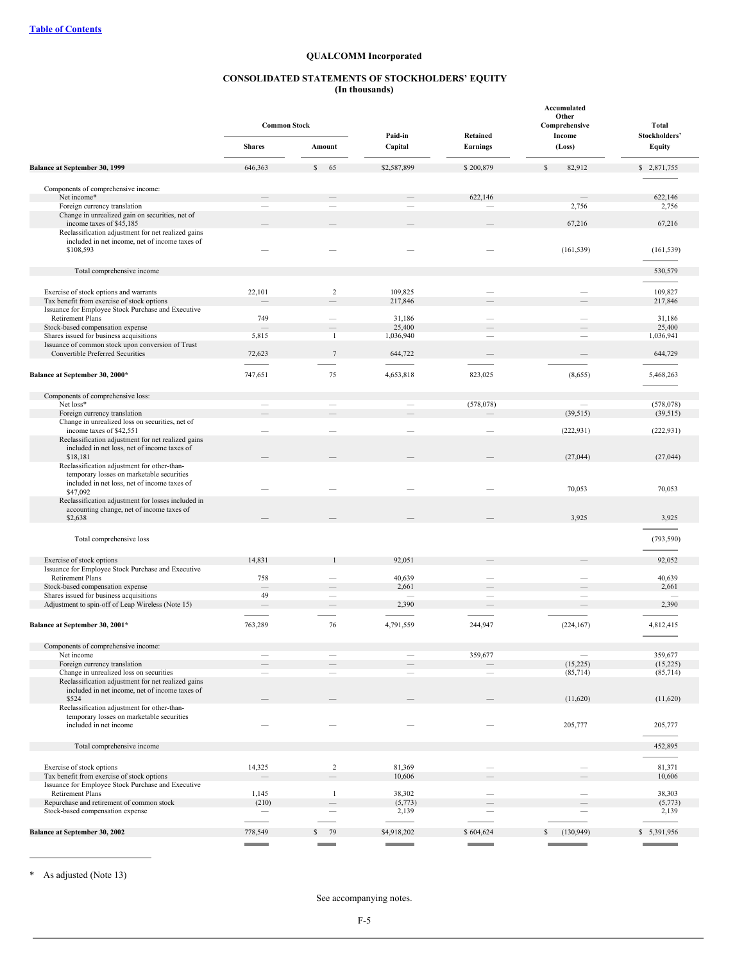#### **CONSOLIDATED STATEMENTS OF STOCKHOLDERS' EQUITY (In thousands)**

|                                                                                                                                                 | <b>Common Stock</b>      |                          | Paid-in             | Retained                 | Accumulated<br>Other<br>Comprehensive<br>Income | <b>Total</b><br>Stockholders' |
|-------------------------------------------------------------------------------------------------------------------------------------------------|--------------------------|--------------------------|---------------------|--------------------------|-------------------------------------------------|-------------------------------|
|                                                                                                                                                 | <b>Shares</b>            | Amount                   | Capital             | <b>Earnings</b>          | (Loss)                                          | <b>Equity</b>                 |
| Balance at September 30, 1999                                                                                                                   | 646,363                  | S<br>65                  | \$2,587,899         | \$200,879                | $\mathbb S$<br>82,912                           | \$2,871,755                   |
| Components of comprehensive income:                                                                                                             |                          |                          |                     |                          |                                                 |                               |
| Net income*                                                                                                                                     |                          |                          |                     | 622,146                  |                                                 | 622,146                       |
| Foreign currency translation                                                                                                                    |                          | $\overline{\phantom{0}}$ |                     |                          | 2,756                                           | 2,756                         |
| Change in unrealized gain on securities, net of<br>income taxes of \$45,185<br>Reclassification adjustment for net realized gains               |                          |                          |                     |                          | 67,216                                          | 67,216                        |
| included in net income, net of income taxes of<br>\$108,593                                                                                     |                          |                          |                     |                          | (161, 539)                                      | (161, 539)                    |
| Total comprehensive income                                                                                                                      |                          |                          |                     |                          |                                                 | 530,579                       |
| Exercise of stock options and warrants                                                                                                          | 22,101                   | $\overline{c}$           | 109,825             |                          |                                                 | 109,827                       |
| Tax benefit from exercise of stock options                                                                                                      |                          |                          | 217,846             |                          |                                                 | 217,846                       |
| Issuance for Employee Stock Purchase and Executive                                                                                              |                          |                          |                     |                          |                                                 |                               |
| <b>Retirement Plans</b>                                                                                                                         | 749                      | $\overline{\phantom{0}}$ | 31,186              |                          |                                                 | 31,186                        |
| Stock-based compensation expense<br>Shares issued for business acquisitions                                                                     | 5,815                    | 1                        | 25,400<br>1,036,940 |                          |                                                 | 25,400<br>1,036,941           |
| Issuance of common stock upon conversion of Trust                                                                                               |                          |                          |                     |                          |                                                 |                               |
| Convertible Preferred Securities                                                                                                                | 72,623                   | $7\phantom{.0}$          | 644,722             |                          |                                                 | 644,729                       |
|                                                                                                                                                 |                          |                          |                     |                          |                                                 |                               |
| Balance at September 30, 2000*                                                                                                                  | 747,651                  | 75                       | 4,653,818           | 823,025                  | (8,655)                                         | 5,468,263                     |
| Components of comprehensive loss:                                                                                                               |                          |                          |                     |                          |                                                 |                               |
| Net loss*                                                                                                                                       |                          | $\overline{\phantom{0}}$ |                     | (578, 078)               |                                                 | (578, 078)                    |
| Foreign currency translation<br>Change in unrealized loss on securities, net of<br>income taxes of \$42,551                                     |                          |                          |                     |                          | (39, 515)<br>(222, 931)                         | (39, 515)<br>(222, 931)       |
| Reclassification adjustment for net realized gains<br>included in net loss, net of income taxes of<br>\$18,181                                  |                          |                          |                     |                          | (27, 044)                                       | (27, 044)                     |
| Reclassification adjustment for other-than-<br>temporary losses on marketable securities<br>included in net loss, net of income taxes of        |                          |                          |                     |                          |                                                 |                               |
| \$47,092<br>Reclassification adjustment for losses included in<br>accounting change, net of income taxes of                                     |                          |                          |                     |                          | 70,053                                          | 70,053                        |
| \$2,638                                                                                                                                         |                          |                          |                     |                          | 3,925                                           | 3,925                         |
| Total comprehensive loss                                                                                                                        |                          |                          |                     |                          |                                                 | (793, 590)                    |
| Exercise of stock options                                                                                                                       | 14,831                   | $\mathbf{1}$             | 92,051              |                          |                                                 | 92,052                        |
| Issuance for Employee Stock Purchase and Executive                                                                                              |                          |                          |                     |                          |                                                 |                               |
| <b>Retirement Plans</b><br>Stock-based compensation expense                                                                                     | 758                      |                          | 40,639<br>2,661     |                          |                                                 | 40,639<br>2,661               |
| Shares issued for business acquisitions                                                                                                         | 49                       |                          |                     |                          |                                                 |                               |
| Adjustment to spin-off of Leap Wireless (Note 15)                                                                                               | $\overline{\phantom{0}}$ | $\overline{\phantom{0}}$ | 2,390               | $\overline{\phantom{0}}$ |                                                 | 2,390                         |
|                                                                                                                                                 |                          |                          |                     |                          |                                                 |                               |
| Balance at September 30, 2001*                                                                                                                  | 763,289                  | 76                       | 4,791,559           | 244,947                  | (224, 167)                                      | 4,812,415                     |
| Components of comprehensive income:                                                                                                             |                          |                          |                     |                          |                                                 |                               |
| Net income                                                                                                                                      |                          |                          |                     | 359,677                  |                                                 | 359,677                       |
| Foreign currency translation                                                                                                                    |                          |                          |                     |                          | (15,225)                                        | (15,225)                      |
| Change in unrealized loss on securities<br>Reclassification adjustment for net realized gains<br>included in net income, net of income taxes of |                          |                          |                     |                          | (85, 714)                                       | (85, 714)                     |
| \$524                                                                                                                                           |                          |                          |                     |                          | (11,620)                                        | (11,620)                      |
| Reclassification adjustment for other-than-<br>temporary losses on marketable securities<br>included in net income                              |                          |                          |                     |                          | 205,777                                         | 205,777                       |
| Total comprehensive income                                                                                                                      |                          |                          |                     |                          |                                                 | 452,895                       |
|                                                                                                                                                 |                          |                          |                     |                          |                                                 |                               |
| Exercise of stock options                                                                                                                       | 14,325                   | $\overline{c}$           | 81,369              |                          |                                                 | 81,371                        |
| Tax benefit from exercise of stock options<br>Issuance for Employee Stock Purchase and Executive                                                |                          |                          | 10,606              |                          |                                                 | 10,606                        |
| <b>Retirement Plans</b>                                                                                                                         | 1,145                    | 1                        | 38,302              |                          |                                                 | 38,303                        |
| Repurchase and retirement of common stock                                                                                                       | (210)                    |                          | (5,773)             |                          |                                                 | (5,773)                       |
| Stock-based compensation expense                                                                                                                |                          |                          | 2,139               |                          |                                                 | 2,139                         |
| Balance at September 30, 2002                                                                                                                   | 778,549                  | \$79                     | \$4,918,202         | \$604,624                | \$ (130,949)                                    | \$5,391,956                   |

\* As adjusted (Note 13)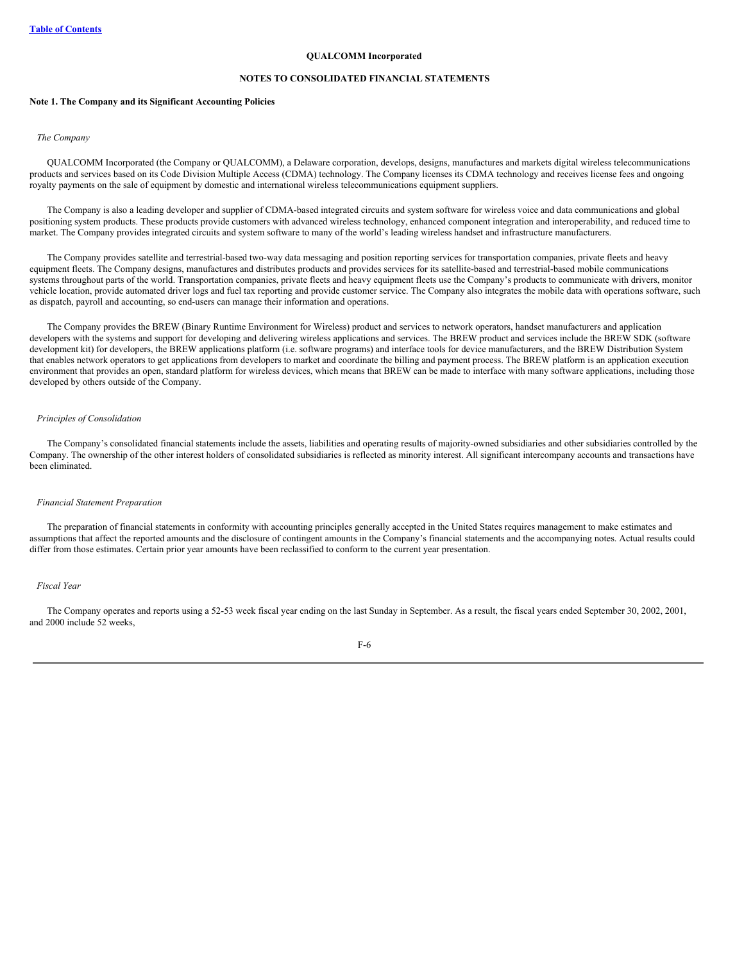## **NOTES TO CONSOLIDATED FINANCIAL STATEMENTS**

#### **Note 1. The Company and its Significant Accounting Policies**

## *The Company*

QUALCOMM Incorporated (the Company or QUALCOMM), a Delaware corporation, develops, designs, manufactures and markets digital wireless telecommunications products and services based on its Code Division Multiple Access (CDMA) technology. The Company licenses its CDMA technology and receives license fees and ongoing royalty payments on the sale of equipment by domestic and international wireless telecommunications equipment suppliers.

The Company is also a leading developer and supplier of CDMA-based integrated circuits and system software for wireless voice and data communications and global positioning system products. These products provide customers with advanced wireless technology, enhanced component integration and interoperability, and reduced time to market. The Company provides integrated circuits and system software to many of the world's leading wireless handset and infrastructure manufacturers.

The Company provides satellite and terrestrial-based two-way data messaging and position reporting services for transportation companies, private fleets and heavy equipment fleets. The Company designs, manufactures and distributes products and provides services for its satellite-based and terrestrial-based mobile communications systems throughout parts of the world. Transportation companies, private fleets and heavy equipment fleets use the Company's products to communicate with drivers, monitor vehicle location, provide automated driver logs and fuel tax reporting and provide customer service. The Company also integrates the mobile data with operations software, such as dispatch, payroll and accounting, so end-users can manage their information and operations.

The Company provides the BREW (Binary Runtime Environment for Wireless) product and services to network operators, handset manufacturers and application developers with the systems and support for developing and delivering wireless applications and services. The BREW product and services include the BREW SDK (software development kit) for developers, the BREW applications platform (i.e. software programs) and interface tools for device manufacturers, and the BREW Distribution System that enables network operators to get applications from developers to market and coordinate the billing and payment process. The BREW platform is an application execution environment that provides an open, standard platform for wireless devices, which means that BREW can be made to interface with many software applications, including those developed by others outside of the Company.

#### *Principles of Consolidation*

The Company's consolidated financial statements include the assets, liabilities and operating results of majority-owned subsidiaries and other subsidiaries controlled by the Company. The ownership of the other interest holders of consolidated subsidiaries is reflected as minority interest. All significant intercompany accounts and transactions have been eliminated.

#### *Financial Statement Preparation*

The preparation of financial statements in conformity with accounting principles generally accepted in the United States requires management to make estimates and assumptions that affect the reported amounts and the disclosure of contingent amounts in the Company's financial statements and the accompanying notes. Actual results could differ from those estimates. Certain prior year amounts have been reclassified to conform to the current year presentation.

## *Fiscal Year*

The Company operates and reports using a 52-53 week fiscal year ending on the last Sunday in September. As a result, the fiscal years ended September 30, 2002, 2001, and 2000 include 52 weeks,

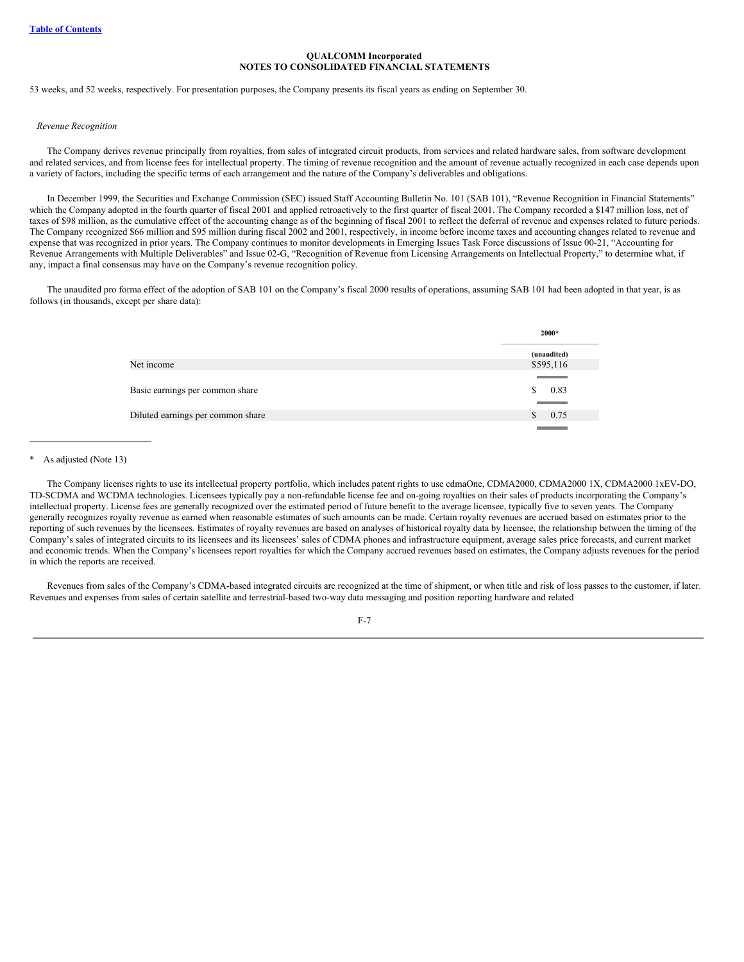53 weeks, and 52 weeks, respectively. For presentation purposes, the Company presents its fiscal years as ending on September 30.

### *Revenue Recognition*

The Company derives revenue principally from royalties, from sales of integrated circuit products, from services and related hardware sales, from software development and related services, and from license fees for intellectual property. The timing of revenue recognition and the amount of revenue actually recognized in each case depends upon a variety of factors, including the specific terms of each arrangement and the nature of the Company's deliverables and obligations.

In December 1999, the Securities and Exchange Commission (SEC) issued Staff Accounting Bulletin No. 101 (SAB 101), "Revenue Recognition in Financial Statements" which the Company adopted in the fourth quarter of fiscal 2001 and applied retroactively to the first quarter of fiscal 2001. The Company recorded a \$147 million loss, net of taxes of \$98 million, as the cumulative effect of the accounting change as of the beginning of fiscal 2001 to reflect the deferral of revenue and expenses related to future periods. The Company recognized \$66 million and \$95 million during fiscal 2002 and 2001, respectively, in income before income taxes and accounting changes related to revenue and expense that was recognized in prior years. The Company continues to monitor developments in Emerging Issues Task Force discussions of Issue 00-21, "Accounting for Revenue Arrangements with Multiple Deliverables" and Issue 02-G, "Recognition of Revenue from Licensing Arrangements on Intellectual Property," to determine what, if any, impact a final consensus may have on the Company's revenue recognition policy.

The unaudited pro forma effect of the adoption of SAB 101 on the Company's fiscal 2000 results of operations, assuming SAB 101 had been adopted in that year, is as follows (in thousands, except per share data):

|                                   | 2000*              |
|-----------------------------------|--------------------|
|                                   | (unaudited)        |
| Net income                        | \$595,116          |
|                                   | <u> Tanzania (</u> |
| Basic earnings per common share   | 0.83<br>S          |
|                                   |                    |
| Diluted earnings per common share | 0.75<br>S.         |
|                                   | <b>STATISTICS</b>  |

## As adjusted (Note 13)

The Company licenses rights to use its intellectual property portfolio, which includes patent rights to use cdmaOne, CDMA2000, CDMA2000 1X, CDMA2000 1xEV-DO, TD-SCDMA and WCDMA technologies. Licensees typically pay a non-refundable license fee and on-going royalties on their sales of products incorporating the Company's intellectual property. License fees are generally recognized over the estimated period of future benefit to the average licensee, typically five to seven years. The Company generally recognizes royalty revenue as earned when reasonable estimates of such amounts can be made. Certain royalty revenues are accrued based on estimates prior to the reporting of such revenues by the licensees. Estimates of royalty revenues are based on analyses of historical royalty data by licensee, the relationship between the timing of the Company's sales of integrated circuits to its licensees and its licensees' sales of CDMA phones and infrastructure equipment, average sales price forecasts, and current market and economic trends. When the Company's licensees report royalties for which the Company accrued revenues based on estimates, the Company adjusts revenues for the period in which the reports are received.

Revenues from sales of the Company's CDMA-based integrated circuits are recognized at the time of shipment, or when title and risk of loss passes to the customer, if later. Revenues and expenses from sales of certain satellite and terrestrial-based two-way data messaging and position reporting hardware and related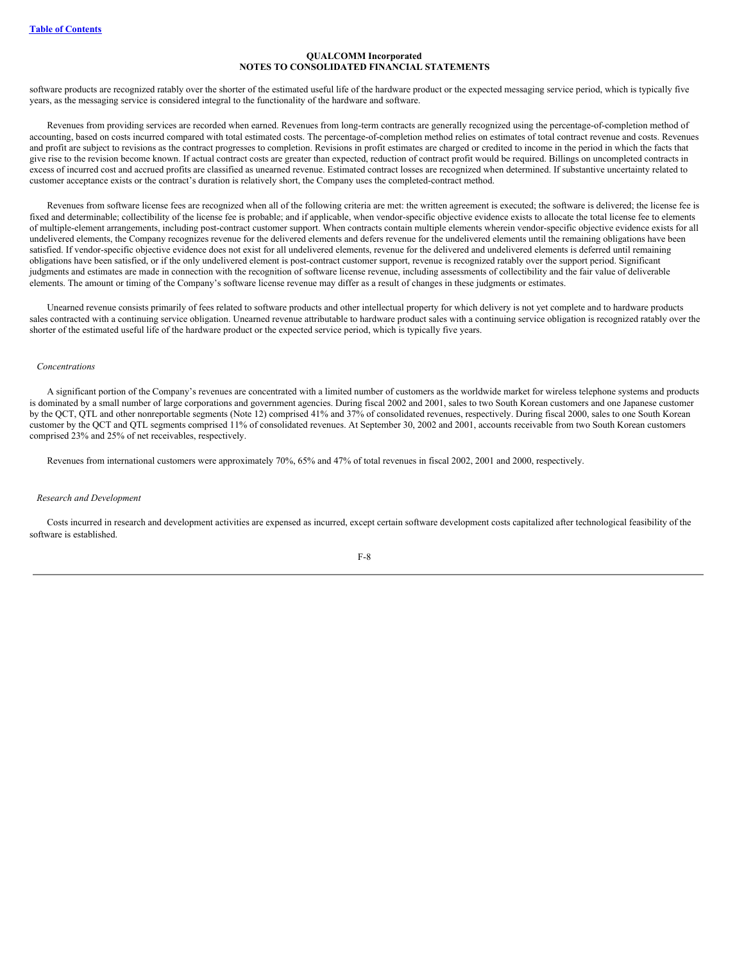software products are recognized ratably over the shorter of the estimated useful life of the hardware product or the expected messaging service period, which is typically five years, as the messaging service is considered integral to the functionality of the hardware and software.

Revenues from providing services are recorded when earned. Revenues from long-term contracts are generally recognized using the percentage-of-completion method of accounting, based on costs incurred compared with total estimated costs. The percentage-of-completion method relies on estimates of total contract revenue and costs. Revenues and profit are subject to revisions as the contract progresses to completion. Revisions in profit estimates are charged or credited to income in the period in which the facts that give rise to the revision become known. If actual contract costs are greater than expected, reduction of contract profit would be required. Billings on uncompleted contracts in excess of incurred cost and accrued profits are classified as unearned revenue. Estimated contract losses are recognized when determined. If substantive uncertainty related to customer acceptance exists or the contract's duration is relatively short, the Company uses the completed-contract method.

Revenues from software license fees are recognized when all of the following criteria are met: the written agreement is executed; the software is delivered; the license fee is fixed and determinable; collectibility of the license fee is probable; and if applicable, when vendor-specific objective evidence exists to allocate the total license fee to elements of multiple-element arrangements, including post-contract customer support. When contracts contain multiple elements wherein vendor-specific objective evidence exists for all undelivered elements, the Company recognizes revenue for the delivered elements and defers revenue for the undelivered elements until the remaining obligations have been satisfied. If vendor-specific objective evidence does not exist for all undelivered elements, revenue for the delivered and undelivered elements is deferred until remaining obligations have been satisfied, or if the only undelivered element is post-contract customer support, revenue is recognized ratably over the support period. Significant judgments and estimates are made in connection with the recognition of software license revenue, including assessments of collectibility and the fair value of deliverable elements. The amount or timing of the Company's software license revenue may differ as a result of changes in these judgments or estimates.

Unearned revenue consists primarily of fees related to software products and other intellectual property for which delivery is not yet complete and to hardware products sales contracted with a continuing service obligation. Unearned revenue attributable to hardware product sales with a continuing service obligation is recognized ratably over the shorter of the estimated useful life of the hardware product or the expected service period, which is typically five years.

## *Concentrations*

A significant portion of the Company's revenues are concentrated with a limited number of customers as the worldwide market for wireless telephone systems and products is dominated by a small number of large corporations and government agencies. During fiscal 2002 and 2001, sales to two South Korean customers and one Japanese customer by the QCT, QTL and other nonreportable segments (Note 12) comprised 41% and 37% of consolidated revenues, respectively. During fiscal 2000, sales to one South Korean customer by the QCT and QTL segments comprised 11% of consolidated revenues. At September 30, 2002 and 2001, accounts receivable from two South Korean customers comprised 23% and 25% of net receivables, respectively.

Revenues from international customers were approximately 70%, 65% and 47% of total revenues in fiscal 2002, 2001 and 2000, respectively.

#### *Research and Development*

Costs incurred in research and development activities are expensed as incurred, except certain software development costs capitalized after technological feasibility of the software is established.

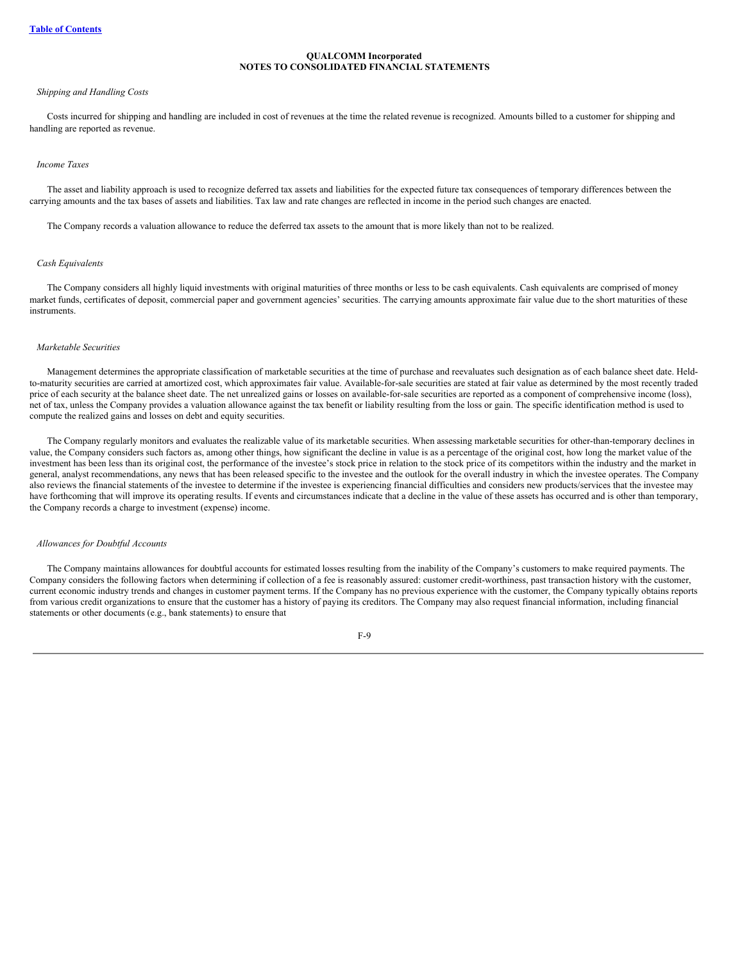### *Shipping and Handling Costs*

Costs incurred for shipping and handling are included in cost of revenues at the time the related revenue is recognized. Amounts billed to a customer for shipping and handling are reported as revenue.

## *Income Taxes*

The asset and liability approach is used to recognize deferred tax assets and liabilities for the expected future tax consequences of temporary differences between the carrying amounts and the tax bases of assets and liabilities. Tax law and rate changes are reflected in income in the period such changes are enacted.

The Company records a valuation allowance to reduce the deferred tax assets to the amount that is more likely than not to be realized.

## *Cash Equivalents*

The Company considers all highly liquid investments with original maturities of three months or less to be cash equivalents. Cash equivalents are comprised of money market funds, certificates of deposit, commercial paper and government agencies' securities. The carrying amounts approximate fair value due to the short maturities of these instruments.

## *Marketable Securities*

Management determines the appropriate classification of marketable securities at the time of purchase and reevaluates such designation as of each balance sheet date. Heldto-maturity securities are carried at amortized cost, which approximates fair value. Available-for-sale securities are stated at fair value as determined by the most recently traded price of each security at the balance sheet date. The net unrealized gains or losses on available-for-sale securities are reported as a component of comprehensive income (loss), net of tax, unless the Company provides a valuation allowance against the tax benefit or liability resulting from the loss or gain. The specific identification method is used to compute the realized gains and losses on debt and equity securities.

The Company regularly monitors and evaluates the realizable value of its marketable securities. When assessing marketable securities for other-than-temporary declines in value, the Company considers such factors as, among other things, how significant the decline in value is as a percentage of the original cost, how long the market value of the investment has been less than its original cost, the performance of the investee's stock price in relation to the stock price of its competitors within the industry and the market in general, analyst recommendations, any news that has been released specific to the investee and the outlook for the overall industry in which the investee operates. The Company also reviews the financial statements of the investee to determine if the investee is experiencing financial difficulties and considers new products/services that the investee may have forthcoming that will improve its operating results. If events and circumstances indicate that a decline in the value of these assets has occurred and is other than temporary, the Company records a charge to investment (expense) income.

#### *Allowances for Doubtful Accounts*

The Company maintains allowances for doubtful accounts for estimated losses resulting from the inability of the Company's customers to make required payments. The Company considers the following factors when determining if collection of a fee is reasonably assured: customer credit-worthiness, past transaction history with the customer, current economic industry trends and changes in customer payment terms. If the Company has no previous experience with the customer, the Company typically obtains reports from various credit organizations to ensure that the customer has a history of paying its creditors. The Company may also request financial information, including financial statements or other documents (e.g., bank statements) to ensure that

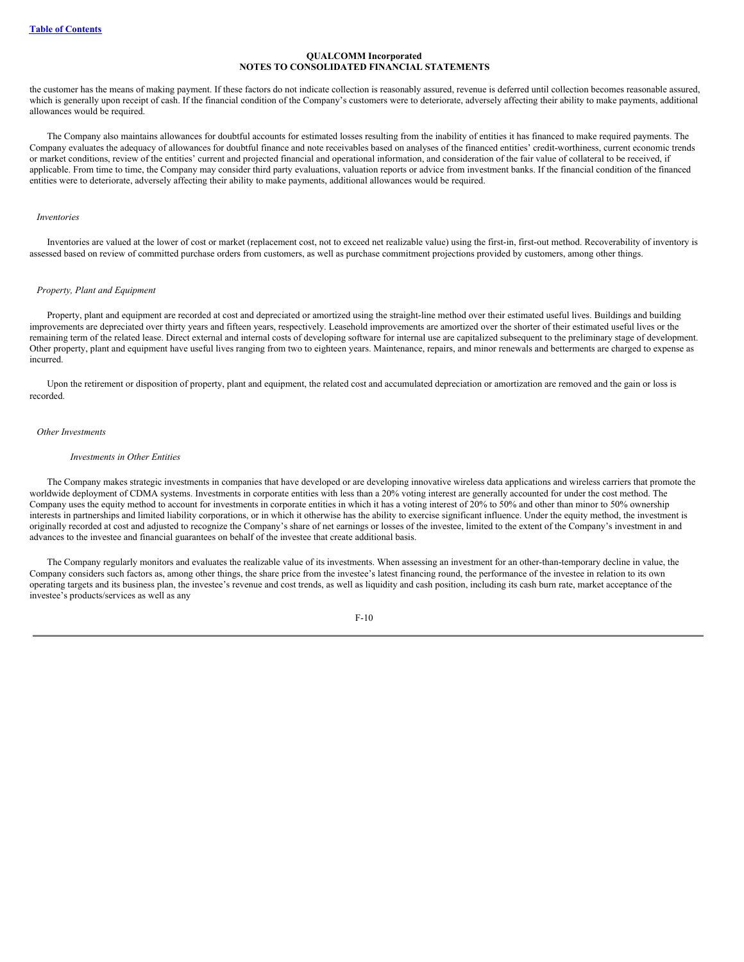the customer has the means of making payment. If these factors do not indicate collection is reasonably assured, revenue is deferred until collection becomes reasonable assured, which is generally upon receipt of cash. If the financial condition of the Company's customers were to deteriorate, adversely affecting their ability to make payments, additional allowances would be required.

The Company also maintains allowances for doubtful accounts for estimated losses resulting from the inability of entities it has financed to make required payments. The Company evaluates the adequacy of allowances for doubtful finance and note receivables based on analyses of the financed entities' credit-worthiness, current economic trends or market conditions, review of the entities' current and projected financial and operational information, and consideration of the fair value of collateral to be received, if applicable. From time to time, the Company may consider third party evaluations, valuation reports or advice from investment banks. If the financial condition of the financed entities were to deteriorate, adversely affecting their ability to make payments, additional allowances would be required.

#### *Inventories*

Inventories are valued at the lower of cost or market (replacement cost, not to exceed net realizable value) using the first-in, first-out method. Recoverability of inventory is assessed based on review of committed purchase orders from customers, as well as purchase commitment projections provided by customers, among other things.

## *Property, Plant and Equipment*

Property, plant and equipment are recorded at cost and depreciated or amortized using the straight-line method over their estimated useful lives. Buildings and building improvements are depreciated over thirty years and fifteen years, respectively. Leasehold improvements are amortized over the shorter of their estimated useful lives or the remaining term of the related lease. Direct external and internal costs of developing software for internal use are capitalized subsequent to the preliminary stage of development. Other property, plant and equipment have useful lives ranging from two to eighteen years. Maintenance, repairs, and minor renewals and betterments are charged to expense as incurred.

Upon the retirement or disposition of property, plant and equipment, the related cost and accumulated depreciation or amortization are removed and the gain or loss is recorded.

## *Other Investments*

#### *Investments in Other Entities*

The Company makes strategic investments in companies that have developed or are developing innovative wireless data applications and wireless carriers that promote the worldwide deployment of CDMA systems. Investments in corporate entities with less than a 20% voting interest are generally accounted for under the cost method. The Company uses the equity method to account for investments in corporate entities in which it has a voting interest of 20% to 50% and other than minor to 50% ownership interests in partnerships and limited liability corporations, or in which it otherwise has the ability to exercise significant influence. Under the equity method, the investment is originally recorded at cost and adjusted to recognize the Company's share of net earnings or losses of the investee, limited to the extent of the Company's investment in and advances to the investee and financial guarantees on behalf of the investee that create additional basis.

The Company regularly monitors and evaluates the realizable value of its investments. When assessing an investment for an other-than-temporary decline in value, the Company considers such factors as, among other things, the share price from the investee's latest financing round, the performance of the investee in relation to its own operating targets and its business plan, the investee's revenue and cost trends, as well as liquidity and cash position, including its cash burn rate, market acceptance of the investee's products/services as well as any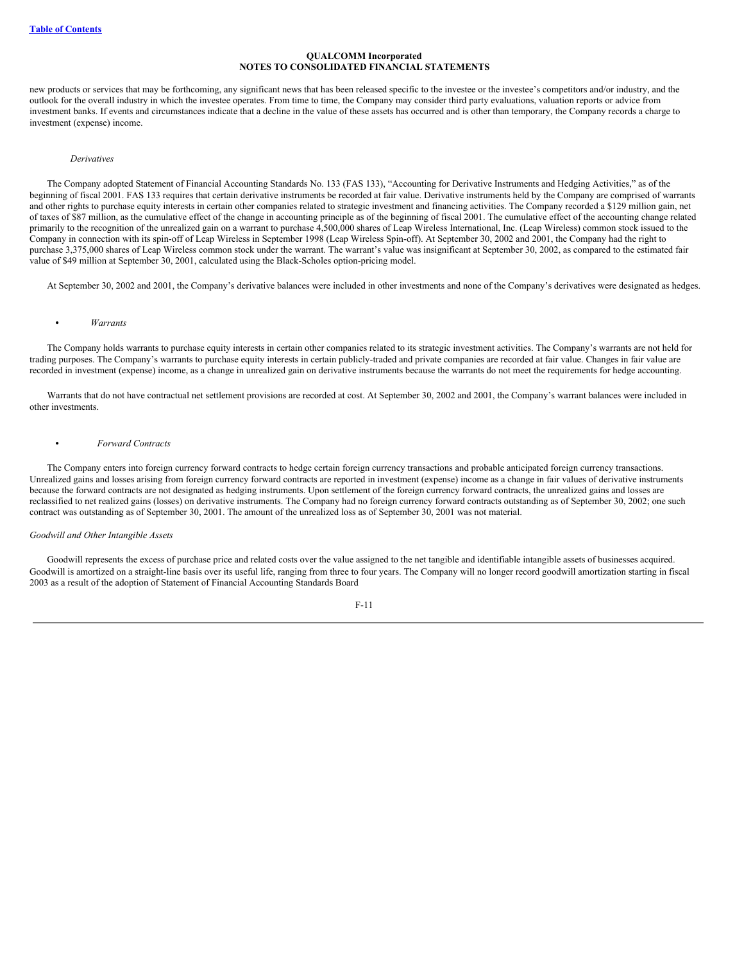new products or services that may be forthcoming, any significant news that has been released specific to the investee or the investee's competitors and/or industry, and the outlook for the overall industry in which the investee operates. From time to time, the Company may consider third party evaluations, valuation reports or advice from investment banks. If events and circumstances indicate that a decline in the value of these assets has occurred and is other than temporary, the Company records a charge to investment (expense) income.

#### *Derivatives*

The Company adopted Statement of Financial Accounting Standards No. 133 (FAS 133), "Accounting for Derivative Instruments and Hedging Activities," as of the beginning of fiscal 2001. FAS 133 requires that certain derivative instruments be recorded at fair value. Derivative instruments held by the Company are comprised of warrants and other rights to purchase equity interests in certain other companies related to strategic investment and financing activities. The Company recorded a \$129 million gain, net of taxes of \$87 million, as the cumulative effect of the change in accounting principle as of the beginning of fiscal 2001. The cumulative effect of the accounting change related primarily to the recognition of the unrealized gain on a warrant to purchase 4,500,000 shares of Leap Wireless International, Inc. (Leap Wireless) common stock issued to the Company in connection with its spin-off of Leap Wireless in September 1998 (Leap Wireless Spin-off). At September 30, 2002 and 2001, the Company had the right to purchase 3,375,000 shares of Leap Wireless common stock under the warrant. The warrant's value was insignificant at September 30, 2002, as compared to the estimated fair value of \$49 million at September 30, 2001, calculated using the Black-Scholes option-pricing model.

At September 30, 2002 and 2001, the Company's derivative balances were included in other investments and none of the Company's derivatives were designated as hedges.

#### **•** *Warrants*

The Company holds warrants to purchase equity interests in certain other companies related to its strategic investment activities. The Company's warrants are not held for trading purposes. The Company's warrants to purchase equity interests in certain publicly-traded and private companies are recorded at fair value. Changes in fair value are recorded in investment (expense) income, as a change in unrealized gain on derivative instruments because the warrants do not meet the requirements for hedge accounting.

Warrants that do not have contractual net settlement provisions are recorded at cost. At September 30, 2002 and 2001, the Company's warrant balances were included in other investments.

### **•** *Forward Contracts*

The Company enters into foreign currency forward contracts to hedge certain foreign currency transactions and probable anticipated foreign currency transactions. Unrealized gains and losses arising from foreign currency forward contracts are reported in investment (expense) income as a change in fair values of derivative instruments because the forward contracts are not designated as hedging instruments. Upon settlement of the foreign currency forward contracts, the unrealized gains and losses are reclassified to net realized gains (losses) on derivative instruments. The Company had no foreign currency forward contracts outstanding as of September 30, 2002; one such contract was outstanding as of September 30, 2001. The amount of the unrealized loss as of September 30, 2001 was not material.

#### *Goodwill and Other Intangible Assets*

Goodwill represents the excess of purchase price and related costs over the value assigned to the net tangible and identifiable intangible assets of businesses acquired. Goodwill is amortized on a straight-line basis over its useful life, ranging from three to four years. The Company will no longer record goodwill amortization starting in fiscal 2003 as a result of the adoption of Statement of Financial Accounting Standards Board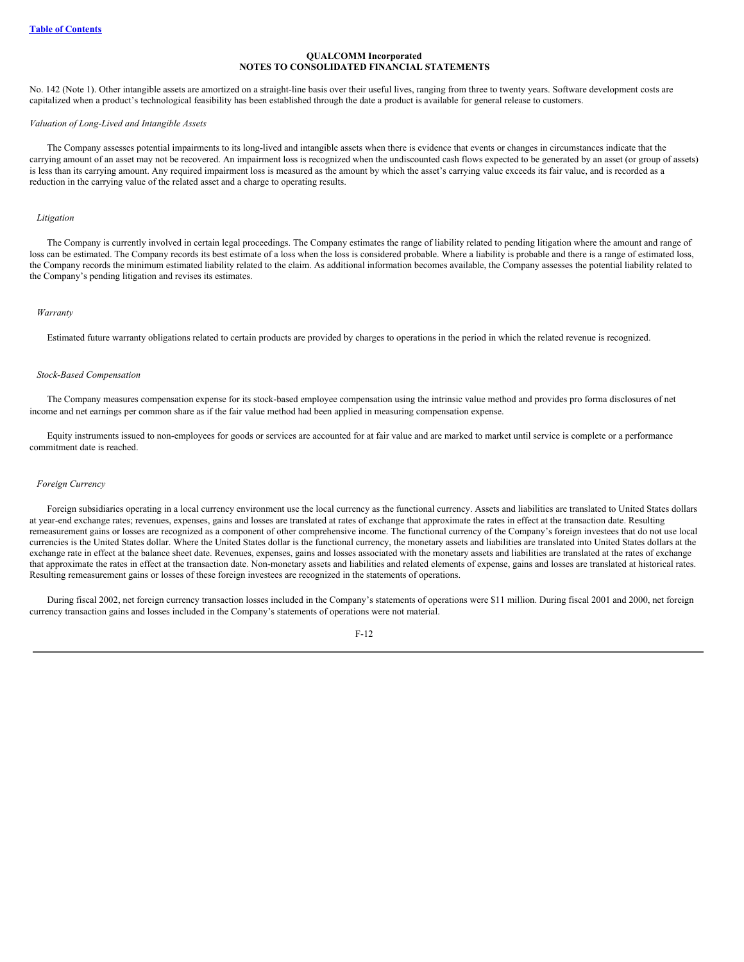No. 142 (Note 1). Other intangible assets are amortized on a straight-line basis over their useful lives, ranging from three to twenty years. Software development costs are capitalized when a product's technological feasibility has been established through the date a product is available for general release to customers.

#### *Valuation of Long-Lived and Intangible Assets*

The Company assesses potential impairments to its long-lived and intangible assets when there is evidence that events or changes in circumstances indicate that the carrying amount of an asset may not be recovered. An impairment loss is recognized when the undiscounted cash flows expected to be generated by an asset (or group of assets) is less than its carrying amount. Any required impairment loss is measured as the amount by which the asset's carrying value exceeds its fair value, and is recorded as a reduction in the carrying value of the related asset and a charge to operating results.

## *Litigation*

The Company is currently involved in certain legal proceedings. The Company estimates the range of liability related to pending litigation where the amount and range of loss can be estimated. The Company records its best estimate of a loss when the loss is considered probable. Where a liability is probable and there is a range of estimated loss, the Company records the minimum estimated liability related to the claim. As additional information becomes available, the Company assesses the potential liability related to the Company's pending litigation and revises its estimates.

#### *Warranty*

Estimated future warranty obligations related to certain products are provided by charges to operations in the period in which the related revenue is recognized.

## *Stock-Based Compensation*

The Company measures compensation expense for its stock-based employee compensation using the intrinsic value method and provides pro forma disclosures of net income and net earnings per common share as if the fair value method had been applied in measuring compensation expense.

Equity instruments issued to non-employees for goods or services are accounted for at fair value and are marked to market until service is complete or a performance commitment date is reached.

#### *Foreign Currency*

Foreign subsidiaries operating in a local currency environment use the local currency as the functional currency. Assets and liabilities are translated to United States dollars at year-end exchange rates; revenues, expenses, gains and losses are translated at rates of exchange that approximate the rates in effect at the transaction date. Resulting remeasurement gains or losses are recognized as a component of other comprehensive income. The functional currency of the Company's foreign investees that do not use local currencies is the United States dollar. Where the United States dollar is the functional currency, the monetary assets and liabilities are translated into United States dollars at the exchange rate in effect at the balance sheet date. Revenues, expenses, gains and losses associated with the monetary assets and liabilities are translated at the rates of exchange that approximate the rates in effect at the transaction date. Non-monetary assets and liabilities and related elements of expense, gains and losses are translated at historical rates. Resulting remeasurement gains or losses of these foreign investees are recognized in the statements of operations.

During fiscal 2002, net foreign currency transaction losses included in the Company's statements of operations were \$11 million. During fiscal 2001 and 2000, net foreign currency transaction gains and losses included in the Company's statements of operations were not material.

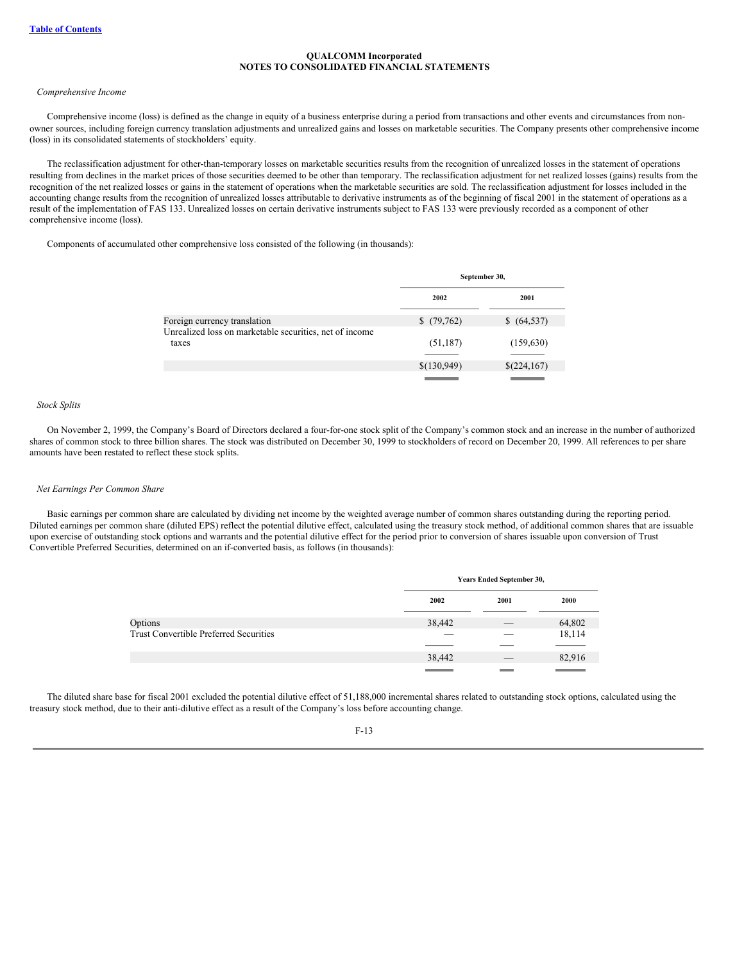### *Comprehensive Income*

Comprehensive income (loss) is defined as the change in equity of a business enterprise during a period from transactions and other events and circumstances from nonowner sources, including foreign currency translation adjustments and unrealized gains and losses on marketable securities. The Company presents other comprehensive income (loss) in its consolidated statements of stockholders' equity.

The reclassification adjustment for other-than-temporary losses on marketable securities results from the recognition of unrealized losses in the statement of operations resulting from declines in the market prices of those securities deemed to be other than temporary. The reclassification adjustment for net realized losses (gains) results from the recognition of the net realized losses or gains in the statement of operations when the marketable securities are sold. The reclassification adjustment for losses included in the accounting change results from the recognition of unrealized losses attributable to derivative instruments as of the beginning of fiscal 2001 in the statement of operations as a result of the implementation of FAS 133. Unrealized losses on certain derivative instruments subject to FAS 133 were previously recorded as a component of other comprehensive income (loss).

Components of accumulated other comprehensive loss consisted of the following (in thousands):

| September 30, |             |  |
|---------------|-------------|--|
| 2002          | 2001        |  |
| \$(79,762)    | \$ (64,537) |  |
| (51, 187)     | (159, 630)  |  |
| \$(130,949)   | \$(224,167) |  |
|               |             |  |

### *Stock Splits*

On November 2, 1999, the Company's Board of Directors declared a four-for-one stock split of the Company's common stock and an increase in the number of authorized shares of common stock to three billion shares. The stock was distributed on December 30, 1999 to stockholders of record on December 20, 1999. All references to per share amounts have been restated to reflect these stock splits.

### *Net Earnings Per Common Share*

Basic earnings per common share are calculated by dividing net income by the weighted average number of common shares outstanding during the reporting period. Diluted earnings per common share (diluted EPS) reflect the potential dilutive effect, calculated using the treasury stock method, of additional common shares that are issuable upon exercise of outstanding stock options and warrants and the potential dilutive effect for the period prior to conversion of shares issuable upon conversion of Trust Convertible Preferred Securities, determined on an if-converted basis, as follows (in thousands):

|                                               | Years Ended September 30, |      |        |
|-----------------------------------------------|---------------------------|------|--------|
|                                               | 2002                      | 2001 | 2000   |
| Options                                       | 38,442                    | __   | 64,802 |
| <b>Trust Convertible Preferred Securities</b> |                           | __   | 18,114 |
|                                               |                           |      |        |
|                                               | 38,442                    | _    | 82,916 |
|                                               |                           |      |        |

The diluted share base for fiscal 2001 excluded the potential dilutive effect of 51,188,000 incremental shares related to outstanding stock options, calculated using the treasury stock method, due to their anti-dilutive effect as a result of the Company's loss before accounting change.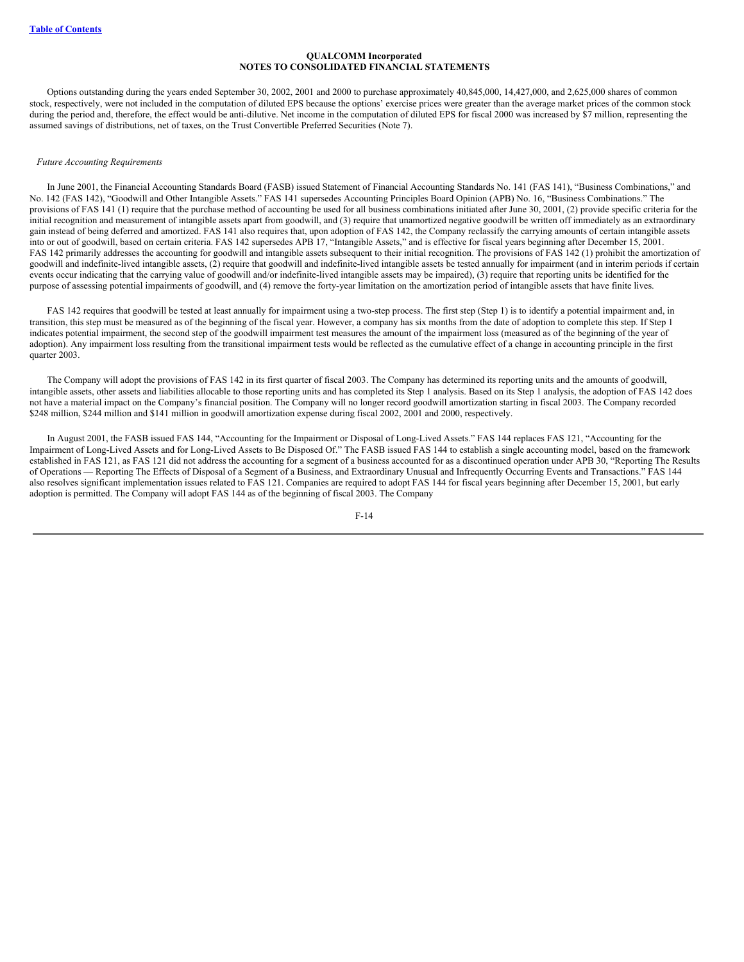Options outstanding during the years ended September 30, 2002, 2001 and 2000 to purchase approximately 40,845,000, 14,427,000, and 2,625,000 shares of common stock, respectively, were not included in the computation of diluted EPS because the options' exercise prices were greater than the average market prices of the common stock during the period and, therefore, the effect would be anti-dilutive. Net income in the computation of diluted EPS for fiscal 2000 was increased by \$7 million, representing the assumed savings of distributions, net of taxes, on the Trust Convertible Preferred Securities (Note 7).

#### *Future Accounting Requirements*

In June 2001, the Financial Accounting Standards Board (FASB) issued Statement of Financial Accounting Standards No. 141 (FAS 141), "Business Combinations," and No. 142 (FAS 142), "Goodwill and Other Intangible Assets." FAS 141 supersedes Accounting Principles Board Opinion (APB) No. 16, "Business Combinations." The provisions of FAS 141 (1) require that the purchase method of accounting be used for all business combinations initiated after June 30, 2001, (2) provide specific criteria for the initial recognition and measurement of intangible assets apart from goodwill, and (3) require that unamortized negative goodwill be written off immediately as an extraordinary gain instead of being deferred and amortized. FAS 141 also requires that, upon adoption of FAS 142, the Company reclassify the carrying amounts of certain intangible assets into or out of goodwill, based on certain criteria. FAS 142 supersedes APB 17, "Intangible Assets," and is effective for fiscal years beginning after December 15, 2001. FAS 142 primarily addresses the accounting for goodwill and intangible assets subsequent to their initial recognition. The provisions of FAS 142 (1) prohibit the amortization of goodwill and indefinite-lived intangible assets, (2) require that goodwill and indefinite-lived intangible assets be tested annually for impairment (and in interim periods if certain events occur indicating that the carrying value of goodwill and/or indefinite-lived intangible assets may be impaired), (3) require that reporting units be identified for the purpose of assessing potential impairments of goodwill, and (4) remove the forty-year limitation on the amortization period of intangible assets that have finite lives.

FAS 142 requires that goodwill be tested at least annually for impairment using a two-step process. The first step (Step 1) is to identify a potential impairment and, in transition, this step must be measured as of the beginning of the fiscal year. However, a company has six months from the date of adoption to complete this step. If Step 1 indicates potential impairment, the second step of the goodwill impairment test measures the amount of the impairment loss (measured as of the beginning of the year of adoption). Any impairment loss resulting from the transitional impairment tests would be reflected as the cumulative effect of a change in accounting principle in the first quarter 2003.

The Company will adopt the provisions of FAS 142 in its first quarter of fiscal 2003. The Company has determined its reporting units and the amounts of goodwill, intangible assets, other assets and liabilities allocable to those reporting units and has completed its Step 1 analysis. Based on its Step 1 analysis, the adoption of FAS 142 does not have a material impact on the Company's financial position. The Company will no longer record goodwill amortization starting in fiscal 2003. The Company recorded \$248 million, \$244 million and \$141 million in goodwill amortization expense during fiscal 2002, 2001 and 2000, respectively.

In August 2001, the FASB issued FAS 144, "Accounting for the Impairment or Disposal of Long-Lived Assets." FAS 144 replaces FAS 121, "Accounting for the Impairment of Long-Lived Assets and for Long-Lived Assets to Be Disposed Of." The FASB issued FAS 144 to establish a single accounting model, based on the framework established in FAS 121, as FAS 121 did not address the accounting for a segment of a business accounted for as a discontinued operation under APB 30, "Reporting The Results of Operations — Reporting The Effects of Disposal of a Segment of a Business, and Extraordinary Unusual and Infrequently Occurring Events and Transactions." FAS 144 also resolves significant implementation issues related to FAS 121. Companies are required to adopt FAS 144 for fiscal years beginning after December 15, 2001, but early adoption is permitted. The Company will adopt FAS 144 as of the beginning of fiscal 2003. The Company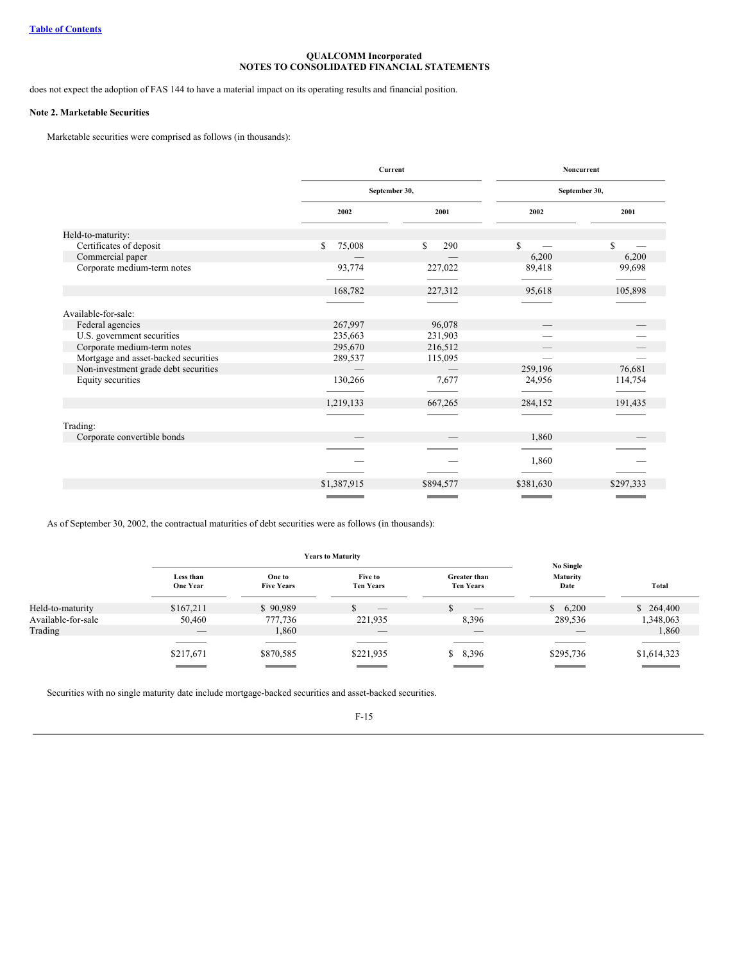does not expect the adoption of FAS 144 to have a material impact on its operating results and financial position.

## **Note 2. Marketable Securities**

Marketable securities were comprised as follows (in thousands):

|                                      |               | Current                                                                                                              | Noncurrent                    |                                       |  |
|--------------------------------------|---------------|----------------------------------------------------------------------------------------------------------------------|-------------------------------|---------------------------------------|--|
|                                      | September 30, |                                                                                                                      | September 30,                 |                                       |  |
|                                      | 2002          | 2001                                                                                                                 | 2002                          | 2001                                  |  |
| Held-to-maturity:                    |               |                                                                                                                      |                               |                                       |  |
| Certificates of deposit              | 75,008<br>S   | \$<br>290                                                                                                            | S<br>$\overline{\phantom{0}}$ | S                                     |  |
| Commercial paper                     |               |                                                                                                                      | 6,200                         | 6,200                                 |  |
| Corporate medium-term notes          | 93,774        | 227,022                                                                                                              | 89,418                        | 99,698                                |  |
|                                      | 168,782       | 227,312                                                                                                              | 95,618                        | 105,898                               |  |
| Available-for-sale:                  |               |                                                                                                                      |                               |                                       |  |
| Federal agencies                     | 267,997       | 96,078                                                                                                               |                               |                                       |  |
| U.S. government securities           | 235,663       | 231,903                                                                                                              |                               |                                       |  |
| Corporate medium-term notes          | 295,670       | 216,512                                                                                                              |                               |                                       |  |
| Mortgage and asset-backed securities | 289,537       | 115,095                                                                                                              |                               |                                       |  |
| Non-investment grade debt securities |               |                                                                                                                      | 259,196                       | 76,681                                |  |
| Equity securities                    | 130,266       | 7,677                                                                                                                | 24,956                        | 114,754                               |  |
|                                      | 1,219,133     | 667,265                                                                                                              | 284,152                       | 191,435                               |  |
| Trading:                             |               |                                                                                                                      |                               |                                       |  |
| Corporate convertible bonds          |               |                                                                                                                      | 1,860                         |                                       |  |
|                                      |               |                                                                                                                      |                               |                                       |  |
|                                      |               |                                                                                                                      |                               |                                       |  |
|                                      |               |                                                                                                                      | 1,860                         |                                       |  |
|                                      | \$1,387,915   | \$894,577                                                                                                            | \$381,630                     | \$297,333                             |  |
|                                      |               | <u> Tanzania (Carlo Carlo Carlo Carlo Carlo Carlo Carlo Carlo Carlo Carlo Carlo Carlo Carlo Carlo Carlo Carlo Ca</u> | <u> Tanzania (h. 1888).</u>   | <b>The Committee of the Committee</b> |  |

As of September 30, 2002, the contractual maturities of debt securities were as follows (in thousands):

|  | <b>Years to Maturity</b> |
|--|--------------------------|
|--|--------------------------|

|                    |                                |                             |                                 |                                         | No Single          |                          |
|--------------------|--------------------------------|-----------------------------|---------------------------------|-----------------------------------------|--------------------|--------------------------|
|                    | Less than<br><b>One Year</b>   | One to<br><b>Five Years</b> | Five to<br><b>Ten Years</b>     | <b>Greater than</b><br><b>Ten Years</b> | Maturity<br>Date   | <b>Total</b>             |
| Held-to-maturity   | \$167,211                      | \$90,989                    | $\overline{\phantom{a}}$        | $\overbrace{\hspace{25mm}}^{}$          | \$6,200            | \$264,400                |
| Available-for-sale | 50,460                         | 777,736                     | 221,935                         | 8,396                                   | 289,536            | 1,348,063                |
| Trading            | $\overbrace{\hspace{25mm}}^{}$ | 1,860                       | $\hspace{0.1mm}-\hspace{0.1mm}$ | $\hspace{0.1mm}-\hspace{0.1mm}$         | $\qquad \qquad$    | 1,860                    |
|                    |                                |                             |                                 |                                         |                    |                          |
|                    | \$217,671                      | \$870,585                   | \$221,935                       | \$8,396                                 | \$295,736          | \$1,614,323              |
|                    |                                | <b>Service Controller</b>   | <b>State State</b>              | <b>Service Service</b>                  | <u> Tanzania (</u> | <b>Contract Contract</b> |

Securities with no single maturity date include mortgage-backed securities and asset-backed securities.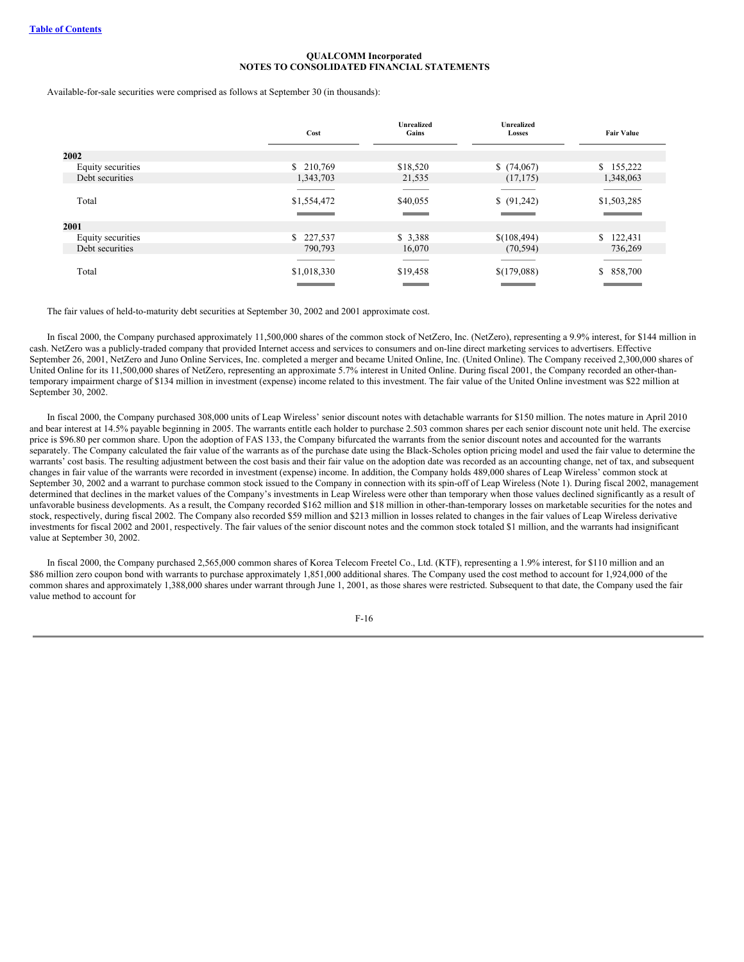Available-for-sale securities were comprised as follows at September 30 (in thousands):

|                   | Cost                                  | <b>Unrealized</b><br>Gains        | <b>Unrealized</b><br>Losses       | <b>Fair Value</b>           |
|-------------------|---------------------------------------|-----------------------------------|-----------------------------------|-----------------------------|
| 2002              |                                       |                                   |                                   |                             |
| Equity securities | \$ 210,769                            | \$18,520                          | (74,067)                          | \$155,222                   |
| Debt securities   | 1,343,703                             | 21,535                            | (17, 175)                         | 1,348,063                   |
|                   |                                       |                                   |                                   | and the control of the con- |
| Total             | \$1,554,472                           | \$40,055                          | \$ (91,242)                       | \$1,503,285                 |
|                   | and the control of the control of the | <b>The Common</b>                 | <b>Contract Contract Contract</b> | <b>State State State</b>    |
| 2001              |                                       |                                   |                                   |                             |
| Equity securities | \$227,537                             | \$ 3,388                          | \$(108,494)                       | \$122,431                   |
| Debt securities   | 790,793                               | 16,070                            | (70, 594)                         | 736,269                     |
|                   |                                       | <b>Contract Contract Contract</b> |                                   |                             |
| Total             | \$1,018,330                           | \$19,458                          | \$(179,088)                       | 858,700<br>\$               |
|                   | <b>Contract Contract Contract</b>     | <u> Tanzania (</u>                | <u> Tanzania (</u>                | <b>Service Controller</b>   |

The fair values of held-to-maturity debt securities at September 30, 2002 and 2001 approximate cost.

In fiscal 2000, the Company purchased approximately 11,500,000 shares of the common stock of NetZero, Inc. (NetZero), representing a 9.9% interest, for \$144 million in cash. NetZero was a publicly-traded company that provided Internet access and services to consumers and on-line direct marketing services to advertisers. Effective September 26, 2001, NetZero and Juno Online Services, Inc. completed a merger and became United Online, Inc. (United Online). The Company received 2,300,000 shares of United Online for its 11,500,000 shares of NetZero, representing an approximate 5.7% interest in United Online. During fiscal 2001, the Company recorded an other-thantemporary impairment charge of \$134 million in investment (expense) income related to this investment. The fair value of the United Online investment was \$22 million at September 30, 2002.

In fiscal 2000, the Company purchased 308,000 units of Leap Wireless' senior discount notes with detachable warrants for \$150 million. The notes mature in April 2010 and bear interest at 14.5% payable beginning in 2005. The warrants entitle each holder to purchase 2.503 common shares per each senior discount note unit held. The exercise price is \$96.80 per common share. Upon the adoption of FAS 133, the Company bifurcated the warrants from the senior discount notes and accounted for the warrants separately. The Company calculated the fair value of the warrants as of the purchase date using the Black-Scholes option pricing model and used the fair value to determine the warrants' cost basis. The resulting adjustment between the cost basis and their fair value on the adoption date was recorded as an accounting change, net of tax, and subsequent changes in fair value of the warrants were recorded in investment (expense) income. In addition, the Company holds 489,000 shares of Leap Wireless' common stock at September 30, 2002 and a warrant to purchase common stock issued to the Company in connection with its spin-off of Leap Wireless (Note 1). During fiscal 2002, management determined that declines in the market values of the Company's investments in Leap Wireless were other than temporary when those values declined significantly as a result of unfavorable business developments. As a result, the Company recorded \$162 million and \$18 million in other-than-temporary losses on marketable securities for the notes and stock, respectively, during fiscal 2002. The Company also recorded \$59 million and \$213 million in losses related to changes in the fair values of Leap Wireless derivative investments for fiscal 2002 and 2001, respectively. The fair values of the senior discount notes and the common stock totaled \$1 million, and the warrants had insignificant value at September 30, 2002.

In fiscal 2000, the Company purchased 2,565,000 common shares of Korea Telecom Freetel Co., Ltd. (KTF), representing a 1.9% interest, for \$110 million and an \$86 million zero coupon bond with warrants to purchase approximately 1,851,000 additional shares. The Company used the cost method to account for 1,924,000 of the common shares and approximately 1,388,000 shares under warrant through June 1, 2001, as those shares were restricted. Subsequent to that date, the Company used the fair value method to account for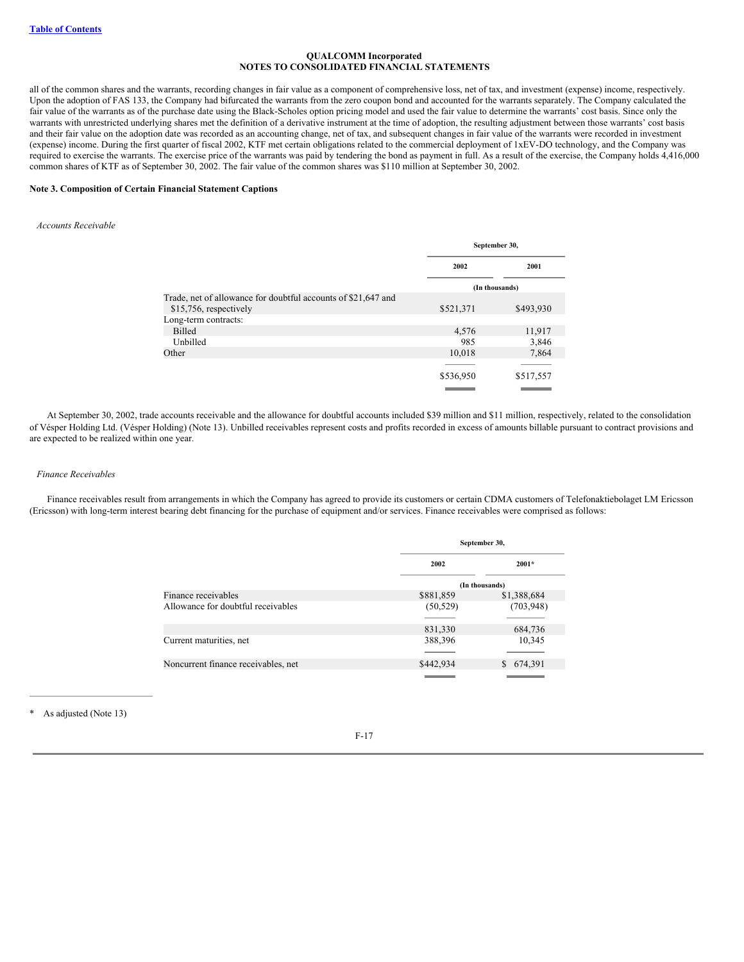all of the common shares and the warrants, recording changes in fair value as a component of comprehensive loss, net of tax, and investment (expense) income, respectively. Upon the adoption of FAS 133, the Company had bifurcated the warrants from the zero coupon bond and accounted for the warrants separately. The Company calculated the fair value of the warrants as of the purchase date using the Black-Scholes option pricing model and used the fair value to determine the warrants' cost basis. Since only the warrants with unrestricted underlying shares met the definition of a derivative instrument at the time of adoption, the resulting adjustment between those warrants' cost basis and their fair value on the adoption date was recorded as an accounting change, net of tax, and subsequent changes in fair value of the warrants were recorded in investment (expense) income. During the first quarter of fiscal 2002, KTF met certain obligations related to the commercial deployment of 1xEV-DO technology, and the Company was required to exercise the warrants. The exercise price of the warrants was paid by tendering the bond as payment in full. As a result of the exercise, the Company holds 4,416,000 common shares of KTF as of September 30, 2002. The fair value of the common shares was \$110 million at September 30, 2002.

## **Note 3. Composition of Certain Financial Statement Captions**

## *Accounts Receivable*

|                                                               |                | September 30, |  |
|---------------------------------------------------------------|----------------|---------------|--|
|                                                               | 2002<br>2001   |               |  |
|                                                               | (In thousands) |               |  |
| Trade, net of allowance for doubtful accounts of \$21,647 and |                |               |  |
| \$15,756, respectively                                        | \$521,371      | \$493,930     |  |
| Long-term contracts:                                          |                |               |  |
| <b>Billed</b>                                                 | 4,576          | 11,917        |  |
| Unbilled                                                      | 985            | 3,846         |  |
| Other                                                         | 10,018         | 7,864         |  |
|                                                               |                |               |  |
|                                                               | \$536,950      | \$517,557     |  |

At September 30, 2002, trade accounts receivable and the allowance for doubtful accounts included \$39 million and \$11 million, respectively, related to the consolidation of Vésper Holding Ltd. (Vésper Holding) (Note 13). Unbilled receivables represent costs and profits recorded in excess of amounts billable pursuant to contract provisions and are expected to be realized within one year.

## *Finance Receivables*

Finance receivables result from arrangements in which the Company has agreed to provide its customers or certain CDMA customers of Telefonaktiebolaget LM Ericsson (Ericsson) with long-term interest bearing debt financing for the purchase of equipment and/or services. Finance receivables were comprised as follows:

|                                     |           | September 30,  |  |  |
|-------------------------------------|-----------|----------------|--|--|
|                                     | 2002      | $2001*$        |  |  |
|                                     |           | (In thousands) |  |  |
| Finance receivables                 | \$881,859 | \$1,388,684    |  |  |
| Allowance for doubtful receivables  | (50, 529) | (703, 948)     |  |  |
|                                     |           |                |  |  |
|                                     | 831,330   | 684,736        |  |  |
| Current maturities, net             | 388,396   | 10,345         |  |  |
|                                     |           |                |  |  |
| Noncurrent finance receivables, net | \$442,934 | 674,391<br>S   |  |  |
|                                     |           |                |  |  |

As adjusted (Note 13)

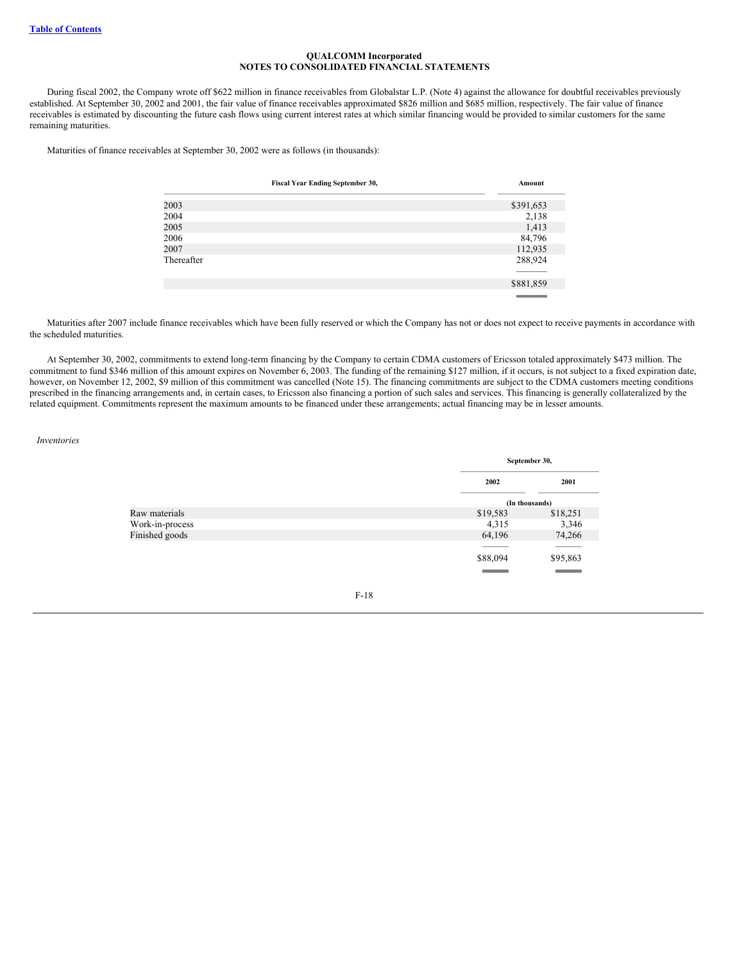During fiscal 2002, the Company wrote off \$622 million in finance receivables from Globalstar L.P. (Note 4) against the allowance for doubtful receivables previously established. At September 30, 2002 and 2001, the fair value of finance receivables approximated \$826 million and \$685 million, respectively. The fair value of finance receivables is estimated by discounting the future cash flows using current interest rates at which similar financing would be provided to similar customers for the same remaining maturities.

Maturities of finance receivables at September 30, 2002 were as follows (in thousands):

| Fiscal Year Ending September 30, |  | Amount    |
|----------------------------------|--|-----------|
| 2003                             |  | \$391,653 |
| 2004                             |  | 2,138     |
| 2005                             |  | 1,413     |
| 2006                             |  | 84,796    |
| 2007                             |  | 112,935   |
| Thereafter                       |  | 288,924   |
|                                  |  |           |
|                                  |  | \$881,859 |

Maturities after 2007 include finance receivables which have been fully reserved or which the Company has not or does not expect to receive payments in accordance with the scheduled maturities.

At September 30, 2002, commitments to extend long-term financing by the Company to certain CDMA customers of Ericsson totaled approximately \$473 million. The commitment to fund \$346 million of this amount expires on November 6, 2003. The funding of the remaining \$127 million, if it occurs, is not subject to a fixed expiration date, however, on November 12, 2002, \$9 million of this commitment was cancelled (Note 15). The financing commitments are subject to the CDMA customers meeting conditions prescribed in the financing arrangements and, in certain cases, to Ericsson also financing a portion of such sales and services. This financing is generally collateralized by the related equipment. Commitments represent the maximum amounts to be financed under these arrangements; actual financing may be in lesser amounts.

## *Inventories*

|                 |          | September 30,                                        |  |
|-----------------|----------|------------------------------------------------------|--|
|                 | 2002     | 2001                                                 |  |
|                 |          | (In thousands)                                       |  |
| Raw materials   | \$19,583 | \$18,251                                             |  |
| Work-in-process | 4,315    | 3,346                                                |  |
| Finished goods  | 64,196   | 74,266                                               |  |
|                 |          | <b>Service Control of the Control of the Control</b> |  |
|                 | \$88,094 | \$95,863                                             |  |
|                 |          | <b>Contract Contract</b>                             |  |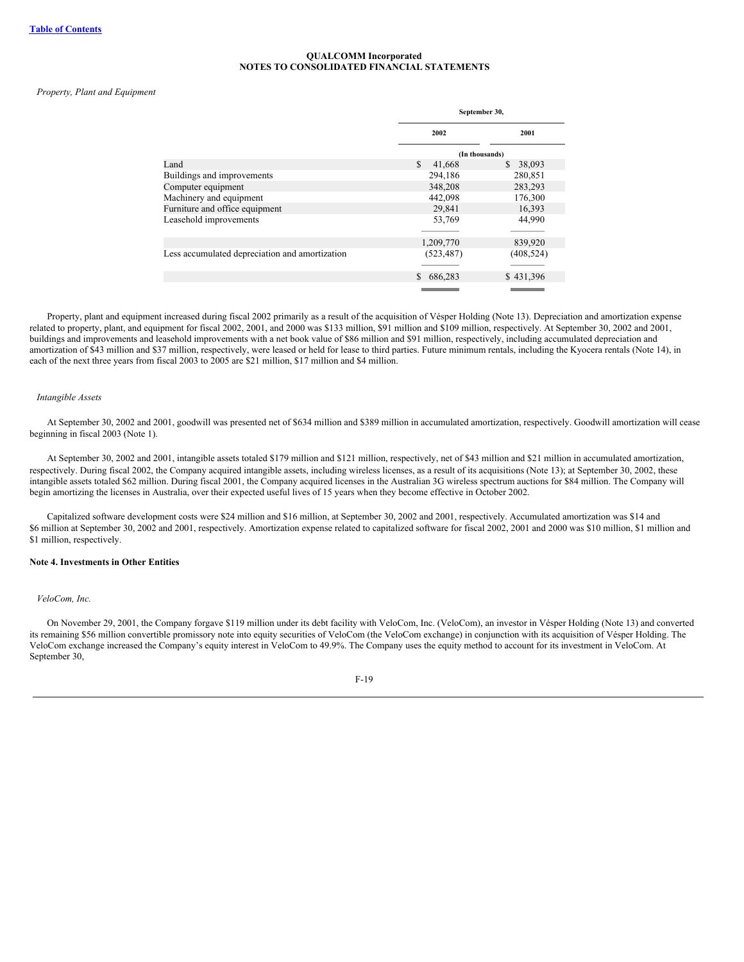### *Property, Plant and Equipment*

|                                                | September 30,  |              |  |
|------------------------------------------------|----------------|--------------|--|
|                                                | 2002           | 2001         |  |
|                                                | (In thousands) |              |  |
| Land                                           | \$.<br>41,668  | 38,093<br>\$ |  |
| Buildings and improvements                     | 294,186        | 280,851      |  |
| Computer equipment                             | 348,208        | 283,293      |  |
| Machinery and equipment                        | 442,098        | 176,300      |  |
| Furniture and office equipment                 | 29,841         | 16,393       |  |
| Leasehold improvements                         | 53,769         | 44,990       |  |
|                                                |                |              |  |
|                                                | 1,209,770      | 839,920      |  |
| Less accumulated depreciation and amortization | (523, 487)     | (408, 524)   |  |
|                                                |                |              |  |
|                                                | 686,283<br>S.  | \$431,396    |  |
|                                                |                |              |  |

Property, plant and equipment increased during fiscal 2002 primarily as a result of the acquisition of Vésper Holding (Note 13). Depreciation and amortization expense related to property, plant, and equipment for fiscal 2002, 2001, and 2000 was \$133 million, \$91 million and \$109 million, respectively. At September 30, 2002 and 2001, buildings and improvements and leasehold improvements with a net book value of \$86 million and \$91 million, respectively, including accumulated depreciation and amortization of \$43 million and \$37 million, respectively, were leased or held for lease to third parties. Future minimum rentals, including the Kyocera rentals (Note 14), in each of the next three years from fiscal 2003 to 2005 are \$21 million, \$17 million and \$4 million.

### *Intangible Assets*

At September 30, 2002 and 2001, goodwill was presented net of \$634 million and \$389 million in accumulated amortization, respectively. Goodwill amortization will cease beginning in fiscal 2003 (Note 1).

At September 30, 2002 and 2001, intangible assets totaled \$179 million and \$121 million, respectively, net of \$43 million and \$21 million in accumulated amortization, respectively. During fiscal 2002, the Company acquired intangible assets, including wireless licenses, as a result of its acquisitions (Note 13); at September 30, 2002, these intangible assets totaled \$62 million. During fiscal 2001, the Company acquired licenses in the Australian 3G wireless spectrum auctions for \$84 million. The Company will begin amortizing the licenses in Australia, over their expected useful lives of 15 years when they become effective in October 2002.

Capitalized software development costs were \$24 million and \$16 million, at September 30, 2002 and 2001, respectively. Accumulated amortization was \$14 and \$6 million at September 30, 2002 and 2001, respectively. Amortization expense related to capitalized software for fiscal 2002, 2001 and 2000 was \$10 million, \$1 million and \$1 million, respectively.

## **Note 4. Investments in Other Entities**

#### *VeloCom, Inc.*

On November 29, 2001, the Company forgave \$119 million under its debt facility with VeloCom, Inc. (VeloCom), an investor in Vésper Holding (Note 13) and converted its remaining \$56 million convertible promissory note into equity securities of VeloCom (the VeloCom exchange) in conjunction with its acquisition of Vésper Holding. The VeloCom exchange increased the Company's equity interest in VeloCom to 49.9%. The Company uses the equity method to account for its investment in VeloCom. At September 30,

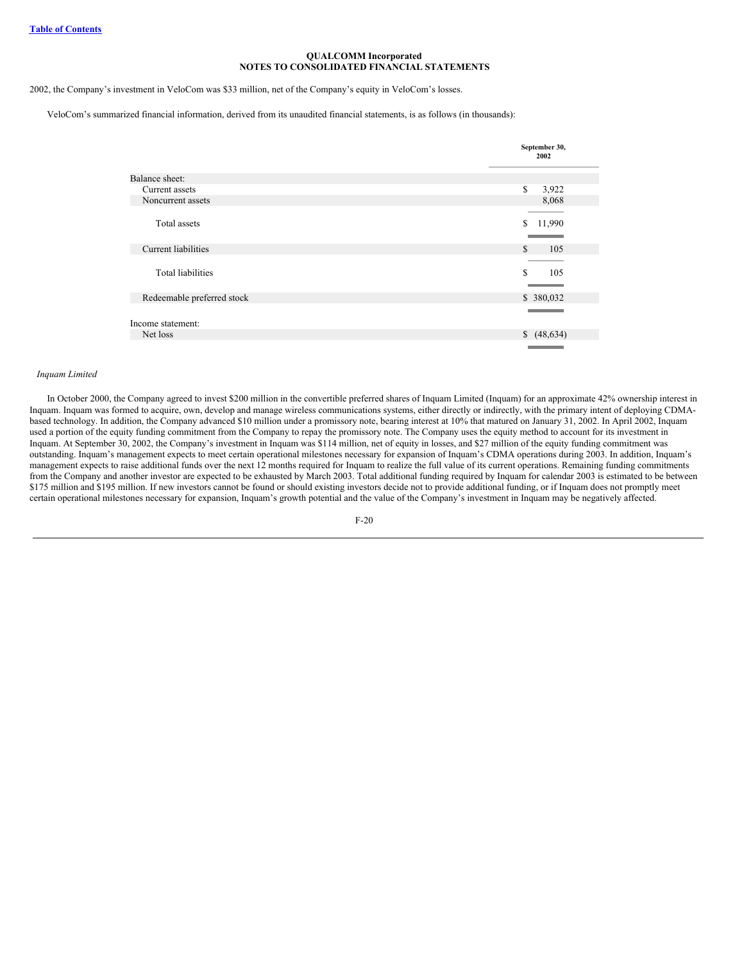2002, the Company's investment in VeloCom was \$33 million, net of the Company's equity in VeloCom's losses.

VeloCom's summarized financial information, derived from its unaudited financial statements, is as follows (in thousands):

|                            | September 30,<br>2002                                                                                           |
|----------------------------|-----------------------------------------------------------------------------------------------------------------|
| Balance sheet:             |                                                                                                                 |
| Current assets             | \$<br>3,922                                                                                                     |
| Noncurrent assets          | 8,068                                                                                                           |
| Total assets               | 11,990<br>\$                                                                                                    |
| Current liabilities        | \$.<br>105                                                                                                      |
| Total liabilities          | S<br>105                                                                                                        |
| Redeemable preferred stock | \$ 380,032                                                                                                      |
| Income statement:          |                                                                                                                 |
| Net loss                   | \$ (48,634)                                                                                                     |
|                            | <b>STATE OF STATE OF STATE OF STATE OF STATE OF STATE OF STATE OF STATE OF STATE OF STATE OF STATE OF STATE</b> |

## *Inquam Limited*

In October 2000, the Company agreed to invest \$200 million in the convertible preferred shares of Inquam Limited (Inquam) for an approximate 42% ownership interest in Inquam. Inquam was formed to acquire, own, develop and manage wireless communications systems, either directly or indirectly, with the primary intent of deploying CDMAbased technology. In addition, the Company advanced \$10 million under a promissory note, bearing interest at 10% that matured on January 31, 2002. In April 2002, Inquam used a portion of the equity funding commitment from the Company to repay the promissory note. The Company uses the equity method to account for its investment in Inquam. At September 30, 2002, the Company's investment in Inquam was \$114 million, net of equity in losses, and \$27 million of the equity funding commitment was outstanding. Inquam's management expects to meet certain operational milestones necessary for expansion of Inquam's CDMA operations during 2003. In addition, Inquam's management expects to raise additional funds over the next 12 months required for Inquam to realize the full value of its current operations. Remaining funding commitments from the Company and another investor are expected to be exhausted by March 2003. Total additional funding required by Inquam for calendar 2003 is estimated to be between \$175 million and \$195 million. If new investors cannot be found or should existing investors decide not to provide additional funding, or if Inquam does not promptly meet certain operational milestones necessary for expansion, Inquam's growth potential and the value of the Company's investment in Inquam may be negatively affected.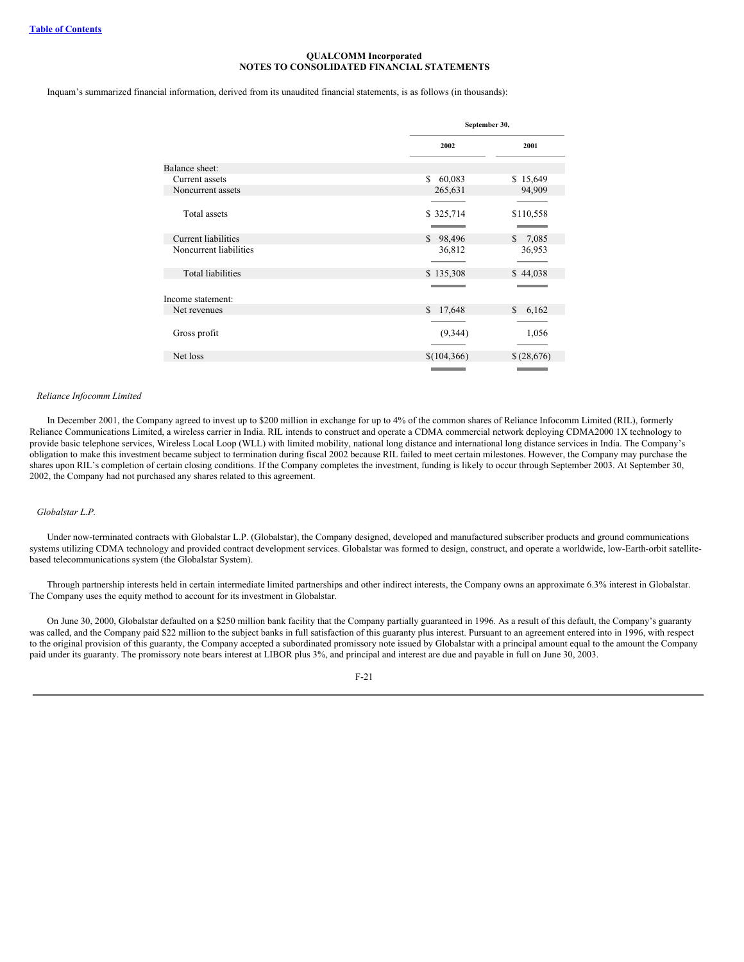Inquam's summarized financial information, derived from its unaudited financial statements, is as follows (in thousands):

|                            | September 30,                     |             |
|----------------------------|-----------------------------------|-------------|
|                            | 2002                              | 2001        |
| Balance sheet:             |                                   |             |
| Current assets             | 60,083<br>S                       | \$15,649    |
| Noncurrent assets          | 265,631                           | 94,909      |
|                            |                                   |             |
| Total assets               | \$325,714                         | \$110,558   |
|                            |                                   |             |
| <b>Current liabilities</b> | 98,496<br>$\mathbb{S}$            | \$7,085     |
| Noncurrent liabilities     | 36,812                            | 36,953      |
|                            |                                   |             |
| <b>Total liabilities</b>   | \$135,308                         | \$44,038    |
|                            | <b>Contract Contract Contract</b> |             |
| Income statement:          |                                   |             |
| Net revenues               | 17,648<br>S.                      | S.<br>6,162 |
|                            |                                   |             |
| Gross profit               | (9, 344)                          | 1,056       |
|                            |                                   |             |
| Net loss                   | \$(104,366)                       | \$(28,676)  |
|                            |                                   |             |

#### *Reliance Infocomm Limited*

In December 2001, the Company agreed to invest up to \$200 million in exchange for up to 4% of the common shares of Reliance Infocomm Limited (RIL), formerly Reliance Communications Limited, a wireless carrier in India. RIL intends to construct and operate a CDMA commercial network deploying CDMA2000 1X technology to provide basic telephone services, Wireless Local Loop (WLL) with limited mobility, national long distance and international long distance services in India. The Company's obligation to make this investment became subject to termination during fiscal 2002 because RIL failed to meet certain milestones. However, the Company may purchase the shares upon RIL's completion of certain closing conditions. If the Company completes the investment, funding is likely to occur through September 2003. At September 30, 2002, the Company had not purchased any shares related to this agreement.

### *Globalstar L.P.*

Under now-terminated contracts with Globalstar L.P. (Globalstar), the Company designed, developed and manufactured subscriber products and ground communications systems utilizing CDMA technology and provided contract development services. Globalstar was formed to design, construct, and operate a worldwide, low-Earth-orbit satellitebased telecommunications system (the Globalstar System).

Through partnership interests held in certain intermediate limited partnerships and other indirect interests, the Company owns an approximate 6.3% interest in Globalstar. The Company uses the equity method to account for its investment in Globalstar.

On June 30, 2000, Globalstar defaulted on a \$250 million bank facility that the Company partially guaranteed in 1996. As a result of this default, the Company's guaranty was called, and the Company paid \$22 million to the subject banks in full satisfaction of this guaranty plus interest. Pursuant to an agreement entered into in 1996, with respect to the original provision of this guaranty, the Company accepted a subordinated promissory note issued by Globalstar with a principal amount equal to the amount the Company paid under its guaranty. The promissory note bears interest at LIBOR plus 3%, and principal and interest are due and payable in full on June 30, 2003.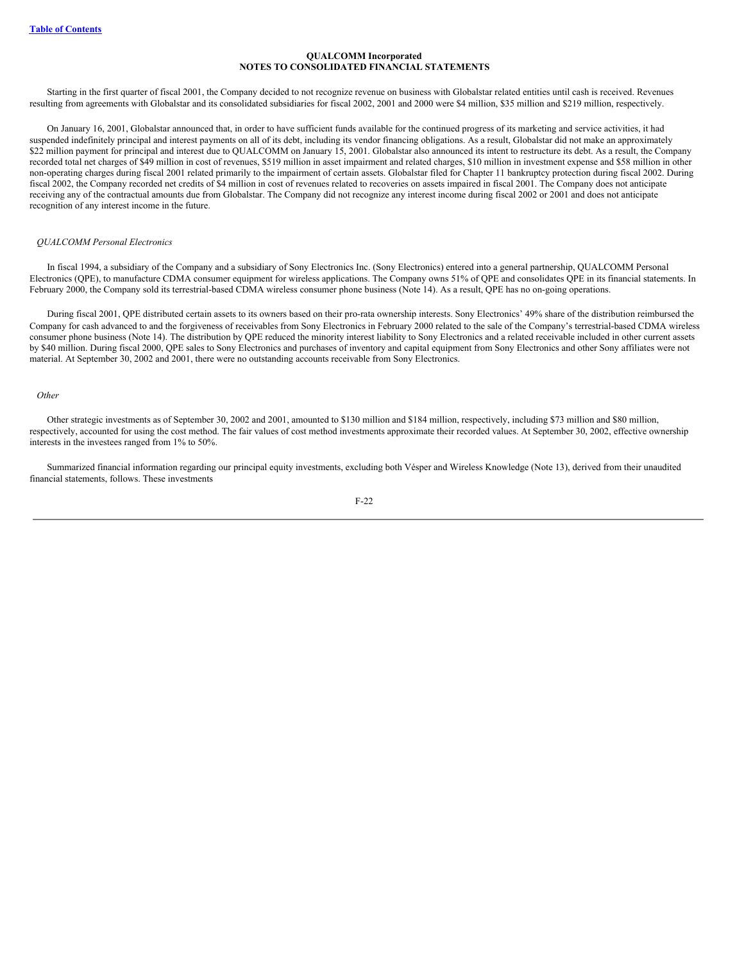Starting in the first quarter of fiscal 2001, the Company decided to not recognize revenue on business with Globalstar related entities until cash is received. Revenues resulting from agreements with Globalstar and its consolidated subsidiaries for fiscal 2002, 2001 and 2000 were \$4 million, \$35 million and \$219 million, respectively.

On January 16, 2001, Globalstar announced that, in order to have sufficient funds available for the continued progress of its marketing and service activities, it had suspended indefinitely principal and interest payments on all of its debt, including its vendor financing obligations. As a result, Globalstar did not make an approximately \$22 million payment for principal and interest due to QUALCOMM on January 15, 2001. Globalstar also announced its intent to restructure its debt. As a result, the Company recorded total net charges of \$49 million in cost of revenues, \$519 million in asset impairment and related charges, \$10 million in investment expense and \$58 million in other non-operating charges during fiscal 2001 related primarily to the impairment of certain assets. Globalstar filed for Chapter 11 bankruptcy protection during fiscal 2002. During fiscal 2002, the Company recorded net credits of \$4 million in cost of revenues related to recoveries on assets impaired in fiscal 2001. The Company does not anticipate receiving any of the contractual amounts due from Globalstar. The Company did not recognize any interest income during fiscal 2002 or 2001 and does not anticipate recognition of any interest income in the future.

### *QUALCOMM Personal Electronics*

In fiscal 1994, a subsidiary of the Company and a subsidiary of Sony Electronics Inc. (Sony Electronics) entered into a general partnership, QUALCOMM Personal Electronics (QPE), to manufacture CDMA consumer equipment for wireless applications. The Company owns 51% of QPE and consolidates QPE in its financial statements. In February 2000, the Company sold its terrestrial-based CDMA wireless consumer phone business (Note 14). As a result, QPE has no on-going operations.

During fiscal 2001, QPE distributed certain assets to its owners based on their pro-rata ownership interests. Sony Electronics' 49% share of the distribution reimbursed the Company for cash advanced to and the forgiveness of receivables from Sony Electronics in February 2000 related to the sale of the Company's terrestrial-based CDMA wireless consumer phone business (Note 14). The distribution by QPE reduced the minority interest liability to Sony Electronics and a related receivable included in other current assets by \$40 million. During fiscal 2000, QPE sales to Sony Electronics and purchases of inventory and capital equipment from Sony Electronics and other Sony affiliates were not material. At September 30, 2002 and 2001, there were no outstanding accounts receivable from Sony Electronics.

## *Other*

Other strategic investments as of September 30, 2002 and 2001, amounted to \$130 million and \$184 million, respectively, including \$73 million and \$80 million, respectively, accounted for using the cost method. The fair values of cost method investments approximate their recorded values. At September 30, 2002, effective ownership interests in the investees ranged from 1% to 50%.

Summarized financial information regarding our principal equity investments, excluding both Vésper and Wireless Knowledge (Note 13), derived from their unaudited financial statements, follows. These investments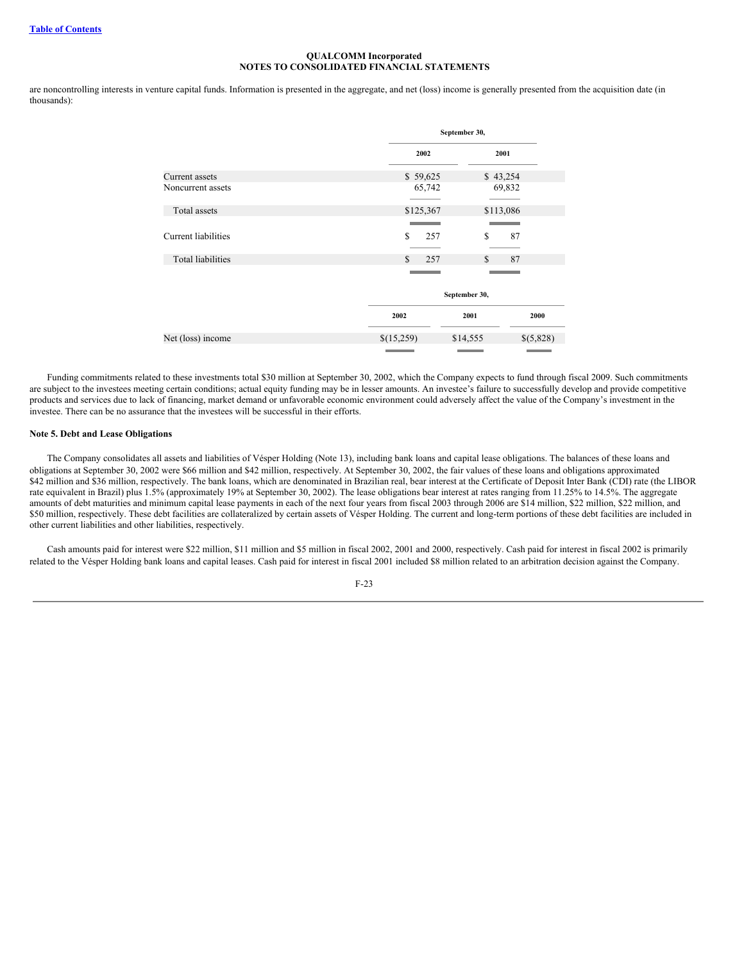are noncontrolling interests in venture capital funds. Information is presented in the aggregate, and net (loss) income is generally presented from the acquisition date (in thousands):

|                            |            | September 30,         |
|----------------------------|------------|-----------------------|
|                            | 2002       | 2001                  |
| Current assets             | \$59,625   | \$43,254              |
| Noncurrent assets          | 65,742     | 69,832                |
| Total assets               | \$125,367  | \$113,086             |
| <b>Current liabilities</b> | \$<br>257  | S<br>87               |
| <b>Total liabilities</b>   | \$<br>257  | S<br>87               |
|                            |            | September 30,         |
|                            | 2002       | 2001<br>2000          |
| Net (loss) income          | \$(15,259) | \$14,555<br>\$(5,828) |
|                            |            |                       |

Funding commitments related to these investments total \$30 million at September 30, 2002, which the Company expects to fund through fiscal 2009. Such commitments are subject to the investees meeting certain conditions; actual equity funding may be in lesser amounts. An investee's failure to successfully develop and provide competitive products and services due to lack of financing, market demand or unfavorable economic environment could adversely affect the value of the Company's investment in the investee. There can be no assurance that the investees will be successful in their efforts.

## **Note 5. Debt and Lease Obligations**

The Company consolidates all assets and liabilities of Vésper Holding (Note 13), including bank loans and capital lease obligations. The balances of these loans and obligations at September 30, 2002 were \$66 million and \$42 million, respectively. At September 30, 2002, the fair values of these loans and obligations approximated \$42 million and \$36 million, respectively. The bank loans, which are denominated in Brazilian real, bear interest at the Certificate of Deposit Inter Bank (CDI) rate (the LIBOR rate equivalent in Brazil) plus 1.5% (approximately 19% at September 30, 2002). The lease obligations bear interest at rates ranging from 11.25% to 14.5%. The aggregate amounts of debt maturities and minimum capital lease payments in each of the next four years from fiscal 2003 through 2006 are \$14 million, \$22 million, \$22 million, and \$50 million, respectively. These debt facilities are collateralized by certain assets of Vésper Holding. The current and long-term portions of these debt facilities are included in other current liabilities and other liabilities, respectively.

Cash amounts paid for interest were \$22 million, \$11 million and \$5 million in fiscal 2002, 2001 and 2000, respectively. Cash paid for interest in fiscal 2002 is primarily related to the Vésper Holding bank loans and capital leases. Cash paid for interest in fiscal 2001 included \$8 million related to an arbitration decision against the Company.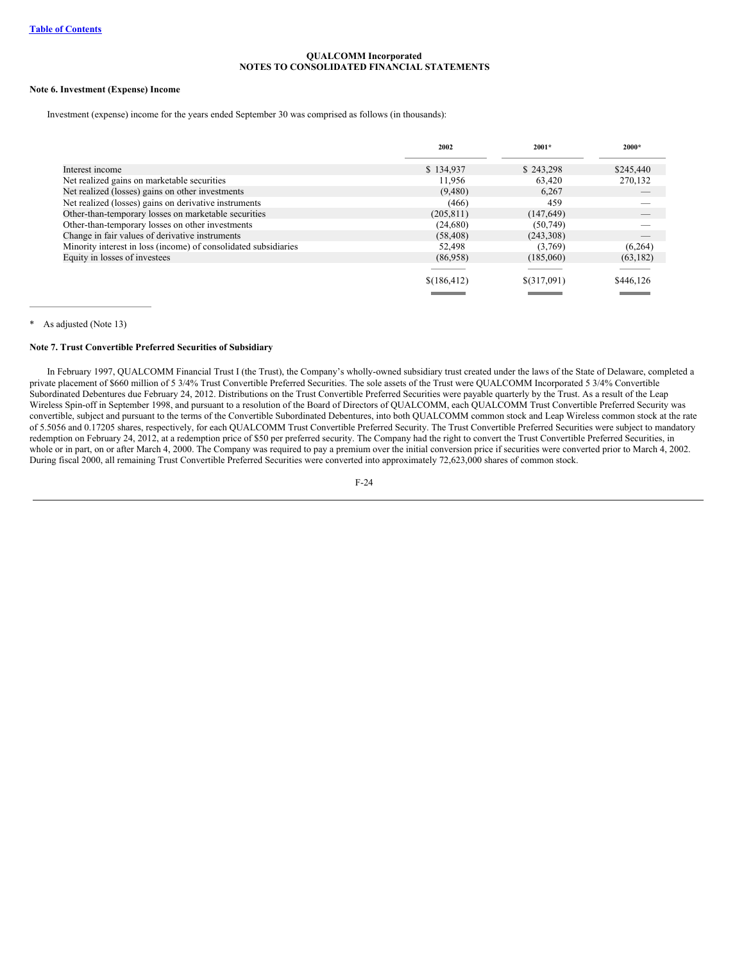## **Note 6. Investment (Expense) Income**

Investment (expense) income for the years ended September 30 was comprised as follows (in thousands):

|                                                                 | 2002         | $2001*$     | 2000*     |
|-----------------------------------------------------------------|--------------|-------------|-----------|
| Interest income                                                 | \$134,937    | \$243.298   | \$245,440 |
| Net realized gains on marketable securities                     | 11.956       | 63.420      | 270,132   |
| Net realized (losses) gains on other investments                | (9,480)      | 6,267       |           |
| Net realized (losses) gains on derivative instruments           | (466)        | 459         |           |
| Other-than-temporary losses on marketable securities            | (205, 811)   | (147, 649)  |           |
| Other-than-temporary losses on other investments                | (24,680)     | (50,749)    |           |
| Change in fair values of derivative instruments                 | (58, 408)    | (243,308)   |           |
| Minority interest in loss (income) of consolidated subsidiaries | 52,498       | (3,769)     | (6,264)   |
| Equity in losses of investees                                   | (86,958)     | (185,060)   | (63, 182) |
|                                                                 |              |             |           |
|                                                                 | \$(186, 412) | \$(317,091) | \$446,126 |
|                                                                 |              |             |           |

## \* As adjusted (Note 13)

## **Note 7. Trust Convertible Preferred Securities of Subsidiary**

In February 1997, QUALCOMM Financial Trust I (the Trust), the Company's wholly-owned subsidiary trust created under the laws of the State of Delaware, completed a private placement of \$660 million of 5 3/4% Trust Convertible Preferred Securities. The sole assets of the Trust were QUALCOMM Incorporated 5 3/4% Convertible Subordinated Debentures due February 24, 2012. Distributions on the Trust Convertible Preferred Securities were payable quarterly by the Trust. As a result of the Leap Wireless Spin-off in September 1998, and pursuant to a resolution of the Board of Directors of QUALCOMM, each QUALCOMM Trust Convertible Preferred Security was convertible, subject and pursuant to the terms of the Convertible Subordinated Debentures, into both QUALCOMM common stock and Leap Wireless common stock at the rate of 5.5056 and 0.17205 shares, respectively, for each QUALCOMM Trust Convertible Preferred Security. The Trust Convertible Preferred Securities were subject to mandatory redemption on February 24, 2012, at a redemption price of \$50 per preferred security. The Company had the right to convert the Trust Convertible Preferred Securities, in whole or in part, on or after March 4, 2000. The Company was required to pay a premium over the initial conversion price if securities were converted prior to March 4, 2002. During fiscal 2000, all remaining Trust Convertible Preferred Securities were converted into approximately 72,623,000 shares of common stock.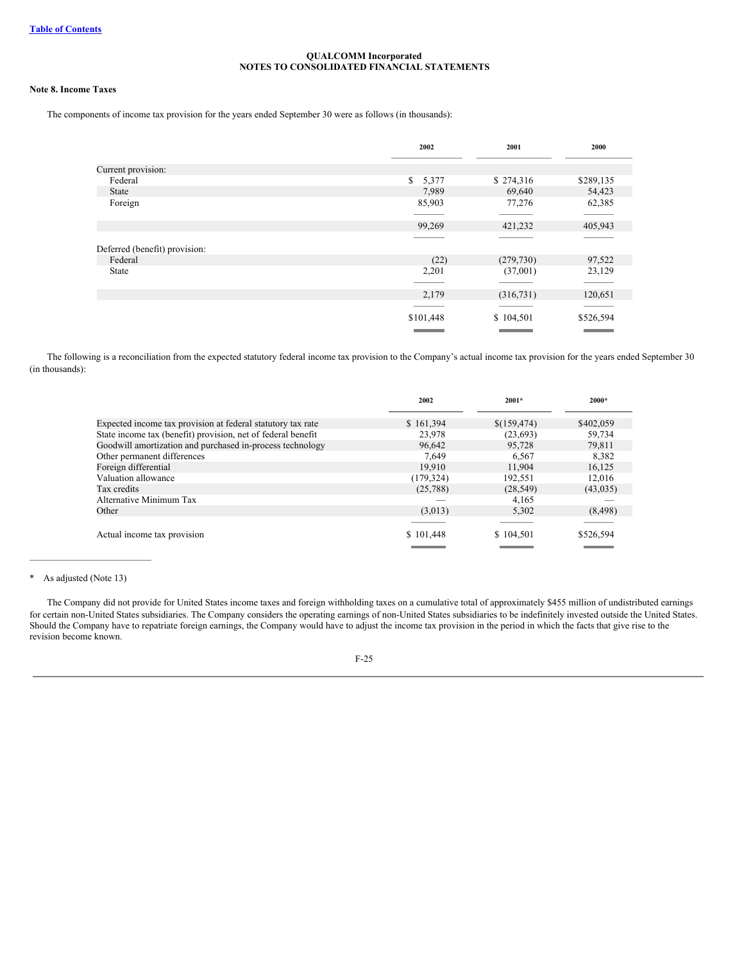## **Note 8. Income Taxes**

The components of income tax provision for the years ended September 30 were as follows (in thousands):

|                               | 2002        | 2001       | 2000      |
|-------------------------------|-------------|------------|-----------|
| Current provision:            |             |            |           |
| Federal                       | \$<br>5,377 | \$274,316  | \$289,135 |
| State                         | 7,989       | 69,640     | 54,423    |
| Foreign                       | 85,903      | 77,276     | 62,385    |
|                               |             |            |           |
|                               | 99,269      | 421,232    | 405,943   |
|                               |             |            |           |
| Deferred (benefit) provision: |             |            |           |
| Federal                       | (22)        | (279, 730) | 97,522    |
| State                         | 2,201       | (37,001)   | 23,129    |
|                               |             |            |           |
|                               | 2,179       | (316, 731) | 120,651   |
|                               |             |            |           |
|                               | \$101,448   | \$104,501  | \$526,594 |
|                               |             |            |           |

The following is a reconciliation from the expected statutory federal income tax provision to the Company's actual income tax provision for the years ended September 30 (in thousands):

|                                                              | 2002       | $2001*$      | $2000*$   |
|--------------------------------------------------------------|------------|--------------|-----------|
| Expected income tax provision at federal statutory tax rate  | \$161,394  | \$(159, 474) | \$402,059 |
| State income tax (benefit) provision, net of federal benefit | 23,978     | (23, 693)    | 59,734    |
| Goodwill amortization and purchased in-process technology    | 96.642     | 95,728       | 79,811    |
| Other permanent differences                                  | 7.649      | 6.567        | 8,382     |
| Foreign differential                                         | 19.910     | 11.904       | 16,125    |
| Valuation allowance                                          | (179, 324) | 192,551      | 12,016    |
| Tax credits                                                  | (25,788)   | (28, 549)    | (43, 035) |
| Alternative Minimum Tax                                      | __         | 4.165        |           |
| Other                                                        | (3,013)    | 5.302        | (8, 498)  |
|                                                              |            |              |           |
| Actual income tax provision                                  | \$101,448  | \$104,501    | \$526,594 |
|                                                              |            |              |           |

<sup>\*</sup> As adjusted (Note 13)

The Company did not provide for United States income taxes and foreign withholding taxes on a cumulative total of approximately \$455 million of undistributed earnings for certain non-United States subsidiaries. The Company considers the operating earnings of non-United States subsidiaries to be indefinitely invested outside the United States. Should the Company have to repatriate foreign earnings, the Company would have to adjust the income tax provision in the period in which the facts that give rise to the revision become known.

F-25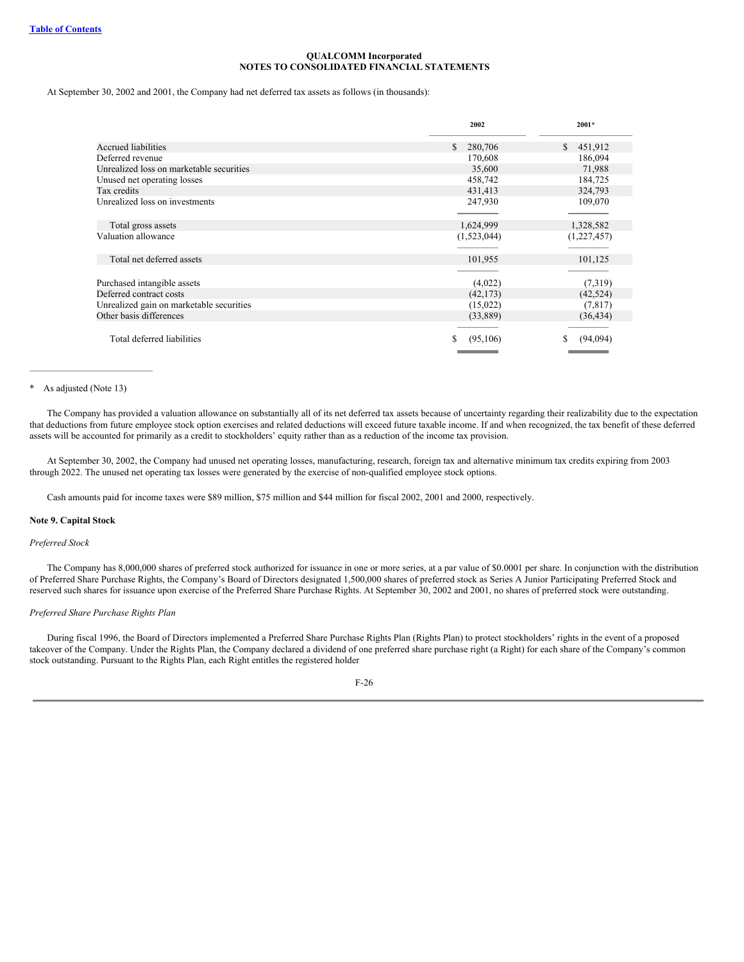At September 30, 2002 and 2001, the Company had net deferred tax assets as follows (in thousands):

|                                          | 2002                     | $2001*$       |
|------------------------------------------|--------------------------|---------------|
| <b>Accrued liabilities</b>               | 280,706<br><sup>\$</sup> | 451,912<br>S. |
| Deferred revenue                         | 170,608                  | 186,094       |
| Unrealized loss on marketable securities | 35,600                   | 71,988        |
| Unused net operating losses              | 458,742                  | 184,725       |
| Tax credits                              | 431,413                  | 324,793       |
| Unrealized loss on investments           | 247,930                  | 109,070       |
|                                          |                          |               |
| Total gross assets                       | 1,624,999                | 1,328,582     |
| Valuation allowance                      | (1,523,044)              | (1,227,457)   |
|                                          |                          |               |
| Total net deferred assets                | 101,955                  | 101,125       |
|                                          |                          |               |
| Purchased intangible assets              | (4,022)                  | (7,319)       |
| Deferred contract costs                  | (42, 173)                | (42, 524)     |
| Unrealized gain on marketable securities | (15,022)                 | (7, 817)      |
| Other basis differences                  | (33,889)                 | (36, 434)     |
|                                          |                          |               |
| Total deferred liabilities               | S<br>(95, 106)           | S<br>(94,094) |
|                                          |                          |               |

## As adjusted (Note 13)

The Company has provided a valuation allowance on substantially all of its net deferred tax assets because of uncertainty regarding their realizability due to the expectation that deductions from future employee stock option exercises and related deductions will exceed future taxable income. If and when recognized, the tax benefit of these deferred assets will be accounted for primarily as a credit to stockholders' equity rather than as a reduction of the income tax provision.

At September 30, 2002, the Company had unused net operating losses, manufacturing, research, foreign tax and alternative minimum tax credits expiring from 2003 through 2022. The unused net operating tax losses were generated by the exercise of non-qualified employee stock options.

Cash amounts paid for income taxes were \$89 million, \$75 million and \$44 million for fiscal 2002, 2001 and 2000, respectively.

## **Note 9. Capital Stock**

#### *Preferred Stock*

The Company has 8,000,000 shares of preferred stock authorized for issuance in one or more series, at a par value of \$0.0001 per share. In conjunction with the distribution of Preferred Share Purchase Rights, the Company's Board of Directors designated 1,500,000 shares of preferred stock as Series A Junior Participating Preferred Stock and reserved such shares for issuance upon exercise of the Preferred Share Purchase Rights. At September 30, 2002 and 2001, no shares of preferred stock were outstanding.

## *Preferred Share Purchase Rights Plan*

During fiscal 1996, the Board of Directors implemented a Preferred Share Purchase Rights Plan (Rights Plan) to protect stockholders' rights in the event of a proposed takeover of the Company. Under the Rights Plan, the Company declared a dividend of one preferred share purchase right (a Right) for each share of the Company's common stock outstanding. Pursuant to the Rights Plan, each Right entitles the registered holder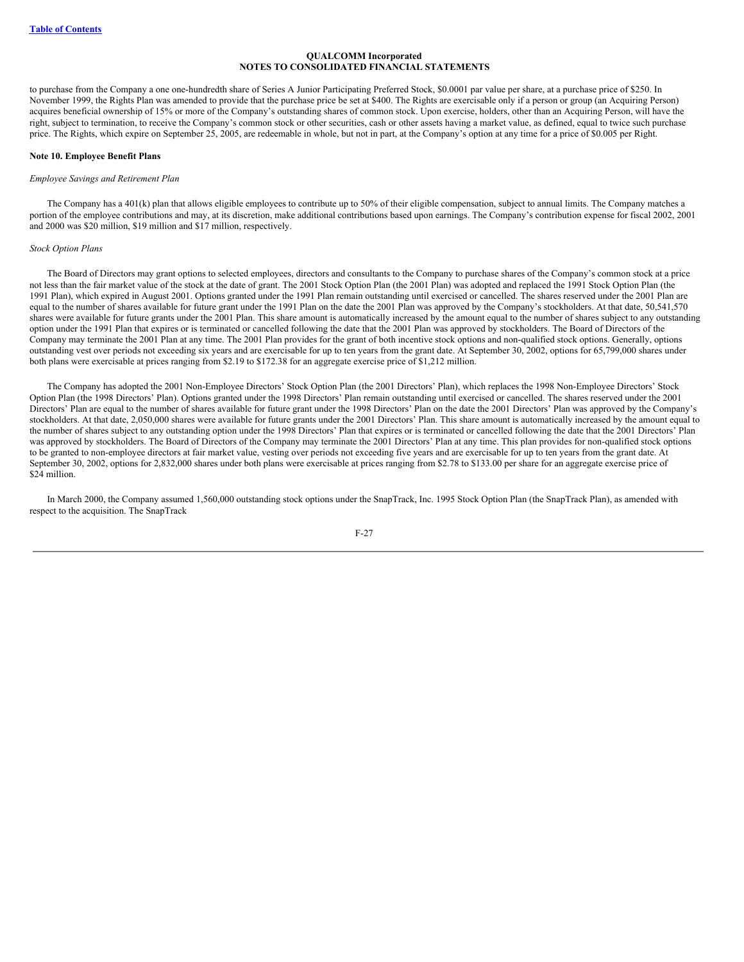to purchase from the Company a one one-hundredth share of Series A Junior Participating Preferred Stock, \$0.0001 par value per share, at a purchase price of \$250. In November 1999, the Rights Plan was amended to provide that the purchase price be set at \$400. The Rights are exercisable only if a person or group (an Acquiring Person) acquires beneficial ownership of 15% or more of the Company's outstanding shares of common stock. Upon exercise, holders, other than an Acquiring Person, will have the right, subject to termination, to receive the Company's common stock or other securities, cash or other assets having a market value, as defined, equal to twice such purchase price. The Rights, which expire on September 25, 2005, are redeemable in whole, but not in part, at the Company's option at any time for a price of \$0.005 per Right.

### **Note 10. Employee Benefit Plans**

## *Employee Savings and Retirement Plan*

The Company has a 401(k) plan that allows eligible employees to contribute up to 50% of their eligible compensation, subject to annual limits. The Company matches a portion of the employee contributions and may, at its discretion, make additional contributions based upon earnings. The Company's contribution expense for fiscal 2002, 2001 and 2000 was \$20 million, \$19 million and \$17 million, respectively.

#### *Stock Option Plans*

The Board of Directors may grant options to selected employees, directors and consultants to the Company to purchase shares of the Company's common stock at a price not less than the fair market value of the stock at the date of grant. The 2001 Stock Option Plan (the 2001 Plan) was adopted and replaced the 1991 Stock Option Plan (the 1991 Plan), which expired in August 2001. Options granted under the 1991 Plan remain outstanding until exercised or cancelled. The shares reserved under the 2001 Plan are equal to the number of shares available for future grant under the 1991 Plan on the date the 2001 Plan was approved by the Company's stockholders. At that date, 50,541,570 shares were available for future grants under the 2001 Plan. This share amount is automatically increased by the amount equal to the number of shares subject to any outstanding option under the 1991 Plan that expires or is terminated or cancelled following the date that the 2001 Plan was approved by stockholders. The Board of Directors of the Company may terminate the 2001 Plan at any time. The 2001 Plan provides for the grant of both incentive stock options and non-qualified stock options. Generally, options outstanding vest over periods not exceeding six years and are exercisable for up to ten years from the grant date. At September 30, 2002, options for 65,799,000 shares under both plans were exercisable at prices ranging from \$2.19 to \$172.38 for an aggregate exercise price of \$1,212 million.

The Company has adopted the 2001 Non-Employee Directors' Stock Option Plan (the 2001 Directors' Plan), which replaces the 1998 Non-Employee Directors' Stock Option Plan (the 1998 Directors' Plan). Options granted under the 1998 Directors' Plan remain outstanding until exercised or cancelled. The shares reserved under the 2001 Directors' Plan are equal to the number of shares available for future grant under the 1998 Directors' Plan on the date the 2001 Directors' Plan was approved by the Company's stockholders. At that date, 2,050,000 shares were available for future grants under the 2001 Directors' Plan. This share amount is automatically increased by the amount equal to the number of shares subject to any outstanding option under the 1998 Directors' Plan that expires or is terminated or cancelled following the date that the 2001 Directors' Plan was approved by stockholders. The Board of Directors of the Company may terminate the 2001 Directors' Plan at any time. This plan provides for non-qualified stock options to be granted to non-employee directors at fair market value, vesting over periods not exceeding five years and are exercisable for up to ten years from the grant date. At September 30, 2002, options for 2,832,000 shares under both plans were exercisable at prices ranging from \$2.78 to \$133.00 per share for an aggregate exercise price of \$24 million.

In March 2000, the Company assumed 1,560,000 outstanding stock options under the SnapTrack, Inc. 1995 Stock Option Plan (the SnapTrack Plan), as amended with respect to the acquisition. The SnapTrack

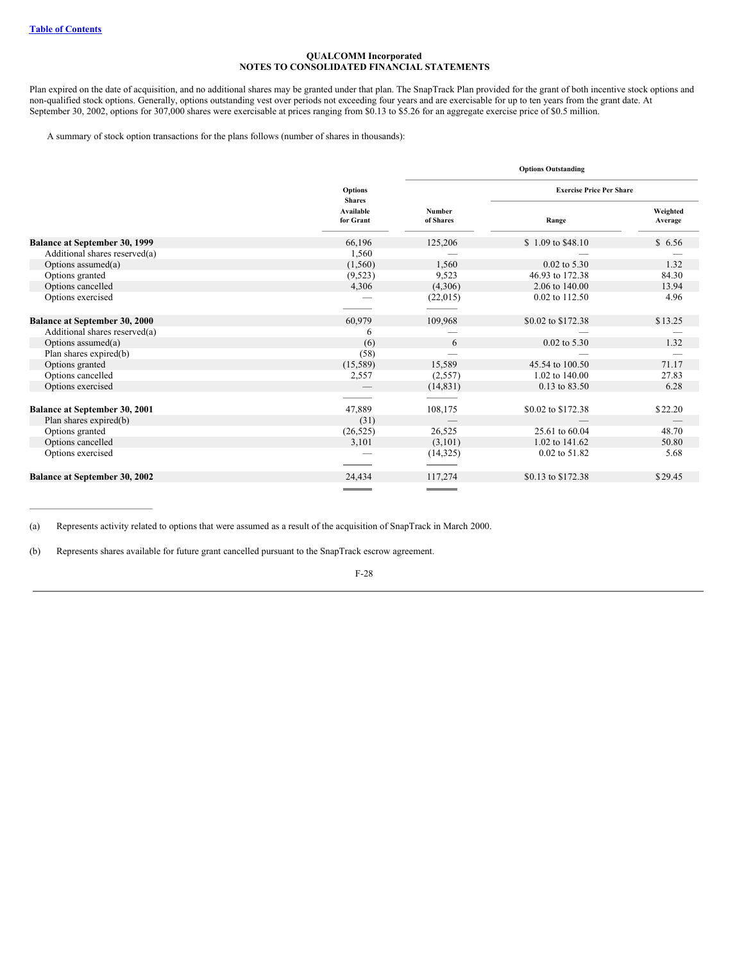Plan expired on the date of acquisition, and no additional shares may be granted under that plan. The SnapTrack Plan provided for the grant of both incentive stock options and non-qualified stock options. Generally, options outstanding vest over periods not exceeding four years and are exercisable for up to ten years from the grant date. At September 30, 2002, options for 307,000 shares were exercisable at prices ranging from \$0.13 to \$5.26 for an aggregate exercise price of \$0.5 million.

A summary of stock option transactions for the plans follows (number of shares in thousands):

|                                      |                                 | <b>Options Outstanding</b> |                                 |                     |  |
|--------------------------------------|---------------------------------|----------------------------|---------------------------------|---------------------|--|
|                                      | <b>Options</b><br><b>Shares</b> |                            | <b>Exercise Price Per Share</b> |                     |  |
|                                      | <b>Available</b><br>for Grant   | <b>Number</b><br>of Shares | Range                           | Weighted<br>Average |  |
| <b>Balance at September 30, 1999</b> | 66,196                          | 125,206                    | \$1.09 to \$48.10               | \$6.56              |  |
| Additional shares reserved(a)        | 1,560                           |                            |                                 |                     |  |
| Options assumed(a)                   | (1,560)                         | 1,560                      | 0.02 to 5.30                    | 1.32                |  |
| Options granted                      | (9,523)                         | 9,523                      | 46.93 to 172.38                 | 84.30               |  |
| Options cancelled                    | 4,306                           | (4,306)                    | 2.06 to 140.00                  | 13.94               |  |
| Options exercised                    |                                 | (22,015)                   | 0.02 to 112.50                  | 4.96                |  |
| <b>Balance at September 30, 2000</b> | 60,979                          | 109,968                    | \$0.02 to \$172.38              | \$13.25             |  |
| Additional shares reserved(a)        | 6                               |                            |                                 |                     |  |
| Options assumed(a)                   | (6)                             | 6                          | $0.02$ to $5.30$                | 1.32                |  |
| Plan shares expired(b)               | (58)                            |                            |                                 |                     |  |
| Options granted                      | (15, 589)                       | 15,589                     | 45.54 to 100.50                 | 71.17               |  |
| Options cancelled                    | 2,557                           | (2,557)                    | 1.02 to 140.00                  | 27.83               |  |
| Options exercised                    |                                 | (14, 831)                  | 0.13 to 83.50                   | 6.28                |  |
|                                      |                                 |                            |                                 |                     |  |
| <b>Balance at September 30, 2001</b> | 47,889                          | 108,175                    | \$0.02 to \$172.38              | \$22.20             |  |
| Plan shares expired(b)               | (31)                            |                            |                                 |                     |  |
| Options granted                      | (26, 525)                       | 26,525                     | 25.61 to 60.04                  | 48.70               |  |
| Options cancelled                    | 3,101                           | (3,101)                    | 1.02 to 141.62                  | 50.80               |  |
| Options exercised                    |                                 | (14,325)                   | 0.02 to 51.82                   | 5.68                |  |
| Balance at September 30, 2002        | 24,434                          | 117,274                    | \$0.13 to \$172.38              | \$29.45             |  |
|                                      |                                 | <b>Contract Contract</b>   |                                 |                     |  |

(a) Represents activity related to options that were assumed as a result of the acquisition of SnapTrack in March 2000.

(b) Represents shares available for future grant cancelled pursuant to the SnapTrack escrow agreement.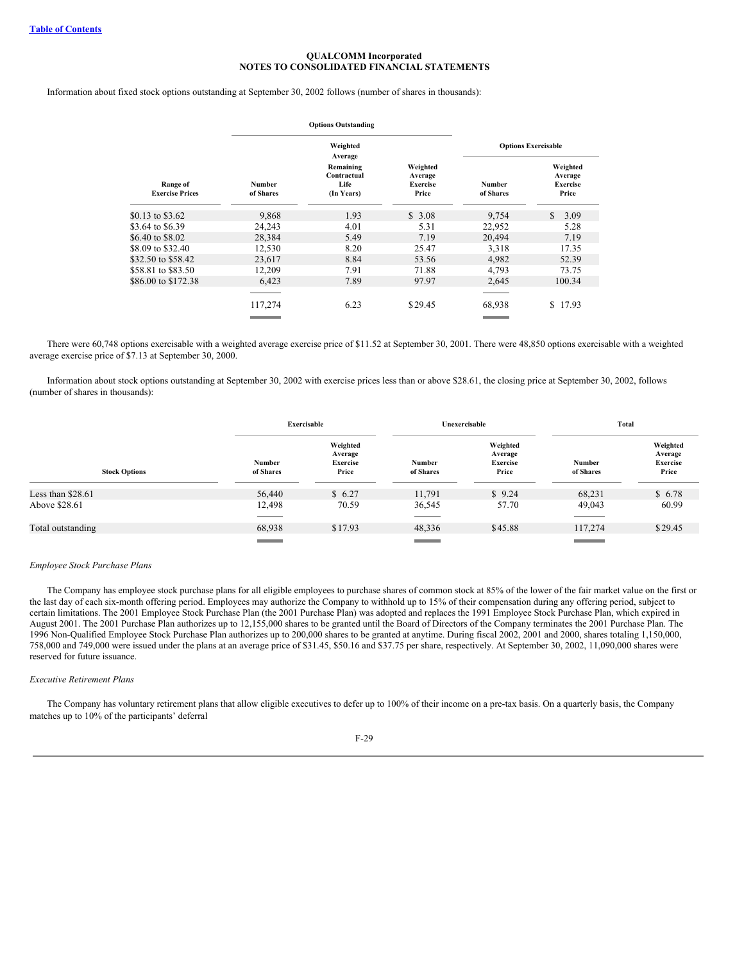## Information about fixed stock options outstanding at September 30, 2002 follows (number of shares in thousands):

|                                    |                     | <b>Options Outstanding</b>                     |                                          |                            |                                                 |  |
|------------------------------------|---------------------|------------------------------------------------|------------------------------------------|----------------------------|-------------------------------------------------|--|
|                                    | Weighted<br>Average |                                                |                                          | <b>Options Exercisable</b> |                                                 |  |
| Range of<br><b>Exercise Prices</b> | Number<br>of Shares | Remaining<br>Contractual<br>Life<br>(In Years) | Weighted<br>Average<br>Exercise<br>Price | Number<br>of Shares        | Weighted<br>Average<br><b>Exercise</b><br>Price |  |
| \$0.13 to \$3.62                   | 9,868               | 1.93                                           | \$3.08                                   | 9,754                      | 3.09<br>\$.                                     |  |
| \$3.64 to \$6.39                   | 24.243              | 4.01                                           | 5.31                                     | 22,952                     | 5.28                                            |  |
| \$6.40 to \$8.02                   | 28,384              | 5.49                                           | 7.19                                     | 20,494                     | 7.19                                            |  |
| \$8,09 to \$32.40                  | 12,530              | 8.20                                           | 25.47                                    | 3,318                      | 17.35                                           |  |
| \$32.50 to \$58.42                 | 23,617              | 8.84                                           | 53.56                                    | 4.982                      | 52.39                                           |  |
| \$58.81 to \$83.50                 | 12,209              | 7.91                                           | 71.88                                    | 4,793                      | 73.75                                           |  |
| \$86,00 to \$172.38                | 6,423               | 7.89                                           | 97.97                                    | 2,645                      | 100.34                                          |  |
|                                    | 117,274             | 6.23                                           | \$29.45                                  | 68,938                     | S.<br>17.93                                     |  |
|                                    |                     |                                                |                                          |                            |                                                 |  |

There were 60,748 options exercisable with a weighted average exercise price of \$11.52 at September 30, 2001. There were 48,850 options exercisable with a weighted average exercise price of \$7.13 at September 30, 2000.

Information about stock options outstanding at September 30, 2002 with exercise prices less than or above \$28.61, the closing price at September 30, 2002, follows (number of shares in thousands):

|                      | Exercisable                       |                                          | Unexercisable                     |                                                 | Total               |                                          |
|----------------------|-----------------------------------|------------------------------------------|-----------------------------------|-------------------------------------------------|---------------------|------------------------------------------|
| <b>Stock Options</b> | Number<br>of Shares               | Weighted<br>Average<br>Exercise<br>Price | <b>Number</b><br>of Shares        | Weighted<br>Average<br><b>Exercise</b><br>Price | Number<br>of Shares | Weighted<br>Average<br>Exercise<br>Price |
| Less than $$28.61$   | 56,440                            | \$6.27                                   | 11.791                            | \$9.24                                          | 68.231              | \$6.78                                   |
| Above \$28.61        | 12,498                            | 70.59                                    | 36,545                            | 57.70                                           | 49,043              | 60.99                                    |
|                      | <b>Contract Contract Contract</b> |                                          |                                   |                                                 |                     |                                          |
| Total outstanding    | 68,938                            | \$17.93                                  | 48,336                            | \$45.88                                         | 117.274             | \$29.45                                  |
|                      | <b>Contract Contract Contract</b> |                                          | <b>Contract Contract Contract</b> |                                                 |                     |                                          |

## *Employee Stock Purchase Plans*

The Company has employee stock purchase plans for all eligible employees to purchase shares of common stock at 85% of the lower of the fair market value on the first or the last day of each six-month offering period. Employees may authorize the Company to withhold up to 15% of their compensation during any offering period, subject to certain limitations. The 2001 Employee Stock Purchase Plan (the 2001 Purchase Plan) was adopted and replaces the 1991 Employee Stock Purchase Plan, which expired in August 2001. The 2001 Purchase Plan authorizes up to 12,155,000 shares to be granted until the Board of Directors of the Company terminates the 2001 Purchase Plan. The 1996 Non-Qualified Employee Stock Purchase Plan authorizes up to 200,000 shares to be granted at anytime. During fiscal 2002, 2001 and 2000, shares totaling 1,150,000, 758,000 and 749,000 were issued under the plans at an average price of \$31.45, \$50.16 and \$37.75 per share, respectively. At September 30, 2002, 11,090,000 shares were reserved for future issuance.

## *Executive Retirement Plans*

The Company has voluntary retirement plans that allow eligible executives to defer up to 100% of their income on a pre-tax basis. On a quarterly basis, the Company matches up to 10% of the participants' deferral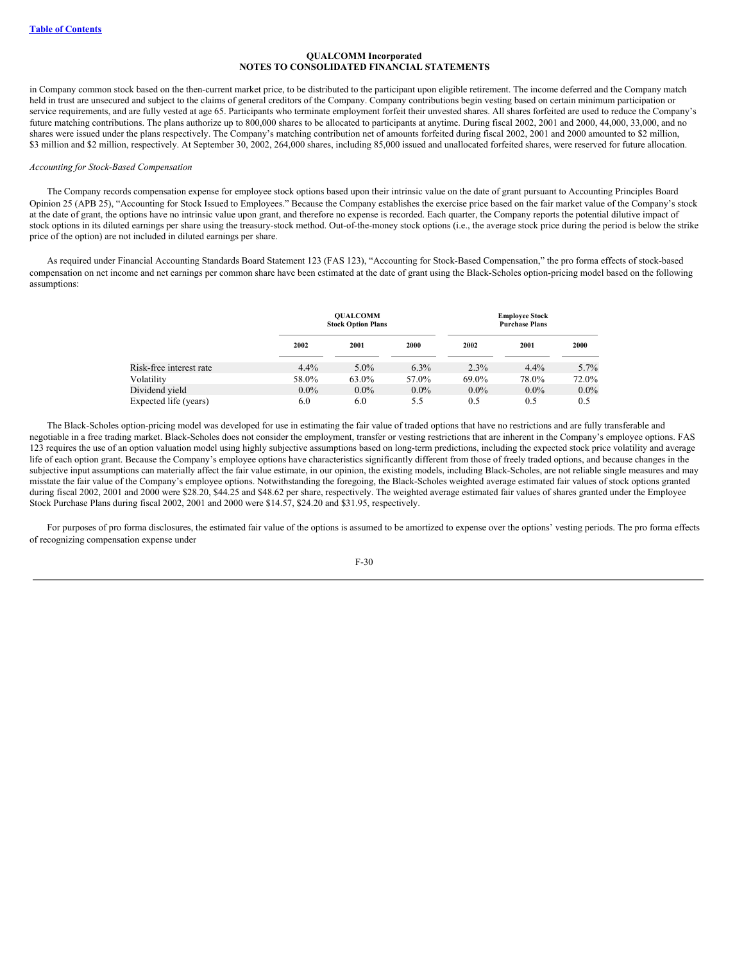in Company common stock based on the then-current market price, to be distributed to the participant upon eligible retirement. The income deferred and the Company match held in trust are unsecured and subject to the claims of general creditors of the Company. Company contributions begin vesting based on certain minimum participation or service requirements, and are fully vested at age 65. Participants who terminate employment forfeit their unvested shares. All shares forfeited are used to reduce the Company's future matching contributions. The plans authorize up to 800,000 shares to be allocated to participants at anytime. During fiscal 2002, 2001 and 2000, 44,000, 33,000, and no shares were issued under the plans respectively. The Company's matching contribution net of amounts forfeited during fiscal 2002, 2001 and 2000 amounted to \$2 million, \$3 million and \$2 million, respectively. At September 30, 2002, 264,000 shares, including 85,000 issued and unallocated forfeited shares, were reserved for future allocation.

#### *Accounting for Stock-Based Compensation*

The Company records compensation expense for employee stock options based upon their intrinsic value on the date of grant pursuant to Accounting Principles Board Opinion 25 (APB 25), "Accounting for Stock Issued to Employees." Because the Company establishes the exercise price based on the fair market value of the Company's stock at the date of grant, the options have no intrinsic value upon grant, and therefore no expense is recorded. Each quarter, the Company reports the potential dilutive impact of stock options in its diluted earnings per share using the treasury-stock method. Out-of-the-money stock options (i.e., the average stock price during the period is below the strike price of the option) are not included in diluted earnings per share.

As required under Financial Accounting Standards Board Statement 123 (FAS 123), "Accounting for Stock-Based Compensation," the pro forma effects of stock-based compensation on net income and net earnings per common share have been estimated at the date of grant using the Black-Scholes option-pricing model based on the following assumptions:

|                         | <b>OUALCOMM</b><br><b>Stock Option Plans</b> |         |         | <b>Employee Stock</b><br><b>Purchase Plans</b> |         |         |
|-------------------------|----------------------------------------------|---------|---------|------------------------------------------------|---------|---------|
|                         | 2002                                         | 2001    | 2000    | 2002                                           | 2001    | 2000    |
| Risk-free interest rate | $4.4\%$                                      | $5.0\%$ | $6.3\%$ | $2.3\%$                                        | $4.4\%$ | $5.7\%$ |
| Volatility              | 58.0%                                        | 63.0%   | 57.0%   | 69.0%                                          | 78.0%   | 72.0%   |
| Dividend yield          | $0.0\%$                                      | $0.0\%$ | $0.0\%$ | $0.0\%$                                        | $0.0\%$ | $0.0\%$ |
| Expected life (years)   | 6.0                                          | 6.0     | 5.5     | 0.5                                            | 0.5     | 0.5     |

The Black-Scholes option-pricing model was developed for use in estimating the fair value of traded options that have no restrictions and are fully transferable and negotiable in a free trading market. Black-Scholes does not consider the employment, transfer or vesting restrictions that are inherent in the Company's employee options. FAS 123 requires the use of an option valuation model using highly subjective assumptions based on long-term predictions, including the expected stock price volatility and average life of each option grant. Because the Company's employee options have characteristics significantly different from those of freely traded options, and because changes in the subjective input assumptions can materially affect the fair value estimate, in our opinion, the existing models, including Black-Scholes, are not reliable single measures and may misstate the fair value of the Company's employee options. Notwithstanding the foregoing, the Black-Scholes weighted average estimated fair values of stock options granted during fiscal 2002, 2001 and 2000 were \$28.20, \$44.25 and \$48.62 per share, respectively. The weighted average estimated fair values of shares granted under the Employee Stock Purchase Plans during fiscal 2002, 2001 and 2000 were \$14.57, \$24.20 and \$31.95, respectively.

For purposes of pro forma disclosures, the estimated fair value of the options is assumed to be amortized to expense over the options' vesting periods. The pro forma effects of recognizing compensation expense under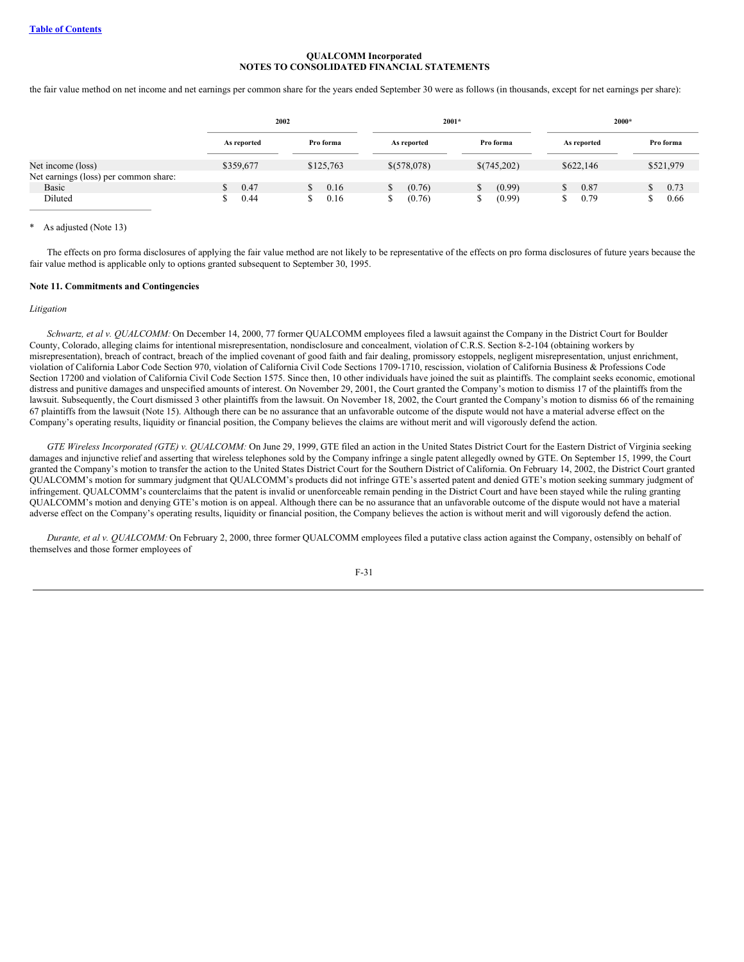the fair value method on net income and net earnings per common share for the years ended September 30 were as follows (in thousands, except for net earnings per share):

|                                                | 2002        |            | 2001*       |             | 2000*       |           |
|------------------------------------------------|-------------|------------|-------------|-------------|-------------|-----------|
|                                                | As reported | Pro forma  | As reported | Pro forma   | As reported | Pro forma |
| Net income (loss)                              | \$359,677   | \$125,763  | \$(578,078) | \$(745,202) | \$622,146   | \$521,979 |
| Net earnings (loss) per common share:<br>Basic | 0.47        | 0.16<br>S. | (0.76)      | (0.99)      | 0.87        | 0.73<br>S |
| Diluted                                        | 0.44        | 0.16       | (0.76)      | (0.99)      | 0.79        | 0.66      |

## As adjusted (Note 13)

The effects on pro forma disclosures of applying the fair value method are not likely to be representative of the effects on pro forma disclosures of future years because the fair value method is applicable only to options granted subsequent to September 30, 1995.

## **Note 11. Commitments and Contingencies**

#### *Litigation*

*Schwartz, et al v. QUALCOMM:* On December 14, 2000, 77 former QUALCOMM employees filed a lawsuit against the Company in the District Court for Boulder County, Colorado, alleging claims for intentional misrepresentation, nondisclosure and concealment, violation of C.R.S. Section 8-2-104 (obtaining workers by misrepresentation), breach of contract, breach of the implied covenant of good faith and fair dealing, promissory estoppels, negligent misrepresentation, unjust enrichment, violation of California Labor Code Section 970, violation of California Civil Code Sections 1709-1710, rescission, violation of California Business & Professions Code Section 17200 and violation of California Civil Code Section 1575. Since then, 10 other individuals have joined the suit as plaintiffs. The complaint seeks economic, emotional distress and punitive damages and unspecified amounts of interest. On November 29, 2001, the Court granted the Company's motion to dismiss 17 of the plaintiffs from the lawsuit. Subsequently, the Court dismissed 3 other plaintiffs from the lawsuit. On November 18, 2002, the Court granted the Company's motion to dismiss 66 of the remaining 67 plaintiffs from the lawsuit (Note 15). Although there can be no assurance that an unfavorable outcome of the dispute would not have a material adverse effect on the Company's operating results, liquidity or financial position, the Company believes the claims are without merit and will vigorously defend the action.

*GTE Wireless Incorporated (GTE) v. QUALCOMM:* On June 29, 1999, GTE filed an action in the United States District Court for the Eastern District of Virginia seeking damages and injunctive relief and asserting that wireless telephones sold by the Company infringe a single patent allegedly owned by GTE. On September 15, 1999, the Court granted the Company's motion to transfer the action to the United States District Court for the Southern District of California. On February 14, 2002, the District Court granted QUALCOMM's motion for summary judgment that QUALCOMM's products did not infringe GTE's asserted patent and denied GTE's motion seeking summary judgment of infringement. QUALCOMM's counterclaims that the patent is invalid or unenforceable remain pending in the District Court and have been stayed while the ruling granting QUALCOMM's motion and denying GTE's motion is on appeal. Although there can be no assurance that an unfavorable outcome of the dispute would not have a material adverse effect on the Company's operating results, liquidity or financial position, the Company believes the action is without merit and will vigorously defend the action.

*Durante, et al v. QUALCOMM:* On February 2, 2000, three former QUALCOMM employees filed a putative class action against the Company, ostensibly on behalf of themselves and those former employees of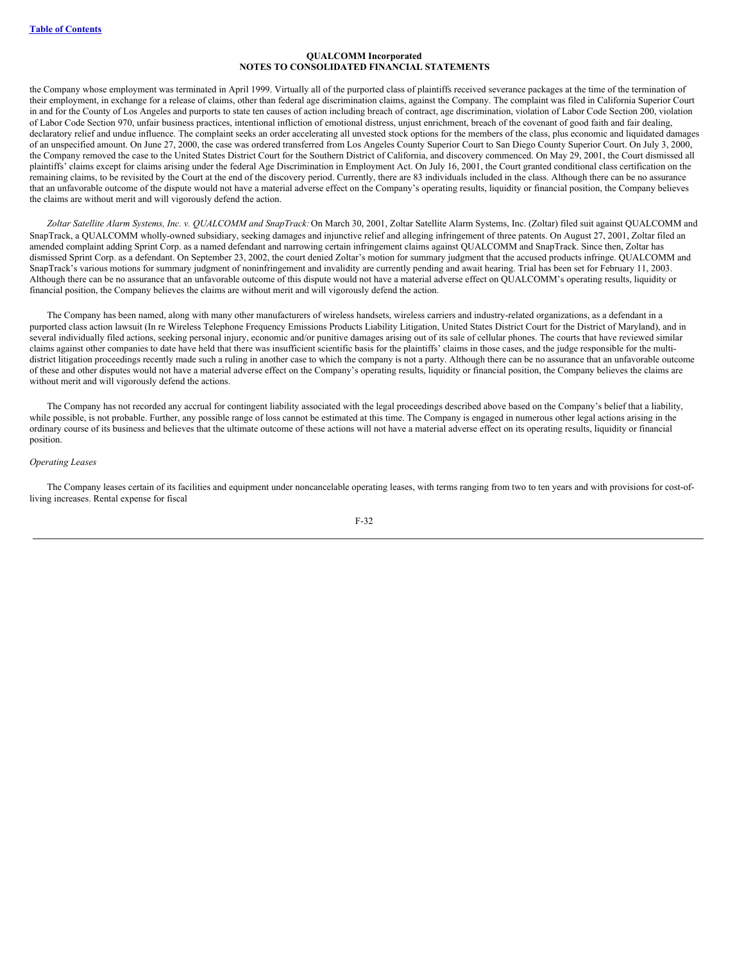the Company whose employment was terminated in April 1999. Virtually all of the purported class of plaintiffs received severance packages at the time of the termination of their employment, in exchange for a release of claims, other than federal age discrimination claims, against the Company. The complaint was filed in California Superior Court in and for the County of Los Angeles and purports to state ten causes of action including breach of contract, age discrimination, violation of Labor Code Section 200, violation of Labor Code Section 970, unfair business practices, intentional infliction of emotional distress, unjust enrichment, breach of the covenant of good faith and fair dealing, declaratory relief and undue influence. The complaint seeks an order accelerating all unvested stock options for the members of the class, plus economic and liquidated damages of an unspecified amount. On June 27, 2000, the case was ordered transferred from Los Angeles County Superior Court to San Diego County Superior Court. On July 3, 2000, the Company removed the case to the United States District Court for the Southern District of California, and discovery commenced. On May 29, 2001, the Court dismissed all plaintiffs' claims except for claims arising under the federal Age Discrimination in Employment Act. On July 16, 2001, the Court granted conditional class certification on the remaining claims, to be revisited by the Court at the end of the discovery period. Currently, there are 83 individuals included in the class. Although there can be no assurance that an unfavorable outcome of the dispute would not have a material adverse effect on the Company's operating results, liquidity or financial position, the Company believes the claims are without merit and will vigorously defend the action.

*Zoltar Satellite Alarm Systems, Inc. v. QUALCOMM and SnapTrack:*On March 30, 2001, Zoltar Satellite Alarm Systems, Inc. (Zoltar) filed suit against QUALCOMM and SnapTrack, a QUALCOMM wholly-owned subsidiary, seeking damages and injunctive relief and alleging infringement of three patents. On August 27, 2001, Zoltar filed an amended complaint adding Sprint Corp. as a named defendant and narrowing certain infringement claims against QUALCOMM and SnapTrack. Since then, Zoltar has dismissed Sprint Corp. as a defendant. On September 23, 2002, the court denied Zoltar's motion for summary judgment that the accused products infringe. QUALCOMM and SnapTrack's various motions for summary judgment of noninfringement and invalidity are currently pending and await hearing. Trial has been set for February 11, 2003. Although there can be no assurance that an unfavorable outcome of this dispute would not have a material adverse effect on QUALCOMM's operating results, liquidity or financial position, the Company believes the claims are without merit and will vigorously defend the action.

The Company has been named, along with many other manufacturers of wireless handsets, wireless carriers and industry-related organizations, as a defendant in a purported class action lawsuit (In re Wireless Telephone Frequency Emissions Products Liability Litigation, United States District Court for the District of Maryland), and in several individually filed actions, seeking personal injury, economic and/or punitive damages arising out of its sale of cellular phones. The courts that have reviewed similar claims against other companies to date have held that there was insufficient scientific basis for the plaintiffs' claims in those cases, and the judge responsible for the multidistrict litigation proceedings recently made such a ruling in another case to which the company is not a party. Although there can be no assurance that an unfavorable outcome of these and other disputes would not have a material adverse effect on the Company's operating results, liquidity or financial position, the Company believes the claims are without merit and will vigorously defend the actions.

The Company has not recorded any accrual for contingent liability associated with the legal proceedings described above based on the Company's belief that a liability, while possible, is not probable. Further, any possible range of loss cannot be estimated at this time. The Company is engaged in numerous other legal actions arising in the ordinary course of its business and believes that the ultimate outcome of these actions will not have a material adverse effect on its operating results, liquidity or financial position.

# *Operating Leases*

The Company leases certain of its facilities and equipment under noncancelable operating leases, with terms ranging from two to ten years and with provisions for cost-ofliving increases. Rental expense for fiscal

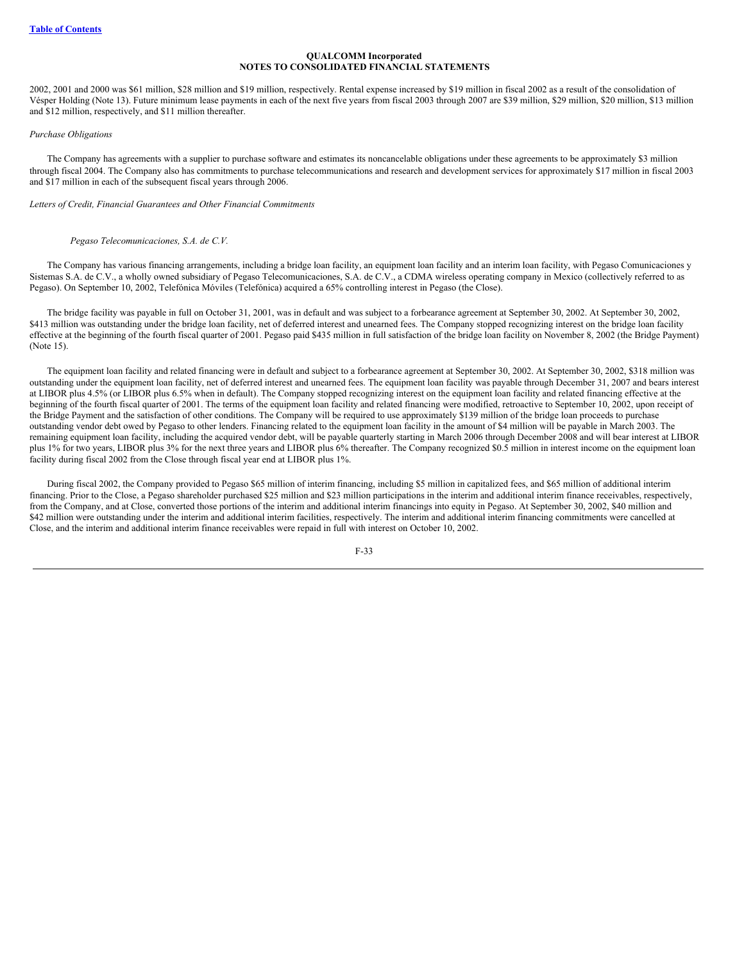2002, 2001 and 2000 was \$61 million, \$28 million and \$19 million, respectively. Rental expense increased by \$19 million in fiscal 2002 as a result of the consolidation of Vésper Holding (Note 13). Future minimum lease payments in each of the next five years from fiscal 2003 through 2007 are \$39 million, \$29 million, \$20 million, \$13 million and \$12 million, respectively, and \$11 million thereafter.

## *Purchase Obligations*

The Company has agreements with a supplier to purchase software and estimates its noncancelable obligations under these agreements to be approximately \$3 million through fiscal 2004. The Company also has commitments to purchase telecommunications and research and development services for approximately \$17 million in fiscal 2003 and \$17 million in each of the subsequent fiscal years through 2006.

*Letters of Credit, Financial Guarantees and Other Financial Commitments*

## *Pegaso Telecomunicaciones, S.A. de C.V.*

The Company has various financing arrangements, including a bridge loan facility, an equipment loan facility and an interim loan facility, with Pegaso Comunicaciones y Sistemas S.A. de C.V., a wholly owned subsidiary of Pegaso Telecomunicaciones, S.A. de C.V., a CDMA wireless operating company in Mexico (collectively referred to as Pegaso). On September 10, 2002, Telefónica Móviles (Telefónica) acquired a 65% controlling interest in Pegaso (the Close).

The bridge facility was payable in full on October 31, 2001, was in default and was subject to a forbearance agreement at September 30, 2002. At September 30, 2002, \$413 million was outstanding under the bridge loan facility, net of deferred interest and unearned fees. The Company stopped recognizing interest on the bridge loan facility effective at the beginning of the fourth fiscal quarter of 2001. Pegaso paid \$435 million in full satisfaction of the bridge loan facility on November 8, 2002 (the Bridge Payment) (Note 15).

The equipment loan facility and related financing were in default and subject to a forbearance agreement at September 30, 2002. At September 30, 2002, \$318 million was outstanding under the equipment loan facility, net of deferred interest and unearned fees. The equipment loan facility was payable through December 31, 2007 and bears interest at LIBOR plus 4.5% (or LIBOR plus 6.5% when in default). The Company stopped recognizing interest on the equipment loan facility and related financing effective at the beginning of the fourth fiscal quarter of 2001. The terms of the equipment loan facility and related financing were modified, retroactive to September 10, 2002, upon receipt of the Bridge Payment and the satisfaction of other conditions. The Company will be required to use approximately \$139 million of the bridge loan proceeds to purchase outstanding vendor debt owed by Pegaso to other lenders. Financing related to the equipment loan facility in the amount of \$4 million will be payable in March 2003. The remaining equipment loan facility, including the acquired vendor debt, will be payable quarterly starting in March 2006 through December 2008 and will bear interest at LIBOR plus 1% for two years, LIBOR plus 3% for the next three years and LIBOR plus 6% thereafter. The Company recognized \$0.5 million in interest income on the equipment loan facility during fiscal 2002 from the Close through fiscal year end at LIBOR plus 1%.

During fiscal 2002, the Company provided to Pegaso \$65 million of interim financing, including \$5 million in capitalized fees, and \$65 million of additional interim financing. Prior to the Close, a Pegaso shareholder purchased \$25 million and \$23 million participations in the interim and additional interim finance receivables, respectively, from the Company, and at Close, converted those portions of the interim and additional interim financings into equity in Pegaso. At September 30, 2002, \$40 million and \$42 million were outstanding under the interim and additional interim facilities, respectively. The interim and additional interim financing commitments were cancelled at Close, and the interim and additional interim finance receivables were repaid in full with interest on October 10, 2002.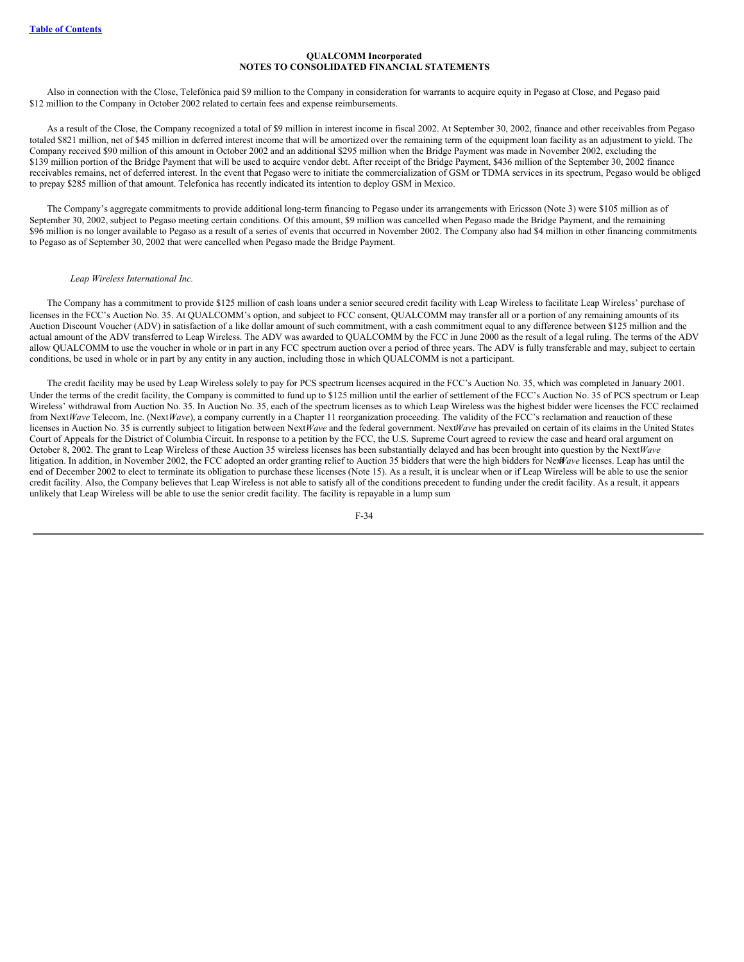Also in connection with the Close, Telefónica paid \$9 million to the Company in consideration for warrants to acquire equity in Pegaso at Close, and Pegaso paid \$12 million to the Company in October 2002 related to certain fees and expense reimbursements.

As a result of the Close, the Company recognized a total of \$9 million in interest income in fiscal 2002. At September 30, 2002, finance and other receivables from Pegaso totaled \$821 million, net of \$45 million in deferred interest income that will be amortized over the remaining term of the equipment loan facility as an adjustment to yield. The Company received \$90 million of this amount in October 2002 and an additional \$295 million when the Bridge Payment was made in November 2002, excluding the \$139 million portion of the Bridge Payment that will be used to acquire vendor debt. After receipt of the Bridge Payment, \$436 million of the September 30, 2002 finance receivables remains, net of deferred interest. In the event that Pegaso were to initiate the commercialization of GSM or TDMA services in its spectrum, Pegaso would be obliged to prepay \$285 million of that amount. Telefonica has recently indicated its intention to deploy GSM in Mexico.

The Company's aggregate commitments to provide additional long-term financing to Pegaso under its arrangements with Ericsson (Note 3) were \$105 million as of September 30, 2002, subject to Pegaso meeting certain conditions. Of this amount, \$9 million was cancelled when Pegaso made the Bridge Payment, and the remaining \$96 million is no longer available to Pegaso as a result of a series of events that occurred in November 2002. The Company also had \$4 million in other financing commitments to Pegaso as of September 30, 2002 that were cancelled when Pegaso made the Bridge Payment.

### *Leap Wireless International Inc.*

The Company has a commitment to provide \$125 million of cash loans under a senior secured credit facility with Leap Wireless to facilitate Leap Wireless' purchase of licenses in the FCC's Auction No. 35. At QUALCOMM's option, and subject to FCC consent, QUALCOMM may transfer all or a portion of any remaining amounts of its Auction Discount Voucher (ADV) in satisfaction of a like dollar amount of such commitment, with a cash commitment equal to any difference between \$125 million and the actual amount of the ADV transferred to Leap Wireless. The ADV was awarded to QUALCOMM by the FCC in June 2000 as the result of a legal ruling. The terms of the ADV allow QUALCOMM to use the voucher in whole or in part in any FCC spectrum auction over a period of three years. The ADV is fully transferable and may, subject to certain conditions, be used in whole or in part by any entity in any auction, including those in which QUALCOMM is not a participant.

The credit facility may be used by Leap Wireless solely to pay for PCS spectrum licenses acquired in the FCC's Auction No. 35, which was completed in January 2001. Under the terms of the credit facility, the Company is committed to fund up to \$125 million until the earlier of settlement of the FCC's Auction No. 35 of PCS spectrum or Leap Wireless' withdrawal from Auction No. 35. In Auction No. 35, each of the spectrum licenses as to which Leap Wireless was the highest bidder were licenses the FCC reclaimed from Next*Wave* Telecom, Inc. (Next*Wave*), a company currently in a Chapter 11 reorganization proceeding. The validity of the FCC's reclamation and reauction of these licenses in Auction No. 35 is currently subject to litigation between Next*Wave* and the federal government. Next*Wave* has prevailed on certain of its claims in the United States Court of Appeals for the District of Columbia Circuit. In response to a petition by the FCC, the U.S. Supreme Court agreed to review the case and heard oral argument on October 8, 2002. The grant to Leap Wireless of these Auction 35 wireless licenses has been substantially delayed and has been brought into question by the Next*Wave* litigation. In addition, in November 2002, the FCC adopted an order granting relief to Auction 35 bidders that were the high bidders for Nex*Wave* licenses. Leap has until the end of December 2002 to elect to terminate its obligation to purchase these licenses (Note 15). As a result, it is unclear when or if Leap Wireless will be able to use the senior credit facility. Also, the Company believes that Leap Wireless is not able to satisfy all of the conditions precedent to funding under the credit facility. As a result, it appears unlikely that Leap Wireless will be able to use the senior credit facility. The facility is repayable in a lump sum

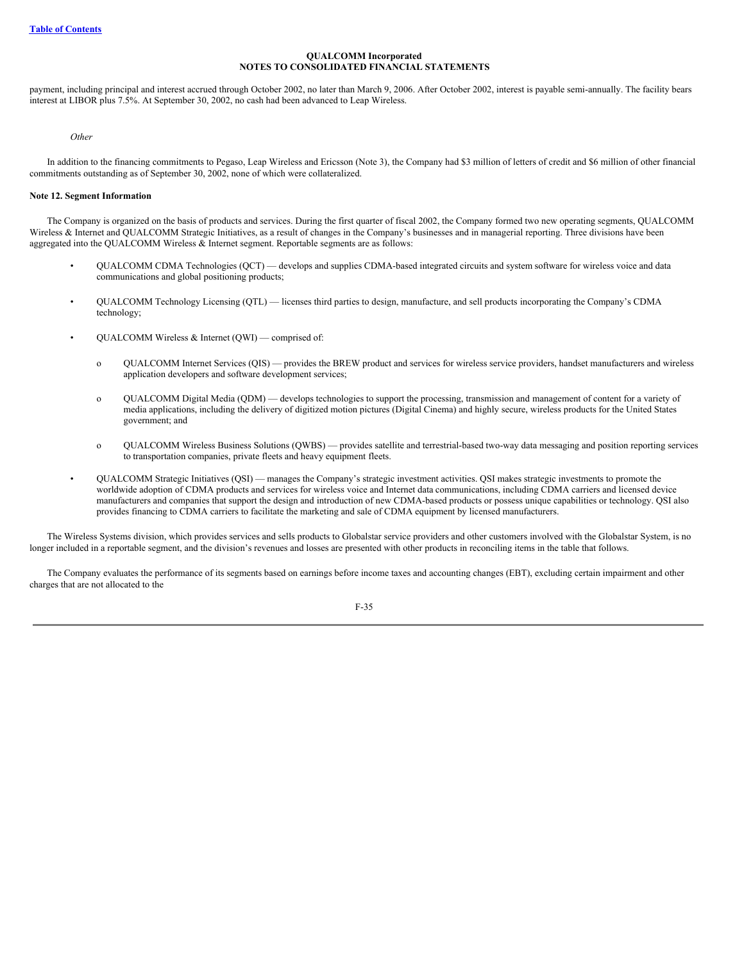payment, including principal and interest accrued through October 2002, no later than March 9, 2006. After October 2002, interest is payable semi-annually. The facility bears interest at LIBOR plus 7.5%. At September 30, 2002, no cash had been advanced to Leap Wireless.

#### *Other*

In addition to the financing commitments to Pegaso, Leap Wireless and Ericsson (Note 3), the Company had \$3 million of letters of credit and \$6 million of other financial commitments outstanding as of September 30, 2002, none of which were collateralized.

# **Note 12. Segment Information**

The Company is organized on the basis of products and services. During the first quarter of fiscal 2002, the Company formed two new operating segments, QUALCOMM Wireless & Internet and QUALCOMM Strategic Initiatives, as a result of changes in the Company's businesses and in managerial reporting. Three divisions have been aggregated into the QUALCOMM Wireless & Internet segment. Reportable segments are as follows:

- QUALCOMM CDMA Technologies (QCT) develops and supplies CDMA-based integrated circuits and system software for wireless voice and data communications and global positioning products;
- QUALCOMM Technology Licensing (QTL) licenses third parties to design, manufacture, and sell products incorporating the Company's CDMA technology;
- QUALCOMM Wireless & Internet (QWI) comprised of:
	- o QUALCOMM Internet Services (QIS) provides the BREW product and services for wireless service providers, handset manufacturers and wireless application developers and software development services;
	- o QUALCOMM Digital Media (QDM) develops technologies to support the processing, transmission and management of content for a variety of media applications, including the delivery of digitized motion pictures (Digital Cinema) and highly secure, wireless products for the United States government; and
	- o QUALCOMM Wireless Business Solutions (QWBS) provides satellite and terrestrial-based two-way data messaging and position reporting services to transportation companies, private fleets and heavy equipment fleets.
- QUALCOMM Strategic Initiatives (QSI) manages the Company's strategic investment activities. QSI makes strategic investments to promote the worldwide adoption of CDMA products and services for wireless voice and Internet data communications, including CDMA carriers and licensed device manufacturers and companies that support the design and introduction of new CDMA-based products or possess unique capabilities or technology. QSI also provides financing to CDMA carriers to facilitate the marketing and sale of CDMA equipment by licensed manufacturers.

The Wireless Systems division, which provides services and sells products to Globalstar service providers and other customers involved with the Globalstar System, is no longer included in a reportable segment, and the division's revenues and losses are presented with other products in reconciling items in the table that follows.

The Company evaluates the performance of its segments based on earnings before income taxes and accounting changes (EBT), excluding certain impairment and other charges that are not allocated to the

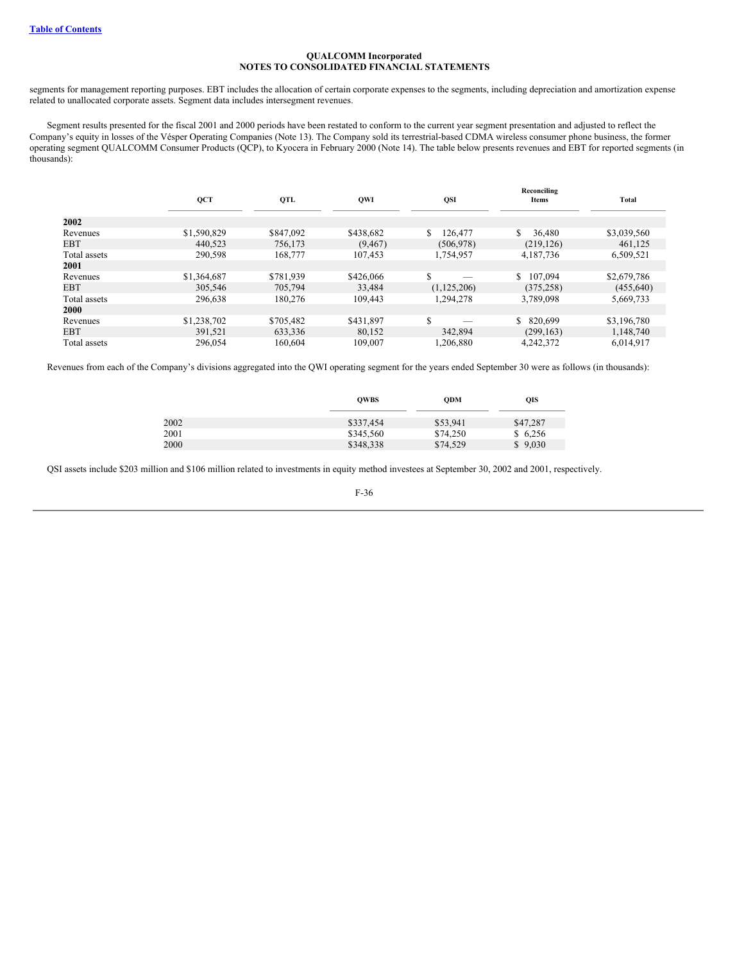segments for management reporting purposes. EBT includes the allocation of certain corporate expenses to the segments, including depreciation and amortization expense related to unallocated corporate assets. Segment data includes intersegment revenues.

Segment results presented for the fiscal 2001 and 2000 periods have been restated to conform to the current year segment presentation and adjusted to reflect the Company's equity in losses of the Vésper Operating Companies (Note 13). The Company sold its terrestrial-based CDMA wireless consumer phone business, the former operating segment QUALCOMM Consumer Products (QCP), to Kyocera in February 2000 (Note 14). The table below presents revenues and EBT for reported segments (in thousands):

|              | QCT         | QTL       | QWI       | QSI           | Reconciling<br>Items | Total       |
|--------------|-------------|-----------|-----------|---------------|----------------------|-------------|
| 2002         |             |           |           |               |                      |             |
| Revenues     | \$1,590,829 | \$847,092 | \$438,682 | S.<br>126,477 | 36,480<br>\$         | \$3,039,560 |
| <b>EBT</b>   | 440.523     | 756.173   | (9, 467)  | (506, 978)    | (219.126)            | 461,125     |
| Total assets | 290,598     | 168,777   | 107,453   | 1,754,957     | 4,187,736            | 6,509,521   |
| 2001         |             |           |           |               |                      |             |
| Revenues     | \$1,364,687 | \$781,939 | \$426,066 | \$.           | \$107,094            | \$2,679,786 |
| <b>EBT</b>   | 305.546     | 705,794   | 33,484    | (1,125,206)   | (375, 258)           | (455, 640)  |
| Total assets | 296.638     | 180,276   | 109,443   | 1,294,278     | 3,789,098            | 5,669,733   |
| 2000         |             |           |           |               |                      |             |
| Revenues     | \$1,238,702 | \$705,482 | \$431,897 | \$.           | \$ 820,699           | \$3,196,780 |
| <b>EBT</b>   | 391.521     | 633.336   | 80,152    | 342,894       | (299.163)            | 1.148.740   |
| Total assets | 296,054     | 160,604   | 109,007   | 1.206.880     | 4.242.372            | 6.014.917   |

Revenues from each of the Company's divisions aggregated into the QWI operating segment for the years ended September 30 were as follows (in thousands):

|      | <b>OWBS</b> | <b>ODM</b> | <b>OIS</b> |
|------|-------------|------------|------------|
| 2002 | \$337,454   | \$53,941   | \$47,287   |
| 2001 | \$345,560   | \$74,250   | \$6,256    |
| 2000 | \$348,338   | \$74,529   | \$9,030    |

QSI assets include \$203 million and \$106 million related to investments in equity method investees at September 30, 2002 and 2001, respectively.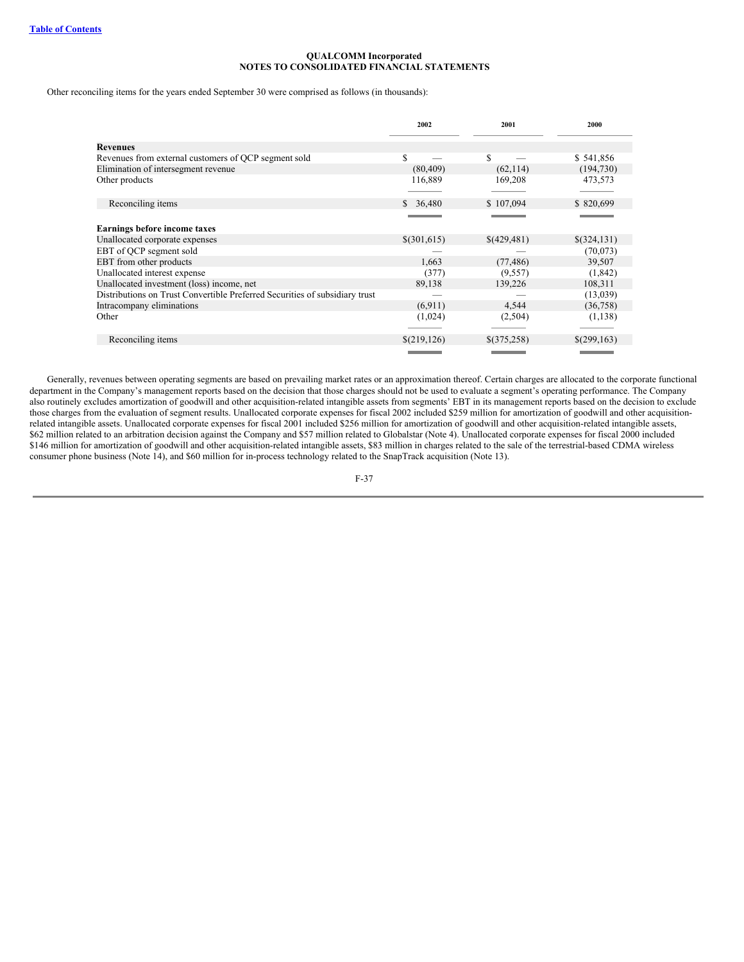Other reconciling items for the years ended September 30 were comprised as follows (in thousands):

|                                                                             | 2002                                                                                                                 | 2001                                                                                                                 | 2000                                                                                                                 |
|-----------------------------------------------------------------------------|----------------------------------------------------------------------------------------------------------------------|----------------------------------------------------------------------------------------------------------------------|----------------------------------------------------------------------------------------------------------------------|
| <b>Revenues</b>                                                             |                                                                                                                      |                                                                                                                      |                                                                                                                      |
| Revenues from external customers of QCP segment sold                        | S                                                                                                                    | S                                                                                                                    | \$541,856                                                                                                            |
| Elimination of intersegment revenue                                         | (80, 409)                                                                                                            | (62, 114)                                                                                                            | (194, 730)                                                                                                           |
| Other products                                                              | 116,889                                                                                                              | 169,208                                                                                                              | 473,573                                                                                                              |
|                                                                             |                                                                                                                      |                                                                                                                      |                                                                                                                      |
| Reconciling items                                                           | \$36,480                                                                                                             | \$107,094                                                                                                            | \$820,699                                                                                                            |
|                                                                             |                                                                                                                      |                                                                                                                      |                                                                                                                      |
| Earnings before income taxes                                                |                                                                                                                      |                                                                                                                      |                                                                                                                      |
| Unallocated corporate expenses                                              | \$(301,615)                                                                                                          | \$(429,481)                                                                                                          | \$(324,131)                                                                                                          |
| EBT of QCP segment sold                                                     |                                                                                                                      |                                                                                                                      | (70,073)                                                                                                             |
| EBT from other products                                                     | 1,663                                                                                                                | (77, 486)                                                                                                            | 39,507                                                                                                               |
| Unallocated interest expense                                                | (377)                                                                                                                | (9, 557)                                                                                                             | (1, 842)                                                                                                             |
| Unallocated investment (loss) income, net                                   | 89,138                                                                                                               | 139,226                                                                                                              | 108,311                                                                                                              |
| Distributions on Trust Convertible Preferred Securities of subsidiary trust |                                                                                                                      |                                                                                                                      | (13,039)                                                                                                             |
| Intracompany eliminations                                                   | (6.911)                                                                                                              | 4,544                                                                                                                | (36, 758)                                                                                                            |
| Other                                                                       | (1,024)                                                                                                              | (2,504)                                                                                                              | (1,138)                                                                                                              |
|                                                                             |                                                                                                                      |                                                                                                                      |                                                                                                                      |
| Reconciling items                                                           | \$(219, 126)                                                                                                         | \$(375,258)                                                                                                          | \$(299,163)                                                                                                          |
|                                                                             | <b>STATE OF STATE OF STATE OF STATE OF STATE OF STATE OF STATE OF STATE OF STATE OF STATE OF STATE OF STATE OF S</b> | <b>STATE OF STATE OF STATE OF STATE OF STATE OF STATE OF STATE OF STATE OF STATE OF STATE OF STATE OF STATE OF S</b> | <b>STATE OF STATE OF STATE OF STATE OF STATE OF STATE OF STATE OF STATE OF STATE OF STATE OF STATE OF STATE OF S</b> |

Generally, revenues between operating segments are based on prevailing market rates or an approximation thereof. Certain charges are allocated to the corporate functional department in the Company's management reports based on the decision that those charges should not be used to evaluate a segment's operating performance. The Company also routinely excludes amortization of goodwill and other acquisition-related intangible assets from segments' EBT in its management reports based on the decision to exclude those charges from the evaluation of segment results. Unallocated corporate expenses for fiscal 2002 included \$259 million for amortization of goodwill and other acquisitionrelated intangible assets. Unallocated corporate expenses for fiscal 2001 included \$256 million for amortization of goodwill and other acquisition-related intangible assets, \$62 million related to an arbitration decision against the Company and \$57 million related to Globalstar (Note 4). Unallocated corporate expenses for fiscal 2000 included \$146 million for amortization of goodwill and other acquisition-related intangible assets, \$83 million in charges related to the sale of the terrestrial-based CDMA wireless consumer phone business (Note 14), and \$60 million for in-process technology related to the SnapTrack acquisition (Note 13).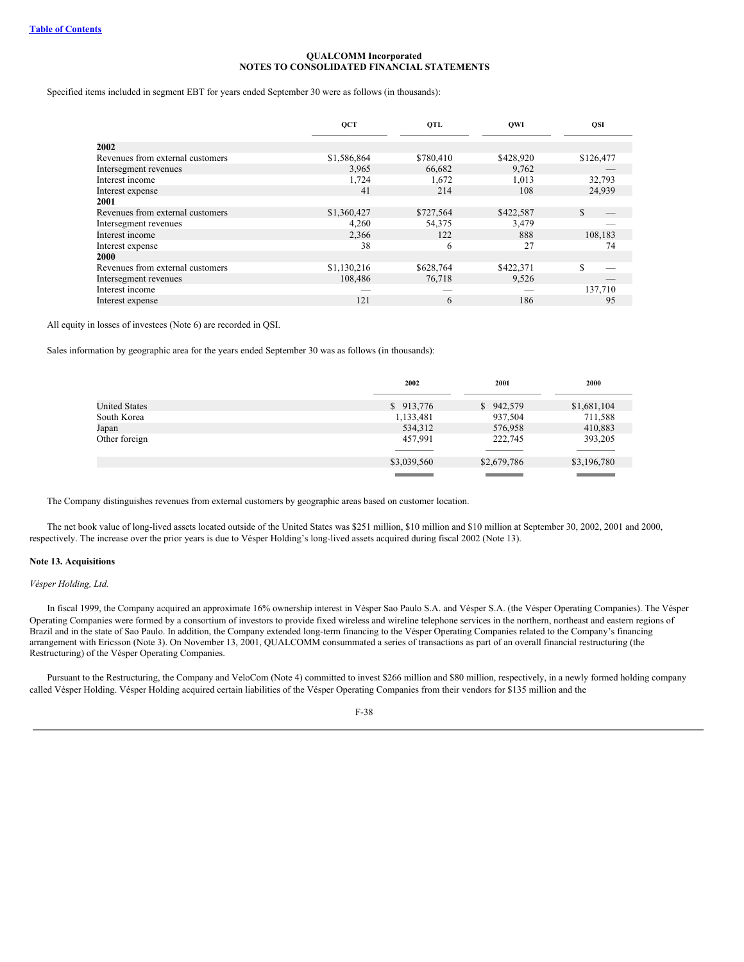Specified items included in segment EBT for years ended September 30 were as follows (in thousands):

|                                  | <b>OCT</b>  | OTL       | OWI       | QSI       |
|----------------------------------|-------------|-----------|-----------|-----------|
| 2002                             |             |           |           |           |
| Revenues from external customers | \$1,586,864 | \$780,410 | \$428,920 | \$126,477 |
| Intersegment revenues            | 3,965       | 66,682    | 9,762     |           |
| Interest income                  | 1.724       | 1,672     | 1,013     | 32,793    |
| Interest expense                 | 41          | 214       | 108       | 24,939    |
| 2001                             |             |           |           |           |
| Revenues from external customers | \$1,360,427 | \$727,564 | \$422,587 | \$.       |
| Intersegment revenues            | 4,260       | 54,375    | 3,479     |           |
| Interest income                  | 2,366       | 122       | 888       | 108,183   |
| Interest expense                 | 38          | 6         | 27        | 74        |
| 2000                             |             |           |           |           |
| Revenues from external customers | \$1,130,216 | \$628,764 | \$422,371 | S         |
| Intersegment revenues            | 108,486     | 76,718    | 9,526     |           |
| Interest income                  |             |           |           | 137.710   |
| Interest expense                 | 121         | 6         | 186       | 95        |

All equity in losses of investees (Note 6) are recorded in QSI.

Sales information by geographic area for the years ended September 30 was as follows (in thousands):

|                      | 2002                                                            | 2001                                                                            | 2000        |
|----------------------|-----------------------------------------------------------------|---------------------------------------------------------------------------------|-------------|
|                      |                                                                 |                                                                                 |             |
| <b>United States</b> | \$913,776                                                       | \$942,579                                                                       | \$1,681,104 |
| South Korea          | 1,133,481                                                       | 937,504                                                                         | 711,588     |
| Japan                | 534,312                                                         | 576,958                                                                         | 410,883     |
| Other foreign        | 457.991                                                         | 222,745                                                                         | 393,205     |
|                      |                                                                 |                                                                                 |             |
|                      | \$3,039,560                                                     | \$2,679,786                                                                     | \$3,196,780 |
|                      | the contract of the contract of the contract of the contract of | the contract of the contract of the contract of the contract of the contract of |             |

The Company distinguishes revenues from external customers by geographic areas based on customer location.

The net book value of long-lived assets located outside of the United States was \$251 million, \$10 million and \$10 million at September 30, 2002, 2001 and 2000, respectively. The increase over the prior years is due to Vésper Holding's long-lived assets acquired during fiscal 2002 (Note 13).

## **Note 13. Acquisitions**

# *Vésper Holding, Ltd.*

In fiscal 1999, the Company acquired an approximate 16% ownership interest in Vésper Sao Paulo S.A. and Vésper S.A. (the Vésper Operating Companies). The Vésper Operating Companies were formed by a consortium of investors to provide fixed wireless and wireline telephone services in the northern, northeast and eastern regions of Brazil and in the state of Sao Paulo. In addition, the Company extended long-term financing to the Vésper Operating Companies related to the Company's financing arrangement with Ericsson (Note 3). On November 13, 2001, QUALCOMM consummated a series of transactions as part of an overall financial restructuring (the Restructuring) of the Vésper Operating Companies.

Pursuant to the Restructuring, the Company and VeloCom (Note 4) committed to invest \$266 million and \$80 million, respectively, in a newly formed holding company called Vésper Holding. Vésper Holding acquired certain liabilities of the Vésper Operating Companies from their vendors for \$135 million and the

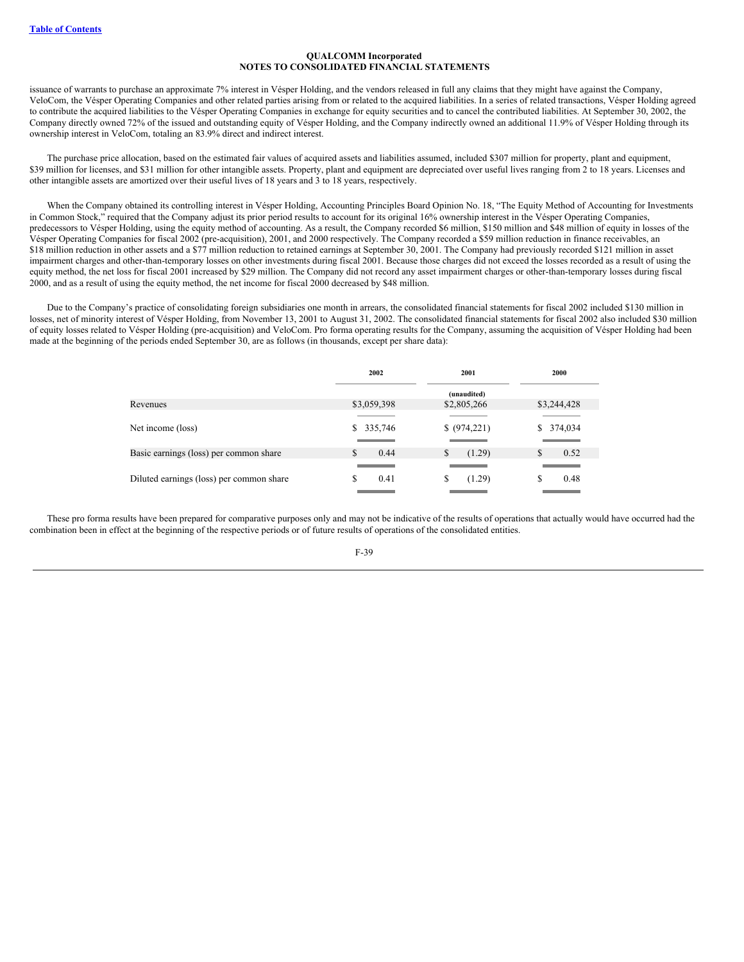issuance of warrants to purchase an approximate 7% interest in Vésper Holding, and the vendors released in full any claims that they might have against the Company, VeloCom, the Vésper Operating Companies and other related parties arising from or related to the acquired liabilities. In a series of related transactions, Vésper Holding agreed to contribute the acquired liabilities to the Vésper Operating Companies in exchange for equity securities and to cancel the contributed liabilities. At September 30, 2002, the Company directly owned 72% of the issued and outstanding equity of Vésper Holding, and the Company indirectly owned an additional 11.9% of Vésper Holding through its ownership interest in VeloCom, totaling an 83.9% direct and indirect interest.

The purchase price allocation, based on the estimated fair values of acquired assets and liabilities assumed, included \$307 million for property, plant and equipment, \$39 million for licenses, and \$31 million for other intangible assets. Property, plant and equipment are depreciated over useful lives ranging from 2 to 18 years. Licenses and other intangible assets are amortized over their useful lives of 18 years and 3 to 18 years, respectively.

When the Company obtained its controlling interest in Vésper Holding, Accounting Principles Board Opinion No. 18, "The Equity Method of Accounting for Investments in Common Stock," required that the Company adjust its prior period results to account for its original 16% ownership interest in the Vésper Operating Companies, predecessors to Vésper Holding, using the equity method of accounting. As a result, the Company recorded \$6 million, \$150 million and \$48 million of equity in losses of the Vésper Operating Companies for fiscal 2002 (pre-acquisition), 2001, and 2000 respectively. The Company recorded a \$59 million reduction in finance receivables, an \$18 million reduction in other assets and a \$77 million reduction to retained earnings at September 30, 2001. The Company had previously recorded \$121 million in asset impairment charges and other-than-temporary losses on other investments during fiscal 2001. Because those charges did not exceed the losses recorded as a result of using the equity method, the net loss for fiscal 2001 increased by \$29 million. The Company did not record any asset impairment charges or other-than-temporary losses during fiscal 2000, and as a result of using the equity method, the net income for fiscal 2000 decreased by \$48 million.

Due to the Company's practice of consolidating foreign subsidiaries one month in arrears, the consolidated financial statements for fiscal 2002 included \$130 million in losses, net of minority interest of Vésper Holding, from November 13, 2001 to August 31, 2002. The consolidated financial statements for fiscal 2002 also included \$30 million of equity losses related to Vésper Holding (pre-acquisition) and VeloCom. Pro forma operating results for the Company, assuming the acquisition of Vésper Holding had been made at the beginning of the periods ended September 30, are as follows (in thousands, except per share data):

|                                          | 2002        | 2001         | 2000        |
|------------------------------------------|-------------|--------------|-------------|
|                                          |             | (unaudited)  |             |
| Revenues                                 | \$3,059,398 | \$2,805,266  | \$3,244,428 |
|                                          |             |              |             |
| Net income (loss)                        | \$335,746   | \$ (974,221) | \$ 374,034  |
|                                          |             |              |             |
| Basic earnings (loss) per common share   | 0.44<br>S.  | (1.29)<br>S  | 0.52<br>S   |
|                                          |             |              |             |
| Diluted earnings (loss) per common share | 0.41<br>\$  | S<br>(1.29)  | S<br>0.48   |
|                                          |             |              |             |

These pro forma results have been prepared for comparative purposes only and may not be indicative of the results of operations that actually would have occurred had the combination been in effect at the beginning of the respective periods or of future results of operations of the consolidated entities.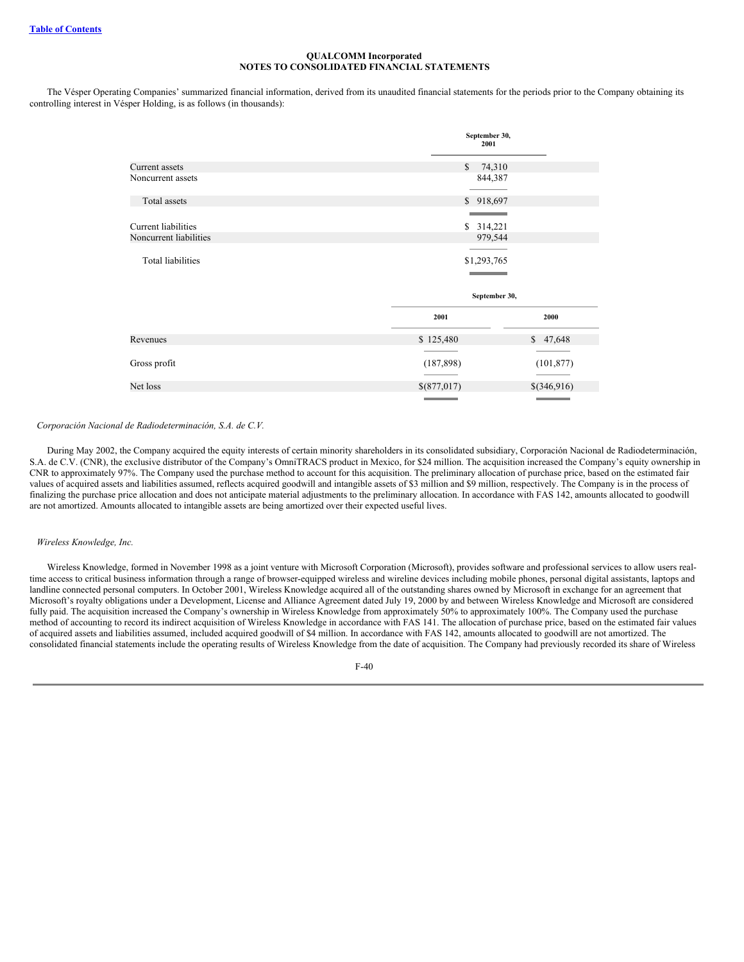The Vésper Operating Companies' summarized financial information, derived from its unaudited financial statements for the periods prior to the Company obtaining its controlling interest in Vésper Holding, is as follows (in thousands):

|                          | September 30,<br>2001                                                 |             |
|--------------------------|-----------------------------------------------------------------------|-------------|
| Current assets           | 74,310<br>$\mathbb{S}$                                                |             |
| Noncurrent assets        | 844,387                                                               |             |
| Total assets             | \$918,697                                                             |             |
|                          |                                                                       |             |
| Current liabilities      | \$314,221                                                             |             |
| Noncurrent liabilities   | 979,544                                                               |             |
| <b>Total liabilities</b> | \$1,293,765<br>and the control of the control of the<br>September 30, |             |
|                          | 2001                                                                  | 2000        |
| Revenues                 | \$125,480                                                             | \$47,648    |
|                          |                                                                       |             |
| Gross profit             | (187, 898)                                                            | (101, 877)  |
| Net loss                 | \$(877,017)                                                           | \$(346,916) |
|                          |                                                                       |             |

# *Corporación Nacional de Radiodeterminación, S.A. de C.V.*

During May 2002, the Company acquired the equity interests of certain minority shareholders in its consolidated subsidiary, Corporación Nacional de Radiodeterminación, S.A. de C.V. (CNR), the exclusive distributor of the Company's OmniTRACS product in Mexico, for \$24 million. The acquisition increased the Company's equity ownership in CNR to approximately 97%. The Company used the purchase method to account for this acquisition. The preliminary allocation of purchase price, based on the estimated fair values of acquired assets and liabilities assumed, reflects acquired goodwill and intangible assets of \$3 million and \$9 million, respectively. The Company is in the process of finalizing the purchase price allocation and does not anticipate material adjustments to the preliminary allocation. In accordance with FAS 142, amounts allocated to goodwill are not amortized. Amounts allocated to intangible assets are being amortized over their expected useful lives.

## *Wireless Knowledge, Inc.*

Wireless Knowledge, formed in November 1998 as a joint venture with Microsoft Corporation (Microsoft), provides software and professional services to allow users realtime access to critical business information through a range of browser-equipped wireless and wireline devices including mobile phones, personal digital assistants, laptops and landline connected personal computers. In October 2001, Wireless Knowledge acquired all of the outstanding shares owned by Microsoft in exchange for an agreement that Microsoft's royalty obligations under a Development, License and Alliance Agreement dated July 19, 2000 by and between Wireless Knowledge and Microsoft are considered fully paid. The acquisition increased the Company's ownership in Wireless Knowledge from approximately 50% to approximately 100%. The Company used the purchase method of accounting to record its indirect acquisition of Wireless Knowledge in accordance with FAS 141. The allocation of purchase price, based on the estimated fair values of acquired assets and liabilities assumed, included acquired goodwill of \$4 million. In accordance with FAS 142, amounts allocated to goodwill are not amortized. The consolidated financial statements include the operating results of Wireless Knowledge from the date of acquisition. The Company had previously recorded its share of Wireless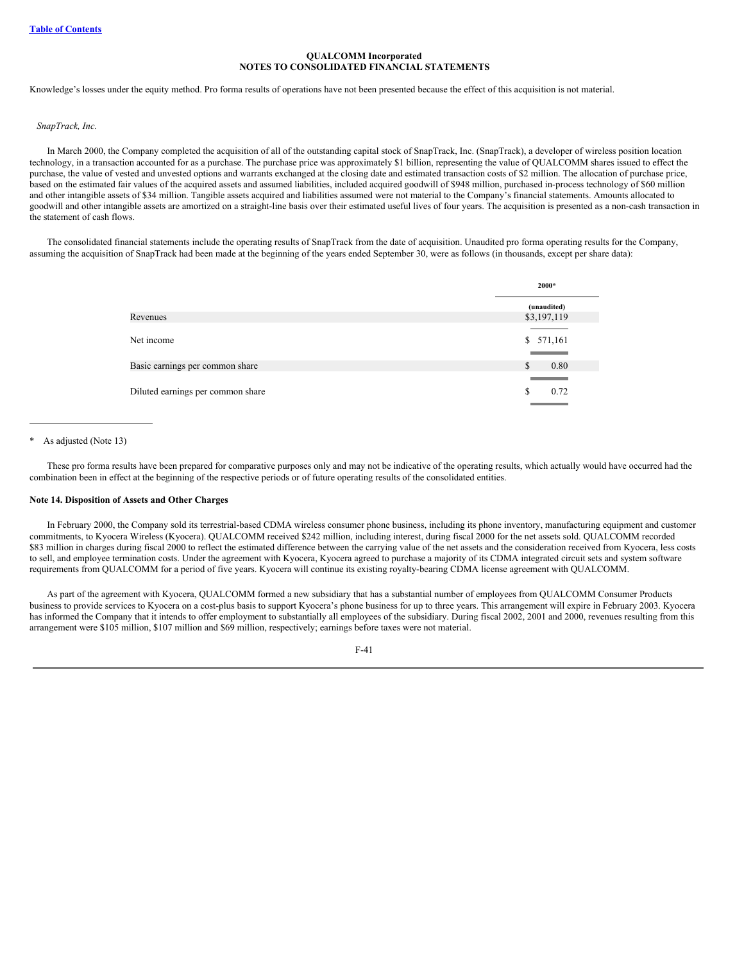Knowledge's losses under the equity method. Pro forma results of operations have not been presented because the effect of this acquisition is not material.

#### *SnapTrack, Inc.*

In March 2000, the Company completed the acquisition of all of the outstanding capital stock of SnapTrack, Inc. (SnapTrack), a developer of wireless position location technology, in a transaction accounted for as a purchase. The purchase price was approximately \$1 billion, representing the value of QUALCOMM shares issued to effect the purchase, the value of vested and unvested options and warrants exchanged at the closing date and estimated transaction costs of \$2 million. The allocation of purchase price, based on the estimated fair values of the acquired assets and assumed liabilities, included acquired goodwill of \$948 million, purchased in-process technology of \$60 million and other intangible assets of \$34 million. Tangible assets acquired and liabilities assumed were not material to the Company's financial statements. Amounts allocated to goodwill and other intangible assets are amortized on a straight-line basis over their estimated useful lives of four years. The acquisition is presented as a non-cash transaction in the statement of cash flows.

The consolidated financial statements include the operating results of SnapTrack from the date of acquisition. Unaudited pro forma operating results for the Company, assuming the acquisition of SnapTrack had been made at the beginning of the years ended September 30, were as follows (in thousands, except per share data):

|                                   | 2000*                                                                                                                        |
|-----------------------------------|------------------------------------------------------------------------------------------------------------------------------|
|                                   | (unaudited)                                                                                                                  |
| Revenues                          | \$3,197,119                                                                                                                  |
| Net income                        | \$571,161                                                                                                                    |
| Basic earnings per common share   | S<br>0.80                                                                                                                    |
| Diluted earnings per common share | 0.72<br>S<br><b>STATE OF STATE OF STATE OF STATE OF STATE OF STATE OF STATE OF STATE OF STATE OF STATE OF STATE OF STATE</b> |

## \* As adjusted (Note 13)

These pro forma results have been prepared for comparative purposes only and may not be indicative of the operating results, which actually would have occurred had the combination been in effect at the beginning of the respective periods or of future operating results of the consolidated entities.

## **Note 14. Disposition of Assets and Other Charges**

In February 2000, the Company sold its terrestrial-based CDMA wireless consumer phone business, including its phone inventory, manufacturing equipment and customer commitments, to Kyocera Wireless (Kyocera). QUALCOMM received \$242 million, including interest, during fiscal 2000 for the net assets sold. QUALCOMM recorded \$83 million in charges during fiscal 2000 to reflect the estimated difference between the carrying value of the net assets and the consideration received from Kyocera, less costs to sell, and employee termination costs. Under the agreement with Kyocera, Kyocera agreed to purchase a majority of its CDMA integrated circuit sets and system software requirements from QUALCOMM for a period of five years. Kyocera will continue its existing royalty-bearing CDMA license agreement with QUALCOMM.

As part of the agreement with Kyocera, QUALCOMM formed a new subsidiary that has a substantial number of employees from QUALCOMM Consumer Products business to provide services to Kyocera on a cost-plus basis to support Kyocera's phone business for up to three years. This arrangement will expire in February 2003. Kyocera has informed the Company that it intends to offer employment to substantially all employees of the subsidiary. During fiscal 2002, 2001 and 2000, revenues resulting from this arrangement were \$105 million, \$107 million and \$69 million, respectively; earnings before taxes were not material.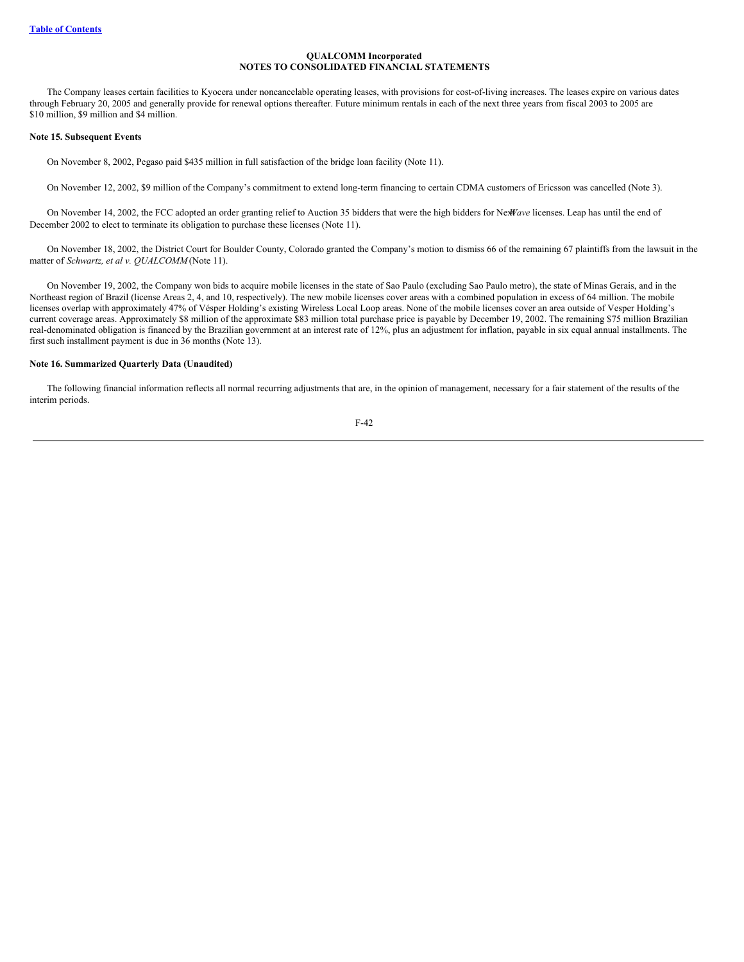The Company leases certain facilities to Kyocera under noncancelable operating leases, with provisions for cost-of-living increases. The leases expire on various dates through February 20, 2005 and generally provide for renewal options thereafter. Future minimum rentals in each of the next three years from fiscal 2003 to 2005 are \$10 million, \$9 million and \$4 million.

#### **Note 15. Subsequent Events**

On November 8, 2002, Pegaso paid \$435 million in full satisfaction of the bridge loan facility (Note 11).

On November 12, 2002, \$9 million of the Company's commitment to extend long-term financing to certain CDMA customers of Ericsson was cancelled (Note 3).

On November 14, 2002, the FCC adopted an order granting relief to Auction 35 bidders that were the high bidders for Ne*XWave* licenses. Leap has until the end of December 2002 to elect to terminate its obligation to purchase these licenses (Note 11).

On November 18, 2002, the District Court for Boulder County, Colorado granted the Company's motion to dismiss 66 of the remaining 67 plaintiffs from the lawsuit in the matter of *Schwartz, et al v. QUALCOMM* (Note 11).

On November 19, 2002, the Company won bids to acquire mobile licenses in the state of Sao Paulo (excluding Sao Paulo metro), the state of Minas Gerais, and in the Northeast region of Brazil (license Areas 2, 4, and 10, respectively). The new mobile licenses cover areas with a combined population in excess of 64 million. The mobile licenses overlap with approximately 47% of Vésper Holding's existing Wireless Local Loop areas. None of the mobile licenses cover an area outside of Vesper Holding's current coverage areas. Approximately \$8 million of the approximate \$83 million total purchase price is payable by December 19, 2002. The remaining \$75 million Brazilian real-denominated obligation is financed by the Brazilian government at an interest rate of 12%, plus an adjustment for inflation, payable in six equal annual installments. The first such installment payment is due in 36 months (Note 13).

#### **Note 16. Summarized Quarterly Data (Unaudited)**

The following financial information reflects all normal recurring adjustments that are, in the opinion of management, necessary for a fair statement of the results of the interim periods.

$$
F-42
$$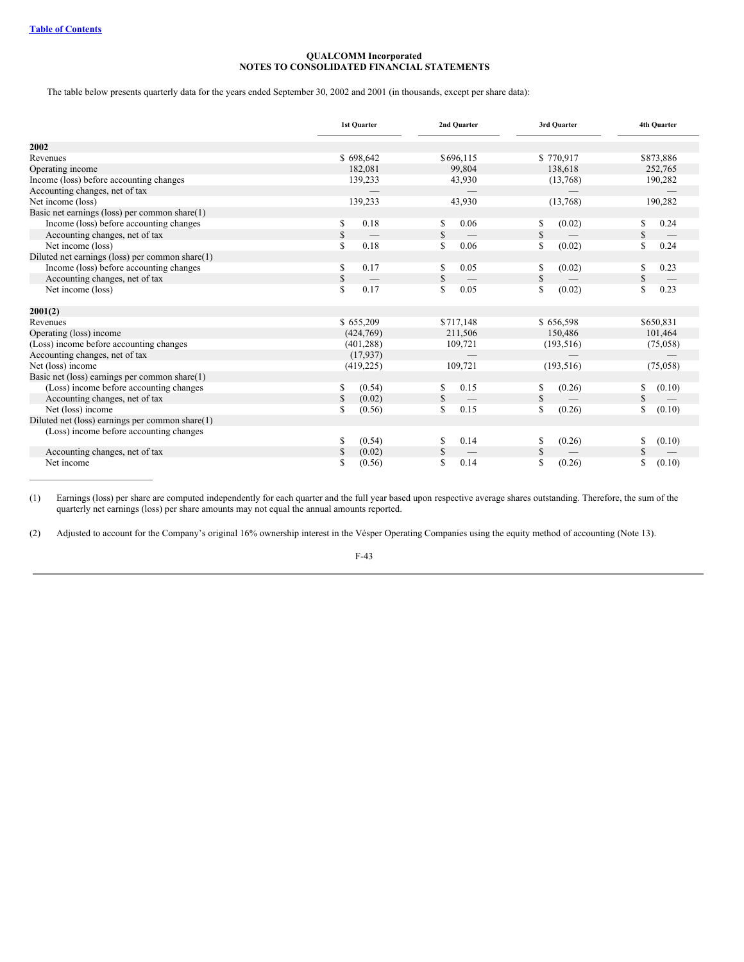The table below presents quarterly data for the years ended September 30, 2002 and 2001 (in thousands, except per share data):

|                                                  | 1st Quarter                    | 2nd Quarter                          | 3rd Quarter  | 4th Quarter                              |
|--------------------------------------------------|--------------------------------|--------------------------------------|--------------|------------------------------------------|
| 2002                                             |                                |                                      |              |                                          |
| Revenues                                         | \$698,642                      | \$696,115                            | \$770,917    | \$873,886                                |
| Operating income                                 | 182,081                        | 99,804                               | 138,618      | 252,765                                  |
| Income (loss) before accounting changes          | 139,233                        | 43,930                               | (13,768)     | 190,282                                  |
| Accounting changes, net of tax                   |                                |                                      |              |                                          |
| Net income (loss)                                | 139,233                        | 43,930                               | (13,768)     | 190,282                                  |
| Basic net earnings (loss) per common share $(1)$ |                                |                                      |              |                                          |
| Income (loss) before accounting changes          | \$<br>0.18                     | 0.06<br>\$                           | \$<br>(0.02) | \$<br>0.24                               |
| Accounting changes, net of tax                   | \$<br>$\overline{\phantom{m}}$ | \$<br>$\overline{\phantom{m}}$       | $\mathbb{S}$ | \$<br>$\overline{\phantom{0}}$           |
| Net income (loss)                                | \$<br>0.18                     | S<br>0.06                            | \$<br>(0.02) | S<br>0.24                                |
| Diluted net earnings (loss) per common share(1)  |                                |                                      |              |                                          |
| Income (loss) before accounting changes          | \$<br>0.17                     | 0.05<br>\$                           | (0.02)<br>S  | S<br>0.23                                |
| Accounting changes, net of tax                   | \$<br>$\qquad \qquad -$        | \$<br>$\overline{\phantom{0}}$       | S            | \$<br>$\overline{\phantom{m}}$           |
| Net income (loss)                                | \$<br>0.17                     | \$<br>0.05                           | \$<br>(0.02) | 0.23<br>S                                |
| 2001(2)                                          |                                |                                      |              |                                          |
| Revenues                                         | \$655,209                      | \$717,148                            | \$656,598    | \$650,831                                |
| Operating (loss) income                          | (424,769)                      | 211,506                              | 150,486      | 101,464                                  |
| (Loss) income before accounting changes          | (401, 288)                     | 109,721                              | (193, 516)   | (75,058)                                 |
| Accounting changes, net of tax                   | (17, 937)                      |                                      |              |                                          |
| Net (loss) income                                | (419, 225)                     | 109,721                              | (193, 516)   | (75,058)                                 |
| Basic net (loss) earnings per common share(1)    |                                |                                      |              |                                          |
| (Loss) income before accounting changes          | (0.54)<br>S.                   | 0.15<br>\$                           | (0.26)<br>\$ | (0.10)<br>\$                             |
| Accounting changes, net of tax                   | $\mathbb{S}$<br>(0.02)         | \$<br>$\overline{\phantom{0}}$       | $\mathbb{S}$ | $\mathbb{S}$<br>$\overline{\phantom{0}}$ |
| Net (loss) income                                | \$<br>(0.56)                   | 0.15<br>S                            | \$<br>(0.26) | \$<br>(0.10)                             |
| Diluted net (loss) earnings per common share(1)  |                                |                                      |              |                                          |
| (Loss) income before accounting changes          | \$<br>(0.54)                   | \$<br>0.14                           | \$<br>(0.26) | \$<br>(0.10)                             |
| Accounting changes, net of tax                   | \$<br>(0.02)                   | S<br>$\hspace{0.1mm}-\hspace{0.1mm}$ | S            | S                                        |
| Net income                                       | \$<br>(0.56)                   | S<br>0.14                            | \$<br>(0.26) | S<br>(0.10)                              |

(1) Earnings (loss) per share are computed independently for each quarter and the full year based upon respective average shares outstanding. Therefore, the sum of the quarterly net earnings (loss) per share amounts may not equal the annual amounts reported.

(2) Adjusted to account for the Company's original 16% ownership interest in the Vésper Operating Companies using the equity method of accounting (Note 13).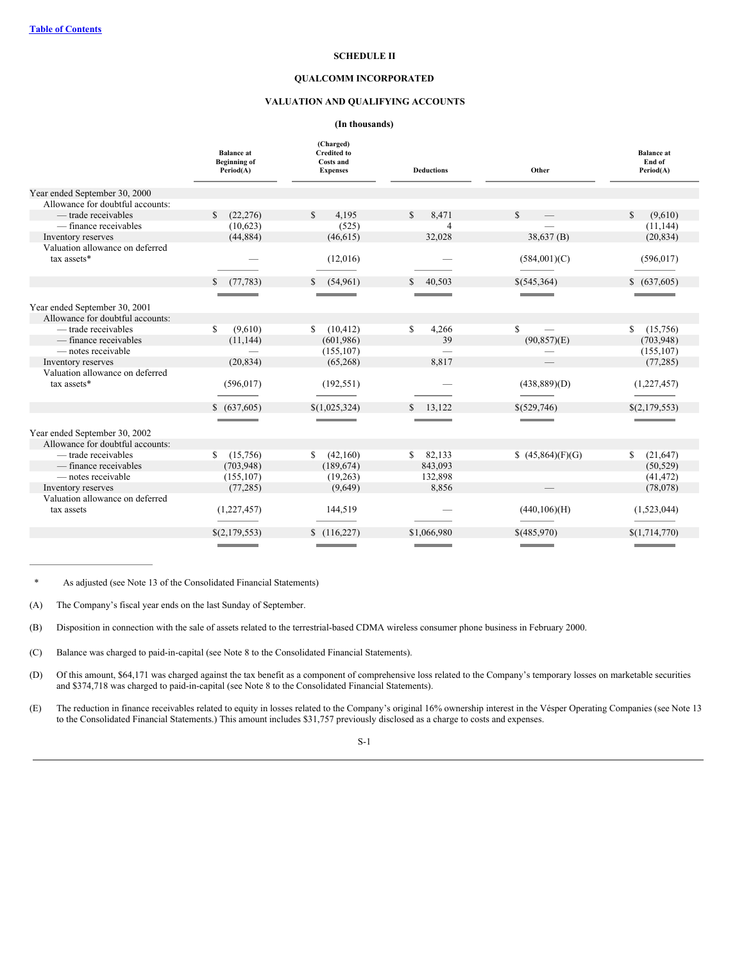# **SCHEDULE II**

# **QUALCOMM INCORPORATED**

# **VALUATION AND QUALIFYING ACCOUNTS**

#### **(In thousands)**

|                                  | <b>Balance</b> at<br><b>Beginning of</b><br>Period(A) | (Charged)<br><b>Credited to</b><br><b>Costs and</b><br><b>Expenses</b> | <b>Deductions</b>             | Other                             | <b>Balance</b> at<br>End of<br>Period(A) |
|----------------------------------|-------------------------------------------------------|------------------------------------------------------------------------|-------------------------------|-----------------------------------|------------------------------------------|
| Year ended September 30, 2000    |                                                       |                                                                        |                               |                                   |                                          |
| Allowance for doubtful accounts: |                                                       |                                                                        |                               |                                   |                                          |
| — trade receivables              | (22, 276)<br>$\mathbb{S}$                             | S.<br>4,195                                                            | \$<br>8,471                   | $\mathbb{S}$                      | <sup>\$</sup><br>(9,610)                 |
| — finance receivables            | (10,623)                                              | (525)                                                                  | 4                             |                                   | (11, 144)                                |
| Inventory reserves               | (44, 884)                                             | (46, 615)                                                              | 32,028                        | 38,637 (B)                        | (20, 834)                                |
| Valuation allowance on deferred  |                                                       |                                                                        |                               |                                   |                                          |
| tax assets*                      |                                                       | (12,016)                                                               |                               | $(584,001)$ (C)                   | (596, 017)                               |
|                                  | (77, 783)<br>S.                                       | \$ (54,961)                                                            | 40,503<br>S.                  | \$(545, 364)                      | \$ (637,605)                             |
|                                  |                                                       |                                                                        |                               |                                   |                                          |
| Year ended September 30, 2001    |                                                       |                                                                        |                               |                                   |                                          |
| Allowance for doubtful accounts: |                                                       |                                                                        |                               |                                   |                                          |
| — trade receivables              | $\mathbb{S}$<br>(9,610)                               | (10, 412)<br>S.                                                        | \$<br>4.266                   | \$                                | S.<br>(15,756)                           |
| — finance receivables            | (11, 144)                                             | (601,986)                                                              | 39                            | $(90, 857)$ (E)                   | (703, 948)                               |
| — notes receivable               |                                                       | (155, 107)                                                             |                               |                                   | (155, 107)                               |
| Inventory reserves               | (20, 834)                                             | (65,268)                                                               | 8,817                         |                                   | (77, 285)                                |
| Valuation allowance on deferred  |                                                       |                                                                        |                               |                                   |                                          |
| tax assets*                      | (596, 017)                                            | (192, 551)                                                             |                               | (438,889)(D)                      | (1,227,457)                              |
|                                  |                                                       |                                                                        |                               |                                   |                                          |
|                                  | \$ (637,605)                                          | \$(1,025,324)                                                          | 13,122                        | \$(529,746)                       | \$(2,179,553)                            |
|                                  |                                                       | and the control of the control of the                                  |                               |                                   |                                          |
| Year ended September 30, 2002    |                                                       |                                                                        |                               |                                   |                                          |
| Allowance for doubtful accounts: |                                                       |                                                                        |                               |                                   |                                          |
| — trade receivables              | S.<br>(15,756)                                        | (42,160)<br>\$                                                         | 82,133<br>S.                  | (45,864)(F)(G)                    | \$<br>(21, 647)                          |
| — finance receivables            | (703, 948)                                            | (189, 674)                                                             | 843,093                       |                                   | (50, 529)                                |
| — notes receivable               | (155, 107)                                            | (19,263)                                                               | 132,898                       |                                   | (41, 472)                                |
| Inventory reserves               | (77, 285)                                             | (9,649)                                                                | 8,856                         |                                   | (78,078)                                 |
| Valuation allowance on deferred  |                                                       |                                                                        |                               |                                   |                                          |
| tax assets                       | (1,227,457)                                           | 144,519                                                                |                               | $(440,106)$ (H)                   | (1,523,044)                              |
|                                  | \$(2,179,553)                                         | \$(116,227)                                                            | \$1,066,980                   | $$$ (485,970)                     | \$(1,714,770)                            |
|                                  | and the control of the control of                     | <b>Contract Contract Contract</b>                                      | the control of the control of | <b>Contract Contract Contract</b> | <b>Contract Contract Contract</b>        |

\* As adjusted (see Note 13 of the Consolidated Financial Statements)

(A) The Company's fiscal year ends on the last Sunday of September.

(B) Disposition in connection with the sale of assets related to the terrestrial-based CDMA wireless consumer phone business in February 2000.

(C) Balance was charged to paid-in-capital (see Note 8 to the Consolidated Financial Statements).

(D) Of this amount, \$64,171 was charged against the tax benefit as a component of comprehensive loss related to the Company's temporary losses on marketable securities and \$374,718 was charged to paid-in-capital (see Note 8 to the Consolidated Financial Statements).

(E) The reduction in finance receivables related to equity in losses related to the Company's original 16% ownership interest in the Vésper Operating Companies (see Note 13 to the Consolidated Financial Statements.) This amount includes \$31,757 previously disclosed as a charge to costs and expenses.

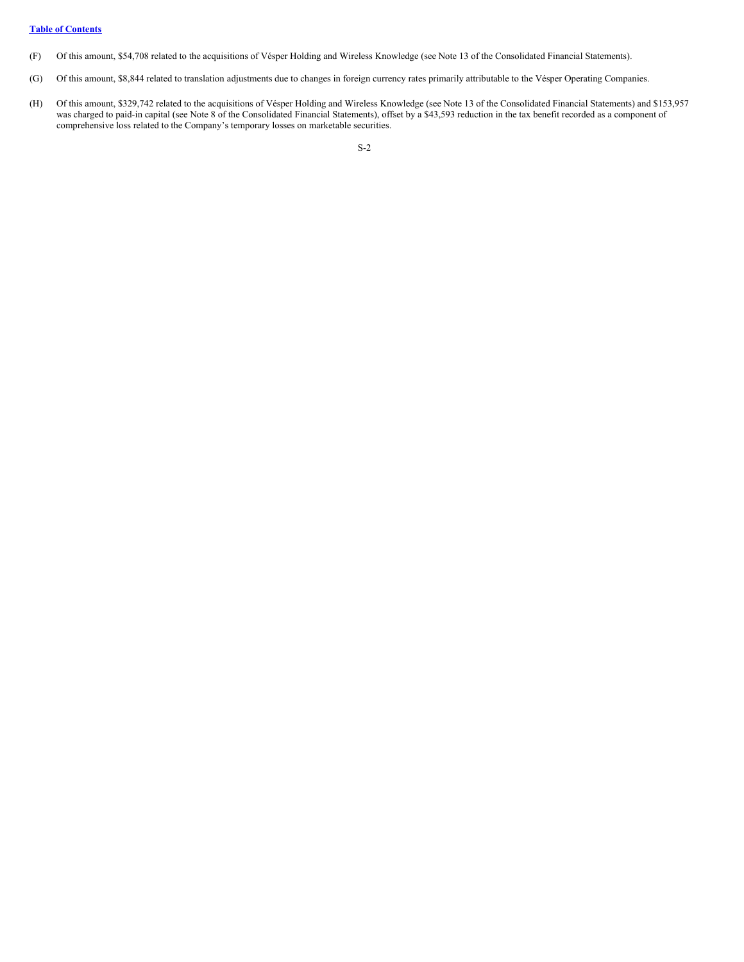# **Table of [Contents](#page-0-0)**

- (F) Of this amount, \$54,708 related to the acquisitions of Vésper Holding and Wireless Knowledge (see Note 13 of the Consolidated Financial Statements).
- (G) Of this amount, \$8,844 related to translation adjustments due to changes in foreign currency rates primarily attributable to the Vésper Operating Companies.
- (H) Of this amount, \$329,742 related to the acquisitions of Vésper Holding and Wireless Knowledge (see Note 13 of the Consolidated Financial Statements) and \$153,957 was charged to paid-in capital (see Note 8 of the Consolidated Financial Statements), offset by a \$43,593 reduction in the tax benefit recorded as a component of comprehensive loss related to the Company's temporary losses on marketable securities.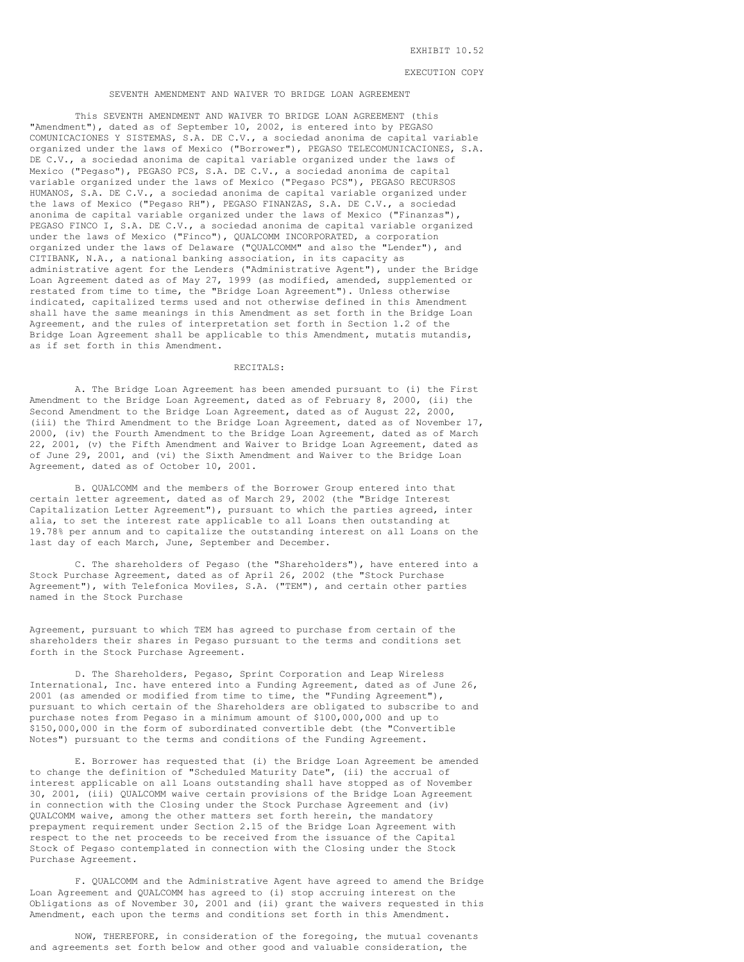EXHIBIT 10.52

#### EXECUTION COPY

## SEVENTH AMENDMENT AND WAIVER TO BRIDGE LOAN AGREEMENT

This SEVENTH AMENDMENT AND WAIVER TO BRIDGE LOAN AGREEMENT (this "Amendment"), dated as of September 10, 2002, is entered into by PEGASO COMUNICACIONES Y SISTEMAS, S.A. DE C.V., a sociedad anonima de capital variable organized under the laws of Mexico ("Borrower"), PEGASO TELECOMUNICACIONES, S.A. DE C.V., a sociedad anonima de capital variable organized under the laws of Mexico ("Pegaso"), PEGASO PCS, S.A. DE C.V., a sociedad anonima de capital variable organized under the laws of Mexico ("Pegaso PCS"), PEGASO RECURSOS HUMANOS, S.A. DE C.V., a sociedad anonima de capital variable organized under the laws of Mexico ("Pegaso RH"), PEGASO FINANZAS, S.A. DE C.V., a sociedad anonima de capital variable organized under the laws of Mexico ("Finanzas"), PEGASO FINCO I, S.A. DE C.V., a sociedad anonima de capital variable organized under the laws of Mexico ("Finco"), QUALCOMM INCORPORATED, a corporation organized under the laws of Delaware ("QUALCOMM" and also the "Lender"), and CITIBANK, N.A., a national banking association, in its capacity as administrative agent for the Lenders ("Administrative Agent"), under the Bridge Loan Agreement dated as of May 27, 1999 (as modified, amended, supplemented or restated from time to time, the "Bridge Loan Agreement"). Unless otherwise indicated, capitalized terms used and not otherwise defined in this Amendment shall have the same meanings in this Amendment as set forth in the Bridge Loan Agreement, and the rules of interpretation set forth in Section 1.2 of the Bridge Loan Agreement shall be applicable to this Amendment, mutatis mutandis, as if set forth in this Amendment.

#### RECITALS:

A. The Bridge Loan Agreement has been amended pursuant to (i) the First Amendment to the Bridge Loan Agreement, dated as of February 8, 2000, (ii) the Second Amendment to the Bridge Loan Agreement, dated as of August 22, 2000, (iii) the Third Amendment to the Bridge Loan Agreement, dated as of November 17, 2000, (iv) the Fourth Amendment to the Bridge Loan Agreement, dated as of March 22, 2001, (v) the Fifth Amendment and Waiver to Bridge Loan Agreement, dated as of June 29, 2001, and (vi) the Sixth Amendment and Waiver to the Bridge Loan Agreement, dated as of October 10, 2001.

B. QUALCOMM and the members of the Borrower Group entered into that certain letter agreement, dated as of March 29, 2002 (the "Bridge Interest Capitalization Letter Agreement"), pursuant to which the parties agreed, inter alia, to set the interest rate applicable to all Loans then outstanding at 19.78% per annum and to capitalize the outstanding interest on all Loans on the last day of each March, June, September and December.

C. The shareholders of Pegaso (the "Shareholders"), have entered into a Stock Purchase Agreement, dated as of April 26, 2002 (the "Stock Purchase Agreement"), with Telefonica Moviles, S.A. ("TEM"), and certain other parties named in the Stock Purchase

Agreement, pursuant to which TEM has agreed to purchase from certain of the shareholders their shares in Pegaso pursuant to the terms and conditions set forth in the Stock Purchase Agreement.

D. The Shareholders, Pegaso, Sprint Corporation and Leap Wireless International, Inc. have entered into a Funding Agreement, dated as of June 26, 2001 (as amended or modified from time to time, the "Funding Agreement"), pursuant to which certain of the Shareholders are obligated to subscribe to and purchase notes from Pegaso in a minimum amount of \$100,000,000 and up to \$150,000,000 in the form of subordinated convertible debt (the "Convertible Notes") pursuant to the terms and conditions of the Funding Agreement.

E. Borrower has requested that (i) the Bridge Loan Agreement be amended to change the definition of "Scheduled Maturity Date", (ii) the accrual of interest applicable on all Loans outstanding shall have stopped as of November 30, 2001, (iii) QUALCOMM waive certain provisions of the Bridge Loan Agreement in connection with the Closing under the Stock Purchase Agreement and (iv) QUALCOMM waive, among the other matters set forth herein, the mandatory prepayment requirement under Section 2.15 of the Bridge Loan Agreement with respect to the net proceeds to be received from the issuance of the Capital Stock of Pegaso contemplated in connection with the Closing under the Stock Purchase Agreement.

F. QUALCOMM and the Administrative Agent have agreed to amend the Bridge Loan Agreement and QUALCOMM has agreed to (i) stop accruing interest on the Obligations as of November 30, 2001 and (ii) grant the waivers requested in this Amendment, each upon the terms and conditions set forth in this Amendment.

NOW, THEREFORE, in consideration of the foregoing, the mutual covenants and agreements set forth below and other good and valuable consideration, the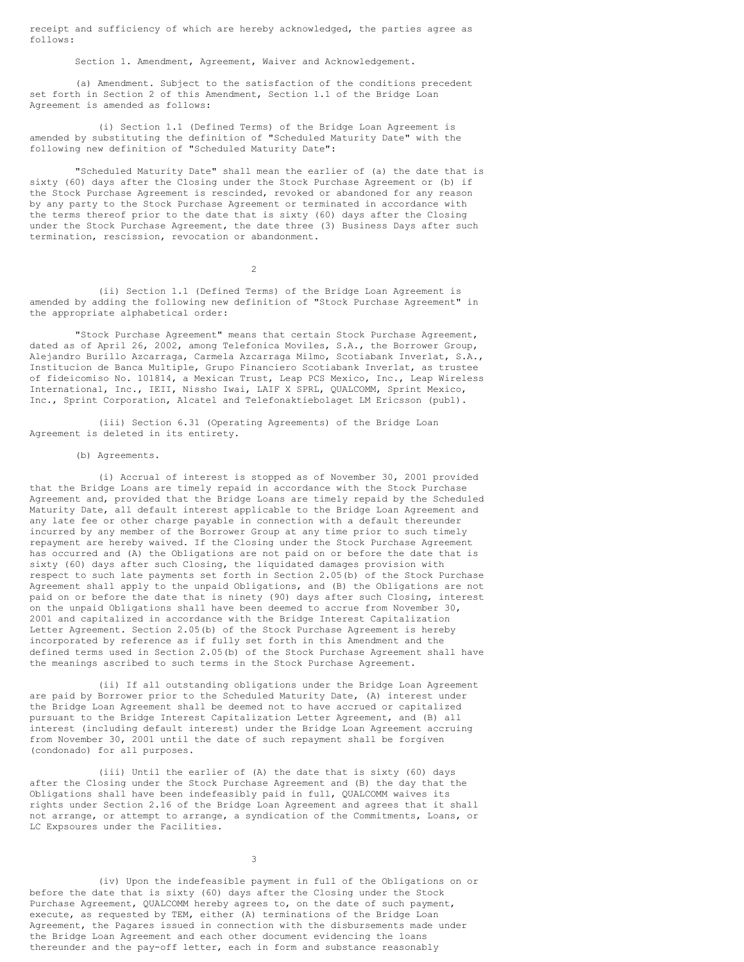receipt and sufficiency of which are hereby acknowledged, the parties agree as follows:

Section 1. Amendment, Agreement, Waiver and Acknowledgement.

(a) Amendment. Subject to the satisfaction of the conditions precedent set forth in Section 2 of this Amendment, Section 1.1 of the Bridge Loan Agreement is amended as follows:

(i) Section 1.1 (Defined Terms) of the Bridge Loan Agreement is amended by substituting the definition of "Scheduled Maturity Date" with the following new definition of "Scheduled Maturity Date":

"Scheduled Maturity Date" shall mean the earlier of (a) the date that is sixty (60) days after the Closing under the Stock Purchase Agreement or (b) if the Stock Purchase Agreement is rescinded, revoked or abandoned for any reason by any party to the Stock Purchase Agreement or terminated in accordance with the terms thereof prior to the date that is sixty (60) days after the Closing under the Stock Purchase Agreement, the date three (3) Business Days after such termination, rescission, revocation or abandonment.

 $\overline{2}$ 

(ii) Section 1.1 (Defined Terms) of the Bridge Loan Agreement is amended by adding the following new definition of "Stock Purchase Agreement" in the appropriate alphabetical order:

"Stock Purchase Agreement" means that certain Stock Purchase Agreement, dated as of April 26, 2002, among Telefonica Moviles, S.A., the Borrower Group, Alejandro Burillo Azcarraga, Carmela Azcarraga Milmo, Scotiabank Inverlat, S.A., Institucion de Banca Multiple, Grupo Financiero Scotiabank Inverlat, as trustee of fideicomiso No. 101814, a Mexican Trust, Leap PCS Mexico, Inc., Leap Wireless International, Inc., IEII, Nissho Iwai, LAIF X SPRL, QUALCOMM, Sprint Mexico, Inc., Sprint Corporation, Alcatel and Telefonaktiebolaget LM Ericsson (publ).

(iii) Section 6.31 (Operating Agreements) of the Bridge Loan Agreement is deleted in its entirety.

(b) Agreements.

(i) Accrual of interest is stopped as of November 30, 2001 provided that the Bridge Loans are timely repaid in accordance with the Stock Purchase Agreement and, provided that the Bridge Loans are timely repaid by the Scheduled Maturity Date, all default interest applicable to the Bridge Loan Agreement and any late fee or other charge payable in connection with a default thereunder incurred by any member of the Borrower Group at any time prior to such timely repayment are hereby waived. If the Closing under the Stock Purchase Agreement has occurred and (A) the Obligations are not paid on or before the date that is sixty (60) days after such Closing, the liquidated damages provision with respect to such late payments set forth in Section 2.05(b) of the Stock Purchase Agreement shall apply to the unpaid Obligations, and (B) the Obligations are not paid on or before the date that is ninety (90) days after such Closing, interest on the unpaid Obligations shall have been deemed to accrue from November 30, 2001 and capitalized in accordance with the Bridge Interest Capitalization Letter Agreement. Section 2.05(b) of the Stock Purchase Agreement is hereby incorporated by reference as if fully set forth in this Amendment and the defined terms used in Section 2.05(b) of the Stock Purchase Agreement shall have the meanings ascribed to such terms in the Stock Purchase Agreement.

(ii) If all outstanding obligations under the Bridge Loan Agreement are paid by Borrower prior to the Scheduled Maturity Date, (A) interest under the Bridge Loan Agreement shall be deemed not to have accrued or capitalized pursuant to the Bridge Interest Capitalization Letter Agreement, and (B) all interest (including default interest) under the Bridge Loan Agreement accruing from November 30, 2001 until the date of such repayment shall be forgiven (condonado) for all purposes.

(iii) Until the earlier of (A) the date that is sixty (60) days after the Closing under the Stock Purchase Agreement and (B) the day that the Obligations shall have been indefeasibly paid in full, QUALCOMM waives its rights under Section 2.16 of the Bridge Loan Agreement and agrees that it shall not arrange, or attempt to arrange, a syndication of the Commitments, Loans, or LC Expsoures under the Facilities.

3

(iv) Upon the indefeasible payment in full of the Obligations on or before the date that is sixty (60) days after the Closing under the Stock Purchase Agreement, QUALCOMM hereby agrees to, on the date of such payment, execute, as requested by TEM, either (A) terminations of the Bridge Loan Agreement, the Pagares issued in connection with the disbursements made under the Bridge Loan Agreement and each other document evidencing the loans thereunder and the pay-off letter, each in form and substance reasonably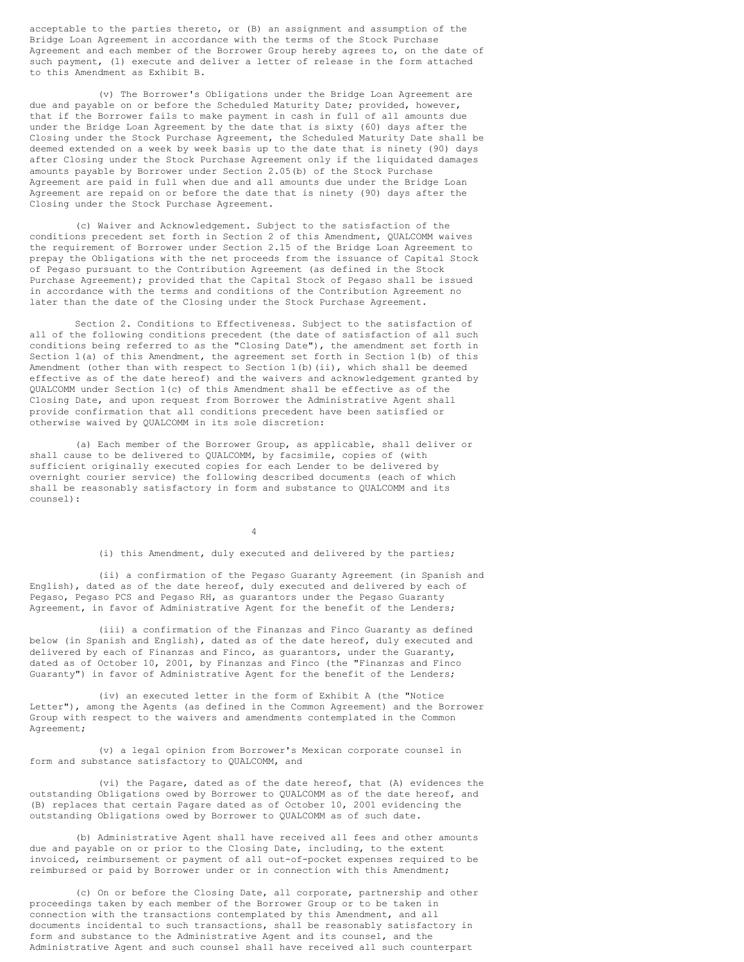acceptable to the parties thereto, or (B) an assignment and assumption of the Bridge Loan Agreement in accordance with the terms of the Stock Purchase Agreement and each member of the Borrower Group hereby agrees to, on the date of such payment, (1) execute and deliver a letter of release in the form attached to this Amendment as Exhibit B.

(v) The Borrower's Obligations under the Bridge Loan Agreement are due and payable on or before the Scheduled Maturity Date; provided, however, that if the Borrower fails to make payment in cash in full of all amounts due under the Bridge Loan Agreement by the date that is sixty (60) days after the Closing under the Stock Purchase Agreement, the Scheduled Maturity Date shall be deemed extended on a week by week basis up to the date that is ninety (90) days after Closing under the Stock Purchase Agreement only if the liquidated damages amounts payable by Borrower under Section 2.05(b) of the Stock Purchase Agreement are paid in full when due and all amounts due under the Bridge Loan Agreement are repaid on or before the date that is ninety (90) days after the Closing under the Stock Purchase Agreement.

(c) Waiver and Acknowledgement. Subject to the satisfaction of the conditions precedent set forth in Section 2 of this Amendment, QUALCOMM waives the requirement of Borrower under Section 2.15 of the Bridge Loan Agreement to prepay the Obligations with the net proceeds from the issuance of Capital Stock of Pegaso pursuant to the Contribution Agreement (as defined in the Stock Purchase Agreement); provided that the Capital Stock of Pegaso shall be issued in accordance with the terms and conditions of the Contribution Agreement no later than the date of the Closing under the Stock Purchase Agreement.

Section 2. Conditions to Effectiveness. Subject to the satisfaction of all of the following conditions precedent (the date of satisfaction of all such conditions being referred to as the "Closing Date"), the amendment set forth in Section 1(a) of this Amendment, the agreement set forth in Section 1(b) of this Amendment (other than with respect to Section 1(b)(ii), which shall be deemed effective as of the date hereof) and the waivers and acknowledgement granted by QUALCOMM under Section 1(c) of this Amendment shall be effective as of the Closing Date, and upon request from Borrower the Administrative Agent shall provide confirmation that all conditions precedent have been satisfied or otherwise waived by QUALCOMM in its sole discretion:

(a) Each member of the Borrower Group, as applicable, shall deliver or shall cause to be delivered to QUALCOMM, by facsimile, copies of (with sufficient originally executed copies for each Lender to be delivered by overnight courier service) the following described documents (each of which shall be reasonably satisfactory in form and substance to QUALCOMM and its counsel):

4

(i) this Amendment, duly executed and delivered by the parties;

(ii) a confirmation of the Pegaso Guaranty Agreement (in Spanish and English), dated as of the date hereof, duly executed and delivered by each of Pegaso, Pegaso PCS and Pegaso RH, as guarantors under the Pegaso Guaranty Agreement, in favor of Administrative Agent for the benefit of the Lenders;

(iii) a confirmation of the Finanzas and Finco Guaranty as defined below (in Spanish and English), dated as of the date hereof, duly executed and delivered by each of Finanzas and Finco, as guarantors, under the Guaranty, dated as of October 10, 2001, by Finanzas and Finco (the "Finanzas and Finco Guaranty") in favor of Administrative Agent for the benefit of the Lenders;

(iv) an executed letter in the form of Exhibit A (the "Notice Letter"), among the Agents (as defined in the Common Agreement) and the Borrower Group with respect to the waivers and amendments contemplated in the Common Agreement;

(v) a legal opinion from Borrower's Mexican corporate counsel in form and substance satisfactory to QUALCOMM, and

(vi) the Pagare, dated as of the date hereof, that (A) evidences the outstanding Obligations owed by Borrower to QUALCOMM as of the date hereof, and (B) replaces that certain Pagare dated as of October 10, 2001 evidencing the outstanding Obligations owed by Borrower to QUALCOMM as of such date.

(b) Administrative Agent shall have received all fees and other amounts due and payable on or prior to the Closing Date, including, to the extent invoiced, reimbursement or payment of all out-of-pocket expenses required to be reimbursed or paid by Borrower under or in connection with this Amendment;

(c) On or before the Closing Date, all corporate, partnership and other proceedings taken by each member of the Borrower Group or to be taken in connection with the transactions contemplated by this Amendment, and all documents incidental to such transactions, shall be reasonably satisfactory in form and substance to the Administrative Agent and its counsel, and the Administrative Agent and such counsel shall have received all such counterpart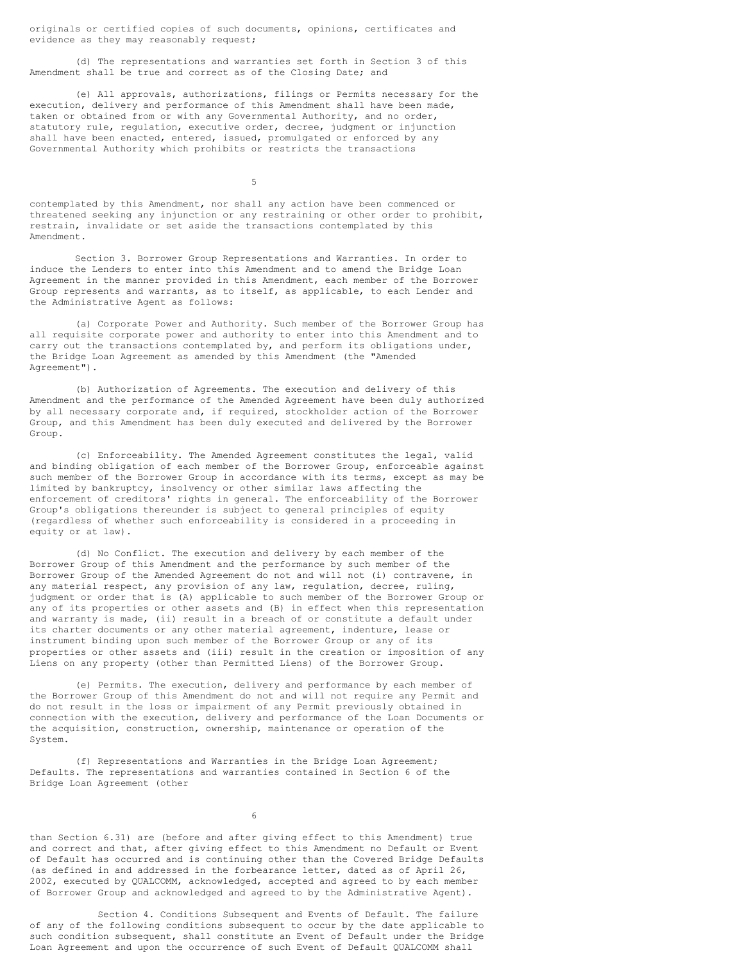originals or certified copies of such documents, opinions, certificates and evidence as they may reasonably request;

(d) The representations and warranties set forth in Section 3 of this Amendment shall be true and correct as of the Closing Date; and

(e) All approvals, authorizations, filings or Permits necessary for the execution, delivery and performance of this Amendment shall have been made, taken or obtained from or with any Governmental Authority, and no order, statutory rule, regulation, executive order, decree, judgment or injunction shall have been enacted, entered, issued, promulgated or enforced by any Governmental Authority which prohibits or restricts the transactions

5

contemplated by this Amendment, nor shall any action have been commenced or threatened seeking any injunction or any restraining or other order to prohibit, restrain, invalidate or set aside the transactions contemplated by this Amendment.

Section 3. Borrower Group Representations and Warranties. In order to induce the Lenders to enter into this Amendment and to amend the Bridge Loan Agreement in the manner provided in this Amendment, each member of the Borrower Group represents and warrants, as to itself, as applicable, to each Lender and the Administrative Agent as follows:

(a) Corporate Power and Authority. Such member of the Borrower Group has all requisite corporate power and authority to enter into this Amendment and to carry out the transactions contemplated by, and perform its obligations under, the Bridge Loan Agreement as amended by this Amendment (the "Amended Agreement").

(b) Authorization of Agreements. The execution and delivery of this Amendment and the performance of the Amended Agreement have been duly authorized by all necessary corporate and, if required, stockholder action of the Borrower Group, and this Amendment has been duly executed and delivered by the Borrower Group.

(c) Enforceability. The Amended Agreement constitutes the legal, valid and binding obligation of each member of the Borrower Group, enforceable against such member of the Borrower Group in accordance with its terms, except as may be limited by bankruptcy, insolvency or other similar laws affecting the enforcement of creditors' rights in general. The enforceability of the Borrower Group's obligations thereunder is subject to general principles of equity (regardless of whether such enforceability is considered in a proceeding in equity or at law).

(d) No Conflict. The execution and delivery by each member of the Borrower Group of this Amendment and the performance by such member of the Borrower Group of the Amended Agreement do not and will not (i) contravene, in any material respect, any provision of any law, regulation, decree, ruling, judgment or order that is (A) applicable to such member of the Borrower Group or any of its properties or other assets and (B) in effect when this representation and warranty is made, (ii) result in a breach of or constitute a default under its charter documents or any other material agreement, indenture, lease or instrument binding upon such member of the Borrower Group or any of its properties or other assets and (iii) result in the creation or imposition of any Liens on any property (other than Permitted Liens) of the Borrower Group.

(e) Permits. The execution, delivery and performance by each member of the Borrower Group of this Amendment do not and will not require any Permit and do not result in the loss or impairment of any Permit previously obtained in connection with the execution, delivery and performance of the Loan Documents or the acquisition, construction, ownership, maintenance or operation of the System.

(f) Representations and Warranties in the Bridge Loan Agreement; Defaults. The representations and warranties contained in Section 6 of the Bridge Loan Agreement (other

6

than Section 6.31) are (before and after giving effect to this Amendment) true and correct and that, after giving effect to this Amendment no Default or Event of Default has occurred and is continuing other than the Covered Bridge Defaults (as defined in and addressed in the forbearance letter, dated as of April 26, 2002, executed by QUALCOMM, acknowledged, accepted and agreed to by each member of Borrower Group and acknowledged and agreed to by the Administrative Agent).

Section 4. Conditions Subsequent and Events of Default. The failure of any of the following conditions subsequent to occur by the date applicable to such condition subsequent, shall constitute an Event of Default under the Bridge Loan Agreement and upon the occurrence of such Event of Default QUALCOMM shall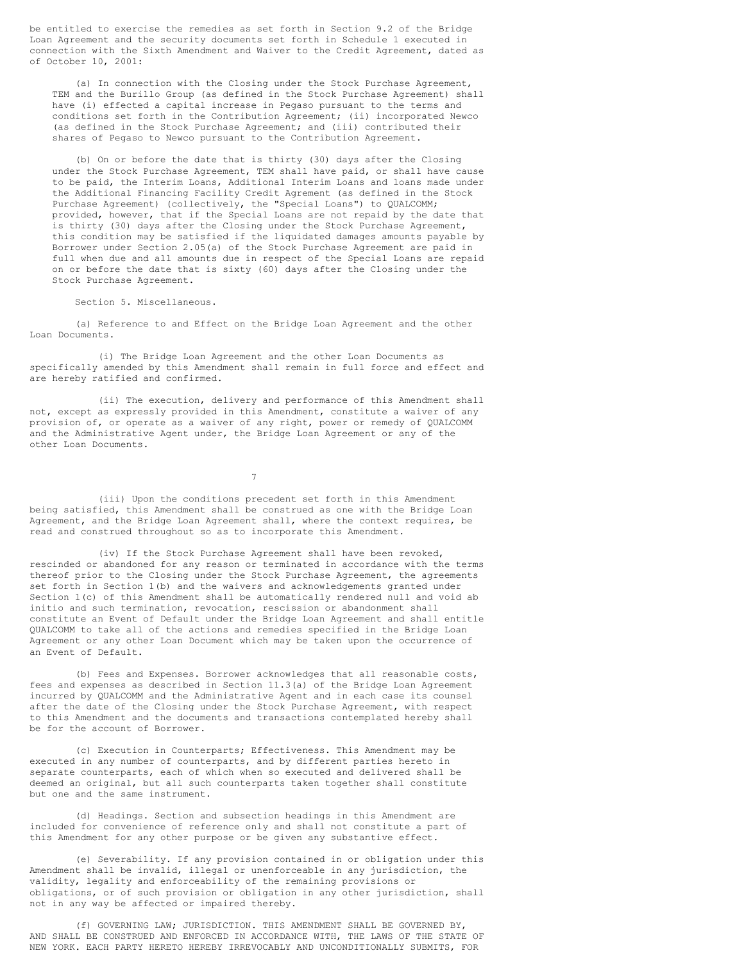be entitled to exercise the remedies as set forth in Section 9.2 of the Bridge Loan Agreement and the security documents set forth in Schedule 1 executed in connection with the Sixth Amendment and Waiver to the Credit Agreement, dated as of October 10, 2001:

(a) In connection with the Closing under the Stock Purchase Agreement, TEM and the Burillo Group (as defined in the Stock Purchase Agreement) shall have (i) effected a capital increase in Pegaso pursuant to the terms and conditions set forth in the Contribution Agreement; (ii) incorporated Newco (as defined in the Stock Purchase Agreement; and (iii) contributed their shares of Pegaso to Newco pursuant to the Contribution Agreement.

(b) On or before the date that is thirty (30) days after the Closing under the Stock Purchase Agreement, TEM shall have paid, or shall have cause to be paid, the Interim Loans, Additional Interim Loans and loans made under the Additional Financing Facility Credit Agrement (as defined in the Stock Purchase Agreement) (collectively, the "Special Loans") to QUALCOMM; provided, however, that if the Special Loans are not repaid by the date that is thirty (30) days after the Closing under the Stock Purchase Agreement, this condition may be satisfied if the liquidated damages amounts payable by Borrower under Section 2.05(a) of the Stock Purchase Agreement are paid in full when due and all amounts due in respect of the Special Loans are repaid on or before the date that is sixty (60) days after the Closing under the Stock Purchase Agreement.

Section 5. Miscellaneous.

(a) Reference to and Effect on the Bridge Loan Agreement and the other Loan Documents.

(i) The Bridge Loan Agreement and the other Loan Documents as specifically amended by this Amendment shall remain in full force and effect and are hereby ratified and confirmed.

(ii) The execution, delivery and performance of this Amendment shall not, except as expressly provided in this Amendment, constitute a waiver of any provision of, or operate as a waiver of any right, power or remedy of QUALCOMM and the Administrative Agent under, the Bridge Loan Agreement or any of the other Loan Documents.

7

(iii) Upon the conditions precedent set forth in this Amendment being satisfied, this Amendment shall be construed as one with the Bridge Loan Agreement, and the Bridge Loan Agreement shall, where the context requires, be read and construed throughout so as to incorporate this Amendment.

(iv) If the Stock Purchase Agreement shall have been revoked, rescinded or abandoned for any reason or terminated in accordance with the terms thereof prior to the Closing under the Stock Purchase Agreement, the agreements set forth in Section 1(b) and the waivers and acknowledgements granted under Section 1(c) of this Amendment shall be automatically rendered null and void ab initio and such termination, revocation, rescission or abandonment shall constitute an Event of Default under the Bridge Loan Agreement and shall entitle QUALCOMM to take all of the actions and remedies specified in the Bridge Loan Agreement or any other Loan Document which may be taken upon the occurrence of an Event of Default.

(b) Fees and Expenses. Borrower acknowledges that all reasonable costs, fees and expenses as described in Section 11.3(a) of the Bridge Loan Agreement incurred by QUALCOMM and the Administrative Agent and in each case its counsel after the date of the Closing under the Stock Purchase Agreement, with respect to this Amendment and the documents and transactions contemplated hereby shall be for the account of Borrower.

(c) Execution in Counterparts; Effectiveness. This Amendment may be executed in any number of counterparts, and by different parties hereto in separate counterparts, each of which when so executed and delivered shall be deemed an original, but all such counterparts taken together shall constitute but one and the same instrument.

(d) Headings. Section and subsection headings in this Amendment are included for convenience of reference only and shall not constitute a part of this Amendment for any other purpose or be given any substantive effect.

(e) Severability. If any provision contained in or obligation under this Amendment shall be invalid, illegal or unenforceable in any jurisdiction, the validity, legality and enforceability of the remaining provisions or obligations, or of such provision or obligation in any other jurisdiction, shall not in any way be affected or impaired thereby.

(f) GOVERNING LAW; JURISDICTION. THIS AMENDMENT SHALL BE GOVERNED BY, AND SHALL BE CONSTRUED AND ENFORCED IN ACCORDANCE WITH, THE LAWS OF THE STATE OF NEW YORK. EACH PARTY HERETO HEREBY IRREVOCABLY AND UNCONDITIONALLY SUBMITS, FOR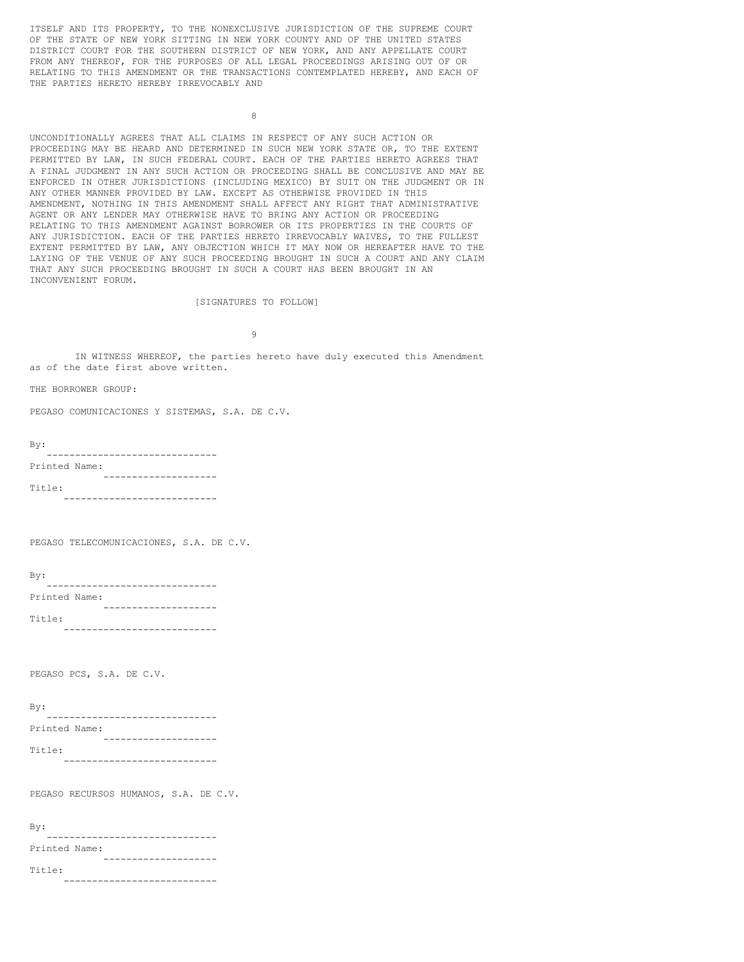ITSELF AND ITS PROPERTY, TO THE NONEXCLUSIVE JURISDICTION OF THE SUPREME COURT OF THE STATE OF NEW YORK SITTING IN NEW YORK COUNTY AND OF THE UNITED STATES DISTRICT COURT FOR THE SOUTHERN DISTRICT OF NEW YORK, AND ANY APPELLATE COURT FROM ANY THEREOF, FOR THE PURPOSES OF ALL LEGAL PROCEEDINGS ARISING OUT OF OR RELATING TO THIS AMENDMENT OR THE TRANSACTIONS CONTEMPLATED HEREBY, AND EACH OF THE PARTIES HERETO HEREBY IRREVOCABLY AND

8

UNCONDITIONALLY AGREES THAT ALL CLAIMS IN RESPECT OF ANY SUCH ACTION OR PROCEEDING MAY BE HEARD AND DETERMINED IN SUCH NEW YORK STATE OR, TO THE EXTENT PERMITTED BY LAW, IN SUCH FEDERAL COURT. EACH OF THE PARTIES HERETO AGREES THAT A FINAL JUDGMENT IN ANY SUCH ACTION OR PROCEEDING SHALL BE CONCLUSIVE AND MAY BE ENFORCED IN OTHER JURISDICTIONS (INCLUDING MEXICO) BY SUIT ON THE JUDGMENT OR IN ANY OTHER MANNER PROVIDED BY LAW. EXCEPT AS OTHERWISE PROVIDED IN THIS AMENDMENT, NOTHING IN THIS AMENDMENT SHALL AFFECT ANY RIGHT THAT ADMINISTRATIVE AGENT OR ANY LENDER MAY OTHERWISE HAVE TO BRING ANY ACTION OR PROCEEDING RELATING TO THIS AMENDMENT AGAINST BORROWER OR ITS PROPERTIES IN THE COURTS OF ANY JURISDICTION. EACH OF THE PARTIES HERETO IRREVOCABLY WAIVES, TO THE FULLEST EXTENT PERMITTED BY LAW, ANY OBJECTION WHICH IT MAY NOW OR HEREAFTER HAVE TO THE LAYING OF THE VENUE OF ANY SUCH PROCEEDING BROUGHT IN SUCH A COURT AND ANY CLAIM THAT ANY SUCH PROCEEDING BROUGHT IN SUCH A COURT HAS BEEN BROUGHT IN AN INCONVENIENT FORUM.

[SIGNATURES TO FOLLOW]

9

IN WITNESS WHEREOF, the parties hereto have duly executed this Amendment as of the date first above written.

THE BORROWER GROUP:

PEGASO COMUNICACIONES Y SISTEMAS, S.A. DE C.V.

By:

| Printed Name: |  |
|---------------|--|
|               |  |
| Title:        |  |
|               |  |

PEGASO TELECOMUNICACIONES, S.A. DE C.V.

| By:           |
|---------------|
|               |
| Printed Name: |
|               |
| Title:        |
|               |

PEGASO PCS, S.A. DE C.V.

| By:           |  |
|---------------|--|
|               |  |
| Printed Name: |  |
|               |  |
| Title:        |  |
|               |  |

PEGASO RECURSOS HUMANOS, S.A. DE C.V.

| By:           |  |
|---------------|--|
|               |  |
| Printed Name: |  |
|               |  |
| Title:        |  |
|               |  |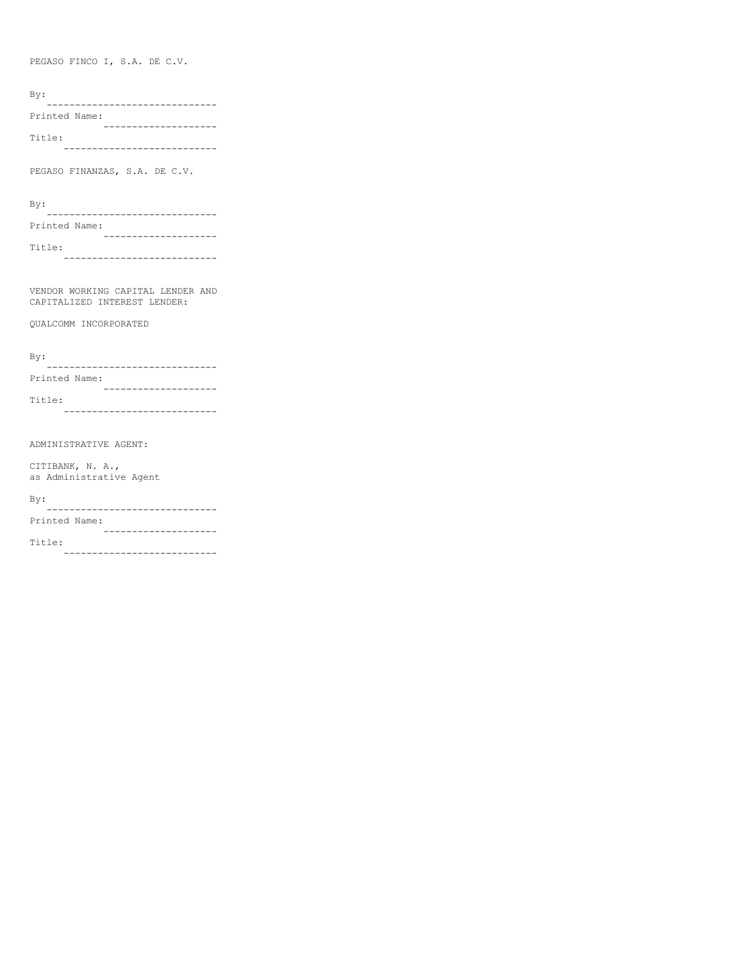# PEGASO FINCO I, S.A. DE C.V.

By: ------------------------------ Printed Name: -------------------- Title: ---------------------------

PEGASO FINANZAS, S.A. DE C.V.

By:

| Printed Name: |  |
|---------------|--|
|               |  |
| Title:        |  |

---------------------------

VENDOR WORKING CAPITAL LENDER AND CAPITALIZED INTEREST LENDER:

QUALCOMM INCORPORATED

By:

------------------------------ Printed Name:

--------------------

Title:

---------------------------

ADMINISTRATIVE AGENT:

CITIBANK, N. A., as Administrative Agent

By:

------------------------------

Printed Name: --------------------

Title:

---------------------------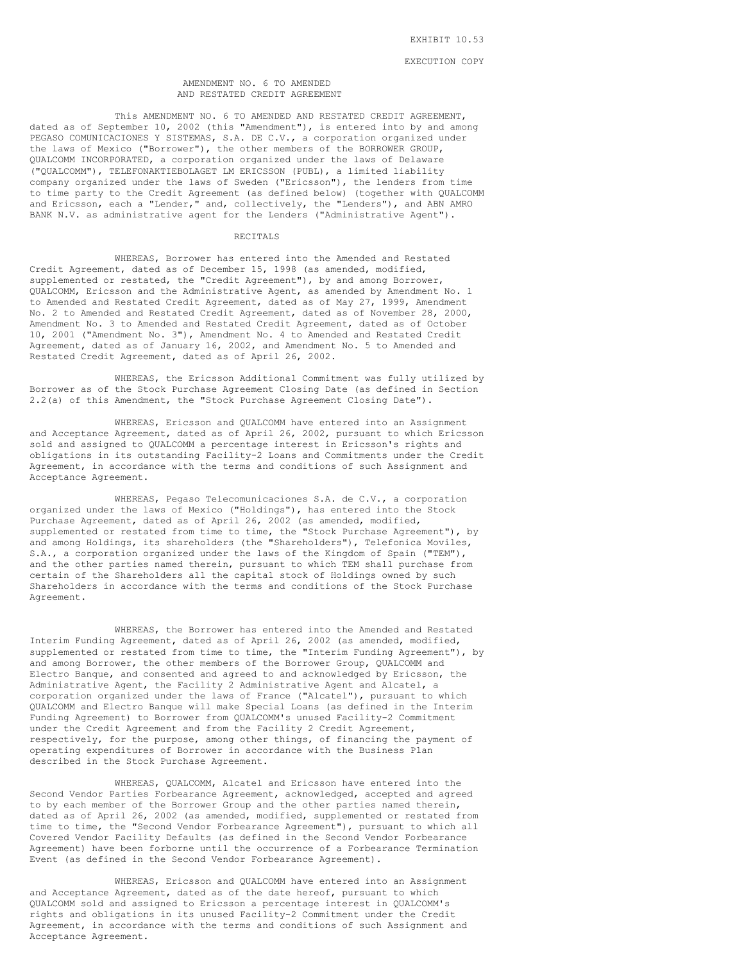## EXECUTION COPY

#### AMENDMENT NO. 6 TO AMENDED AND RESTATED CREDIT AGREEMENT

This AMENDMENT NO. 6 TO AMENDED AND RESTATED CREDIT AGREEMENT, dated as of September 10, 2002 (this "Amendment"), is entered into by and among PEGASO COMUNICACIONES Y SISTEMAS, S.A. DE C.V., a corporation organized under the laws of Mexico ("Borrower"), the other members of the BORROWER GROUP, QUALCOMM INCORPORATED, a corporation organized under the laws of Delaware ("QUALCOMM"), TELEFONAKTIEBOLAGET LM ERICSSON (PUBL), a limited liability company organized under the laws of Sweden ("Ericsson"), the lenders from time to time party to the Credit Agreement (as defined below) (together with QUALCOMM and Ericsson, each a "Lender," and, collectively, the "Lenders"), and ABN AMRO BANK N.V. as administrative agent for the Lenders ("Administrative Agent").

#### RECITALS

WHEREAS, Borrower has entered into the Amended and Restated Credit Agreement, dated as of December 15, 1998 (as amended, modified, supplemented or restated, the "Credit Agreement"), by and among Borrower, QUALCOMM, Ericsson and the Administrative Agent, as amended by Amendment No. 1 to Amended and Restated Credit Agreement, dated as of May 27, 1999, Amendment No. 2 to Amended and Restated Credit Agreement, dated as of November 28, 2000, Amendment No. 3 to Amended and Restated Credit Agreement, dated as of October 10, 2001 ("Amendment No. 3"), Amendment No. 4 to Amended and Restated Credit Agreement, dated as of January 16, 2002, and Amendment No. 5 to Amended and Restated Credit Agreement, dated as of April 26, 2002.

WHEREAS, the Ericsson Additional Commitment was fully utilized by Borrower as of the Stock Purchase Agreement Closing Date (as defined in Section 2.2(a) of this Amendment, the "Stock Purchase Agreement Closing Date").

WHEREAS, Ericsson and QUALCOMM have entered into an Assignment and Acceptance Agreement, dated as of April 26, 2002, pursuant to which Ericsson sold and assigned to QUALCOMM a percentage interest in Ericsson's rights and obligations in its outstanding Facility-2 Loans and Commitments under the Credit Agreement, in accordance with the terms and conditions of such Assignment and Acceptance Agreement.

WHEREAS, Pegaso Telecomunicaciones S.A. de C.V., a corporation organized under the laws of Mexico ("Holdings"), has entered into the Stock Purchase Agreement, dated as of April 26, 2002 (as amended, modified, supplemented or restated from time to time, the "Stock Purchase Agreement"), by and among Holdings, its shareholders (the "Shareholders"), Telefonica Moviles, S.A., a corporation organized under the laws of the Kingdom of Spain ("TEM"), and the other parties named therein, pursuant to which TEM shall purchase from certain of the Shareholders all the capital stock of Holdings owned by such Shareholders in accordance with the terms and conditions of the Stock Purchase Agreement.

WHEREAS, the Borrower has entered into the Amended and Restated Interim Funding Agreement, dated as of April 26, 2002 (as amended, modified, supplemented or restated from time to time, the "Interim Funding Agreement"), by and among Borrower, the other members of the Borrower Group, QUALCOMM and Electro Banque, and consented and agreed to and acknowledged by Ericsson, the Administrative Agent, the Facility 2 Administrative Agent and Alcatel, a corporation organized under the laws of France ("Alcatel"), pursuant to which QUALCOMM and Electro Banque will make Special Loans (as defined in the Interim Funding Agreement) to Borrower from QUALCOMM's unused Facility-2 Commitment under the Credit Agreement and from the Facility 2 Credit Agreement, respectively, for the purpose, among other things, of financing the payment of operating expenditures of Borrower in accordance with the Business Plan described in the Stock Purchase Agreement.

WHEREAS, QUALCOMM, Alcatel and Ericsson have entered into the Second Vendor Parties Forbearance Agreement, acknowledged, accepted and agreed to by each member of the Borrower Group and the other parties named therein, dated as of April 26, 2002 (as amended, modified, supplemented or restated from time to time, the "Second Vendor Forbearance Agreement"), pursuant to which all Covered Vendor Facility Defaults (as defined in the Second Vendor Forbearance Agreement) have been forborne until the occurrence of a Forbearance Termination Event (as defined in the Second Vendor Forbearance Agreement).

WHEREAS, Ericsson and QUALCOMM have entered into an Assignment and Acceptance Agreement, dated as of the date hereof, pursuant to which QUALCOMM sold and assigned to Ericsson a percentage interest in QUALCOMM's rights and obligations in its unused Facility-2 Commitment under the Credit Agreement, in accordance with the terms and conditions of such Assignment and Acceptance Agreement.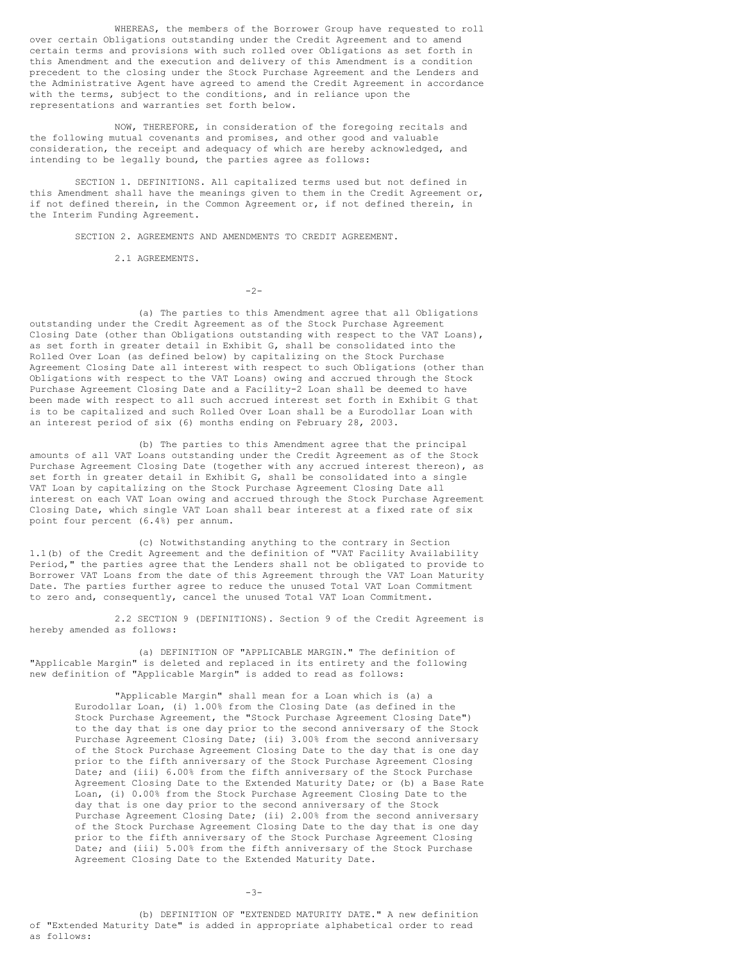WHEREAS, the members of the Borrower Group have requested to roll over certain Obligations outstanding under the Credit Agreement and to amend certain terms and provisions with such rolled over Obligations as set forth in this Amendment and the execution and delivery of this Amendment is a condition precedent to the closing under the Stock Purchase Agreement and the Lenders and the Administrative Agent have agreed to amend the Credit Agreement in accordance with the terms, subject to the conditions, and in reliance upon the representations and warranties set forth below.

NOW, THEREFORE, in consideration of the foregoing recitals and the following mutual covenants and promises, and other good and valuable consideration, the receipt and adequacy of which are hereby acknowledged, and intending to be legally bound, the parties agree as follows:

SECTION 1. DEFINITIONS. All capitalized terms used but not defined in this Amendment shall have the meanings given to them in the Credit Agreement or, if not defined therein, in the Common Agreement or, if not defined therein, in the Interim Funding Agreement.

SECTION 2. AGREEMENTS AND AMENDMENTS TO CREDIT AGREEMENT.

2.1 AGREEMENTS.

 $-2-$ 

(a) The parties to this Amendment agree that all Obligations outstanding under the Credit Agreement as of the Stock Purchase Agreement Closing Date (other than Obligations outstanding with respect to the VAT Loans), as set forth in greater detail in Exhibit G, shall be consolidated into the Rolled Over Loan (as defined below) by capitalizing on the Stock Purchase Agreement Closing Date all interest with respect to such Obligations (other than Obligations with respect to the VAT Loans) owing and accrued through the Stock Purchase Agreement Closing Date and a Facility-2 Loan shall be deemed to have been made with respect to all such accrued interest set forth in Exhibit G that is to be capitalized and such Rolled Over Loan shall be a Eurodollar Loan with an interest period of six (6) months ending on February 28, 2003.

(b) The parties to this Amendment agree that the principal amounts of all VAT Loans outstanding under the Credit Agreement as of the Stock Purchase Agreement Closing Date (together with any accrued interest thereon), as set forth in greater detail in Exhibit G, shall be consolidated into a single VAT Loan by capitalizing on the Stock Purchase Agreement Closing Date all interest on each VAT Loan owing and accrued through the Stock Purchase Agreement Closing Date, which single VAT Loan shall bear interest at a fixed rate of six point four percent (6.4%) per annum.

(c) Notwithstanding anything to the contrary in Section 1.1(b) of the Credit Agreement and the definition of "VAT Facility Availability Period," the parties agree that the Lenders shall not be obligated to provide to Borrower VAT Loans from the date of this Agreement through the VAT Loan Maturity Date. The parties further agree to reduce the unused Total VAT Loan Commitment to zero and, consequently, cancel the unused Total VAT Loan Commitment.

2.2 SECTION 9 (DEFINITIONS). Section 9 of the Credit Agreement is hereby amended as follows:

(a) DEFINITION OF "APPLICABLE MARGIN." The definition of "Applicable Margin" is deleted and replaced in its entirety and the following new definition of "Applicable Margin" is added to read as follows:

> "Applicable Margin" shall mean for a Loan which is (a) a Eurodollar Loan, (i) 1.00% from the Closing Date (as defined in the Stock Purchase Agreement, the "Stock Purchase Agreement Closing Date") to the day that is one day prior to the second anniversary of the Stock Purchase Agreement Closing Date; (ii) 3.00% from the second anniversary of the Stock Purchase Agreement Closing Date to the day that is one day prior to the fifth anniversary of the Stock Purchase Agreement Closing Date; and (iii) 6.00% from the fifth anniversary of the Stock Purchase Agreement Closing Date to the Extended Maturity Date; or (b) a Base Rate Loan, (i) 0.00% from the Stock Purchase Agreement Closing Date to the day that is one day prior to the second anniversary of the Stock Purchase Agreement Closing Date; (ii) 2.00% from the second anniversary of the Stock Purchase Agreement Closing Date to the day that is one day prior to the fifth anniversary of the Stock Purchase Agreement Closing Date; and (iii) 5.00% from the fifth anniversary of the Stock Purchase Agreement Closing Date to the Extended Maturity Date.

> > -3-

(b) DEFINITION OF "EXTENDED MATURITY DATE." A new definition of "Extended Maturity Date" is added in appropriate alphabetical order to read as follows: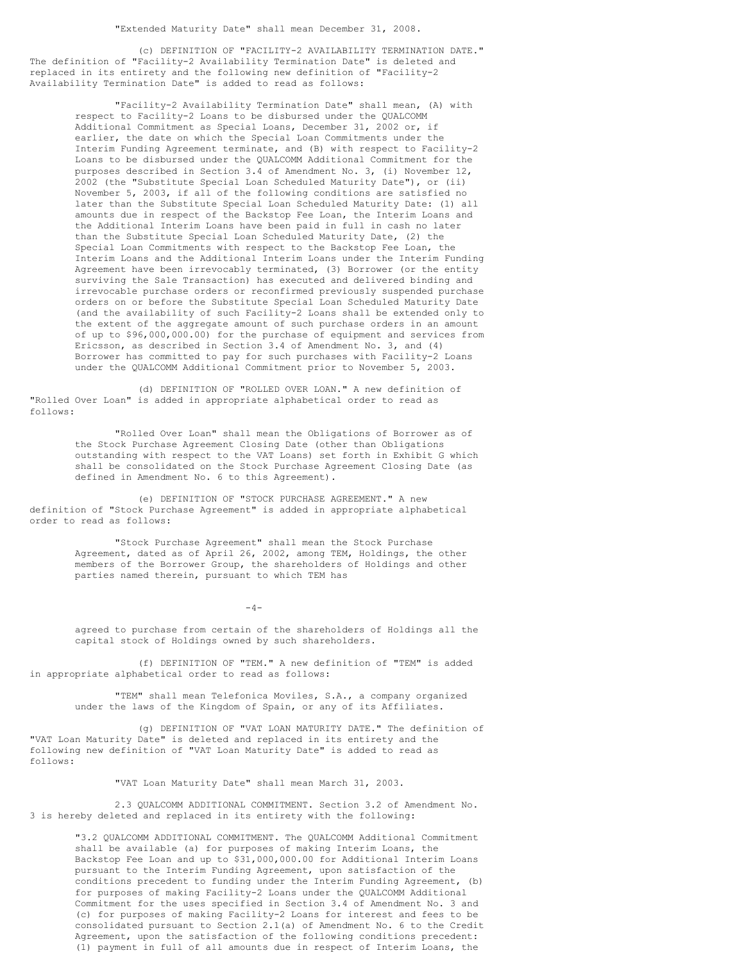(c) DEFINITION OF "FACILITY-2 AVAILABILITY TERMINATION DATE." The definition of "Facility-2 Availability Termination Date" is deleted and replaced in its entirety and the following new definition of "Facility-2 Availability Termination Date" is added to read as follows:

"Facility-2 Availability Termination Date" shall mean, (A) with respect to Facility-2 Loans to be disbursed under the QUALCOMM Additional Commitment as Special Loans, December 31, 2002 or, if earlier, the date on which the Special Loan Commitments under the Interim Funding Agreement terminate, and (B) with respect to Facility-2 Loans to be disbursed under the QUALCOMM Additional Commitment for the purposes described in Section 3.4 of Amendment No. 3, (i) November 12, 2002 (the "Substitute Special Loan Scheduled Maturity Date"), or (ii) November 5, 2003, if all of the following conditions are satisfied no later than the Substitute Special Loan Scheduled Maturity Date: (1) all amounts due in respect of the Backstop Fee Loan, the Interim Loans and the Additional Interim Loans have been paid in full in cash no later than the Substitute Special Loan Scheduled Maturity Date, (2) the Special Loan Commitments with respect to the Backstop Fee Loan, the Interim Loans and the Additional Interim Loans under the Interim Funding Agreement have been irrevocably terminated, (3) Borrower (or the entity surviving the Sale Transaction) has executed and delivered binding and irrevocable purchase orders or reconfirmed previously suspended purchase orders on or before the Substitute Special Loan Scheduled Maturity Date (and the availability of such Facility-2 Loans shall be extended only to the extent of the aggregate amount of such purchase orders in an amount of up to \$96,000,000.00) for the purchase of equipment and services from Ericsson, as described in Section 3.4 of Amendment No. 3, and (4) Borrower has committed to pay for such purchases with Facility-2 Loans under the QUALCOMM Additional Commitment prior to November 5, 2003.

(d) DEFINITION OF "ROLLED OVER LOAN." A new definition of "Rolled Over Loan" is added in appropriate alphabetical order to read as follows:

> "Rolled Over Loan" shall mean the Obligations of Borrower as of the Stock Purchase Agreement Closing Date (other than Obligations outstanding with respect to the VAT Loans) set forth in Exhibit G which shall be consolidated on the Stock Purchase Agreement Closing Date (as defined in Amendment No. 6 to this Agreement).

(e) DEFINITION OF "STOCK PURCHASE AGREEMENT." A new definition of "Stock Purchase Agreement" is added in appropriate alphabetical order to read as follows:

> "Stock Purchase Agreement" shall mean the Stock Purchase Agreement, dated as of April 26, 2002, among TEM, Holdings, the other members of the Borrower Group, the shareholders of Holdings and other parties named therein, pursuant to which TEM has

> > $-4-$

agreed to purchase from certain of the shareholders of Holdings all the capital stock of Holdings owned by such shareholders.

(f) DEFINITION OF "TEM." A new definition of "TEM" is added in appropriate alphabetical order to read as follows:

"TEM" shall mean Telefonica Moviles, S.A., a company organized under the laws of the Kingdom of Spain, or any of its Affiliates.

(g) DEFINITION OF "VAT LOAN MATURITY DATE." The definition of "VAT Loan Maturity Date" is deleted and replaced in its entirety and the following new definition of "VAT Loan Maturity Date" is added to read as follows:

"VAT Loan Maturity Date" shall mean March 31, 2003.

2.3 QUALCOMM ADDITIONAL COMMITMENT. Section 3.2 of Amendment No. 3 is hereby deleted and replaced in its entirety with the following:

"3.2 QUALCOMM ADDITIONAL COMMITMENT. The QUALCOMM Additional Commitment shall be available (a) for purposes of making Interim Loans, the Backstop Fee Loan and up to \$31,000,000.00 for Additional Interim Loans pursuant to the Interim Funding Agreement, upon satisfaction of the conditions precedent to funding under the Interim Funding Agreement, (b) for purposes of making Facility-2 Loans under the QUALCOMM Additional Commitment for the uses specified in Section 3.4 of Amendment No. 3 and (c) for purposes of making Facility-2 Loans for interest and fees to be consolidated pursuant to Section 2.1(a) of Amendment No. 6 to the Credit Agreement, upon the satisfaction of the following conditions precedent: (1) payment in full of all amounts due in respect of Interim Loans, the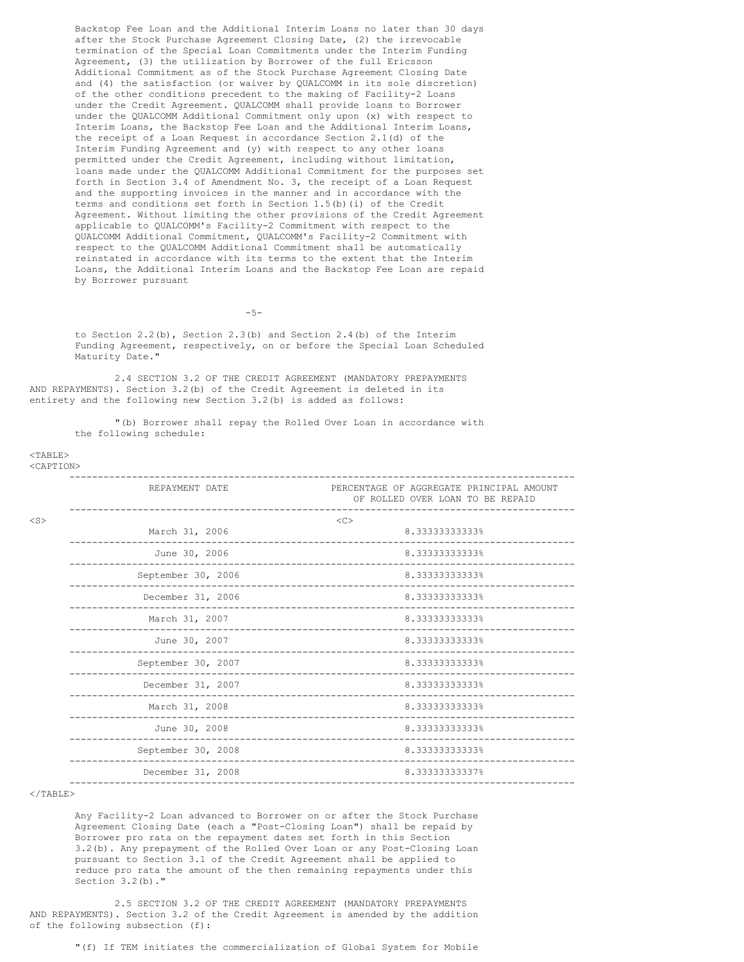Backstop Fee Loan and the Additional Interim Loans no later than 30 days after the Stock Purchase Agreement Closing Date, (2) the irrevocable termination of the Special Loan Commitments under the Interim Funding Agreement, (3) the utilization by Borrower of the full Ericsson Additional Commitment as of the Stock Purchase Agreement Closing Date and (4) the satisfaction (or waiver by QUALCOMM in its sole discretion) of the other conditions precedent to the making of Facility-2 Loans under the Credit Agreement. QUALCOMM shall provide loans to Borrower under the QUALCOMM Additional Commitment only upon (x) with respect to Interim Loans, the Backstop Fee Loan and the Additional Interim Loans, the receipt of a Loan Request in accordance Section 2.1(d) of the Interim Funding Agreement and (y) with respect to any other loans permitted under the Credit Agreement, including without limitation, loans made under the QUALCOMM Additional Commitment for the purposes set forth in Section 3.4 of Amendment No. 3, the receipt of a Loan Request and the supporting invoices in the manner and in accordance with the terms and conditions set forth in Section 1.5(b)(i) of the Credit Agreement. Without limiting the other provisions of the Credit Agreement applicable to QUALCOMM's Facility-2 Commitment with respect to the QUALCOMM Additional Commitment, QUALCOMM's Facility-2 Commitment with respect to the QUALCOMM Additional Commitment shall be automatically reinstated in accordance with its terms to the extent that the Interim Loans, the Additional Interim Loans and the Backstop Fee Loan are repaid by Borrower pursuant

 $-5-$ 

to Section 2.2(b), Section 2.3(b) and Section 2.4(b) of the Interim Funding Agreement, respectively, on or before the Special Loan Scheduled Maturity Date."

2.4 SECTION 3.2 OF THE CREDIT AGREEMENT (MANDATORY PREPAYMENTS AND REPAYMENTS). Section 3.2(b) of the Credit Agreement is deleted in its entirety and the following new Section 3.2(b) is added as follows:

> "(b) Borrower shall repay the Rolled Over Loan in accordance with the following schedule:

#### <TABLE>

# <CAPTION>

|           | REPAYMENT DATE                                        | PERCENTAGE OF AGGREGATE PRINCIPAL AMOUNT<br>OF ROLLED OVER LOAN TO BE REPAID |
|-----------|-------------------------------------------------------|------------------------------------------------------------------------------|
| $<$ S $>$ | March 31, 2006                                        | <<<br>8.33333333333%                                                         |
|           | June 30, 2006                                         | 8.33333333333%                                                               |
|           | September 30, 2006                                    | 8.33333333333%                                                               |
|           | December 31, 2006                                     | 8.333333333333                                                               |
|           | March 31, 2007                                        | 8.33333333333%                                                               |
|           | June 30, 2007                                         | 8.333333333338                                                               |
|           | September 30, 2007                                    | 8.33333333333%                                                               |
|           | December 31, 2007                                     | 8.333333333338                                                               |
|           | March 31, 2008<br>___________________________________ | 8.333333333333                                                               |
|           | June 30, 2008                                         | 8.33333333333%                                                               |
|           | September 30, 2008                                    | 8.333333333333                                                               |
|           | December 31, 2008                                     | 8.33333333337%                                                               |
|           |                                                       |                                                                              |

#### $\langle$ /TABLE>

Any Facility-2 Loan advanced to Borrower on or after the Stock Purchase Agreement Closing Date (each a "Post-Closing Loan") shall be repaid by Borrower pro rata on the repayment dates set forth in this Section 3.2(b). Any prepayment of the Rolled Over Loan or any Post-Closing Loan pursuant to Section 3.1 of the Credit Agreement shall be applied to reduce pro rata the amount of the then remaining repayments under this Section 3.2(b)."

2.5 SECTION 3.2 OF THE CREDIT AGREEMENT (MANDATORY PREPAYMENTS AND REPAYMENTS). Section 3.2 of the Credit Agreement is amended by the addition of the following subsection (f):

"(f) If TEM initiates the commercialization of Global System for Mobile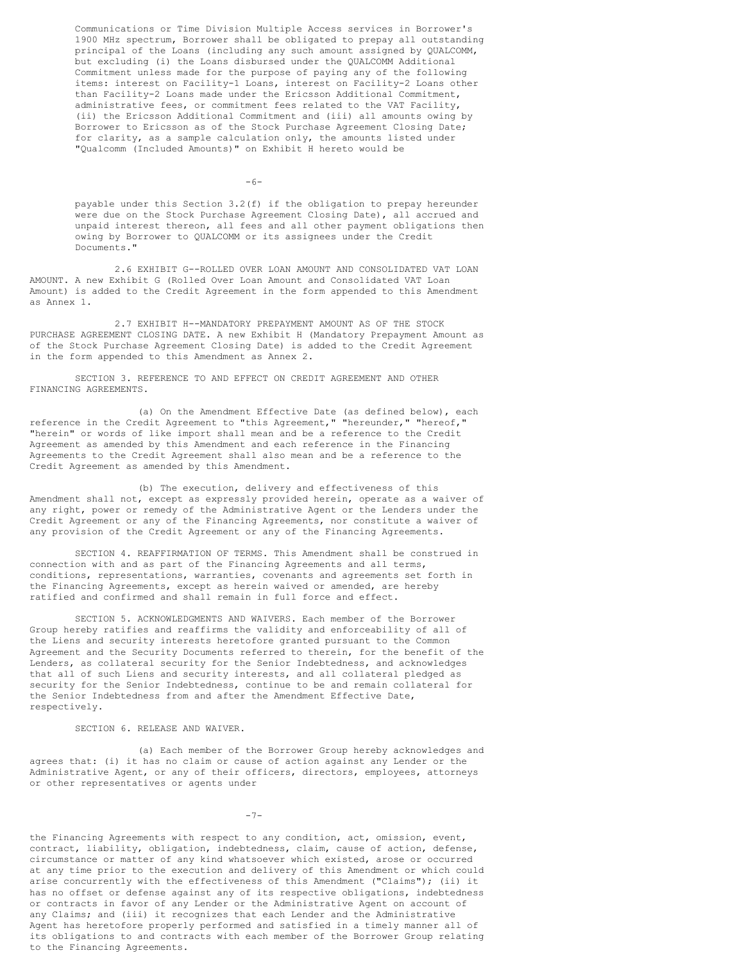Communications or Time Division Multiple Access services in Borrower's 1900 MHz spectrum, Borrower shall be obligated to prepay all outstanding principal of the Loans (including any such amount assigned by QUALCOMM, but excluding (i) the Loans disbursed under the QUALCOMM Additional Commitment unless made for the purpose of paying any of the following items: interest on Facility-1 Loans, interest on Facility-2 Loans other than Facility-2 Loans made under the Ericsson Additional Commitment, administrative fees, or commitment fees related to the VAT Facility, (ii) the Ericsson Additional Commitment and (iii) all amounts owing by Borrower to Ericsson as of the Stock Purchase Agreement Closing Date; for clarity, as a sample calculation only, the amounts listed under "Qualcomm (Included Amounts)" on Exhibit H hereto would be

 $-6-$ 

payable under this Section 3.2(f) if the obligation to prepay hereunder were due on the Stock Purchase Agreement Closing Date), all accrued and unpaid interest thereon, all fees and all other payment obligations then owing by Borrower to QUALCOMM or its assignees under the Credit Documents."

2.6 EXHIBIT G--ROLLED OVER LOAN AMOUNT AND CONSOLIDATED VAT LOAN AMOUNT. A new Exhibit G (Rolled Over Loan Amount and Consolidated VAT Loan Amount) is added to the Credit Agreement in the form appended to this Amendment as Annex 1.

2.7 EXHIBIT H--MANDATORY PREPAYMENT AMOUNT AS OF THE STOCK PURCHASE AGREEMENT CLOSING DATE. A new Exhibit H (Mandatory Prepayment Amount as of the Stock Purchase Agreement Closing Date) is added to the Credit Agreement in the form appended to this Amendment as Annex 2.

SECTION 3. REFERENCE TO AND EFFECT ON CREDIT AGREEMENT AND OTHER FINANCING AGREEMENTS.

(a) On the Amendment Effective Date (as defined below), each reference in the Credit Agreement to "this Agreement," "hereunder," "hereof," "herein" or words of like import shall mean and be a reference to the Credit Agreement as amended by this Amendment and each reference in the Financing Agreements to the Credit Agreement shall also mean and be a reference to the Credit Agreement as amended by this Amendment.

(b) The execution, delivery and effectiveness of this Amendment shall not, except as expressly provided herein, operate as a waiver of any right, power or remedy of the Administrative Agent or the Lenders under the Credit Agreement or any of the Financing Agreements, nor constitute a waiver of any provision of the Credit Agreement or any of the Financing Agreements.

SECTION 4. REAFFIRMATION OF TERMS. This Amendment shall be construed in connection with and as part of the Financing Agreements and all terms, conditions, representations, warranties, covenants and agreements set forth in the Financing Agreements, except as herein waived or amended, are hereby ratified and confirmed and shall remain in full force and effect.

SECTION 5. ACKNOWLEDGMENTS AND WAIVERS. Each member of the Borrower Group hereby ratifies and reaffirms the validity and enforceability of all of the Liens and security interests heretofore granted pursuant to the Common Agreement and the Security Documents referred to therein, for the benefit of the Lenders, as collateral security for the Senior Indebtedness, and acknowledges that all of such Liens and security interests, and all collateral pledged as security for the Senior Indebtedness, continue to be and remain collateral for the Senior Indebtedness from and after the Amendment Effective Date, respectively.

### SECTION 6. RELEASE AND WAIVER.

(a) Each member of the Borrower Group hereby acknowledges and agrees that: (i) it has no claim or cause of action against any Lender or the Administrative Agent, or any of their officers, directors, employees, attorneys or other representatives or agents under

 $-7-$ 

the Financing Agreements with respect to any condition, act, omission, event, contract, liability, obligation, indebtedness, claim, cause of action, defense, circumstance or matter of any kind whatsoever which existed, arose or occurred at any time prior to the execution and delivery of this Amendment or which could arise concurrently with the effectiveness of this Amendment ("Claims"); (ii) it has no offset or defense against any of its respective obligations, indebtedness or contracts in favor of any Lender or the Administrative Agent on account of any Claims; and (iii) it recognizes that each Lender and the Administrative Agent has heretofore properly performed and satisfied in a timely manner all of its obligations to and contracts with each member of the Borrower Group relating to the Financing Agreements.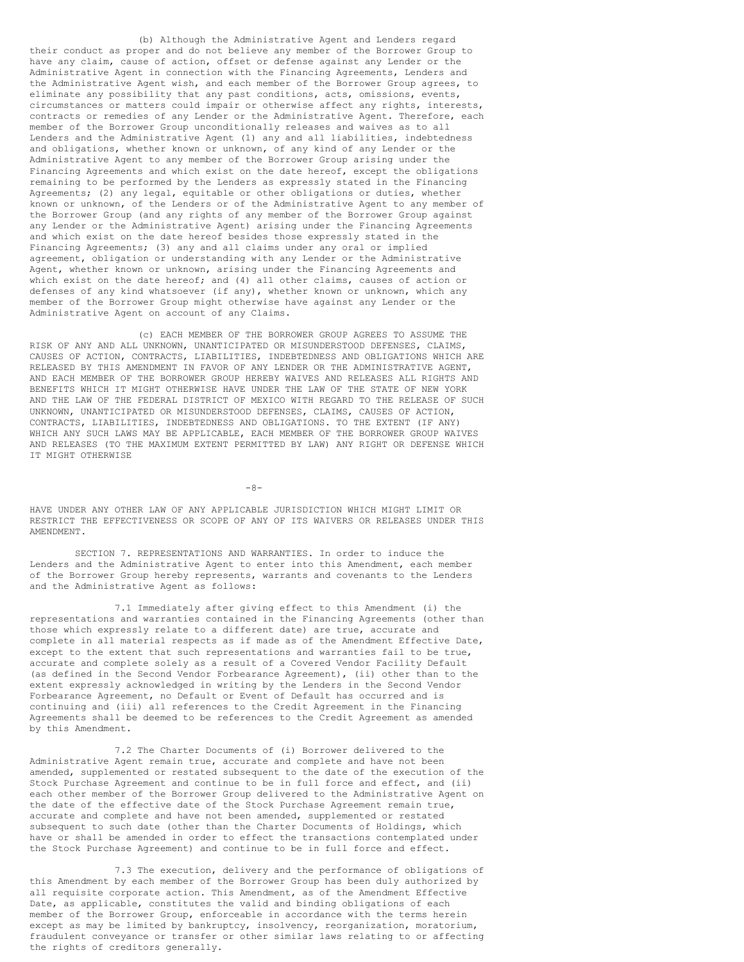(b) Although the Administrative Agent and Lenders regard their conduct as proper and do not believe any member of the Borrower Group to have any claim, cause of action, offset or defense against any Lender or the Administrative Agent in connection with the Financing Agreements, Lenders and the Administrative Agent wish, and each member of the Borrower Group agrees, to eliminate any possibility that any past conditions, acts, omissions, events, circumstances or matters could impair or otherwise affect any rights, interests, contracts or remedies of any Lender or the Administrative Agent. Therefore, each member of the Borrower Group unconditionally releases and waives as to all Lenders and the Administrative Agent (1) any and all liabilities, indebtedness and obligations, whether known or unknown, of any kind of any Lender or the Administrative Agent to any member of the Borrower Group arising under the Financing Agreements and which exist on the date hereof, except the obligations remaining to be performed by the Lenders as expressly stated in the Financing Agreements; (2) any legal, equitable or other obligations or duties, whether known or unknown, of the Lenders or of the Administrative Agent to any member of the Borrower Group (and any rights of any member of the Borrower Group against any Lender or the Administrative Agent) arising under the Financing Agreements and which exist on the date hereof besides those expressly stated in the Financing Agreements; (3) any and all claims under any oral or implied agreement, obligation or understanding with any Lender or the Administrative Agent, whether known or unknown, arising under the Financing Agreements and which exist on the date hereof; and  $(4)$  all other claims, causes of action or defenses of any kind whatsoever (if any), whether known or unknown, which any member of the Borrower Group might otherwise have against any Lender or the Administrative Agent on account of any Claims.

(c) EACH MEMBER OF THE BORROWER GROUP AGREES TO ASSUME THE RISK OF ANY AND ALL UNKNOWN, UNANTICIPATED OR MISUNDERSTOOD DEFENSES, CLAIMS, CAUSES OF ACTION, CONTRACTS, LIABILITIES, INDEBTEDNESS AND OBLIGATIONS WHICH ARE RELEASED BY THIS AMENDMENT IN FAVOR OF ANY LENDER OR THE ADMINISTRATIVE AGENT, AND EACH MEMBER OF THE BORROWER GROUP HEREBY WAIVES AND RELEASES ALL RIGHTS AND BENEFITS WHICH IT MIGHT OTHERWISE HAVE UNDER THE LAW OF THE STATE OF NEW YORK AND THE LAW OF THE FEDERAL DISTRICT OF MEXICO WITH REGARD TO THE RELEASE OF SUCH UNKNOWN, UNANTICIPATED OR MISUNDERSTOOD DEFENSES, CLAIMS, CAUSES OF ACTION, CONTRACTS, LIABILITIES, INDEBTEDNESS AND OBLIGATIONS. TO THE EXTENT (IF ANY) WHICH ANY SUCH LAWS MAY BE APPLICABLE, EACH MEMBER OF THE BORROWER GROUP WAIVES AND RELEASES (TO THE MAXIMUM EXTENT PERMITTED BY LAW) ANY RIGHT OR DEFENSE WHICH IT MIGHT OTHERWISE

 $-8-$ 

HAVE UNDER ANY OTHER LAW OF ANY APPLICABLE JURISDICTION WHICH MIGHT LIMIT OR RESTRICT THE EFFECTIVENESS OR SCOPE OF ANY OF ITS WAIVERS OR RELEASES UNDER THIS AMENDMENT.

SECTION 7. REPRESENTATIONS AND WARRANTIES. In order to induce the Lenders and the Administrative Agent to enter into this Amendment, each member of the Borrower Group hereby represents, warrants and covenants to the Lenders and the Administrative Agent as follows:

7.1 Immediately after giving effect to this Amendment (i) the representations and warranties contained in the Financing Agreements (other than those which expressly relate to a different date) are true, accurate and complete in all material respects as if made as of the Amendment Effective Date, except to the extent that such representations and warranties fail to be true, accurate and complete solely as a result of a Covered Vendor Facility Default (as defined in the Second Vendor Forbearance Agreement), (ii) other than to the extent expressly acknowledged in writing by the Lenders in the Second Vendor Forbearance Agreement, no Default or Event of Default has occurred and is continuing and (iii) all references to the Credit Agreement in the Financing Agreements shall be deemed to be references to the Credit Agreement as amended by this Amendment.

7.2 The Charter Documents of (i) Borrower delivered to the Administrative Agent remain true, accurate and complete and have not been amended, supplemented or restated subsequent to the date of the execution of the Stock Purchase Agreement and continue to be in full force and effect, and (ii) each other member of the Borrower Group delivered to the Administrative Agent on the date of the effective date of the Stock Purchase Agreement remain true, accurate and complete and have not been amended, supplemented or restated subsequent to such date (other than the Charter Documents of Holdings, which have or shall be amended in order to effect the transactions contemplated under the Stock Purchase Agreement) and continue to be in full force and effect.

7.3 The execution, delivery and the performance of obligations of this Amendment by each member of the Borrower Group has been duly authorized by all requisite corporate action. This Amendment, as of the Amendment Effective Date, as applicable, constitutes the valid and binding obligations of each member of the Borrower Group, enforceable in accordance with the terms herein except as may be limited by bankruptcy, insolvency, reorganization, moratorium, fraudulent conveyance or transfer or other similar laws relating to or affecting the rights of creditors generally.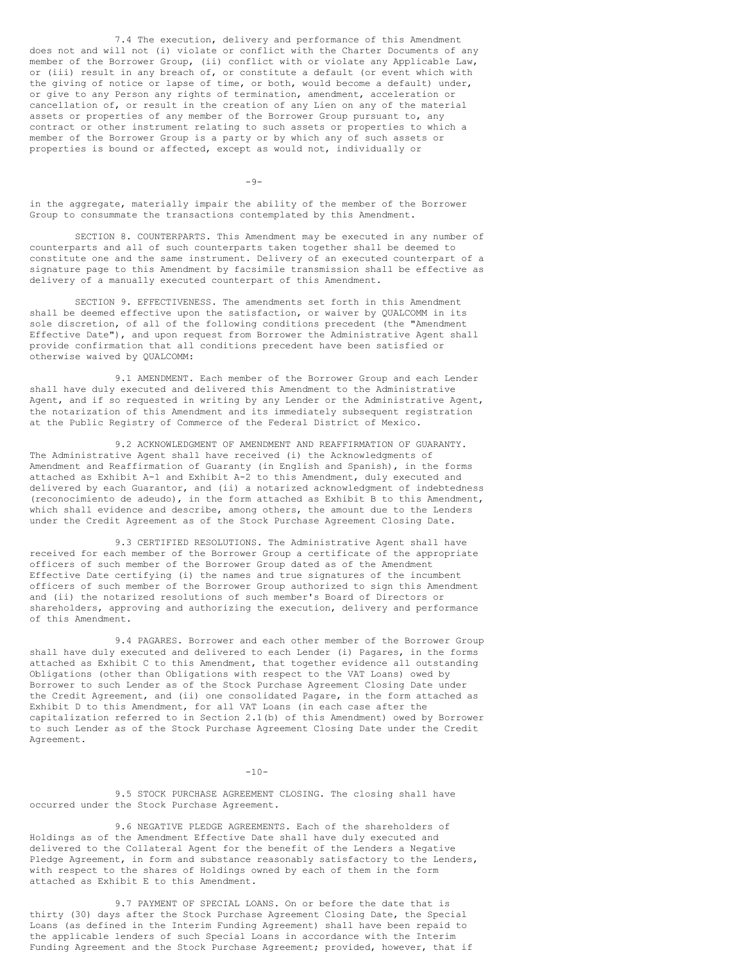7.4 The execution, delivery and performance of this Amendment does not and will not (i) violate or conflict with the Charter Documents of any member of the Borrower Group, (ii) conflict with or violate any Applicable Law, or (iii) result in any breach of, or constitute a default (or event which with the giving of notice or lapse of time, or both, would become a default) under, or give to any Person any rights of termination, amendment, acceleration or cancellation of, or result in the creation of any Lien on any of the material assets or properties of any member of the Borrower Group pursuant to, any contract or other instrument relating to such assets or properties to which a member of the Borrower Group is a party or by which any of such assets or properties is bound or affected, except as would not, individually or

 $-9-$ 

in the aggregate, materially impair the ability of the member of the Borrower Group to consummate the transactions contemplated by this Amendment.

SECTION 8. COUNTERPARTS. This Amendment may be executed in any number of counterparts and all of such counterparts taken together shall be deemed to constitute one and the same instrument. Delivery of an executed counterpart of a signature page to this Amendment by facsimile transmission shall be effective as delivery of a manually executed counterpart of this Amendment.

SECTION 9. EFFECTIVENESS. The amendments set forth in this Amendment shall be deemed effective upon the satisfaction, or waiver by QUALCOMM in its sole discretion, of all of the following conditions precedent (the "Amendment Effective Date"), and upon request from Borrower the Administrative Agent shall provide confirmation that all conditions precedent have been satisfied or otherwise waived by QUALCOMM:

9.1 AMENDMENT. Each member of the Borrower Group and each Lender shall have duly executed and delivered this Amendment to the Administrative Agent, and if so requested in writing by any Lender or the Administrative Agent, the notarization of this Amendment and its immediately subsequent registration at the Public Registry of Commerce of the Federal District of Mexico.

9.2 ACKNOWLEDGMENT OF AMENDMENT AND REAFFIRMATION OF GUARANTY. The Administrative Agent shall have received (i) the Acknowledgments of Amendment and Reaffirmation of Guaranty (in English and Spanish), in the forms attached as Exhibit A-1 and Exhibit A-2 to this Amendment, duly executed and delivered by each Guarantor, and (ii) a notarized acknowledgment of indebtedness (reconocimiento de adeudo), in the form attached as Exhibit B to this Amendment, which shall evidence and describe, among others, the amount due to the Lenders under the Credit Agreement as of the Stock Purchase Agreement Closing Date.

9.3 CERTIFIED RESOLUTIONS. The Administrative Agent shall have received for each member of the Borrower Group a certificate of the appropriate officers of such member of the Borrower Group dated as of the Amendment Effective Date certifying (i) the names and true signatures of the incumbent officers of such member of the Borrower Group authorized to sign this Amendment and (ii) the notarized resolutions of such member's Board of Directors or shareholders, approving and authorizing the execution, delivery and performance of this Amendment.

9.4 PAGARES. Borrower and each other member of the Borrower Group shall have duly executed and delivered to each Lender (i) Pagares, in the forms attached as Exhibit C to this Amendment, that together evidence all outstanding Obligations (other than Obligations with respect to the VAT Loans) owed by Borrower to such Lender as of the Stock Purchase Agreement Closing Date under the Credit Agreement, and (ii) one consolidated Pagare, in the form attached as Exhibit D to this Amendment, for all VAT Loans (in each case after the capitalization referred to in Section 2.1(b) of this Amendment) owed by Borrower to such Lender as of the Stock Purchase Agreement Closing Date under the Credit Agreement.

 $-10-$ 

9.5 STOCK PURCHASE AGREEMENT CLOSING. The closing shall have occurred under the Stock Purchase Agreement.

9.6 NEGATIVE PLEDGE AGREEMENTS. Each of the shareholders of Holdings as of the Amendment Effective Date shall have duly executed and delivered to the Collateral Agent for the benefit of the Lenders a Negative Pledge Agreement, in form and substance reasonably satisfactory to the Lenders, with respect to the shares of Holdings owned by each of them in the form attached as Exhibit E to this Amendment.

9.7 PAYMENT OF SPECIAL LOANS. On or before the date that is thirty (30) days after the Stock Purchase Agreement Closing Date, the Special Loans (as defined in the Interim Funding Agreement) shall have been repaid to the applicable lenders of such Special Loans in accordance with the Interim Funding Agreement and the Stock Purchase Agreement; provided, however, that if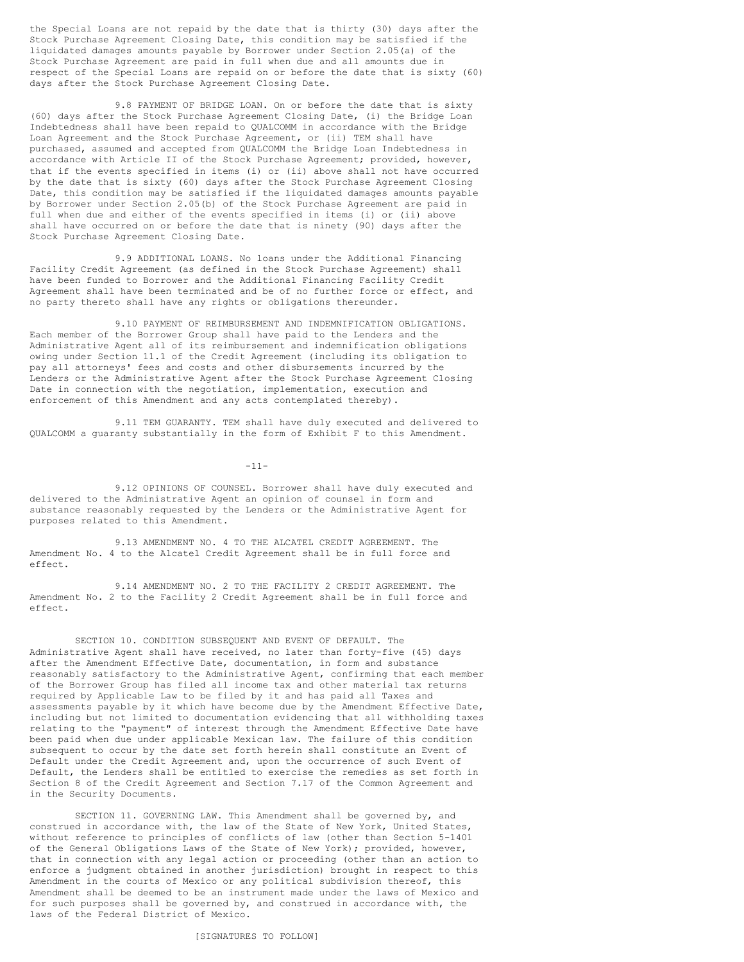the Special Loans are not repaid by the date that is thirty (30) days after the Stock Purchase Agreement Closing Date, this condition may be satisfied if the liquidated damages amounts payable by Borrower under Section 2.05(a) of the Stock Purchase Agreement are paid in full when due and all amounts due in respect of the Special Loans are repaid on or before the date that is sixty (60) days after the Stock Purchase Agreement Closing Date.

9.8 PAYMENT OF BRIDGE LOAN. On or before the date that is sixty (60) days after the Stock Purchase Agreement Closing Date, (i) the Bridge Loan Indebtedness shall have been repaid to QUALCOMM in accordance with the Bridge Loan Agreement and the Stock Purchase Agreement, or (ii) TEM shall have purchased, assumed and accepted from QUALCOMM the Bridge Loan Indebtedness in accordance with Article II of the Stock Purchase Agreement; provided, however, that if the events specified in items (i) or (ii) above shall not have occurred by the date that is sixty (60) days after the Stock Purchase Agreement Closing Date, this condition may be satisfied if the liquidated damages amounts payable by Borrower under Section 2.05(b) of the Stock Purchase Agreement are paid in full when due and either of the events specified in items (i) or (ii) above shall have occurred on or before the date that is ninety (90) days after the Stock Purchase Agreement Closing Date.

9.9 ADDITIONAL LOANS. No loans under the Additional Financing Facility Credit Agreement (as defined in the Stock Purchase Agreement) shall have been funded to Borrower and the Additional Financing Facility Credit Agreement shall have been terminated and be of no further force or effect, and no party thereto shall have any rights or obligations thereunder.

9.10 PAYMENT OF REIMBURSEMENT AND INDEMNIFICATION OBLIGATIONS. Each member of the Borrower Group shall have paid to the Lenders and the Administrative Agent all of its reimbursement and indemnification obligations owing under Section 11.1 of the Credit Agreement (including its obligation to pay all attorneys' fees and costs and other disbursements incurred by the Lenders or the Administrative Agent after the Stock Purchase Agreement Closing Date in connection with the negotiation, implementation, execution and enforcement of this Amendment and any acts contemplated thereby).

9.11 TEM GUARANTY. TEM shall have duly executed and delivered to QUALCOMM a guaranty substantially in the form of Exhibit F to this Amendment.

-11-

9.12 OPINIONS OF COUNSEL. Borrower shall have duly executed and delivered to the Administrative Agent an opinion of counsel in form and substance reasonably requested by the Lenders or the Administrative Agent for purposes related to this Amendment.

9.13 AMENDMENT NO. 4 TO THE ALCATEL CREDIT AGREEMENT. The Amendment No. 4 to the Alcatel Credit Agreement shall be in full force and effect.

9.14 AMENDMENT NO. 2 TO THE FACILITY 2 CREDIT AGREEMENT. The Amendment No. 2 to the Facility 2 Credit Agreement shall be in full force and effect.

SECTION 10. CONDITION SUBSEQUENT AND EVENT OF DEFAULT. The Administrative Agent shall have received, no later than forty-five (45) days after the Amendment Effective Date, documentation, in form and substance reasonably satisfactory to the Administrative Agent, confirming that each member of the Borrower Group has filed all income tax and other material tax returns required by Applicable Law to be filed by it and has paid all Taxes and assessments payable by it which have become due by the Amendment Effective Date, including but not limited to documentation evidencing that all withholding taxes relating to the "payment" of interest through the Amendment Effective Date have been paid when due under applicable Mexican law. The failure of this condition subsequent to occur by the date set forth herein shall constitute an Event of Default under the Credit Agreement and, upon the occurrence of such Event of Default, the Lenders shall be entitled to exercise the remedies as set forth in Section 8 of the Credit Agreement and Section 7.17 of the Common Agreement and in the Security Documents.

SECTION 11. GOVERNING LAW. This Amendment shall be governed by, and construed in accordance with, the law of the State of New York, United States, without reference to principles of conflicts of law (other than Section 5-1401 of the General Obligations Laws of the State of New York); provided, however, that in connection with any legal action or proceeding (other than an action to enforce a judgment obtained in another jurisdiction) brought in respect to this Amendment in the courts of Mexico or any political subdivision thereof, this Amendment shall be deemed to be an instrument made under the laws of Mexico and for such purposes shall be governed by, and construed in accordance with, the laws of the Federal District of Mexico.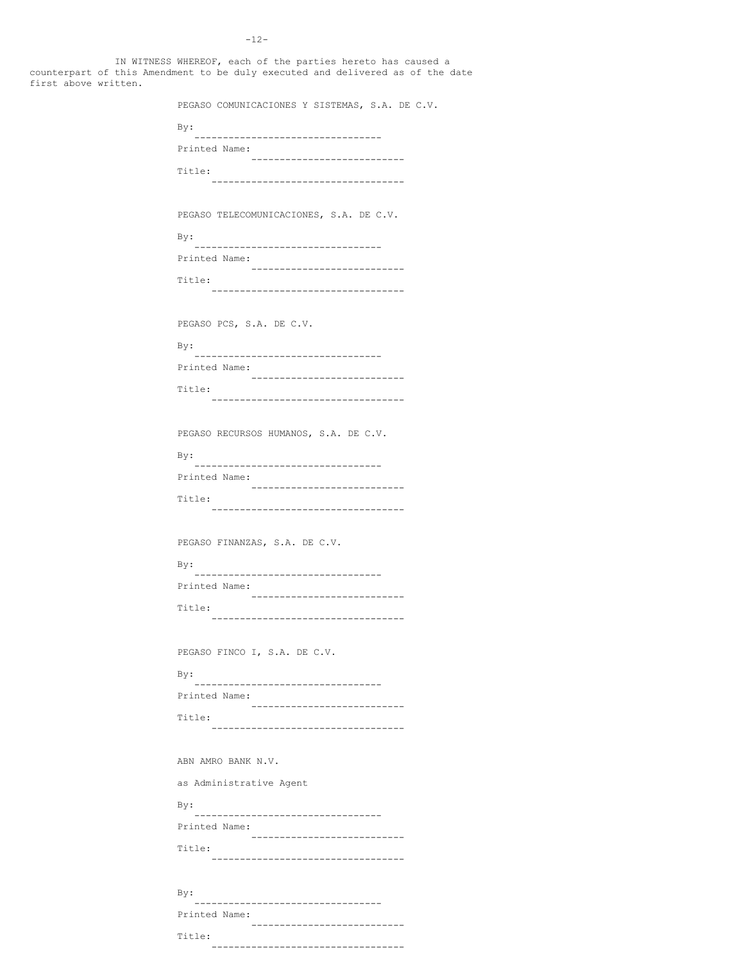# -12-

IN WITNESS WHEREOF, each of the parties hereto has caused a counterpart of this Amendment to be duly executed and delivered as of the date first above written.

| PEGASO COMUNICACIONES Y SISTEMAS, S.A. DE C.V. |  |  |  |  |  |  |
|------------------------------------------------|--|--|--|--|--|--|
| By:<br>---------------------------------       |  |  |  |  |  |  |
| Printed Name:                                  |  |  |  |  |  |  |
| Title:                                         |  |  |  |  |  |  |
| -----------------------------------            |  |  |  |  |  |  |
| PEGASO TELECOMUNICACIONES, S.A. DE C.V.        |  |  |  |  |  |  |
| By:<br>_______________________________         |  |  |  |  |  |  |
| Printed Name:<br>----------------------------  |  |  |  |  |  |  |
| Title:                                         |  |  |  |  |  |  |
|                                                |  |  |  |  |  |  |
| PEGASO PCS, S.A. DE C.V.                       |  |  |  |  |  |  |
| By:                                            |  |  |  |  |  |  |
| Printed Name:<br>----------------------------  |  |  |  |  |  |  |
| Title:<br>-----------------------------------  |  |  |  |  |  |  |
|                                                |  |  |  |  |  |  |
| PEGASO RECURSOS HUMANOS, S.A. DE C.V.          |  |  |  |  |  |  |
| By:<br>------------------------------          |  |  |  |  |  |  |
| Printed Name:                                  |  |  |  |  |  |  |
| Title:                                         |  |  |  |  |  |  |
|                                                |  |  |  |  |  |  |
| PEGASO FINANZAS, S.A. DE C.V.                  |  |  |  |  |  |  |
| By:                                            |  |  |  |  |  |  |
| Printed Name:<br>---------------------------   |  |  |  |  |  |  |
| Title:<br>-----------------------------------  |  |  |  |  |  |  |
|                                                |  |  |  |  |  |  |
| PEGASO FINCO I, S.A. DE C.V.                   |  |  |  |  |  |  |
| By:                                            |  |  |  |  |  |  |
| Printed Name:<br>-------------------------     |  |  |  |  |  |  |
| Title:<br>-----------------------------------  |  |  |  |  |  |  |
|                                                |  |  |  |  |  |  |
| ABN AMRO BANK N.V.                             |  |  |  |  |  |  |
| as Administrative Agent                        |  |  |  |  |  |  |
| By:                                            |  |  |  |  |  |  |
| Printed Name:                                  |  |  |  |  |  |  |
| Title:                                         |  |  |  |  |  |  |
|                                                |  |  |  |  |  |  |
| By:                                            |  |  |  |  |  |  |

--------------------------------- Printed Name: ---------------------------

```
Title:
----------------------------------
```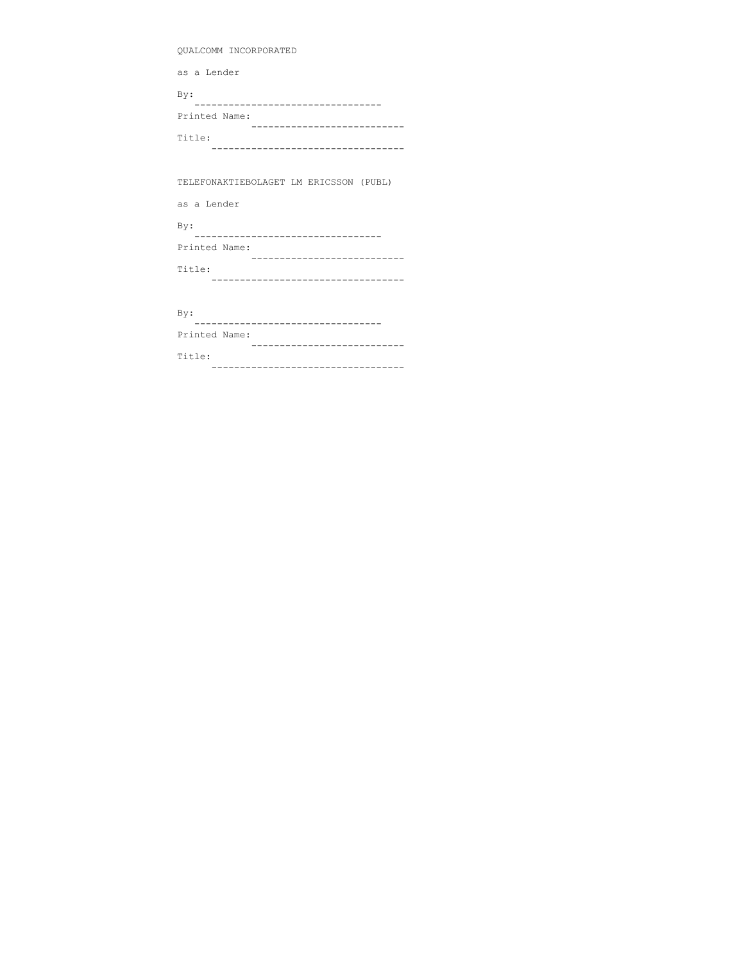QUALCOMM INCORPORATED as a Lender By: Printed Name: \_\_\_\_\_\_\_\_\_\_\_\_\_\_\_\_\_\_\_\_\_\_\_\_\_\_\_\_\_ Title: TELEFONAKTIEBOLAGET LM ERICSSON (PUBL) as a Lender By: 

Printed Name: Title: 

By:

----------------------------------Printed Name: ----------------------------Title:

----------------------------------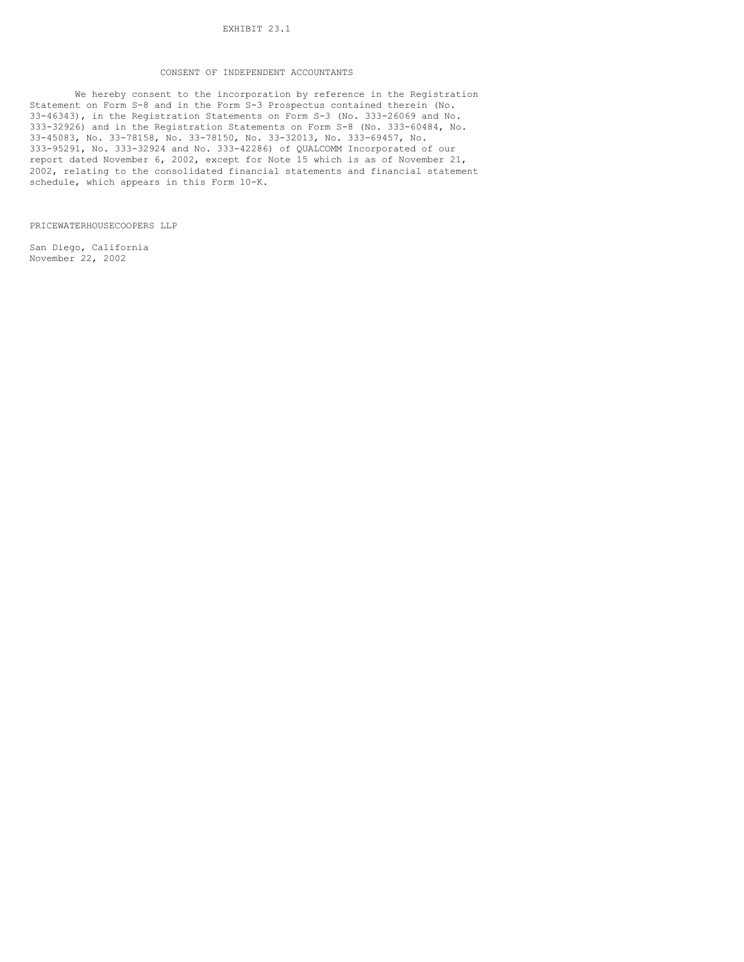# CONSENT OF INDEPENDENT ACCOUNTANTS

We hereby consent to the incorporation by reference in the Registration Statement on Form S-8 and in the Form S-3 Prospectus contained therein (No. 33-46343), in the Registration Statements on Form S-3 (No. 333-26069 and No. 333-32926) and in the Registration Statements on Form S-8 (No. 333-60484, No. 33-45083, No. 33-78158, No. 33-78150, No. 33-32013, No. 333-69457, No. 333-95291, No. 333-32924 and No. 333-42286) of QUALCOMM Incorporated of our report dated November 6, 2002, except for Note 15 which is as of November 21, 2002, relating to the consolidated financial statements and financial statement schedule, which appears in this Form 10-K.

PRICEWATERHOUSECOOPERS LLP

San Diego, California November 22, 2002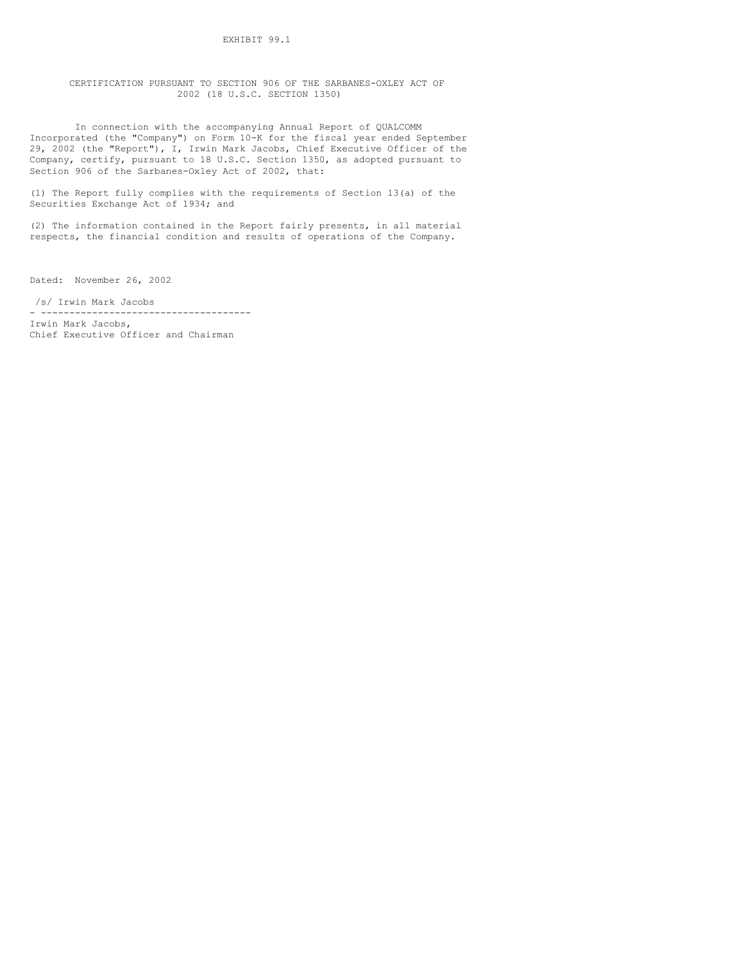CERTIFICATION PURSUANT TO SECTION 906 OF THE SARBANES-OXLEY ACT OF 2002 (18 U.S.C. SECTION 1350)

In connection with the accompanying Annual Report of QUALCOMM Incorporated (the "Company") on Form 10-K for the fiscal year ended September 29, 2002 (the "Report"), I, Irwin Mark Jacobs, Chief Executive Officer of the Company, certify, pursuant to 18 U.S.C. Section 1350, as adopted pursuant to Section 906 of the Sarbanes-Oxley Act of 2002, that:

(1) The Report fully complies with the requirements of Section 13(a) of the Securities Exchange Act of 1934; and

(2) The information contained in the Report fairly presents, in all material respects, the financial condition and results of operations of the Company.

Dated: November 26, 2002

/s/ Irwin Mark Jacobs - ------------------------------------- Irwin Mark Jacobs, Chief Executive Officer and Chairman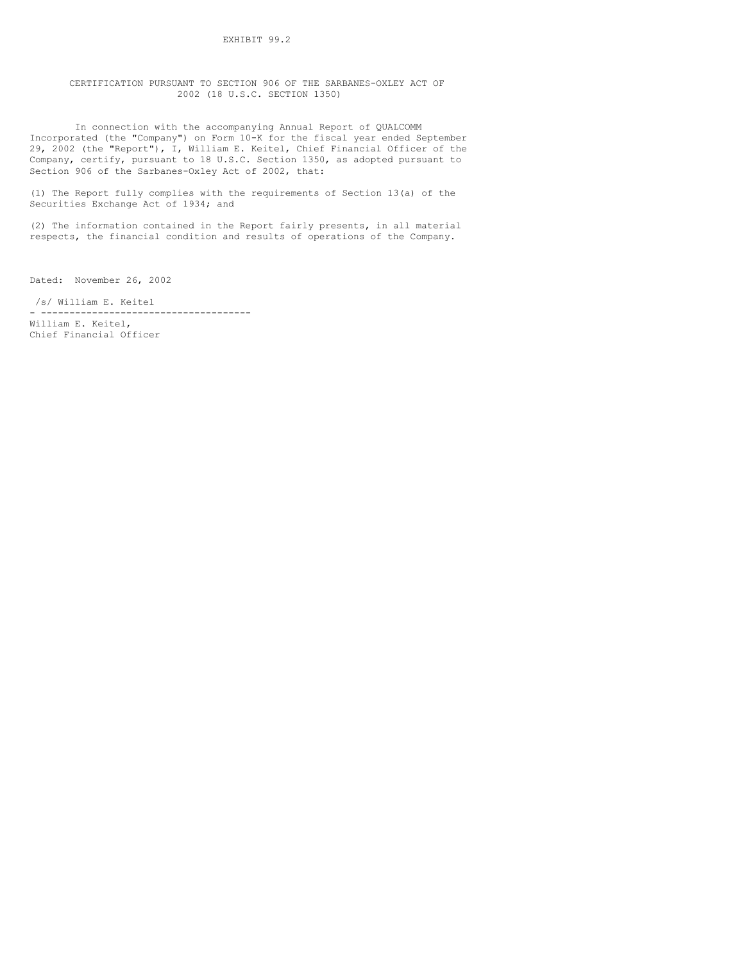CERTIFICATION PURSUANT TO SECTION 906 OF THE SARBANES-OXLEY ACT OF 2002 (18 U.S.C. SECTION 1350)

In connection with the accompanying Annual Report of QUALCOMM Incorporated (the "Company") on Form 10-K for the fiscal year ended September 29, 2002 (the "Report"), I, William E. Keitel, Chief Financial Officer of the Company, certify, pursuant to 18 U.S.C. Section 1350, as adopted pursuant to Section 906 of the Sarbanes-Oxley Act of 2002, that:

(1) The Report fully complies with the requirements of Section 13(a) of the Securities Exchange Act of 1934; and

(2) The information contained in the Report fairly presents, in all material respects, the financial condition and results of operations of the Company.

Dated: November 26, 2002

/s/ William E. Keitel - ------------------------------------- William E. Keitel, Chief Financial Officer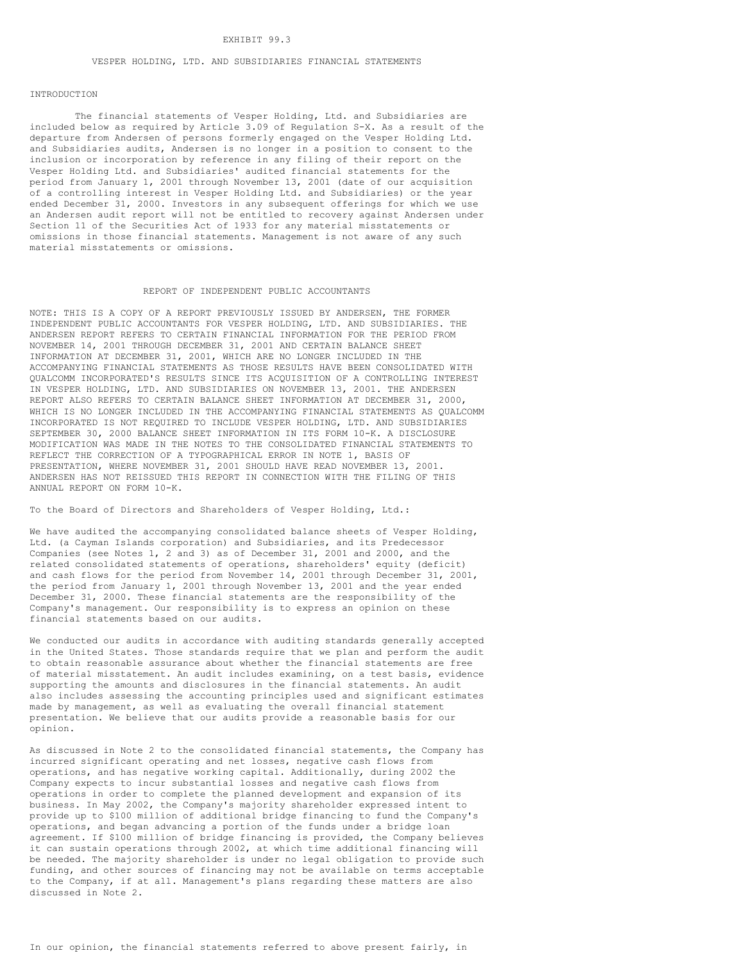### EXHIBIT 99.3

## VESPER HOLDING, LTD. AND SUBSIDIARIES FINANCIAL STATEMENTS

#### INTRODUCTION

The financial statements of Vesper Holding, Ltd. and Subsidiaries are included below as required by Article 3.09 of Regulation S-X. As a result of the departure from Andersen of persons formerly engaged on the Vesper Holding Ltd. and Subsidiaries audits, Andersen is no longer in a position to consent to the inclusion or incorporation by reference in any filing of their report on the Vesper Holding Ltd. and Subsidiaries' audited financial statements for the period from January 1, 2001 through November 13, 2001 (date of our acquisition of a controlling interest in Vesper Holding Ltd. and Subsidiaries) or the year ended December 31, 2000. Investors in any subsequent offerings for which we use an Andersen audit report will not be entitled to recovery against Andersen under Section 11 of the Securities Act of 1933 for any material misstatements or omissions in those financial statements. Management is not aware of any such material misstatements or omissions.

#### REPORT OF INDEPENDENT PUBLIC ACCOUNTANTS

NOTE: THIS IS A COPY OF A REPORT PREVIOUSLY ISSUED BY ANDERSEN, THE FORMER INDEPENDENT PUBLIC ACCOUNTANTS FOR VESPER HOLDING, LTD. AND SUBSIDIARIES. THE ANDERSEN REPORT REFERS TO CERTAIN FINANCIAL INFORMATION FOR THE PERIOD FROM NOVEMBER 14, 2001 THROUGH DECEMBER 31, 2001 AND CERTAIN BALANCE SHEET INFORMATION AT DECEMBER 31, 2001, WHICH ARE NO LONGER INCLUDED IN THE ACCOMPANYING FINANCIAL STATEMENTS AS THOSE RESULTS HAVE BEEN CONSOLIDATED WITH QUALCOMM INCORPORATED'S RESULTS SINCE ITS ACQUISITION OF A CONTROLLING INTEREST IN VESPER HOLDING, LTD. AND SUBSIDIARIES ON NOVEMBER 13, 2001. THE ANDERSEN REPORT ALSO REFERS TO CERTAIN BALANCE SHEET INFORMATION AT DECEMBER 31, 2000, WHICH IS NO LONGER INCLUDED IN THE ACCOMPANYING FINANCIAL STATEMENTS AS QUALCOMM INCORPORATED IS NOT REQUIRED TO INCLUDE VESPER HOLDING, LTD. AND SUBSIDIARIES SEPTEMBER 30, 2000 BALANCE SHEET INFORMATION IN ITS FORM 10-K. A DISCLOSURE MODIFICATION WAS MADE IN THE NOTES TO THE CONSOLIDATED FINANCIAL STATEMENTS TO REFLECT THE CORRECTION OF A TYPOGRAPHICAL ERROR IN NOTE 1, BASIS OF PRESENTATION, WHERE NOVEMBER 31, 2001 SHOULD HAVE READ NOVEMBER 13, 2001. ANDERSEN HAS NOT REISSUED THIS REPORT IN CONNECTION WITH THE FILING OF THIS ANNUAL REPORT ON FORM 10-K.

To the Board of Directors and Shareholders of Vesper Holding, Ltd.:

We have audited the accompanying consolidated balance sheets of Vesper Holding, Ltd. (a Cayman Islands corporation) and Subsidiaries, and its Predecessor Companies (see Notes 1, 2 and 3) as of December 31, 2001 and 2000, and the related consolidated statements of operations, shareholders' equity (deficit) and cash flows for the period from November 14, 2001 through December 31, 2001, the period from January 1, 2001 through November 13, 2001 and the year ended December 31, 2000. These financial statements are the responsibility of the Company's management. Our responsibility is to express an opinion on these financial statements based on our audits.

We conducted our audits in accordance with auditing standards generally accepted in the United States. Those standards require that we plan and perform the audit to obtain reasonable assurance about whether the financial statements are free of material misstatement. An audit includes examining, on a test basis, evidence supporting the amounts and disclosures in the financial statements. An audit also includes assessing the accounting principles used and significant estimates made by management, as well as evaluating the overall financial statement presentation. We believe that our audits provide a reasonable basis for our opinion.

As discussed in Note 2 to the consolidated financial statements, the Company has incurred significant operating and net losses, negative cash flows from operations, and has negative working capital. Additionally, during 2002 the Company expects to incur substantial losses and negative cash flows from operations in order to complete the planned development and expansion of its business. In May 2002, the Company's majority shareholder expressed intent to provide up to \$100 million of additional bridge financing to fund the Company's operations, and began advancing a portion of the funds under a bridge loan agreement. If \$100 million of bridge financing is provided, the Company believes it can sustain operations through 2002, at which time additional financing will be needed. The majority shareholder is under no legal obligation to provide such funding, and other sources of financing may not be available on terms acceptable to the Company, if at all. Management's plans regarding these matters are also discussed in Note 2.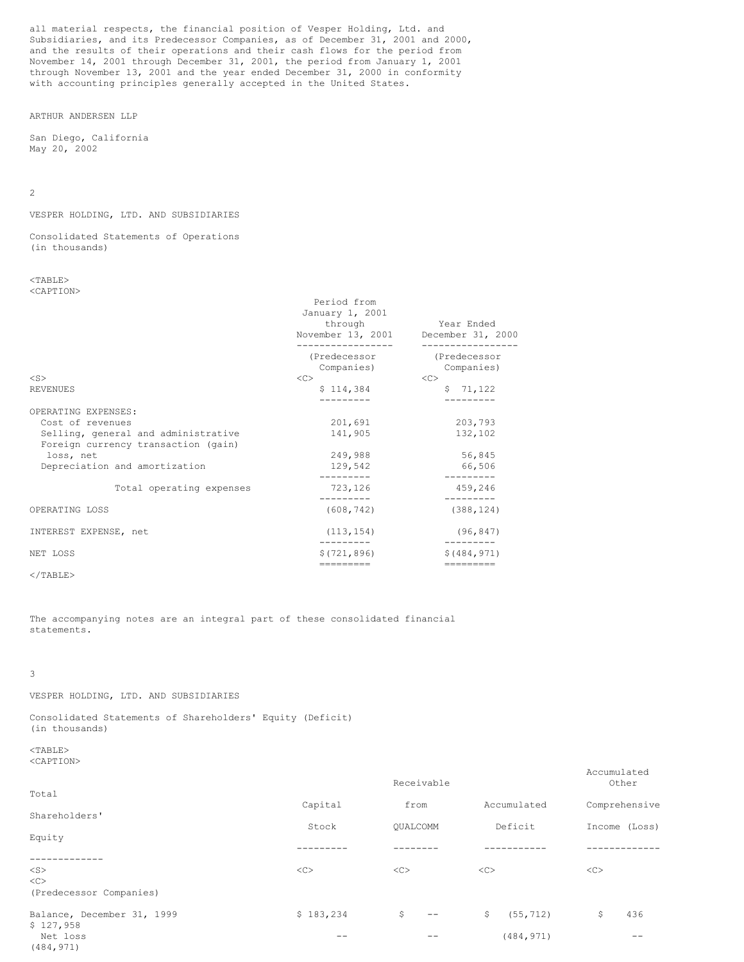all material respects, the financial position of Vesper Holding, Ltd. and Subsidiaries, and its Predecessor Companies, as of December 31, 2001 and 2000, and the results of their operations and their cash flows for the period from November 14, 2001 through December 31, 2001, the period from January 1, 2001 through November 13, 2001 and the year ended December 31, 2000 in conformity with accounting principles generally accepted in the United States.

ARTHUR ANDERSEN LLP

San Diego, California May 20, 2002

2

## VESPER HOLDING, LTD. AND SUBSIDIARIES

Consolidated Statements of Operations (in thousands)

## <TABLE> <CAPTION>

| Period from<br>January 1, 2001<br>through<br>November 13, 2001 | Year Ended<br>December 31, 2000                   |
|----------------------------------------------------------------|---------------------------------------------------|
| (Predecessor<br>Companies)                                     | (Predecessor<br>Companies)<br><<                  |
| \$114,384                                                      | \$71,122                                          |
| 201,691<br>141,905<br>249,988<br>129,542<br>723,126            | 203,793<br>132,102<br>56,845<br>66,506<br>459,246 |
| (608, 742)                                                     | (388, 124)                                        |
| (113, 154)                                                     | (96, 847)                                         |
| \$(721, 896)<br>=========                                      | \$ (484, 971)<br>=========                        |
|                                                                | $<$ C>                                            |

 $<$ /TABLE>

The accompanying notes are an integral part of these consolidated financial statements.

# 3

# VESPER HOLDING, LTD. AND SUBSIDIARIES

Consolidated Statements of Shareholders' Equity (Deficit) (in thousands)

### <TABLE> <CAPTION>

|                                            |           | Receivable              |                 | Accumulated<br>Other |
|--------------------------------------------|-----------|-------------------------|-----------------|----------------------|
| Total                                      | Capital   | from                    | Accumulated     | Comprehensive        |
| Shareholders'                              |           |                         |                 |                      |
| Equity                                     | Stock     | OUALCOMM                | Deficit         | Income (Loss)        |
|                                            |           |                         |                 |                      |
| $<$ S $>$<br><<<br>(Predecessor Companies) | <<        | <<                      | $<<$ C $>$      | <<                   |
| Balance, December 31, 1999<br>\$127,958    | \$183,234 | \$<br>$\qquad \qquad -$ | \$<br>(55, 712) | \$<br>436            |
| Net loss<br>(484, 971)                     |           | $- -$                   | (484, 971)      |                      |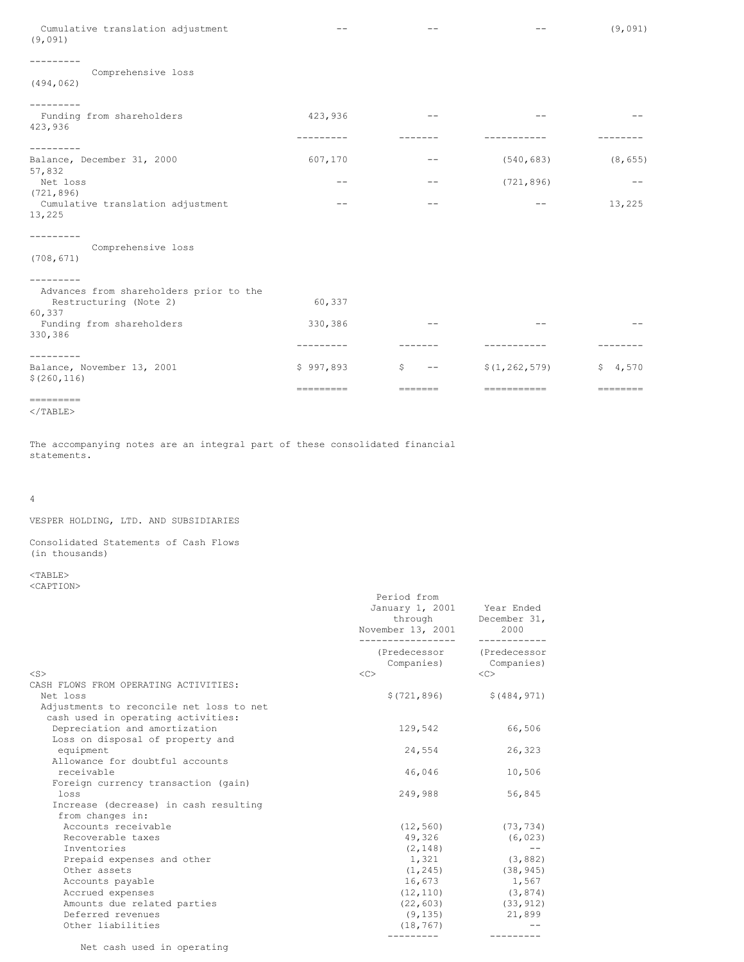| Cumulative translation adjustment<br>(9,091)                                |           |                   | $- -$           | (9,091)   |
|-----------------------------------------------------------------------------|-----------|-------------------|-----------------|-----------|
| ---------<br>Comprehensive loss<br>(494, 062)                               |           |                   |                 |           |
| ---------<br>Funding from shareholders<br>423,936                           | 423,936   | $- -$             |                 |           |
| --------                                                                    |           |                   |                 |           |
| Balance, December 31, 2000                                                  | 607,170   | $- -$             | (540, 683)      | (8, 655)  |
| 57,832<br>Net loss<br>(721, 896)                                            | $- -$     | $- -$             | (721, 896)      |           |
| Cumulative translation adjustment<br>13,225                                 |           | $\qquad \qquad -$ | $- -$           | 13,225    |
| ---------<br>Comprehensive loss<br>(708, 671)                               |           |                   |                 |           |
| ---------                                                                   |           |                   |                 |           |
| Advances from shareholders prior to the<br>Restructuring (Note 2)<br>60,337 | 60,337    |                   |                 |           |
| Funding from shareholders<br>330,386                                        | 330,386   | $\qquad \qquad -$ | $- -$           |           |
|                                                                             |           |                   |                 |           |
| -------<br>Balance, November 13, 2001<br>\$(260, 116)                       | \$997,893 | S.<br>$- -$       | \$(1, 262, 579) | \$4,570   |
| ---------                                                                   |           | $=$ = = = = = = = |                 | --------- |

</TABLE>

The accompanying notes are an integral part of these consolidated financial statements.

# 4

VESPER HOLDING, LTD. AND SUBSIDIARIES

Consolidated Statements of Cash Flows (in thousands)

<TABLE> <CAPTION>

|                                          | Period from<br>January 1, 2001 Year Ended<br>November 13, 2001 | through December 31,<br>2000 |
|------------------------------------------|----------------------------------------------------------------|------------------------------|
|                                          | (Predecessor (Predecessor<br>Companies)                        | Companies)                   |
| $<$ S $>$                                | $<<$ $C$ $>$                                                   | < <sub></sub>                |
| CASH FLOWS FROM OPERATING ACTIVITIES:    |                                                                |                              |
| Net loss                                 | \$(721, 896)                                                   | \$ (484, 971)                |
| Adjustments to reconcile net loss to net |                                                                |                              |
| cash used in operating activities:       |                                                                |                              |
| Depreciation and amortization            | 129,542                                                        | 66,506                       |
| Loss on disposal of property and         |                                                                |                              |
| equipment                                | 24,554                                                         | 26,323                       |
| Allowance for doubtful accounts          |                                                                |                              |
| receivable                               | 46,046                                                         | 10,506                       |
| Foreign currency transaction (gain)      |                                                                |                              |
| loss                                     | 249,988                                                        | 56,845                       |
| Increase (decrease) in cash resulting    |                                                                |                              |
| from changes in:                         |                                                                |                              |
| Accounts receivable                      | (12, 560)                                                      | (73, 734)                    |
| Recoverable taxes                        | 49,326                                                         | (6, 023)                     |
| Inventories                              | (2, 148)                                                       |                              |
| Prepaid expenses and other               | 1,321                                                          | (3, 882)                     |
| Other assets                             | (1, 245)                                                       | (38, 945)                    |
| Accounts payable                         | 16,673                                                         | 1,567                        |
| Accrued expenses                         | (12, 110)                                                      | (3, 874)                     |
| Amounts due related parties              | (22, 603)                                                      | (33, 912)                    |
| Deferred revenues                        | (9, 135)                                                       | 21,899                       |
| Other liabilities                        | (18, 767)                                                      |                              |
|                                          | ----------                                                     | ---------                    |

Net cash used in operating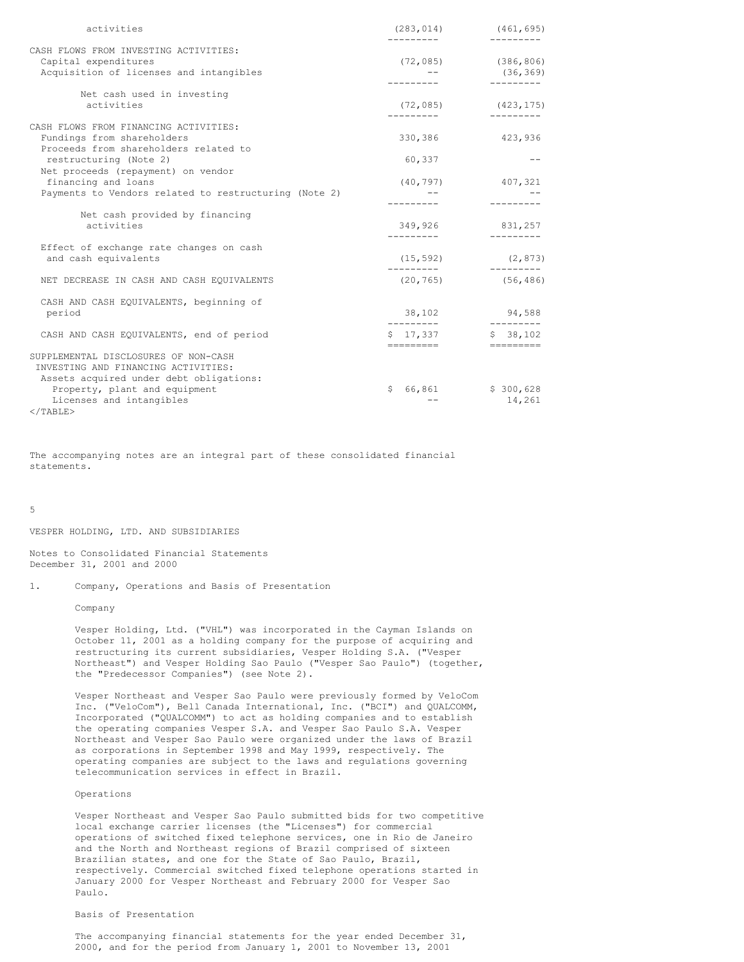| activities                                                                                                                                                                                  | (283, 014)<br>_________ | (461, 695)<br>---------- |
|---------------------------------------------------------------------------------------------------------------------------------------------------------------------------------------------|-------------------------|--------------------------|
| CASH FLOWS FROM INVESTING ACTIVITIES:<br>Capital expenditures<br>Acquisition of licenses and intangibles                                                                                    | (72, 085)               | (386, 806)<br>(36, 369)  |
| Net cash used in investing<br>activities                                                                                                                                                    | ----------              | $(72, 085)$ $(423, 175)$ |
| CASH FLOWS FROM FINANCING ACTIVITIES:<br>Fundings from shareholders<br>Proceeds from shareholders related to                                                                                | 330,386                 | 423,936                  |
| restructuring (Note 2)<br>Net proceeds (repayment) on vendor<br>financing and loans                                                                                                         | 60,337<br>(40, 797)     | 407,321                  |
| Payments to Vendors related to restructuring (Note 2)                                                                                                                                       |                         |                          |
| Net cash provided by financing<br>activities                                                                                                                                                | 349,926                 | 831,257<br>----------    |
| Effect of exchange rate changes on cash<br>and cash equivalents                                                                                                                             | (15, 592)               | (2, 873)                 |
| NET DECREASE IN CASH AND CASH EQUIVALENTS                                                                                                                                                   | (20, 765)               | (56, 486)                |
| CASH AND CASH EQUIVALENTS, beginning of<br>period                                                                                                                                           | 38,102                  | 94,588<br>---------      |
| CASH AND CASH EQUIVALENTS, end of period                                                                                                                                                    | \$17,337                | \$38,102                 |
| SUPPLEMENTAL DISCLOSURES OF NON-CASH<br>INVESTING AND FINANCING ACTIVITIES:<br>Assets acquired under debt obligations:<br>Property, plant and equipment<br>Licenses and intangibles<br>2/mn | \$66,861                | \$300,628<br>14,261      |

 $\langle$ /TABLE>

The accompanying notes are an integral part of these consolidated financial statements.

5

## VESPER HOLDING, LTD. AND SUBSIDIARIES

Notes to Consolidated Financial Statements December 31, 2001 and 2000

## 1. Company, Operations and Basis of Presentation

Company

Vesper Holding, Ltd. ("VHL") was incorporated in the Cayman Islands on October 11, 2001 as a holding company for the purpose of acquiring and restructuring its current subsidiaries, Vesper Holding S.A. ("Vesper Northeast") and Vesper Holding Sao Paulo ("Vesper Sao Paulo") (together, the "Predecessor Companies") (see Note 2).

Vesper Northeast and Vesper Sao Paulo were previously formed by VeloCom Inc. ("VeloCom"), Bell Canada International, Inc. ("BCI") and QUALCOMM, Incorporated ("QUALCOMM") to act as holding companies and to establish the operating companies Vesper S.A. and Vesper Sao Paulo S.A. Vesper Northeast and Vesper Sao Paulo were organized under the laws of Brazil as corporations in September 1998 and May 1999, respectively. The operating companies are subject to the laws and regulations governing telecommunication services in effect in Brazil.

## Operations

Vesper Northeast and Vesper Sao Paulo submitted bids for two competitive local exchange carrier licenses (the "Licenses") for commercial operations of switched fixed telephone services, one in Rio de Janeiro and the North and Northeast regions of Brazil comprised of sixteen Brazilian states, and one for the State of Sao Paulo, Brazil, respectively. Commercial switched fixed telephone operations started in January 2000 for Vesper Northeast and February 2000 for Vesper Sao Paulo.

## Basis of Presentation

The accompanying financial statements for the year ended December 31, 2000, and for the period from January 1, 2001 to November 13, 2001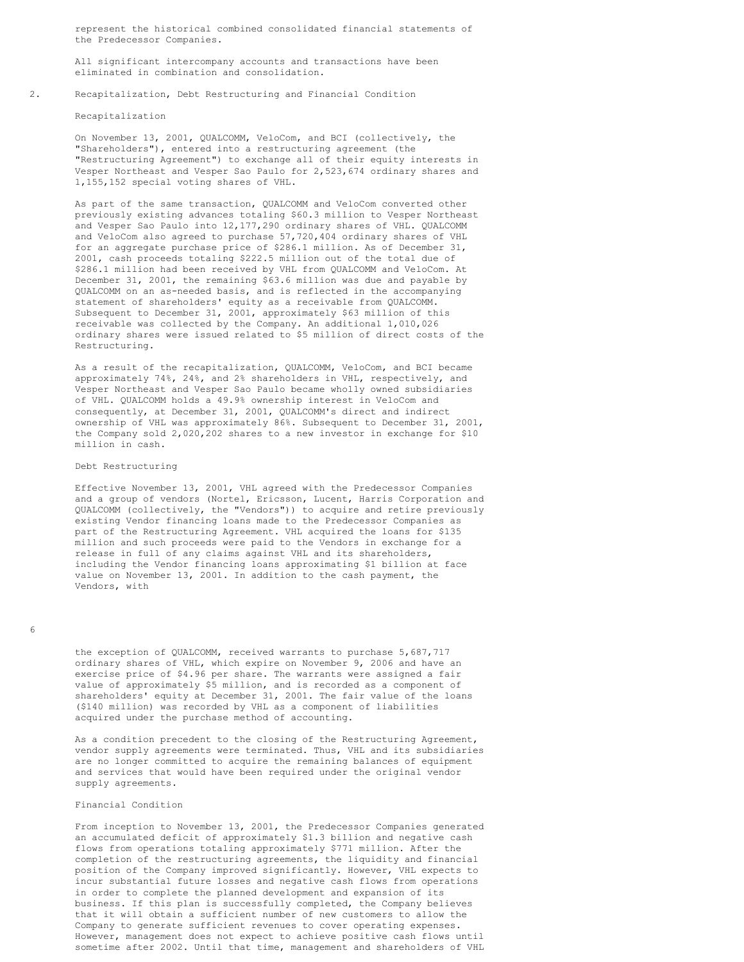represent the historical combined consolidated financial statements of the Predecessor Companies.

All significant intercompany accounts and transactions have been eliminated in combination and consolidation.

2. Recapitalization, Debt Restructuring and Financial Condition

### Recapitalization

On November 13, 2001, QUALCOMM, VeloCom, and BCI (collectively, the "Shareholders"), entered into a restructuring agreement (the "Restructuring Agreement") to exchange all of their equity interests in Vesper Northeast and Vesper Sao Paulo for 2,523,674 ordinary shares and 1,155,152 special voting shares of VHL.

As part of the same transaction, QUALCOMM and VeloCom converted other previously existing advances totaling \$60.3 million to Vesper Northeast and Vesper Sao Paulo into 12,177,290 ordinary shares of VHL. QUALCOMM and VeloCom also agreed to purchase 57,720,404 ordinary shares of VHL for an aggregate purchase price of \$286.1 million. As of December 31, 2001, cash proceeds totaling \$222.5 million out of the total due of \$286.1 million had been received by VHL from QUALCOMM and VeloCom. At December 31, 2001, the remaining \$63.6 million was due and payable by QUALCOMM on an as-needed basis, and is reflected in the accompanying statement of shareholders' equity as a receivable from QUALCOMM. Subsequent to December 31, 2001, approximately \$63 million of this receivable was collected by the Company. An additional 1,010,026 ordinary shares were issued related to \$5 million of direct costs of the Restructuring.

As a result of the recapitalization, QUALCOMM, VeloCom, and BCI became approximately 74%, 24%, and 2% shareholders in VHL, respectively, and Vesper Northeast and Vesper Sao Paulo became wholly owned subsidiaries of VHL. QUALCOMM holds a 49.9% ownership interest in VeloCom and consequently, at December 31, 2001, QUALCOMM's direct and indirect ownership of VHL was approximately 86%. Subsequent to December 31, 2001, the Company sold 2,020,202 shares to a new investor in exchange for \$10 million in cash.

## Debt Restructuring

Effective November 13, 2001, VHL agreed with the Predecessor Companies and a group of vendors (Nortel, Ericsson, Lucent, Harris Corporation and QUALCOMM (collectively, the "Vendors")) to acquire and retire previously existing Vendor financing loans made to the Predecessor Companies as part of the Restructuring Agreement. VHL acquired the loans for \$135 million and such proceeds were paid to the Vendors in exchange for a release in full of any claims against VHL and its shareholders, including the Vendor financing loans approximating \$1 billion at face value on November 13, 2001. In addition to the cash payment, the Vendors, with

6

the exception of QUALCOMM, received warrants to purchase 5,687,717 ordinary shares of VHL, which expire on November 9, 2006 and have an exercise price of \$4.96 per share. The warrants were assigned a fair value of approximately \$5 million, and is recorded as a component of shareholders' equity at December 31, 2001. The fair value of the loans (\$140 million) was recorded by VHL as a component of liabilities acquired under the purchase method of accounting.

As a condition precedent to the closing of the Restructuring Agreement, vendor supply agreements were terminated. Thus, VHL and its subsidiaries are no longer committed to acquire the remaining balances of equipment and services that would have been required under the original vendor supply agreements.

# Financial Condition

From inception to November 13, 2001, the Predecessor Companies generated an accumulated deficit of approximately \$1.3 billion and negative cash flows from operations totaling approximately \$771 million. After the completion of the restructuring agreements, the liquidity and financial position of the Company improved significantly. However, VHL expects to incur substantial future losses and negative cash flows from operations in order to complete the planned development and expansion of its business. If this plan is successfully completed, the Company believes that it will obtain a sufficient number of new customers to allow the Company to generate sufficient revenues to cover operating expenses. However, management does not expect to achieve positive cash flows until sometime after 2002. Until that time, management and shareholders of VHL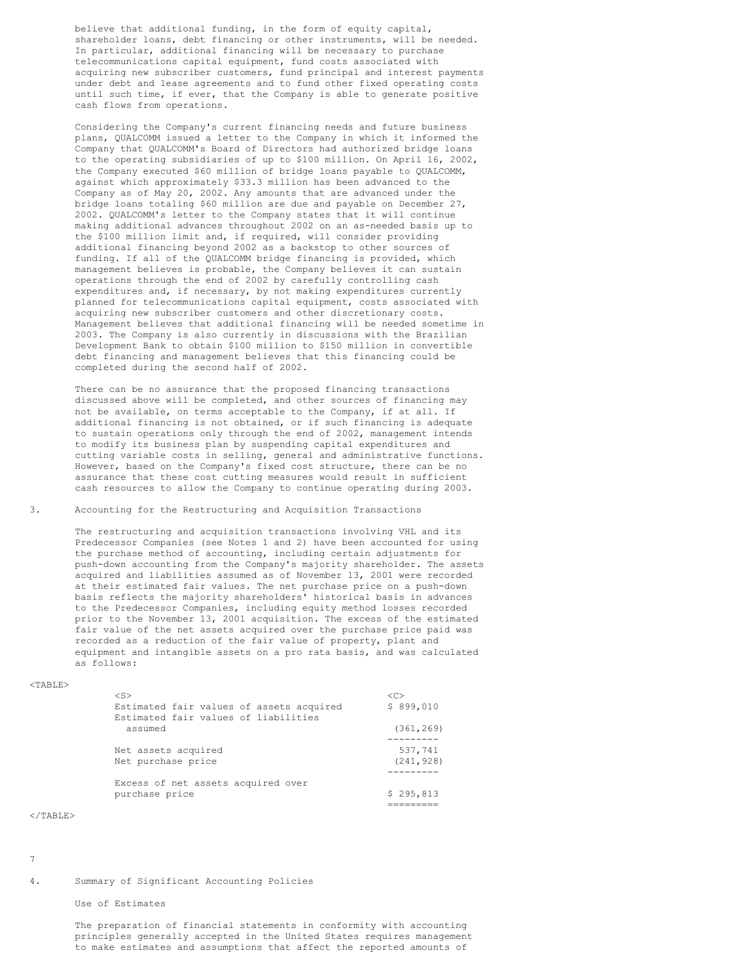believe that additional funding, in the form of equity capital, shareholder loans, debt financing or other instruments, will be needed. In particular, additional financing will be necessary to purchase telecommunications capital equipment, fund costs associated with acquiring new subscriber customers, fund principal and interest payments under debt and lease agreements and to fund other fixed operating costs until such time, if ever, that the Company is able to generate positive cash flows from operations.

Considering the Company's current financing needs and future business plans, QUALCOMM issued a letter to the Company in which it informed the Company that QUALCOMM's Board of Directors had authorized bridge loans to the operating subsidiaries of up to \$100 million. On April 16, 2002, the Company executed \$60 million of bridge loans payable to QUALCOMM, against which approximately \$33.3 million has been advanced to the Company as of May 20, 2002. Any amounts that are advanced under the bridge loans totaling \$60 million are due and payable on December 27, 2002. QUALCOMM's letter to the Company states that it will continue making additional advances throughout 2002 on an as-needed basis up to the \$100 million limit and, if required, will consider providing additional financing beyond 2002 as a backstop to other sources of funding. If all of the QUALCOMM bridge financing is provided, which management believes is probable, the Company believes it can sustain operations through the end of 2002 by carefully controlling cash expenditures and, if necessary, by not making expenditures currently planned for telecommunications capital equipment, costs associated with acquiring new subscriber customers and other discretionary costs. Management believes that additional financing will be needed sometime in 2003. The Company is also currently in discussions with the Brazilian Development Bank to obtain \$100 million to \$150 million in convertible debt financing and management believes that this financing could be completed during the second half of 2002.

There can be no assurance that the proposed financing transactions discussed above will be completed, and other sources of financing may not be available, on terms acceptable to the Company, if at all. If additional financing is not obtained, or if such financing is adequate to sustain operations only through the end of 2002, management intends to modify its business plan by suspending capital expenditures and cutting variable costs in selling, general and administrative functions. However, based on the Company's fixed cost structure, there can be no assurance that these cost cutting measures would result in sufficient cash resources to allow the Company to continue operating during 2003.

### 3. Accounting for the Restructuring and Acquisition Transactions

The restructuring and acquisition transactions involving VHL and its Predecessor Companies (see Notes 1 and 2) have been accounted for using the purchase method of accounting, including certain adjustments for push-down accounting from the Company's majority shareholder. The assets acquired and liabilities assumed as of November 13, 2001 were recorded at their estimated fair values. The net purchase price on a push-down basis reflects the majority shareholders' historical basis in advances to the Predecessor Companies, including equity method losses recorded prior to the November 13, 2001 acquisition. The excess of the estimated fair value of the net assets acquired over the purchase price paid was recorded as a reduction of the fair value of property, plant and equipment and intangible assets on a pro rata basis, and was calculated as follows:

#### $<$ TABLE>

| $<$ S $>$                                                                        |            |
|----------------------------------------------------------------------------------|------------|
| Estimated fair values of assets acquired<br>Estimated fair values of liabilities | \$899,010  |
| assumed                                                                          | (361, 269) |
|                                                                                  |            |
| Net assets acquired                                                              | 537,741    |
| Net purchase price                                                               | (241, 928) |
|                                                                                  |            |
| Excess of net assets acquired over                                               |            |
| purchase price                                                                   | \$295,813  |
|                                                                                  |            |

 $\langle$ /TABLE>

7

# 4. Summary of Significant Accounting Policies

## Use of Estimates

The preparation of financial statements in conformity with accounting principles generally accepted in the United States requires management to make estimates and assumptions that affect the reported amounts of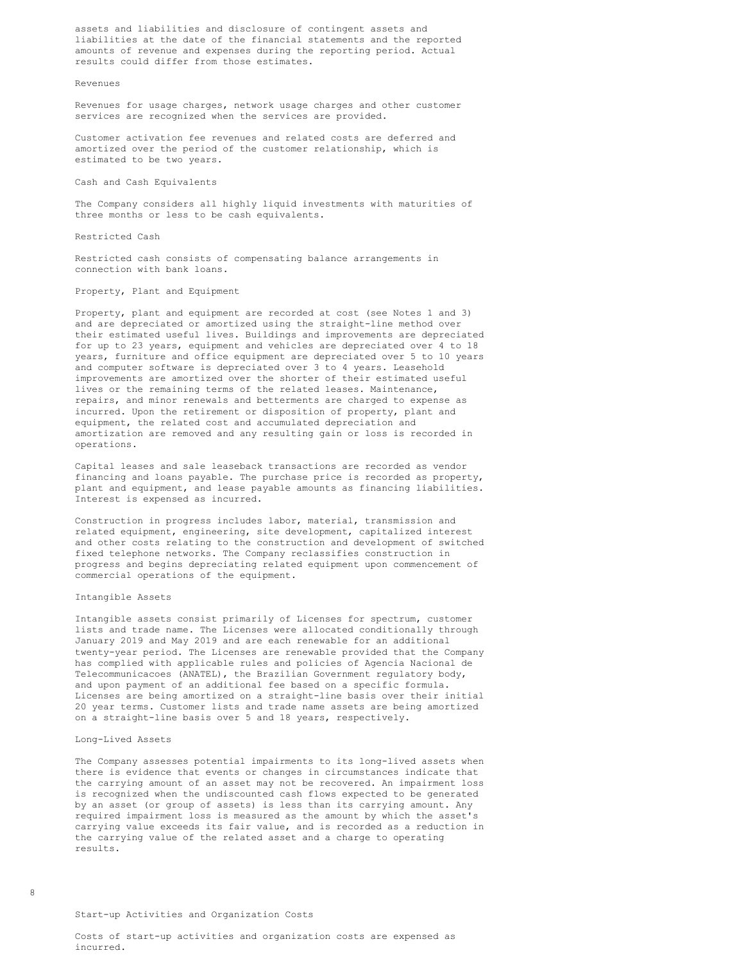assets and liabilities and disclosure of contingent assets and liabilities at the date of the financial statements and the reported amounts of revenue and expenses during the reporting period. Actual results could differ from those estimates.

### Revenues

Revenues for usage charges, network usage charges and other customer services are recognized when the services are provided.

Customer activation fee revenues and related costs are deferred and amortized over the period of the customer relationship, which is estimated to be two years.

### Cash and Cash Equivalents

The Company considers all highly liquid investments with maturities of three months or less to be cash equivalents.

Restricted Cash

Restricted cash consists of compensating balance arrangements in connection with bank loans.

### Property, Plant and Equipment

Property, plant and equipment are recorded at cost (see Notes 1 and 3) and are depreciated or amortized using the straight-line method over their estimated useful lives. Buildings and improvements are depreciated for up to 23 years, equipment and vehicles are depreciated over 4 to 18 years, furniture and office equipment are depreciated over 5 to 10 years and computer software is depreciated over 3 to 4 years. Leasehold improvements are amortized over the shorter of their estimated useful lives or the remaining terms of the related leases. Maintenance, repairs, and minor renewals and betterments are charged to expense as incurred. Upon the retirement or disposition of property, plant and equipment, the related cost and accumulated depreciation and amortization are removed and any resulting gain or loss is recorded in operations.

Capital leases and sale leaseback transactions are recorded as vendor financing and loans payable. The purchase price is recorded as property, plant and equipment, and lease payable amounts as financing liabilities. Interest is expensed as incurred.

Construction in progress includes labor, material, transmission and related equipment, engineering, site development, capitalized interest and other costs relating to the construction and development of switched fixed telephone networks. The Company reclassifies construction in progress and begins depreciating related equipment upon commencement of commercial operations of the equipment.

## Intangible Assets

Intangible assets consist primarily of Licenses for spectrum, customer lists and trade name. The Licenses were allocated conditionally through January 2019 and May 2019 and are each renewable for an additional twenty-year period. The Licenses are renewable provided that the Company has complied with applicable rules and policies of Agencia Nacional de Telecommunicacoes (ANATEL), the Brazilian Government regulatory body, and upon payment of an additional fee based on a specific formula. Licenses are being amortized on a straight-line basis over their initial 20 year terms. Customer lists and trade name assets are being amortized on a straight-line basis over 5 and 18 years, respectively.

### Long-Lived Assets

The Company assesses potential impairments to its long-lived assets when there is evidence that events or changes in circumstances indicate that the carrying amount of an asset may not be recovered. An impairment loss is recognized when the undiscounted cash flows expected to be generated by an asset (or group of assets) is less than its carrying amount. Any required impairment loss is measured as the amount by which the asset's carrying value exceeds its fair value, and is recorded as a reduction in the carrying value of the related asset and a charge to operating results.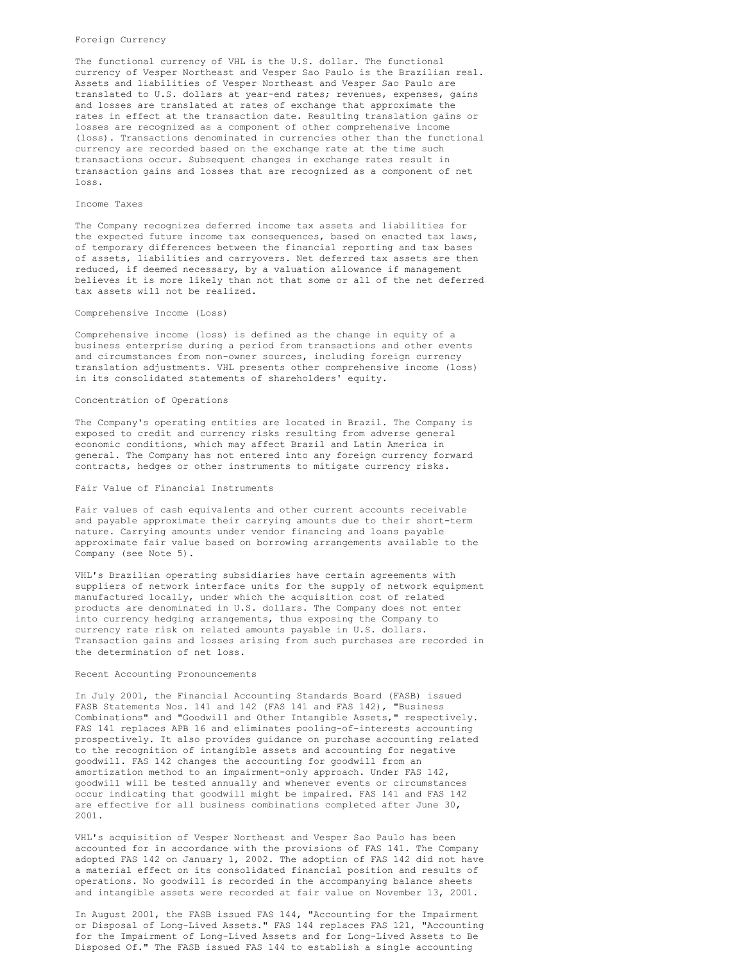#### Foreign Currency

The functional currency of VHL is the U.S. dollar. The functional currency of Vesper Northeast and Vesper Sao Paulo is the Brazilian real. Assets and liabilities of Vesper Northeast and Vesper Sao Paulo are translated to U.S. dollars at year-end rates; revenues, expenses, gains and losses are translated at rates of exchange that approximate the rates in effect at the transaction date. Resulting translation gains or losses are recognized as a component of other comprehensive income (loss). Transactions denominated in currencies other than the functional currency are recorded based on the exchange rate at the time such transactions occur. Subsequent changes in exchange rates result in transaction gains and losses that are recognized as a component of net loss.

#### Income Taxes

The Company recognizes deferred income tax assets and liabilities for the expected future income tax consequences, based on enacted tax laws, of temporary differences between the financial reporting and tax bases of assets, liabilities and carryovers. Net deferred tax assets are then reduced, if deemed necessary, by a valuation allowance if management believes it is more likely than not that some or all of the net deferred tax assets will not be realized.

### Comprehensive Income (Loss)

Comprehensive income (loss) is defined as the change in equity of a business enterprise during a period from transactions and other events and circumstances from non-owner sources, including foreign currency translation adjustments. VHL presents other comprehensive income (loss) in its consolidated statements of shareholders' equity.

## Concentration of Operations

The Company's operating entities are located in Brazil. The Company is exposed to credit and currency risks resulting from adverse general economic conditions, which may affect Brazil and Latin America in general. The Company has not entered into any foreign currency forward contracts, hedges or other instruments to mitigate currency risks.

## Fair Value of Financial Instruments

Fair values of cash equivalents and other current accounts receivable and payable approximate their carrying amounts due to their short-term nature. Carrying amounts under vendor financing and loans payable approximate fair value based on borrowing arrangements available to the Company (see Note 5).

VHL's Brazilian operating subsidiaries have certain agreements with suppliers of network interface units for the supply of network equipment manufactured locally, under which the acquisition cost of related products are denominated in U.S. dollars. The Company does not enter into currency hedging arrangements, thus exposing the Company to currency rate risk on related amounts payable in U.S. dollars. Transaction gains and losses arising from such purchases are recorded in the determination of net loss.

# Recent Accounting Pronouncements

In July 2001, the Financial Accounting Standards Board (FASB) issued FASB Statements Nos. 141 and 142 (FAS 141 and FAS 142), "Business Combinations" and "Goodwill and Other Intangible Assets," respectively. FAS 141 replaces APB 16 and eliminates pooling-of-interests accounting prospectively. It also provides guidance on purchase accounting related to the recognition of intangible assets and accounting for negative goodwill. FAS 142 changes the accounting for goodwill from an amortization method to an impairment-only approach. Under FAS 142, goodwill will be tested annually and whenever events or circumstances occur indicating that goodwill might be impaired. FAS 141 and FAS 142 are effective for all business combinations completed after June 30, 2001.

VHL's acquisition of Vesper Northeast and Vesper Sao Paulo has been accounted for in accordance with the provisions of FAS 141. The Company adopted FAS 142 on January 1, 2002. The adoption of FAS 142 did not have a material effect on its consolidated financial position and results of operations. No goodwill is recorded in the accompanying balance sheets and intangible assets were recorded at fair value on November 13, 2001.

In August 2001, the FASB issued FAS 144, "Accounting for the Impairment or Disposal of Long-Lived Assets." FAS 144 replaces FAS 121, "Accounting for the Impairment of Long-Lived Assets and for Long-Lived Assets to Be Disposed Of." The FASB issued FAS 144 to establish a single accounting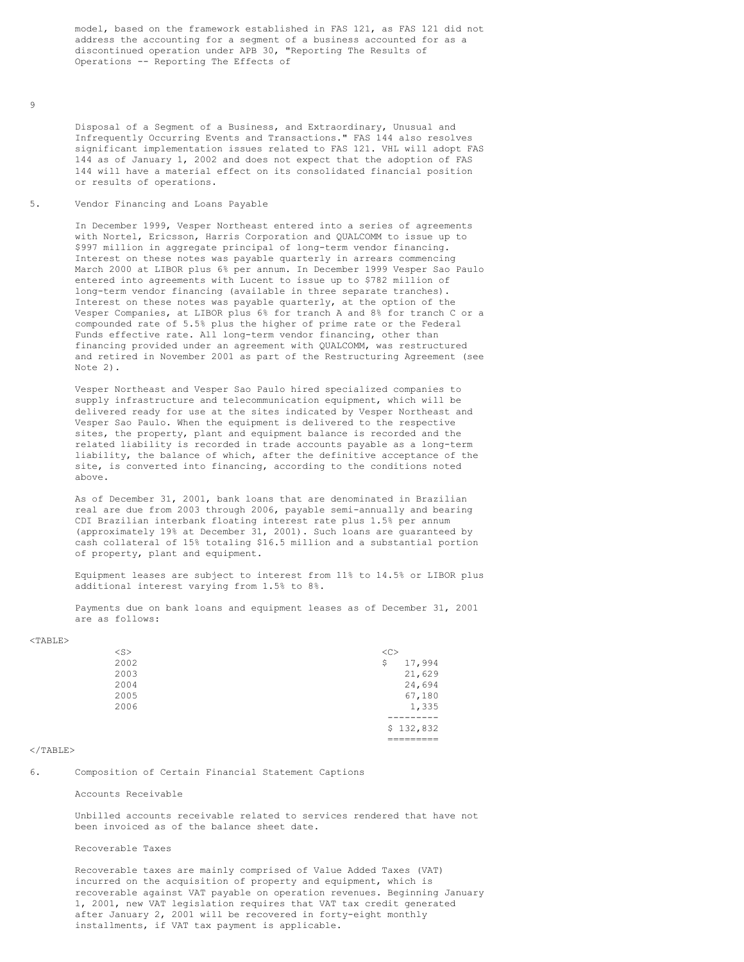model, based on the framework established in FAS 121, as FAS 121 did not address the accounting for a segment of a business accounted for as a discontinued operation under APB 30, "Reporting The Results of Operations -- Reporting The Effects of

 $\alpha$ 

Disposal of a Segment of a Business, and Extraordinary, Unusual and Infrequently Occurring Events and Transactions." FAS 144 also resolves significant implementation issues related to FAS 121. VHL will adopt FAS 144 as of January 1, 2002 and does not expect that the adoption of FAS 144 will have a material effect on its consolidated financial position or results of operations.

### 5. Vendor Financing and Loans Payable

In December 1999, Vesper Northeast entered into a series of agreements with Nortel, Ericsson, Harris Corporation and QUALCOMM to issue up to \$997 million in aggregate principal of long-term vendor financing. Interest on these notes was payable quarterly in arrears commencing March 2000 at LIBOR plus 6% per annum. In December 1999 Vesper Sao Paulo entered into agreements with Lucent to issue up to \$782 million of long-term vendor financing (available in three separate tranches). Interest on these notes was payable quarterly, at the option of the Vesper Companies, at LIBOR plus 6% for tranch A and 8% for tranch C or a compounded rate of 5.5% plus the higher of prime rate or the Federal Funds effective rate. All long-term vendor financing, other than financing provided under an agreement with QUALCOMM, was restructured and retired in November 2001 as part of the Restructuring Agreement (see Note 2).

Vesper Northeast and Vesper Sao Paulo hired specialized companies to supply infrastructure and telecommunication equipment, which will be delivered ready for use at the sites indicated by Vesper Northeast and Vesper Sao Paulo. When the equipment is delivered to the respective sites, the property, plant and equipment balance is recorded and the related liability is recorded in trade accounts payable as a long-term liability, the balance of which, after the definitive acceptance of the site, is converted into financing, according to the conditions noted above.

As of December 31, 2001, bank loans that are denominated in Brazilian real are due from 2003 through 2006, payable semi-annually and bearing CDI Brazilian interbank floating interest rate plus 1.5% per annum (approximately 19% at December 31, 2001). Such loans are guaranteed by cash collateral of 15% totaling \$16.5 million and a substantial portion of property, plant and equipment.

Equipment leases are subject to interest from 11% to 14.5% or LIBOR plus additional interest varying from 1.5% to 8%.

Payments due on bank loans and equipment leases as of December 31, 2001 are as follows:

### <TABLE>

| $<$ S $>$ | < <sub></sub> |
|-----------|---------------|
| 2002      | 17,994<br>\$  |
| 2003      | 21,629        |
| 2004      | 24,694        |
| 2005      | 67,180        |
| 2006      | 1,335         |
|           |               |
|           | \$132,832     |

=========

## </TABLE>

6. Composition of Certain Financial Statement Captions

Accounts Receivable

Unbilled accounts receivable related to services rendered that have not been invoiced as of the balance sheet date.

#### Recoverable Taxes

Recoverable taxes are mainly comprised of Value Added Taxes (VAT) incurred on the acquisition of property and equipment, which is recoverable against VAT payable on operation revenues. Beginning January 1, 2001, new VAT legislation requires that VAT tax credit generated after January 2, 2001 will be recovered in forty-eight monthly installments, if VAT tax payment is applicable.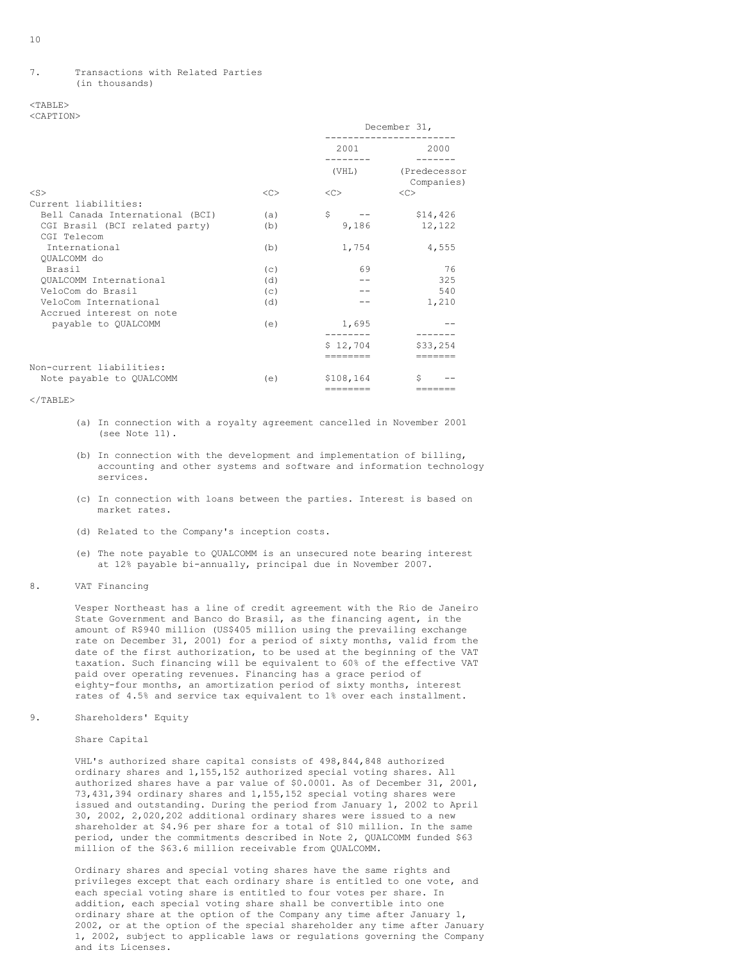## 7. Transactions with Related Parties (in thousands)

### <TABLE> <CAPTION>

|                                 |               | December 31,  |                            |
|---------------------------------|---------------|---------------|----------------------------|
|                                 |               | 2001          | 2000                       |
|                                 |               | (VHL)         | (Predecessor<br>Companies) |
| $<$ S>                          | < <sub></sub> | < <sub></sub> | <<                         |
| Current liabilities:            |               |               |                            |
| Bell Canada International (BCI) | (a)           | \$            | \$14,426                   |
| CGI Brasil (BCI related party)  | (b)           | 9,186         | 12,122                     |
| CGI Telecom                     |               |               |                            |
| International                   | (b)           | 1,754         | 4,555                      |
| OUALCOMM do                     |               |               |                            |
| Brasil                          | (c)           | 69            | 76                         |
| OUALCOMM International          | (d)           |               | 325                        |
| VeloCom do Brasil               | (C)           |               | 540                        |
| VeloCom International           | (d)           |               | 1,210                      |
| Accrued interest on note        |               |               |                            |
| payable to QUALCOMM             | (e)           | 1,695         |                            |
|                                 |               |               | ------                     |
|                                 |               | \$12,704      | \$33,254                   |
|                                 |               | --------      |                            |
| Non-current liabilities:        |               |               |                            |
| Note payable to QUALCOMM        | (e)           | \$108,164     | Ŝ                          |
|                                 |               | ========      | =======                    |

 $<$ /TABLE>

- (a) In connection with a royalty agreement cancelled in November 2001 (see Note 11).
- (b) In connection with the development and implementation of billing, accounting and other systems and software and information technology services.
- (c) In connection with loans between the parties. Interest is based on market rates.
- (d) Related to the Company's inception costs.
- (e) The note payable to QUALCOMM is an unsecured note bearing interest at 12% payable bi-annually, principal due in November 2007.
- 8. VAT Financing

Vesper Northeast has a line of credit agreement with the Rio de Janeiro State Government and Banco do Brasil, as the financing agent, in the amount of R\$940 million (US\$405 million using the prevailing exchange rate on December 31, 2001) for a period of sixty months, valid from the date of the first authorization, to be used at the beginning of the VAT taxation. Such financing will be equivalent to 60% of the effective VAT paid over operating revenues. Financing has a grace period of eighty-four months, an amortization period of sixty months, interest rates of 4.5% and service tax equivalent to 1% over each installment.

9. Shareholders' Equity

Share Capital

VHL's authorized share capital consists of 498,844,848 authorized ordinary shares and 1,155,152 authorized special voting shares. All authorized shares have a par value of \$0.0001. As of December 31, 2001, 73,431,394 ordinary shares and 1,155,152 special voting shares were issued and outstanding. During the period from January 1, 2002 to April 30, 2002, 2,020,202 additional ordinary shares were issued to a new shareholder at \$4.96 per share for a total of \$10 million. In the same period, under the commitments described in Note 2, QUALCOMM funded \$63 million of the \$63.6 million receivable from QUALCOMM.

Ordinary shares and special voting shares have the same rights and privileges except that each ordinary share is entitled to one vote, and each special voting share is entitled to four votes per share. In addition, each special voting share shall be convertible into one ordinary share at the option of the Company any time after January 1, 2002, or at the option of the special shareholder any time after January 1, 2002, subject to applicable laws or regulations governing the Company and its Licenses.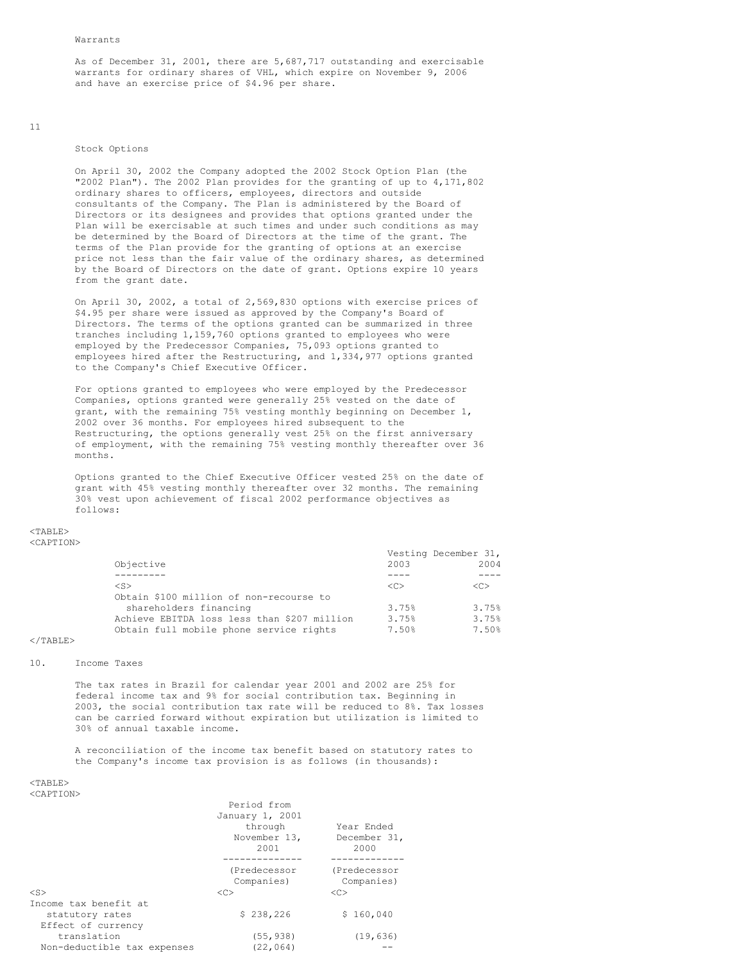As of December 31, 2001, there are 5,687,717 outstanding and exercisable warrants for ordinary shares of VHL, which expire on November 9, 2006 and have an exercise price of \$4.96 per share.

#### 11

### Stock Options

On April 30, 2002 the Company adopted the 2002 Stock Option Plan (the "2002 Plan"). The 2002 Plan provides for the granting of up to 4,171,802 ordinary shares to officers, employees, directors and outside consultants of the Company. The Plan is administered by the Board of Directors or its designees and provides that options granted under the Plan will be exercisable at such times and under such conditions as may be determined by the Board of Directors at the time of the grant. The terms of the Plan provide for the granting of options at an exercise price not less than the fair value of the ordinary shares, as determined by the Board of Directors on the date of grant. Options expire 10 years from the grant date.

On April 30, 2002, a total of 2,569,830 options with exercise prices of \$4.95 per share were issued as approved by the Company's Board of Directors. The terms of the options granted can be summarized in three tranches including 1,159,760 options granted to employees who were employed by the Predecessor Companies, 75,093 options granted to employees hired after the Restructuring, and 1,334,977 options granted to the Company's Chief Executive Officer.

For options granted to employees who were employed by the Predecessor Companies, options granted were generally 25% vested on the date of grant, with the remaining 75% vesting monthly beginning on December 1, 2002 over 36 months. For employees hired subsequent to the Restructuring, the options generally vest 25% on the first anniversary of employment, with the remaining 75% vesting monthly thereafter over 36 months.

Options granted to the Chief Executive Officer vested 25% on the date of grant with 45% vesting monthly thereafter over 32 months. The remaining 30% vest upon achievement of fiscal 2002 performance objectives as follows:

### $<$ TABLE> <CAPTION>

| Objective                                   | Vesting December 31,<br>2003 | 2004  |
|---------------------------------------------|------------------------------|-------|
|                                             |                              |       |
| $\langle S \rangle$                         | < <sub></sub>                | <<    |
| Obtain \$100 million of non-recourse to     |                              |       |
| shareholders financing                      | 3.75%                        | 3.75% |
| Achieve EBITDA loss less than \$207 million | 3.75%                        | 3.75% |
| Obtain full mobile phone service rights     | 7.50%                        | 7.50% |

## $<$ /TABLE>

#### 10. Income Taxes

The tax rates in Brazil for calendar year 2001 and 2002 are 25% for federal income tax and 9% for social contribution tax. Beginning in 2003, the social contribution tax rate will be reduced to 8%. Tax losses can be carried forward without expiration but utilization is limited to 30% of annual taxable income.

A reconciliation of the income tax benefit based on statutory rates to the Company's income tax provision is as follows (in thousands):

#### <TABLE> <CAPTION>

|                                                                | Period from<br>January 1, 2001              |                                    |
|----------------------------------------------------------------|---------------------------------------------|------------------------------------|
|                                                                | through<br>November 13,<br>2001             | Year Ended<br>December 31,<br>2000 |
| $<$ S $>$                                                      | (Predecessor<br>Companies)<br>< <sub></sub> | (Predecessor<br>Companies)<br><<   |
| Income tax benefit at<br>statutory rates<br>Effect of currency | \$238,226                                   | \$160,040                          |
| translation<br>Non-deductible tax expenses                     | (55, 938)<br>(22, 064)                      | (19, 636)                          |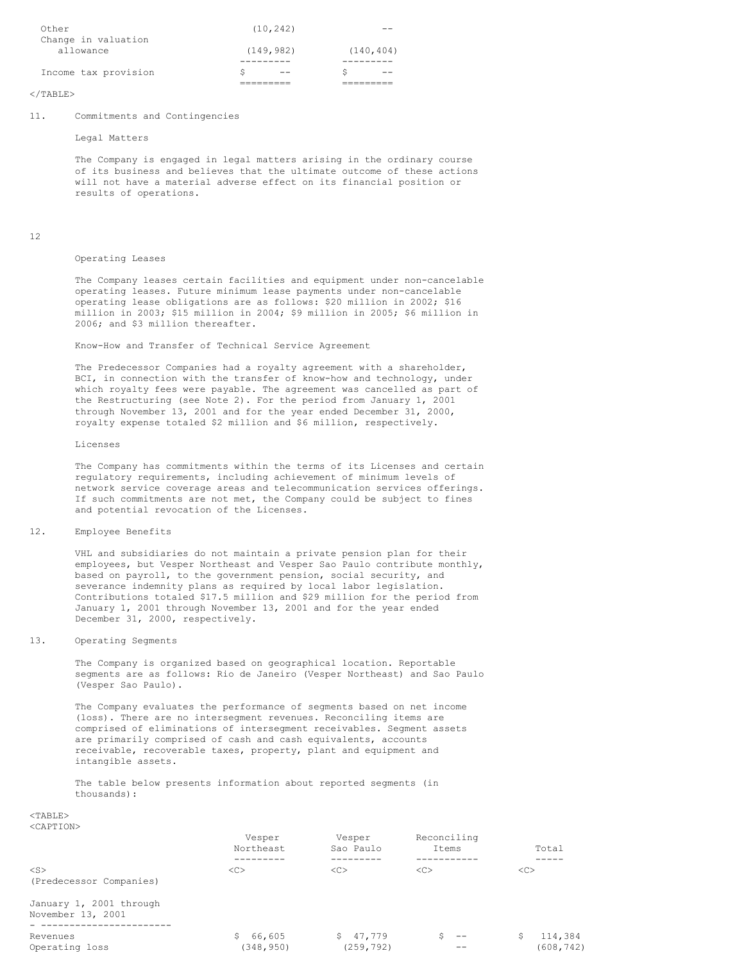| Other                | (10, 242)  |            |
|----------------------|------------|------------|
| Change in valuation  |            |            |
| allowance            | (149, 982) | (140, 404) |
|                      |            |            |
| Income tax provision | $- -$      | --         |
|                      |            |            |

### $\langle$ /TABLE>

### 11. Commitments and Contingencies

# Legal Matters

The Company is engaged in legal matters arising in the ordinary course of its business and believes that the ultimate outcome of these actions will not have a material adverse effect on its financial position or results of operations.

#### 12

## Operating Leases

The Company leases certain facilities and equipment under non-cancelable operating leases. Future minimum lease payments under non-cancelable operating lease obligations are as follows: \$20 million in 2002; \$16 million in 2003; \$15 million in 2004; \$9 million in 2005; \$6 million in 2006; and \$3 million thereafter.

Know-How and Transfer of Technical Service Agreement

The Predecessor Companies had a royalty agreement with a shareholder, BCI, in connection with the transfer of know-how and technology, under which royalty fees were payable. The agreement was cancelled as part of the Restructuring (see Note 2). For the period from January 1, 2001 through November 13, 2001 and for the year ended December 31, 2000, royalty expense totaled \$2 million and \$6 million, respectively.

### Licenses

The Company has commitments within the terms of its Licenses and certain regulatory requirements, including achievement of minimum levels of network service coverage areas and telecommunication services offerings. If such commitments are not met, the Company could be subject to fines and potential revocation of the Licenses.

## 12. Employee Benefits

VHL and subsidiaries do not maintain a private pension plan for their employees, but Vesper Northeast and Vesper Sao Paulo contribute monthly, based on payroll, to the government pension, social security, and severance indemnity plans as required by local labor legislation. Contributions totaled \$17.5 million and \$29 million for the period from January 1, 2001 through November 13, 2001 and for the year ended December 31, 2000, respectively.

## 13. Operating Segments

The Company is organized based on geographical location. Reportable segments are as follows: Rio de Janeiro (Vesper Northeast) and Sao Paulo (Vesper Sao Paulo).

The Company evaluates the performance of segments based on net income (loss). There are no intersegment revenues. Reconciling items are comprised of eliminations of intersegment receivables. Segment assets are primarily comprised of cash and cash equivalents, accounts receivable, recoverable taxes, property, plant and equipment and intangible assets.

The table below presents information about reported segments (in thousands):

### $<$ TABLE> <CAPTION>

|                                              | Vesper<br>Northeast  | Vesper<br>Sao Paulo    | Reconciling<br>Items | Total                 |
|----------------------------------------------|----------------------|------------------------|----------------------|-----------------------|
| $<$ S $>$<br>(Predecessor Companies)         | <<                   | < <sub></sub>          | <<                   | <<                    |
| January 1, 2001 through<br>November 13, 2001 |                      |                        |                      |                       |
| Revenues<br>Operating loss                   | 66,605<br>(348, 950) | \$47,779<br>(259, 792) | Ŝ<br>$- -$           | 114,384<br>(608, 742) |